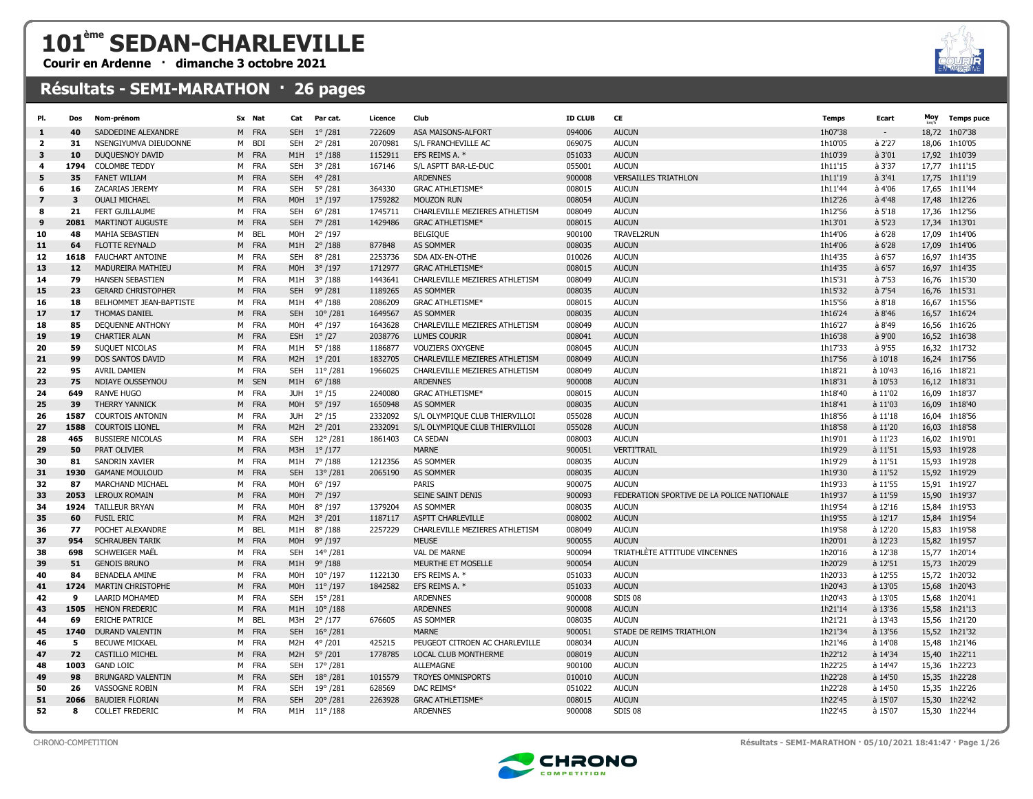## 101ème SEDAN-CHARLEVILLE

Courir en Ardenne · dimanche 3 octobre 2021

## Résultats - SEMI-MARATHON · 26 pages





CHRONO-COMPETITION Résultats - SEMI-MARATHON · 05/10/2021 18:41:47 · Page 1/26

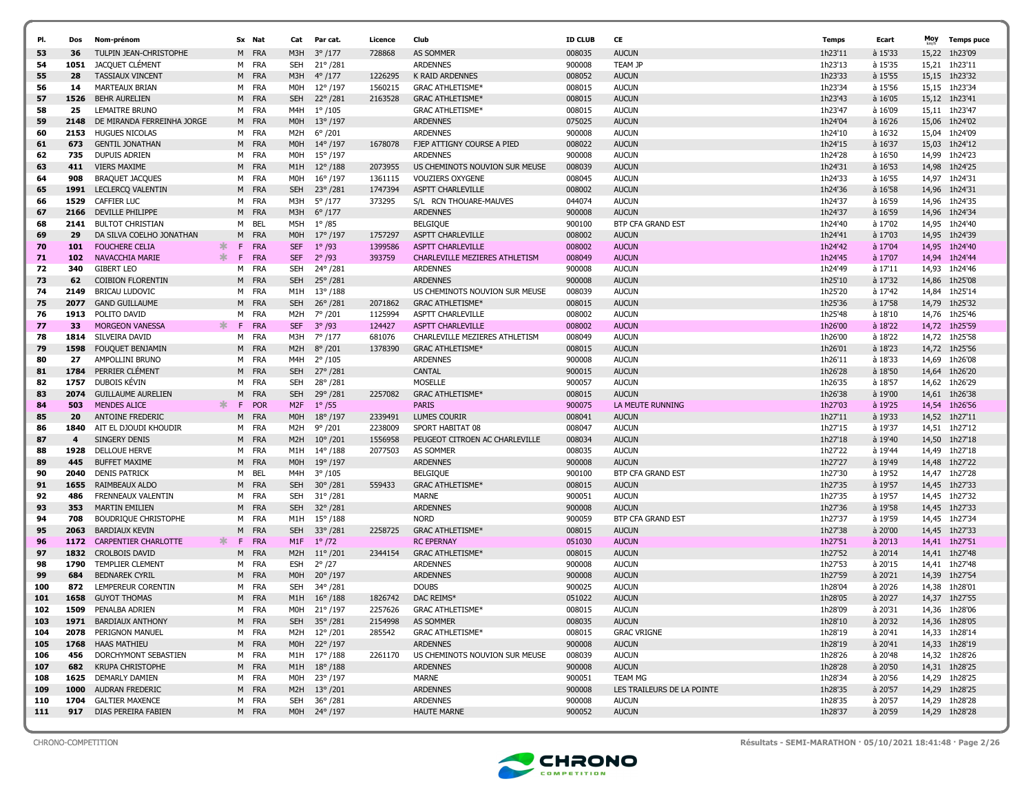| PI. | Dos            | Nom-prénom                  |              | Sx Nat     | Cat              | Par cat.          | Licence | Club                           | <b>ID CLUB</b> | CE                         | Temps   | Ecart     | Moy   | <b>Temps puce</b> |
|-----|----------------|-----------------------------|--------------|------------|------------------|-------------------|---------|--------------------------------|----------------|----------------------------|---------|-----------|-------|-------------------|
| 53  | 36             | TULPIN JEAN-CHRISTOPHE      |              | M FRA      | M3H              | $3^{\circ}/177$   | 728868  | <b>AS SOMMER</b>               | 008035         | <b>AUCUN</b>               | 1h23'11 | à 15'33   |       | 15,22 1h23'09     |
| 54  | 1051           | JACQUET CLÉMENT             |              | M FRA      | <b>SEH</b>       | $21^{\circ}/281$  |         | <b>ARDENNES</b>                | 900008         | <b>TEAM JP</b>             | 1h23'13 | à 15'35   | 15,21 | 1h23'11           |
| 55  | 28             | <b>TASSIAUX VINCENT</b>     |              | M FRA      | M3H              | $4^{\circ}/177$   | 1226295 | K RAID ARDENNES                | 008052         | <b>AUCUN</b>               | 1h23'33 | à 15'55   |       | 15,15 1h23'32     |
| 56  | 14             | MARTEAUX BRIAN              | м            | <b>FRA</b> | MOH              | $12^{\circ}/197$  | 1560215 | <b>GRAC ATHLETISME*</b>        | 008015         | <b>AUCUN</b>               | 1h23'34 | à 15'56   |       | 15,15 1h23'34     |
| 57  | 1526           | <b>BEHR AURELIEN</b>        | м            | <b>FRA</b> | <b>SEH</b>       | $22^{\circ}/281$  | 2163528 | <b>GRAC ATHLETISME*</b>        | 008015         | <b>AUCUN</b>               | 1h23'43 | à 16'05   |       | 15,12 1h23'41     |
| 58  | 25             | <b>LEMAITRE BRUNO</b>       | м            | <b>FRA</b> | M4H              | $1^{\circ}/105$   |         | <b>GRAC ATHLETISME*</b>        | 008015         | <b>AUCUN</b>               | 1h23'47 | à 16'09   |       | 15.11 1h23'47     |
| 59  | 2148           | DE MIRANDA FERREINHA JORGE  | M            | <b>FRA</b> | M0H              | $13^{\circ}/197$  |         | <b>ARDENNES</b>                | 075025         | <b>AUCUN</b>               | 1h24'04 | $a$ 16'26 |       | 15,06 1h24'02     |
| 60  | 2153           | <b>HUGUES NICOLAS</b>       | M            | <b>FRA</b> | M2H              | $6^{\circ}/201$   |         | <b>ARDENNES</b>                | 900008         | AUCUN                      | 1h24'10 | à 16'32   |       | 15,04 1h24'09     |
| 61  | 673            | <b>GENTIL JONATHAN</b>      | M            | <b>FRA</b> | M0H              | $14^{\circ}/197$  | 1678078 | FJEP ATTIGNY COURSE A PIED     | 008022         | <b>AUCUN</b>               | 1h24'15 | à 16'37   | 15,03 | 1h24'12           |
| 62  | 735            | <b>DUPUIS ADRIEN</b>        | м            | <b>FRA</b> | MOH              | $15^{\circ}$ /197 |         | <b>ARDENNES</b>                | 900008         | <b>AUCUN</b>               | 1h24'28 | à 16'50   |       | 14,99 1h24'23     |
| 63  | 411            | <b>VIERS MAXIME</b>         | м            | <b>FRA</b> | M1H              | $12^{\circ}/188$  | 2073955 | US CHEMINOTS NOUVION SUR MEUSE | 008039         | <b>AUCUN</b>               | 1h24'31 | à 16'53   |       | 14,98 1h24'25     |
| 64  | 908            | <b>BRAQUET JACQUES</b>      | м            | FRA        | <b>MOH</b>       | $16^{\circ}$ /197 | 1361115 | <b>VOUZIERS OXYGENE</b>        | 008045         | <b>AUCUN</b>               | 1h24'33 | à 16'55   |       | 14.97 1h24'31     |
| 65  | 1991           | LECLERCO VALENTIN           | М            | <b>FRA</b> | <b>SEH</b>       | $23^{\circ}/281$  | 1747394 | ASPTT CHARLEVILLE              | 008002         | <b>AUCUN</b>               | 1h24'36 | à 16'58   |       | 14,96 1h24'31     |
| 66  | 1529           | <b>CAFFIER LUC</b>          | M            | FRA        | мзн              | $5^{\circ}$ /177  | 373295  | S/L RCN THOUARE-MAUVES         | 044074         | <b>AUCUN</b>               | 1h24'37 | à 16'59   |       | 14,96 1h24'35     |
| 67  | 2166           | DEVILLE PHILIPPE            | М            | <b>FRA</b> | M3H              | $6^{\circ}/177$   |         | <b>ARDENNES</b>                | 900008         | <b>AUCUN</b>               | 1h24'37 | à 16'59   | 14,96 | 1h24'34           |
| 68  | 2141           | <b>BULTOT CHRISTIAN</b>     | м            | BEL        | M5H              | $1^{\circ}/85$    |         | <b>BELGIQUE</b>                | 900100         | <b>BTP CFA GRAND EST</b>   | 1h24'40 | à 17'02   |       | 14,95 1h24'40     |
| 69  | 29             | DA SILVA COELHO JONATHAN    | М            | <b>FRA</b> | M0H              | $17^{\circ}/197$  | 1757297 | ASPTT CHARLEVILLE              | 008002         | <b>AUCUN</b>               | 1h24'41 | à 17'03   |       | 14,95 1h24'39     |
| 70  | 101            | <b>FOUCHERE CELIA</b>       | ∗<br>F.      | <b>FRA</b> | <b>SEF</b>       | $1^{\circ}$ /93   | 1399586 | <b>ASPTT CHARLEVILLE</b>       | 008002         | <b>AUCUN</b>               | 1h24'42 | à 17'04   |       | 14,95 1h24'40     |
| 71  | 102            | NAVACCHIA MARIE             | *<br>F       | <b>FRA</b> | <b>SEF</b>       | $2^{\circ}/93$    | 393759  | CHARLEVILLE MEZIERES ATHLETISM | 008049         | <b>AUCUN</b>               | 1h24'45 | à 17'07   | 14,94 | 1h24'44           |
| 72  | 340            | <b>GIBERT LEO</b>           | м            | <b>FRA</b> | <b>SEH</b>       | 24°/281           |         | <b>ARDENNES</b>                | 900008         | <b>AUCUN</b>               | 1h24'49 | à 17'11   | 14,93 | 1h24'46           |
| 73  | 62             | <b>COIBION FLORENTIN</b>    | М            | <b>FRA</b> | <b>SEH</b>       | $25^{\circ}/281$  |         | <b>ARDENNES</b>                | 900008         | <b>AUCUN</b>               | 1h25'10 | à 17'32   |       | 14,86 1h25'08     |
| 74  | 2149           | <b>BRICAU LUDOVIC</b>       | м            | <b>FRA</b> | M1H              | $13^{\circ}/188$  |         | US CHEMINOTS NOUVION SUR MEUSE | 008039         | <b>AUCUN</b>               | 1h25'20 | à 17'42   | 14,84 | 1h25'14           |
| 75  | 2077           | <b>GAND GUILLAUME</b>       | м            | <b>FRA</b> | <b>SEH</b>       | $26^{\circ}/281$  | 2071862 | <b>GRAC ATHLETISME*</b>        | 008015         | <b>AUCUN</b>               | 1h25'36 | à 17'58   |       | 14,79 1h25'32     |
| 76  | 1913           | POLITO DAVID                | м            | FRA        | M2H              | 7° /201           | 1125994 | ASPTT CHARLEVILLE              | 008002         | <b>AUCUN</b>               | 1h25'48 | à 18'10   |       | 14,76 1h25'46     |
| 77  | 33             | <b>MORGEON VANESSA</b>      | $\ast$<br>F. | <b>FRA</b> | <b>SEF</b>       | $3^{\circ}$ /93   | 124427  | <b>ASPTT CHARLEVILLE</b>       | 008002         | <b>AUCUN</b>               | 1h26'00 | à 18'22   | 14,72 | 1h25'59           |
| 78  | 1814           | SILVEIRA DAVID              | м            | <b>FRA</b> | M3H              | 7° /177           | 681076  | CHARLEVILLE MEZIERES ATHLETISM | 008049         | <b>AUCUN</b>               | 1h26'00 | à 18'22   | 14,72 | 1h25'58           |
| 79  | 1598           | FOUQUET BENJAMIN            | М            | <b>FRA</b> | M <sub>2</sub> H | $8^{\circ}/201$   | 1378390 | <b>GRAC ATHLETISME*</b>        | 008015         | <b>AUCUN</b>               | 1h26'01 | à 18'23   |       | 14,72 1h25'56     |
| 80  | 27             | AMPOLLINI BRUNO             | м            | <b>FRA</b> | M4H              | $2^{\circ}/105$   |         | <b>ARDENNES</b>                | 900008         | <b>AUCUN</b>               | 1h26'11 | à 18'33   | 14,69 | 1h26'08           |
| 81  | 1784           | PERRIER CLÉMENT             | М            | <b>FRA</b> | <b>SEH</b>       | $27^{\circ}$ /281 |         | CANTAL                         | 900015         | <b>AUCUN</b>               | 1h26'28 | à 18'50   | 14,64 | 1h26'20           |
| 82  | 1757           | DUBOIS KÉVIN                | M            | <b>FRA</b> | <b>SEH</b>       | 28°/281           |         | <b>MOSELLE</b>                 | 900057         | <b>AUCUN</b>               | 1h26'35 | à 18'57   | 14,62 | 1h26'29           |
| 83  | 2074           | <b>GUILLAUME AURELIEN</b>   | М            | <b>FRA</b> | <b>SEH</b>       | 29°/281           | 2257082 | <b>GRAC ATHLETISME*</b>        | 008015         | <b>AUCUN</b>               | 1h26'38 | à 19'00   | 14,61 | 1h26'38           |
| 84  | 503            | <b>MENDES ALICE</b>         | *<br>F.      | <b>POR</b> | M <sub>2F</sub>  | $1^{\circ}$ /55   |         | <b>PARIS</b>                   | 900075         | LA MEUTE RUNNING           | 1h27'03 | à 19'25   |       | 14,54 1h26'56     |
| 85  | 20             | <b>ANTOINE FREDERIC</b>     | M            | <b>FRA</b> | M <sub>O</sub> H | $18^{\circ}$ /197 | 2339491 | <b>LUMES COURIR</b>            | 008041         | <b>AUCUN</b>               | 1h27'11 | à 19'33   |       | 14,52 1h27'11     |
| 86  | 1840           | AIT EL DJOUDI KHOUDIR       | м            | FRA        | M2H              | $9^{\circ}$ /201  | 2238009 | SPORT HABITAT 08               | 008047         | <b>AUCUN</b>               | 1h27'15 | à 19'37   |       | 14,51 1h27'12     |
| 87  | $\overline{4}$ | <b>SINGERY DENIS</b>        | М            | <b>FRA</b> | M <sub>2</sub> H | $10^{\circ}/201$  | 1556958 | PEUGEOT CITROEN AC CHARLEVILLE | 008034         | <b>AUCUN</b>               | 1h27'18 | à 19'40   |       | 14,50 1h27'18     |
| 88  | 1928           | <b>DELLOUE HERVE</b>        | м            | <b>FRA</b> | M1H              | $14^{\circ}/188$  | 2077503 | <b>AS SOMMER</b>               | 008035         | <b>AUCUN</b>               | 1h27'22 | à 19'44   |       | 14,49 1h27'18     |
| 89  | 445            | <b>BUFFET MAXIME</b>        | М            | <b>FRA</b> | M <sub>O</sub> H | $19^{\circ}/197$  |         | <b>ARDENNES</b>                | 900008         | <b>AUCUN</b>               | 1h27'27 | à 19'49   | 14,48 | 1h27'22           |
| 90  | 2040           | <b>DENIS PATRICK</b>        | м            | BEL        | M4H              | $3^{\circ}/105$   |         | <b>BELGIQUE</b>                | 900100         | BTP CFA GRAND EST          | 1h27'30 | à 19'52   |       | 14,47 1h27'28     |
| 91  | 1655           | RAIMBEAUX ALDO              | М            | <b>FRA</b> | <b>SEH</b>       | $30^{\circ}/281$  | 559433  | <b>GRAC ATHLETISME*</b>        | 008015         | <b>AUCUN</b>               | 1h27'35 | à 19'57   |       | 14,45 1h27'33     |
| 92  | 486            | <b>FRENNEAUX VALENTIN</b>   | м            | <b>FRA</b> | <b>SEH</b>       | $31^{\circ}/281$  |         | <b>MARNE</b>                   | 900051         | <b>AUCUN</b>               | 1h27'35 | à 19'57   |       | 14,45 1h27'32     |
| 93  | 353            | <b>MARTIN EMILIEN</b>       | М            | <b>FRA</b> | <b>SEH</b>       | 32°/281           |         | <b>ARDENNES</b>                | 900008         | <b>AUCUN</b>               | 1h27'36 | à 19'58   |       | 14,45 1h27'33     |
| 94  | 708            | <b>BOUDRIQUE CHRISTOPHE</b> | м            | <b>FRA</b> | M1H              | $15^{\circ}$ /188 |         | <b>NORD</b>                    | 900059         | <b>BTP CFA GRAND EST</b>   | 1h27'37 | à 19'59   |       | 14,45 1h27'34     |
| 95  | 2063           | <b>BARDIAUX KEVIN</b>       | М            | <b>FRA</b> | <b>SEH</b>       | $33^{\circ}/281$  | 2258725 | <b>GRAC ATHLETISME*</b>        | 008015         | <b>AUCUN</b>               | 1h27'38 | à 20'00   |       | 14,45 1h27'33     |
| 96  | 1172           | <b>CARPENTIER CHARLOTTE</b> | ж.<br>F.     | <b>FRA</b> | M1F              | $1^{\circ}$ /72   |         | <b>RC EPERNAY</b>              | 051030         | <b>AUCUN</b>               | 1h27'51 | $a$ 20'13 |       | 14,41 1h27'51     |
| 97  | 1832           | <b>CROLBOIS DAVID</b>       | М            | <b>FRA</b> | M2H              | $11^{\circ}/201$  | 2344154 | <b>GRAC ATHLETISME*</b>        | 008015         | <b>AUCUN</b>               | 1h27'52 | à 20'14   |       | 14,41 1h27'48     |
| 98  | 1790           | <b>TEMPLIER CLEMENT</b>     | м            | <b>FRA</b> | <b>ESH</b>       | $2^{\circ}/27$    |         | <b>ARDENNES</b>                | 900008         | <b>AUCUN</b>               | 1h27'53 | à 20'15   | 14,41 | 1h27'48           |
| 99  | 684            | <b>BEDNAREK CYRIL</b>       | М            | <b>FRA</b> | M0H              | $20^{\circ}/197$  |         | <b>ARDENNES</b>                | 900008         | <b>AUCUN</b>               | 1h27'59 | à 20'21   | 14,39 | 1h27'54           |
| 100 | 872            | LEMPEREUR CORENTIN          | м            | <b>FRA</b> | <b>SEH</b>       | 34°/281           |         | <b>DOUBS</b>                   | 900025         | <b>AUCUN</b>               | 1h28'04 | à 20'26   | 14,38 | 1h28'01           |
| 101 | 1658           | <b>GUYOT THOMAS</b>         |              | M FRA      |                  | M1H 16°/188       | 1826742 | DAC REIMS*                     | 051022         | <b>AUCUN</b>               | 1h28'05 | à 20'27   |       | 14,37 1h27'55     |
| 102 | 1509           | PENALBA ADRIEN              | M            | <b>FRA</b> | M0H              | 21°/197           | 2257626 | <b>GRAC ATHLETISME*</b>        | 008015         | <b>AUCUN</b>               | 1h28'09 | à 20'31   |       | 14,36 1h28'06     |
| 103 |                | 1971 BARDIAUX ANTHONY       |              | M FRA      |                  | SEH 35° /281      | 2154998 | AS SOMMER                      | 008035         | <b>AUCUN</b>               | 1h28'10 | à 20'32   |       | 14,36 1h28'05     |
| 104 | 2078           | PERIGNON MANUEL             |              | M FRA      | M2H              | $12^{\circ}/201$  | 285542  | <b>GRAC ATHLETISME*</b>        | 008015         | <b>GRAC VRIGNE</b>         | 1h28'19 | à 20'41   |       | 14,33 1h28'14     |
| 105 | 1768           | <b>HAAS MATHIEU</b>         |              | M FRA      | M0H              | $22^{\circ}/197$  |         | <b>ARDENNES</b>                | 900008         | <b>AUCUN</b>               | 1h28'19 | à 20'41   |       | 14,33 1h28'19     |
| 106 | 456            | DORCHYMONT SEBASTIEN        |              | M FRA      |                  | M1H 17°/188       | 2261170 | US CHEMINOTS NOUVION SUR MEUSE | 008039         | <b>AUCUN</b>               | 1h28'26 | à 20'48   |       | 14,32 1h28'26     |
| 107 | 682            | <b>KRUPA CHRISTOPHE</b>     |              | M FRA      | M1H              | $18^{\circ}/188$  |         | <b>ARDENNES</b>                | 900008         | <b>AUCUN</b>               | 1h28'28 | à 20'50   |       | 14,31 1h28'25     |
| 108 | 1625           | DEMARLY DAMIEN              |              | M FRA      | MOH              | 23° /197          |         | MARNE                          | 900051         | TEAM MG                    | 1h28'34 | à 20'56   |       | 14,29 1h28'25     |
| 109 | 1000           | AUDRAN FREDERIC             |              | M FRA      | M <sub>2</sub> H | $13^{\circ}/201$  |         | <b>ARDENNES</b>                | 900008         | LES TRAILEURS DE LA POINTE | 1h28'35 | à 20'57   |       | 14,29 1h28'25     |
| 110 | 1704           | <b>GALTIER MAXENCE</b>      |              | M FRA      | SEH              | 36°/281           |         | ARDENNES                       | 900008         | <b>AUCUN</b>               | 1h28'35 | à 20'57   |       | 14,29 1h28'28     |
| 111 | 917            | DIAS PEREIRA FABIEN         |              | M FRA      |                  | M0H 24° /197      |         | <b>HAUTE MARNE</b>             | 900052         | <b>AUCUN</b>               | 1h28'37 | à 20'59   |       | 14,29 1h28'28     |
|     |                |                             |              |            |                  |                   |         |                                |                |                            |         |           |       |                   |



CHRONO-COMPETITION Résultats - SEMI-MARATHON · 05/10/2021 18:41:48 · Page 2/26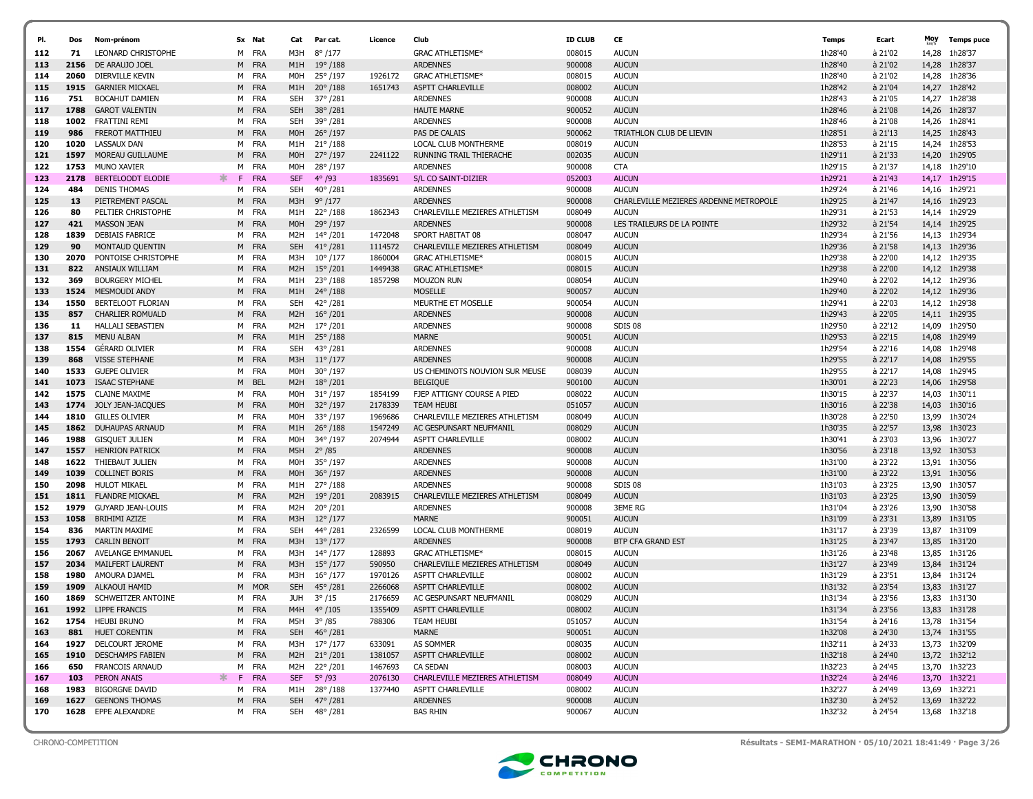| PI.        | Dos          | Nom-prénom                                |          | Sx Nat         | Cat                     | Par cat.                             | Licence            | Club                                                      | <b>ID CLUB</b>   | CE                                                     | Temps              | Ecart              | Moy   | <b>Temps puce</b>              |
|------------|--------------|-------------------------------------------|----------|----------------|-------------------------|--------------------------------------|--------------------|-----------------------------------------------------------|------------------|--------------------------------------------------------|--------------------|--------------------|-------|--------------------------------|
|            |              |                                           |          |                |                         |                                      |                    |                                                           |                  |                                                        |                    |                    |       |                                |
| 112        | 71           | <b>LEONARD CHRISTOPHE</b>                 |          | M FRA          | M3H                     | $8^{\circ}/177$                      |                    | <b>GRAC ATHLETISME*</b>                                   | 008015           | <b>AUCUN</b>                                           | 1h28'40            | à 21'02            | 14,28 | 1h28'37                        |
| 113        | 2156         | DE ARAUJO JOEL                            |          | M FRA          | M1H                     | $19^{\circ}/188$                     |                    | <b>ARDENNES</b>                                           | 900008           | <b>AUCUN</b>                                           | 1h28'40            | à 21'02            | 14,28 | 1h28'37                        |
| 114        | 2060         | DIERVILLE KEVIN                           |          | M FRA          | M0H                     | 25° /197                             | 1926172            | <b>GRAC ATHLETISME*</b>                                   | 008015           | <b>AUCUN</b>                                           | 1h28'40            | à 21'02            | 14,28 | 1h28'36                        |
| 115        | 1915         | <b>GARNIER MICKAEL</b>                    |          | M FRA          | M1H                     | $20^{\circ}/188$                     | 1651743            | <b>ASPTT CHARLEVILLE</b>                                  | 008002           | <b>AUCUN</b>                                           | 1h28'42            | à 21'04            | 14,27 | 1h28'42                        |
| 116        | 751          | <b>BOCAHUT DAMIEN</b>                     |          | M FRA          | SEH                     | 37°/281                              |                    | <b>ARDENNES</b>                                           | 900008           | <b>AUCUN</b>                                           | 1h28'43            | à 21'05            |       | 14,27 1h28'38                  |
| 117        | 1788         | <b>GAROT VALENTIN</b>                     |          | M FRA          | <b>SEH</b>              | $38^{\circ}/281$                     |                    | <b>HAUTE MARNE</b>                                        | 900052           | <b>AUCUN</b>                                           | 1h28'46            | à 21'08            | 14,26 | 1h28'37                        |
| 118        | 1002<br>986  | FRATTINI REMI                             |          | M FRA          | SEH                     | 39°/281                              |                    | <b>ARDENNES</b>                                           | 900008           | <b>AUCUN</b>                                           | 1h28'46            | à 21'08            | 14,26 | 1h28'41                        |
| 119        |              | <b>FREROT MATTHIEU</b>                    |          | M FRA          | M <sub>O</sub> H        | $26^{\circ}$ /197                    |                    | PAS DE CALAIS                                             | 900062           | TRIATHLON CLUB DE LIEVIN                               | 1h28'51            | à 21'13            | 14,25 | 1h28'43                        |
| 120        | 1020         | LASSAUX DAN                               | M        | FRA            | M1H                     | $21^{\circ}/188$                     |                    | LOCAL CLUB MONTHERME                                      | 008019           | <b>AUCUN</b>                                           | 1h28'53            | à 21'15            | 14,24 | 1h28'53                        |
| 121        | 1597<br>1753 | MOREAU GUILLAUME                          |          | M FRA          | M <sub>O</sub> H        | 27° /197                             | 2241122            | <b>RUNNING TRAIL THIERACHE</b>                            | 002035           | <b>AUCUN</b>                                           | 1h29'11            | à 21'33            | 14,20 | 1h29'05                        |
| 122        |              | MUNO XAVIER                               | M        | FRA            | M <sub>O</sub> H        | 28°/197                              |                    | <b>ARDENNES</b>                                           | 900008           | <b>CTA</b>                                             | 1h29'15            | à 21'37            | 14,18 | 1h29'10                        |
| 123        | 2178         | BERTELOODT ELODIE<br><b>DENIS THOMAS</b>  | ж.<br>F. | FRA            | <b>SEF</b>              | $4^{\circ}$ /93                      | 1835691            | S/L CO SAINT-DIZIER<br><b>ARDENNES</b>                    | 052003           | <b>AUCUN</b>                                           | 1h29'21            | à 21'43            |       | 14,17 1h29'15                  |
| 124        | 484          |                                           |          | M FRA          | <b>SEH</b>              | $40^{\circ}/281$                     |                    |                                                           | 900008           | <b>AUCUN</b><br>CHARLEVILLE MEZIERES ARDENNE METROPOLE | 1h29'24            | à 21'46            | 14,16 | 1h29'21                        |
| 125        | 13           | PIETREMENT PASCAL                         |          | M FRA          | M3H                     | $9^{\circ}/177$                      |                    | <b>ARDENNES</b>                                           | 900008           |                                                        | 1h29'25            | à 21'47            | 14,16 | 1h29'23                        |
| 126        | 80           | PELTIER CHRISTOPHE                        |          | M FRA          | M1H                     | 22°/188                              | 1862343            | CHARLEVILLE MEZIERES ATHLETISM<br><b>ARDENNES</b>         | 008049           | <b>AUCUN</b>                                           | 1h29'31            | à 21'53            | 14,14 | 1h29'29                        |
| 127        | 421<br>1839  | <b>MASSON JEAN</b>                        |          | M FRA<br>M FRA | M0H<br>M2H              | 29°/197                              |                    | SPORT HABITAT 08                                          | 900008           | LES TRAILEURS DE LA POINTE<br><b>AUCUN</b>             | 1h29'32<br>1h29'34 | à 21'54<br>à 21'56 |       | 14,14 1h29'25                  |
| 128        |              | <b>DEBIAIS FABRICE</b>                    |          |                | <b>SEH</b>              | 14°/201                              | 1472048            |                                                           | 008047           |                                                        | 1h29'36            | à 21'58            | 14,13 | 1h29'34                        |
| 129        | 90<br>2070   | MONTAUD QUENTIN                           |          | M FRA          |                         | $41^{\circ}$ /281                    | 1114572            | CHARLEVILLE MEZIERES ATHLETISM<br><b>GRAC ATHLETISME*</b> | 008049           | <b>AUCUN</b>                                           |                    | à 22'00            | 14,13 | 1h29'36                        |
| 130        | 822          | PONTOISE CHRISTOPHE                       |          | M FRA<br>M FRA | M3H<br>M <sub>2</sub> H | $10^{\circ}/177$                     | 1860004<br>1449438 | <b>GRAC ATHLETISME*</b>                                   | 008015<br>008015 | <b>AUCUN</b><br><b>AUCUN</b>                           | 1h29'38<br>1h29'38 | à 22'00            |       | 14,12 1h29'35                  |
| 131<br>132 | 369          | ANSIAUX WILLIAM<br><b>BOURGERY MICHEL</b> |          | M FRA          | M1H                     | $15^{\circ}/201$<br>$23^{\circ}/188$ | 1857298            | <b>MOUZON RUN</b>                                         | 008054           | <b>AUCUN</b>                                           | 1h29'40            | à 22'02            |       | 14,12 1h29'38<br>14,12 1h29'36 |
| 133        | 1524         | MESMOUDI ANDY                             |          | M FRA          | M1H                     | $24^{\circ}/188$                     |                    | <b>MOSELLE</b>                                            | 900057           | <b>AUCUN</b>                                           | 1h29'40            | à 22'02            |       | 14,12 1h29'36                  |
| 134        | 1550         | BERTELOOT FLORIAN                         |          | M FRA          | SEH                     | 42°/281                              |                    | MEURTHE ET MOSELLE                                        | 900054           | <b>AUCUN</b>                                           | 1h29'41            | à 22'03            |       | 14.12 1h29'38                  |
| 135        | 857          | <b>CHARLIER ROMUALD</b>                   |          | M FRA          | M <sub>2</sub> H        | $16^{\circ}/201$                     |                    | <b>ARDENNES</b>                                           | 900008           | <b>AUCUN</b>                                           | 1h29'43            | à 22'05            |       | 14,11 1h29'35                  |
| 136        | 11           | HALLALI SEBASTIEN                         |          | M FRA          | M2H                     | 17°/201                              |                    | <b>ARDENNES</b>                                           | 900008           | <b>SDIS 08</b>                                         | 1h29'50            | à 22'12            | 14,09 | 1h29'50                        |
| 137        | 815          | <b>MENU ALBAN</b>                         |          | M FRA          | M1H                     | $25^{\circ}/188$                     |                    | <b>MARNE</b>                                              | 900051           | <b>AUCUN</b>                                           | 1h29'53            | à 22'15            | 14,08 | 1h29'49                        |
| 138        | 1554         | <b>GERARD OLIVIER</b>                     |          | M FRA          | <b>SEH</b>              | $43^{\circ}/281$                     |                    | <b>ARDENNES</b>                                           | 900008           | <b>AUCUN</b>                                           | 1h29'54            | à 22'16            | 14,08 | 1h29'48                        |
| 139        | 868          | <b>VISSE STEPHANE</b>                     |          | M FRA          | M3H                     | $11^{\circ}/177$                     |                    | <b>ARDENNES</b>                                           | 900008           | <b>AUCUN</b>                                           | 1h29'55            | à 22'17            | 14,08 | 1h29'55                        |
| 140        | 1533         | <b>GUEPE OLIVIER</b>                      |          | M FRA          | M <sub>O</sub> H        | $30^{\circ}$ /197                    |                    | US CHEMINOTS NOUVION SUR MEUSE                            | 008039           | <b>AUCUN</b>                                           | 1h29'55            | à 22'17            | 14,08 | 1h29'45                        |
| 141        | 1073         | <b>ISAAC STEPHANE</b>                     |          | M BEL          | M2H                     | $18^{\circ}/201$                     |                    | <b>BELGIQUE</b>                                           | 900100           | <b>AUCUN</b>                                           | 1h30'01            | à 22'23            | 14,06 | 1h29'58                        |
| 142        | 1575         | <b>CLAINE MAXIME</b>                      |          | M FRA          | M <sub>O</sub> H        | $31^{\circ}/197$                     | 1854199            | FJEP ATTIGNY COURSE A PIED                                | 008022           | <b>AUCUN</b>                                           | 1h30'15            | à 22'37            | 14,03 | 1h30'11                        |
| 143        |              | 1774 JOLY JEAN-JACQUES                    |          | M FRA          | M <sub>OH</sub>         | $32^{\circ}/197$                     | 2178339            | <b>TEAM HEUBI</b>                                         | 051057           | <b>AUCUN</b>                                           | 1h30'16            | à 22'38            | 14,03 | 1h30'16                        |
| 144        | 1810         | <b>GILLES OLIVIER</b>                     |          | M FRA          | M <sub>OH</sub>         | 33°/197                              | 1969686            | CHARLEVILLE MEZIERES ATHLETISM                            | 008049           | <b>AUCUN</b>                                           | 1h30'28            | à 22'50            | 13,99 | 1h30'24                        |
| 145        | 1862         | DUHAUPAS ARNAUD                           |          | M FRA          | M1H                     | $26^{\circ}$ /188                    | 1547249            | AC GESPUNSART NEUFMANIL                                   | 008029           | <b>AUCUN</b>                                           | 1h30'35            | à 22'57            | 13,98 | 1h30'23                        |
| 146        | 1988         | <b>GISQUET JULIEN</b>                     |          | M FRA          | M <sub>O</sub> H        | 34°/197                              | 2074944            | ASPTT CHARLEVILLE                                         | 008002           | <b>AUCUN</b>                                           | 1h30'41            | à 23'03            | 13,96 | 1h30'27                        |
| 147        | 1557         | <b>HENRION PATRICK</b>                    |          | M FRA          | M5H                     | $2^{\circ}/85$                       |                    | <b>ARDENNES</b>                                           | 900008           | <b>AUCUN</b>                                           | 1h30'56            | à 23'18            |       | 13,92 1h30'53                  |
| 148        | 1622         | THIEBAUT JULIEN                           |          | M FRA          | M <sub>OH</sub>         | 35°/197                              |                    | <b>ARDENNES</b>                                           | 900008           | <b>AUCUN</b>                                           | 1h31'00            | à 23'22            |       | 13,91 1h30'56                  |
| 149        | 1039         | <b>COLLINET BORIS</b>                     |          | M FRA          | M <sub>O</sub> H        | 36°/197                              |                    | <b>ARDENNES</b>                                           | 900008           | <b>AUCUN</b>                                           | 1h31'00            | à 23'22            |       | 13,91 1h30'56                  |
| 150        | 2098         | HULOT MIKAEL                              | M        | FRA            | M1H                     | 27°/188                              |                    | <b>ARDENNES</b>                                           | 900008           | <b>SDIS 08</b>                                         | 1h31'03            | à 23'25            |       | 13,90 1h30'57                  |
| 151        | 1811         | <b>FLANDRE MICKAEL</b>                    |          | M FRA          | M <sub>2</sub> H        | $19^{\circ}/201$                     | 2083915            | CHARLEVILLE MEZIERES ATHLETISM                            | 008049           | <b>AUCUN</b>                                           | 1h31'03            | à 23'25            |       | 13,90 1h30'59                  |
| 152        | 1979         | <b>GUYARD JEAN-LOUIS</b>                  |          | M FRA          | M2H                     | 20°/201                              |                    | <b>ARDENNES</b>                                           | 900008           | <b>3EME RG</b>                                         | 1h31'04            | à 23'26            |       | 13,90 1h30'58                  |
| 153        | 1058         | BRIHIMI AZIZE                             |          | M FRA          | M3H                     | $12^{\circ}/177$                     |                    | <b>MARNE</b>                                              | 900051           | <b>AUCUN</b>                                           | 1h31'09            | à 23'31            |       | 13,89 1h31'05                  |
| 154        | 836          | <b>MARTIN MAXIME</b>                      |          | M FRA          | SEH                     | 44°/281                              | 2326599            | LOCAL CLUB MONTHERME                                      | 008019           | <b>AUCUN</b>                                           | 1h31'17            | à 23'39            |       | 13,87 1h31'09                  |
| 155        | 1793         | <b>CARLIN BENOIT</b>                      | M        | <b>FRA</b>     | M3H                     | $13^{\circ}/177$                     |                    | <b>ARDENNES</b>                                           | 900008           | <b>BTP CFA GRAND EST</b>                               | 1h31'25            | à 23'47            | 13,85 | 1h31'20                        |
| 156        | 2067         | AVELANGE EMMANUEL                         |          | M FRA          | M3H                     | 14°/177                              | 128893             | <b>GRAC ATHLETISME*</b>                                   | 008015           | <b>AUCUN</b>                                           | 1h31'26            | à 23'48            | 13,85 | 1h31'26                        |
| 157        | 2034         | MAILFERT LAURENT                          |          | M FRA          | M3H                     | $15^{\circ}/177$                     | 590950             | CHARLEVILLE MEZIERES ATHLETISM                            | 008049           | <b>AUCUN</b>                                           | 1h31'27            | à 23'49            | 13,84 | 1h31'24                        |
| 158        | 1980         | AMOURA DJAMEL                             |          | M FRA          | M3H                     | $16^{\circ}/177$                     | 1970126            | ASPTT CHARLEVILLE                                         | 008002           | <b>AUCUN</b>                                           | 1h31'29            | à 23'51            |       | 13,84 1h31'24                  |
| 159        | 1909         | ALKAOUI HAMID                             | M        | <b>MOR</b>     | <b>SEH</b>              | $45^{\circ}$ /281                    | 2266068            | <b>ASPTT CHARLEVILLE</b>                                  | 008002           | <b>AUCUN</b>                                           | 1h31'32            | à 23'54            |       | 13,83 1h31'27                  |
| 160        | 1869         | <b>SCHWEITZER ANTOINE</b>                 |          | M FRA          | JUH                     | $3^{\circ}/15$                       | 2176659            | AC GESPUNSART NEUFMANIL                                   | 008029           | <b>AUCUN</b>                                           | 1h31'34            | à 23'56            |       | 13,83 1h31'30                  |
| 161        | 1992         | LIPPE FRANCIS                             | M        | <b>FRA</b>     |                         | M4H 4° /105                          | 1355409            | ASPTT CHARLEVILLE                                         | 008002           | <b>AUCUN</b>                                           | 1h31'34            | à 23'56            |       | 13,83 1h31'28                  |
| 162        |              | 1754 HEUBI BRUNO                          |          | M FRA          |                         | M5H 3°/85                            | 788306             | TEAM HEUBI                                                | 051057           | <b>AUCUN</b>                                           | 1h31'54            | à 24'16            |       | 13,78 1h31'54                  |
| 163        | 881          | <b>HUET CORENTIN</b>                      |          | M FRA          |                         | SEH 46° /281                         |                    | MARNE                                                     | 900051           | <b>AUCUN</b>                                           | 1h32'08            | à 24'30            |       | 13,74 1h31'55                  |
| 164        | 1927         | DELCOURT JEROME                           |          | M FRA          |                         | M3H 17°/177                          | 633091             | AS SOMMER                                                 | 008035           | <b>AUCUN</b>                                           | 1h32'11            | à 24'33            |       | 13,73 1h32'09                  |
| 165        |              | 1910 DESCHAMPS FABIEN                     |          | M FRA          |                         | M2H 21°/201                          | 1381057            | <b>ASPTT CHARLEVILLE</b>                                  | 008002           | <b>AUCUN</b>                                           | 1h32'18            | à 24'40            |       | 13,72 1h32'12                  |
| 166        | 650          | <b>FRANCOIS ARNAUD</b>                    |          | M FRA          |                         | M2H 22° /201                         | 1467693            | <b>CA SEDAN</b>                                           | 008003           | <b>AUCUN</b>                                           | 1h32'23            | à 24'45            |       | 13,70 1h32'23                  |
| 167        | 103          | PERON ANAIS                               |          | F FRA          | <b>SEF</b>              | $5^{\circ}$ /93                      | 2076130            | CHARLEVILLE MEZIERES ATHLETISM                            | 008049           | <b>AUCUN</b>                                           | 1h32'24            | à 24'46            |       | 13,70 1h32'21                  |
| 168        | 1983         | <b>BIGORGNE DAVID</b>                     |          | M FRA          |                         | M1H 28°/188                          | 1377440            | ASPTT CHARLEVILLE                                         | 008002           | <b>AUCUN</b>                                           | 1h32'27            | à 24'49            |       | 13,69 1h32'21                  |
| 169        | 1627         | <b>GEENONS THOMAS</b>                     |          | M FRA          |                         | SEH 47° /281                         |                    | <b>ARDENNES</b>                                           | 900008           | <b>AUCUN</b>                                           | 1h32'30            | à 24'52            |       | 13,69 1h32'22                  |
| 170        | 1628         | EPPE ALEXANDRE                            |          | M FRA          |                         | SEH 48°/281                          |                    | <b>BAS RHIN</b>                                           | 900067           | <b>AUCUN</b>                                           | 1h32'32            | à 24'54            |       | 13,68 1h32'18                  |



CHRONO-COMPETITION Résultats - SEMI-MARATHON · 05/10/2021 18:41:49 · Page 3/26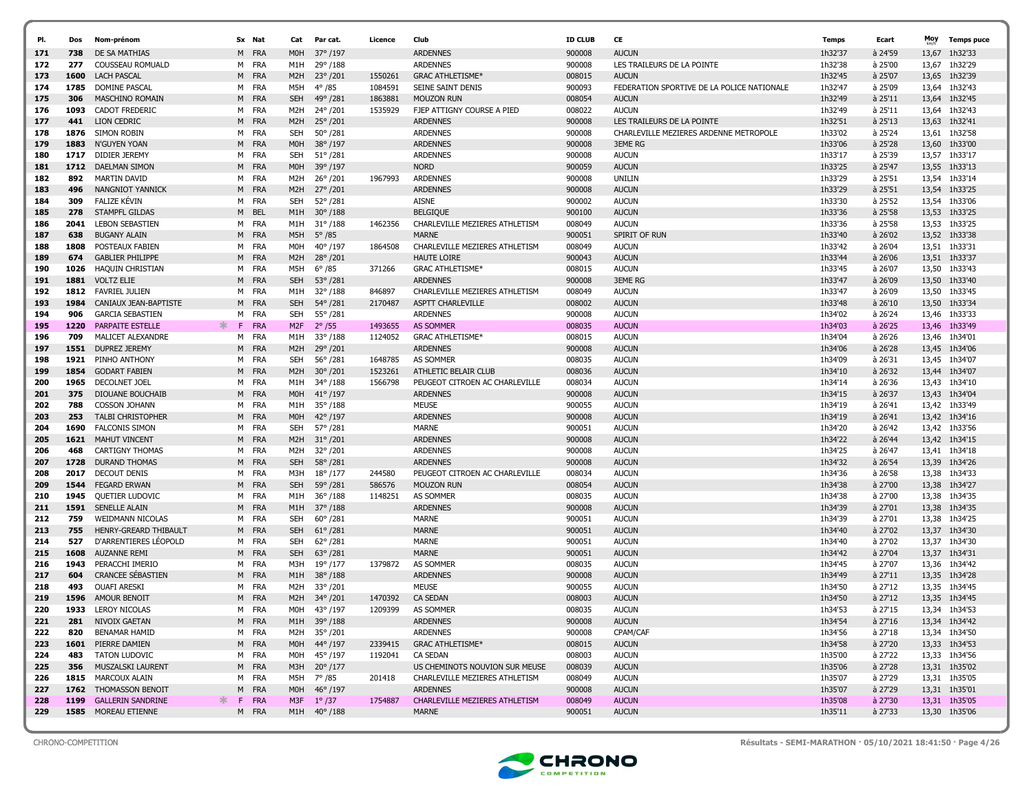| PI.        | Dos          | Nom-prénom                                      |         | Sx Nat            | Cat               | Par cat.                    | Licence            | Club                                                   | <b>ID CLUB</b>   | CE                                         | <b>Temps</b>       | Ecart              | Moy   | <b>Temps puce</b>              |
|------------|--------------|-------------------------------------------------|---------|-------------------|-------------------|-----------------------------|--------------------|--------------------------------------------------------|------------------|--------------------------------------------|--------------------|--------------------|-------|--------------------------------|
|            |              |                                                 |         |                   |                   |                             |                    |                                                        |                  |                                            |                    |                    |       |                                |
| 171        | 738          | DE SA MATHIAS                                   | M       | FRA               | M0H               | 37° /197                    |                    | <b>ARDENNES</b>                                        | 900008           | <b>AUCUN</b>                               | 1h32'37            | à 24'59            | 13,67 | 1h32'33                        |
| 172        | 277          | COUSSEAU ROMUALD                                |         | M FRA             | M1H               | 29°/188                     |                    | <b>ARDENNES</b>                                        | 900008           | LES TRAILEURS DE LA POINTE                 | 1h32'38            | à 25'00            | 13,67 | 1h32'29                        |
| 173        | 1600         | <b>LACH PASCAL</b>                              | M       | FRA               | M <sub>2</sub> H  | $23^{\circ}/201$            | 1550261            | <b>GRAC ATHLETISME*</b>                                | 008015           | <b>AUCUN</b>                               | 1h32'45            | à 25'07            | 13,65 | 1h32'39                        |
| 174        | 1785         | DOMINE PASCAL                                   | м       | FRA               | M5H               | $4^{\circ}$ /85             | 1084591            | SEINE SAINT DENIS                                      | 900093           | FEDERATION SPORTIVE DE LA POLICE NATIONALE | 1h32'47            | à 25'09            | 13,64 | 1h32'43                        |
| 175        | 306<br>1093  | <b>MASCHINO ROMAIN</b><br><b>CADOT FREDERIC</b> | м       | M FRA<br>FRA      | <b>SEH</b><br>M2H | 49°/281<br>24°/201          | 1863881<br>1535929 | <b>MOUZON RUN</b><br><b>FJEP ATTIGNY COURSE A PIED</b> | 008054<br>008022 | <b>AUCUN</b><br><b>AUCUN</b>               | 1h32'49<br>1h32'49 | à 25'11<br>à 25'11 |       | 13,64 1h32'45<br>13,64 1h32'43 |
| 176<br>177 | 441          | LION CEDRIC                                     | M       | <b>FRA</b>        | M <sub>2</sub> H  | 25°/201                     |                    | <b>ARDENNES</b>                                        | 900008           | LES TRAILEURS DE LA POINTE                 | 1h32'51            | à 25'13            |       | 13,63 1h32'41                  |
| 178        | 1876         | SIMON ROBIN                                     | м       | FRA               | <b>SEH</b>        | $50^{\circ}$ /281           |                    | <b>ARDENNES</b>                                        | 900008           | CHARLEVILLE MEZIERES ARDENNE METROPOLE     | 1h33'02            | à 25'24            |       | 13,61 1h32'58                  |
| 179        | 1883         | N'GUYEN YOAN                                    | M       | <b>FRA</b>        | M <sub>O</sub> H  | 38°/197                     |                    | <b>ARDENNES</b>                                        | 900008           | <b>3EME RG</b>                             | 1h33'06            | à 25'28            |       | 13,60 1h33'00                  |
| 180        | 1717         | DIDIER JEREMY                                   | M       | FRA               | <b>SEH</b>        | $51^{\circ}/281$            |                    | <b>ARDENNES</b>                                        | 900008           | <b>AUCUN</b>                               | 1h33'17            | à 25'39            |       | 13,57 1h33'17                  |
| 181        | 1712         | <b>DAELMAN SIMON</b>                            | М       | <b>FRA</b>        | M0H               | 39°/197                     |                    | <b>NORD</b>                                            | 900059           | <b>AUCUN</b>                               | 1h33'25            | à 25'47            |       | 13.55 1h33'13                  |
| 182        | 892          | <b>MARTIN DAVID</b>                             |         | M FRA             | M2H               | 26°/201                     | 1967993            | <b>ARDENNES</b>                                        | 900008           | UNILIN                                     | 1h33'29            | à 25'51            |       | 13,54 1h33'14                  |
| 183        | 496          | NANGNIOT YANNICK                                | М       | <b>FRA</b>        | M <sub>2</sub> H  | 27°/201                     |                    | <b>ARDENNES</b>                                        | 900008           | <b>AUCUN</b>                               | 1h33'29            | à 25'51            |       | 13,54 1h33'25                  |
| 184        | 309          | FALIZE KÉVIN                                    |         | M FRA             | <b>SEH</b>        | 52°/281                     |                    | <b>AISNE</b>                                           | 900002           | <b>AUCUN</b>                               | 1h33'30            | à 25'52            |       | 13,54 1h33'06                  |
| 185        | 278          | STAMPFL GILDAS                                  | М       | <b>BEL</b>        | M1H               | $30^{\circ}/188$            |                    | <b>BELGIQUE</b>                                        | 900100           | <b>AUCUN</b>                               | 1h33'36            | à 25'58            |       | 13,53 1h33'25                  |
| 186        | 2041         | <b>LEBON SEBASTIEN</b>                          |         | M FRA             | M1H               | $31^{\circ}/188$            | 1462356            | CHARLEVILLE MEZIERES ATHLETISM                         | 008049           | <b>AUCUN</b>                               | 1h33'36            | à 25'58            |       | 13,53 1h33'25                  |
| 187        | 638          | <b>BUGANY ALAIN</b>                             | M       | <b>FRA</b>        | M5H               | $5^{\circ}$ /85             |                    | <b>MARNE</b>                                           | 900051           | SPIRIT OF RUN                              | 1h33'40            | à 26'02            |       | 13,52 1h33'38                  |
| 188        | 1808         | POSTEAUX FABIEN                                 | м       | FRA               | M0H               | 40°/197                     | 1864508            | CHARLEVILLE MEZIERES ATHLETISM                         | 008049           | <b>AUCUN</b>                               | 1h33'42            | à 26'04            |       | 13,51 1h33'31                  |
| 189        | 674          | <b>GABLIER PHILIPPE</b>                         | M       | <b>FRA</b>        | M <sub>2</sub> H  | $28^{\circ}/201$            |                    | <b>HAUTE LOIRE</b>                                     | 900043           | <b>AUCUN</b>                               | 1h33'44            | à 26'06            |       | 13,51 1h33'37                  |
| 190        | 1026         | <b>HAQUIN CHRISTIAN</b>                         | м       | FRA               | M5H               | $6^{\circ}/85$              | 371266             | <b>GRAC ATHLETISME*</b>                                | 008015           | <b>AUCUN</b>                               | 1h33'45            | à 26'07            |       | 13,50 1h33'43                  |
| 191        | 1881         | <b>VOLTZ ELIE</b>                               | M       | FRA               | <b>SEH</b>        | $53^{\circ}/281$            |                    | <b>ARDENNES</b>                                        | 900008           | <b>3EME RG</b>                             | 1h33'47            | à 26'09            |       | 13,50 1h33'40                  |
| 192        | 1812         | <b>FAVRIEL JULIEN</b>                           | м       | FRA               | M1H               | $32^{\circ}/188$            | 846897             | CHARLEVILLE MEZIERES ATHLETISM                         | 008049           | <b>AUCUN</b>                               | 1h33'47            | à 26'09            | 13,50 | 1h33'45                        |
| 193        | 1984         | CANIAUX JEAN-BAPTISTE                           | M       | <b>FRA</b>        | <b>SEH</b>        | 54°/281                     | 2170487            | ASPTT CHARLEVILLE                                      | 008002           | <b>AUCUN</b>                               | 1h33'48            | à 26'10            | 13,50 | 1h33'34                        |
| 194        | 906          | <b>GARCIA SEBASTIEN</b>                         | м       | FRA               | <b>SEH</b>        | 55°/281                     |                    | <b>ARDENNES</b>                                        | 900008           | <b>AUCUN</b>                               | 1h34'02            | à 26'24            | 13,46 | 1h33'33                        |
| 195        | 1220         | <b>PARPAITE ESTELLE</b>                         | 氺<br>F. | <b>FRA</b>        | M <sub>2F</sub>   | $2^{\circ}/55$              | 1493655            | <b>AS SOMMER</b>                                       | 008035           | <b>AUCUN</b>                               | 1h34'03            | $a$ 26'25          |       | 13,46 1h33'49                  |
| 196        | 709          | MALICET ALEXANDRE                               | м       | FRA               | M1H               | $33^{\circ}/188$            | 1124052            | <b>GRAC ATHLETISME*</b>                                | 008015           | <b>AUCUN</b>                               | 1h34'04            | à 26'26            | 13,46 | 1h34'01                        |
| 197        | 1551         | DUPREZ JEREMY                                   | M       | FRA               | M <sub>2</sub> H  | 29°/201                     |                    | <b>ARDENNES</b>                                        | 900008           | <b>AUCUN</b>                               | 1h34'06            | à 26'28            |       | 13,45 1h34'06                  |
| 198        | 1921         | PINHO ANTHONY                                   | м       | FRA               | <b>SEH</b>        | 56°/281                     | 1648785            | <b>AS SOMMER</b>                                       | 008035           | <b>AUCUN</b>                               | 1h34'09            | à 26'31            |       | 13,45 1h34'07                  |
| 199        | 1854         | <b>GODART FABIEN</b>                            | М       | <b>FRA</b>        | M <sub>2</sub> H  | $30^{\circ}/201$            | 1523261            | ATHLETIC BELAIR CLUB                                   | 008036           | <b>AUCUN</b>                               | 1h34'10            | à 26'32            |       | 13,44 1h34'07                  |
| 200        | 1965         | DECOLNET JOEL                                   | м       | FRA               | M1H               | 34°/188                     | 1566798            | PEUGEOT CITROEN AC CHARLEVILLE                         | 008034           | <b>AUCUN</b>                               | 1h34'14            | à 26'36            |       | 13,43 1h34'10                  |
| 201        | 375          | DIOUANE BOUCHAIB                                | М       | <b>FRA</b>        | M <sub>O</sub> H  | $41^{\circ}/197$            |                    | <b>ARDENNES</b>                                        | 900008           | <b>AUCUN</b>                               | 1h34'15            | à 26'37            |       | 13.43 1h34'04                  |
| 202        | 788          | <b>COSSON JOHANN</b>                            |         | M FRA             | M1H               | 35°/188                     |                    | <b>MEUSE</b>                                           | 900055           | <b>AUCUN</b>                               | 1h34'19            | à 26'41            |       | 13,42 1h33'49                  |
| 203        | 253          | <b>TALBI CHRISTOPHER</b>                        | М       | <b>FRA</b>        | M <sub>O</sub> H  | $42^{\circ}/197$            |                    | <b>ARDENNES</b>                                        | 900008           | <b>AUCUN</b>                               | 1h34'19            | $a$ 26'41          |       | 13,42 1h34'16                  |
| 204        | 1690         | <b>FALCONIS SIMON</b>                           |         | M FRA             | <b>SEH</b>        | 57°/281                     |                    | <b>MARNE</b>                                           | 900051           | <b>AUCUN</b>                               | 1h34'20            | à 26'42            |       | 13,42 1h33'56                  |
| 205        | 1621         | <b>MAHUT VINCENT</b>                            | M       | <b>FRA</b>        | M2H               | $31^{\circ}/201$            |                    | <b>ARDENNES</b>                                        | 900008           | <b>AUCUN</b>                               | 1h34'22            | $a$ 26'44          |       | 13,42 1h34'15                  |
| 206        | 468          | <b>CARTIGNY THOMAS</b>                          |         | M FRA             | M2H               | 32°/201                     |                    | <b>ARDENNES</b>                                        | 900008           | <b>AUCUN</b>                               | 1h34'25            | à 26'47            |       | 13,41 1h34'18                  |
| 207        | 1728         | <b>DURAND THOMAS</b>                            | M       | FRA               | <b>SEH</b>        | $58^{\circ}/281$            |                    | <b>ARDENNES</b>                                        | 900008           | <b>AUCUN</b>                               | 1h34'32            | à 26'54            |       | 13,39 1h34'26                  |
| 208        | 2017<br>1544 | <b>DECOUT DENIS</b><br><b>FEGARD ERWAN</b>      | м       | FRA<br><b>FRA</b> | M3H               | $18^{\circ}/177$<br>59°/281 | 244580             | PEUGEOT CITROEN AC CHARLEVILLE<br><b>MOUZON RUN</b>    | 008034<br>008054 | <b>AUCUN</b><br><b>AUCUN</b>               | 1h34'36<br>1h34'38 | à 26'58<br>à 27'00 | 13,38 | 1h34'33<br>13,38 1h34'27       |
| 209<br>210 | 1945         | QUETIER LUDOVIC                                 | M<br>м  | FRA               | <b>SEH</b><br>M1H | $36^{\circ}/188$            | 586576<br>1148251  | AS SOMMER                                              | 008035           | <b>AUCUN</b>                               | 1h34'38            | à 27'00            | 13,38 | 1h34'35                        |
| 211        | 1591         | <b>SENELLE ALAIN</b>                            | M       | <b>FRA</b>        | M1H               | $37^{\circ}/188$            |                    | <b>ARDENNES</b>                                        | 900008           | <b>AUCUN</b>                               | 1h34'39            | à 27'01            |       | 13,38 1h34'35                  |
| 212        | 759          | <b>WEIDMANN NICOLAS</b>                         | M       | FRA               | <b>SEH</b>        | $60^{\circ}/281$            |                    | <b>MARNE</b>                                           | 900051           | <b>AUCUN</b>                               | 1h34'39            | à 27'01            | 13,38 | 1h34'25                        |
| 213        | 755          | HENRY-GREARD THIBAULT                           | M       | <b>FRA</b>        | <b>SEH</b>        | $61^{\circ}/281$            |                    | <b>MARNE</b>                                           | 900051           | <b>AUCUN</b>                               | 1h34'40            | à 27'02            |       | 13,37 1h34'30                  |
| 214        | 527          | D'ARRENTIERES LÉOPOLD                           | м       | FRA               | <b>SEH</b>        | $62^{\circ}/281$            |                    | <b>MARNE</b>                                           | 900051           | <b>AUCUN</b>                               | 1h34'40            | à 27'02            | 13,37 | 1h34'30                        |
| 215        | 1608         | <b>AUZANNE REMI</b>                             |         | M FRA             | <b>SEH</b>        | $63^{\circ}/281$            |                    | <b>MARNE</b>                                           | 900051           | <b>AUCUN</b>                               | 1h34'42            | à 27'04            |       | 13,37 1h34'31                  |
| 216        | 1943         | PERACCHI IMERIO                                 |         | M FRA             | M3H               | 19°/177                     | 1379872            | AS SOMMER                                              | 008035           | <b>AUCUN</b>                               | 1h34'45            | à 27'07            |       | 13,36 1h34'42                  |
| 217        | 604          | <b>CRANCEE SÉBASTIEN</b>                        | M       | FRA               | M1H               | $38^{\circ}/188$            |                    | <b>ARDENNES</b>                                        | 900008           | <b>AUCUN</b>                               | 1h34'49            | à 27'11            |       | 13,35 1h34'28                  |
| 218        | 493          | <b>OUAFI ARESKI</b>                             | м       | <b>FRA</b>        | M2H               | 33°/201                     |                    | <b>MEUSE</b>                                           | 900055           | <b>AUCUN</b>                               | 1h34'50            | à 27'12            |       | 13,35 1h34'45                  |
| 219        | 1596         | <b>AMOUR BENOIT</b>                             | М       | <b>FRA</b>        | M <sub>2</sub> H  | 34°/201                     | 1470392            | <b>CA SEDAN</b>                                        | 008003           | <b>AUCUN</b>                               | 1h34'50            | $a$ 27'12          |       | 13,35 1h34'45                  |
| 220        | 1933         | <b>LEROY NICOLAS</b>                            | м       | <b>FRA</b>        | M0H               | 43°/197                     | 1209399            | AS SOMMER                                              | 008035           | <b>AUCUN</b>                               | 1h34'53            | à 27'15            |       | 13,34 1h34'53                  |
| 221        | 281          | NIVOIX GAETAN                                   |         | M FRA             | M1H               | 39°/188                     |                    | <b>ARDENNES</b>                                        | 900008           | <b>AUCUN</b>                               | 1h34'54            | $a$ 27'16          |       | 13,34 1h34'42                  |
| 222        | 820          | <b>BENAMAR HAMID</b>                            |         | M FRA             | M2H               | 35° /201                    |                    | <b>ARDENNES</b>                                        | 900008           | CPAM/CAF                                   | 1h34'56            | à 27'18            |       | 13,34 1h34'50                  |
| 223        | 1601         | PIERRE DAMIEN                                   |         | M FRA             | M0H               | 44° /197                    | 2339415            | <b>GRAC ATHLETISME*</b>                                | 008015           | <b>AUCUN</b>                               | 1h34'58            | à 27'20            |       | 13,33 1h34'53                  |
| 224        | 483          | <b>TATON LUDOVIC</b>                            |         | M FRA             | M0H               | 45° /197                    | 1192041            | CA SEDAN                                               | 008003           | <b>AUCUN</b>                               | 1h35'00            | à 27'22            |       | 13,33 1h34'56                  |
| 225        | 356          | MUSZALSKI LAURENT                               |         | M FRA             | M3H               | $20^{\circ}/177$            |                    | US CHEMINOTS NOUVION SUR MEUSE                         | 008039           | <b>AUCUN</b>                               | 1h35'06            | à 27'28            |       | 13,31 1h35'02                  |
| 226        |              | 1815 MARCOUX ALAIN                              |         | M FRA             | M5H               | 7° /85                      | 201418             | CHARLEVILLE MEZIERES ATHLETISM                         | 008049           | <b>AUCUN</b>                               | 1h35'07            | à 27'29            |       | 13,31 1h35'05                  |
| 227        |              | 1762 THOMASSON BENOIT                           |         | M FRA             | M0H               | 46° /197                    |                    | <b>ARDENNES</b>                                        | 900008           | <b>AUCUN</b>                               | 1h35'07            | à 27'29            |       | 13,31 1h35'01                  |
| 228        | 1199         | <b>GALLERIN SANDRINE</b>                        | ж.      | F FRA             |                   | M3F 1°/37                   | 1754887            | CHARLEVILLE MEZIERES ATHLETISM                         | 008049           | <b>AUCUN</b>                               | 1h35'08            | à 27'30            |       | 13,31 1h35'05                  |
| 229        |              | 1585 MOREAU ETIENNE                             |         | M FRA             |                   | M1H 40°/188                 |                    | <b>MARNE</b>                                           | 900051           | <b>AUCUN</b>                               | 1h35'11            | à 27'33            |       | 13,30 1h35'06                  |
|            |              |                                                 |         |                   |                   |                             |                    |                                                        |                  |                                            |                    |                    |       |                                |

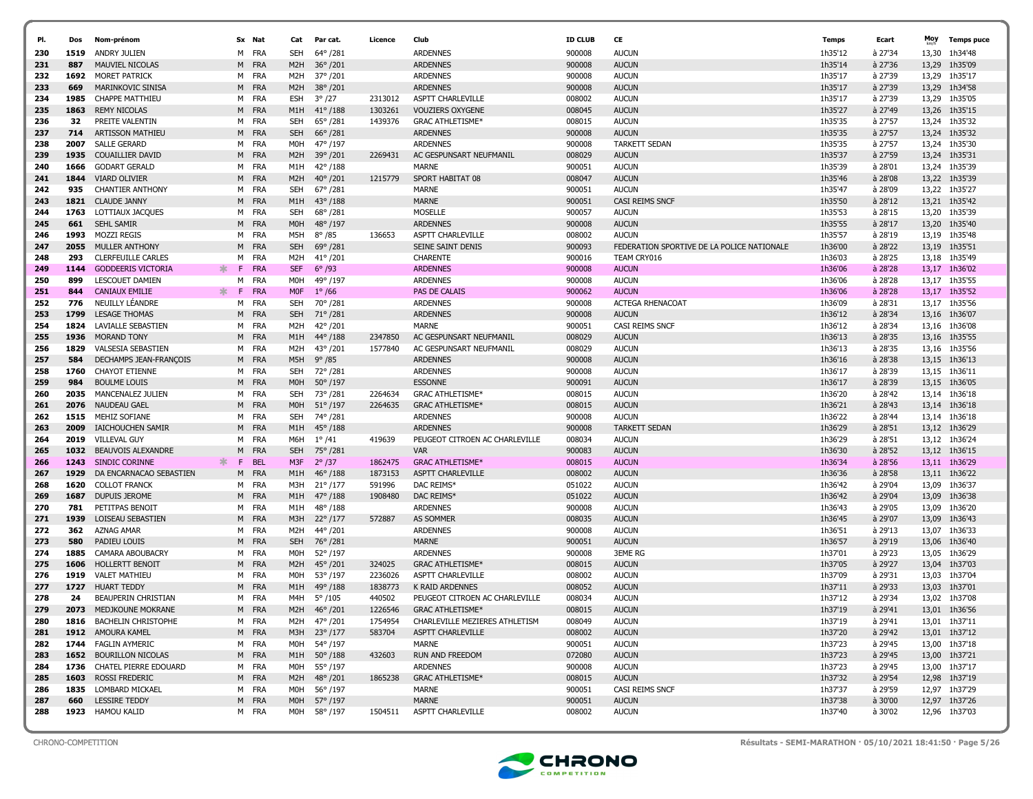|            |              |                                                            |         |                     |                  |                           |         |                                                    |                  |                                            |                    |                      | Moy   |                                |
|------------|--------------|------------------------------------------------------------|---------|---------------------|------------------|---------------------------|---------|----------------------------------------------------|------------------|--------------------------------------------|--------------------|----------------------|-------|--------------------------------|
| PI.        | Dos          | Nom-prénom                                                 |         | Sx Nat              | Cat              | Par cat.                  | Licence | Club                                               | <b>ID CLUB</b>   | CE                                         | <b>Temps</b>       | Ecart                |       | <b>Temps puce</b>              |
| 230        | 1519         | ANDRY JULIEN                                               |         | M FRA               | <b>SEH</b>       | 64°/281                   |         | <b>ARDENNES</b>                                    | 900008           | <b>AUCUN</b>                               | 1h35'12            | à 27'34              | 13,30 | 1h34'48                        |
| 231        | 887          | MAUVIEL NICOLAS                                            | M       | <b>FRA</b>          | M2H              | $36^{\circ}/201$          |         | <b>ARDENNES</b>                                    | 900008           | <b>AUCUN</b>                               | 1h35'14            | à 27'36              | 13,29 | 1h35'09                        |
| 232        | 1692         | <b>MORET PATRICK</b>                                       |         | M FRA               | M2H              | 37°/201                   |         | <b>ARDENNES</b>                                    | 900008           | <b>AUCUN</b>                               | 1h35'17            | à 27'39              | 13,29 | 1h35'17                        |
| 233        | 669          | MARINKOVIC SINISA                                          | M       | <b>FRA</b>          | M <sub>2</sub> H | 38°/201                   |         | <b>ARDENNES</b>                                    | 900008           | <b>AUCUN</b>                               | 1h35'17            | à 27'39              | 13,29 | 1h34'58                        |
| 234        | 1985         | <b>CHAPPE MATTHIEU</b>                                     |         | M FRA               | <b>ESH</b>       | $3^{\circ}/27$            | 2313012 | ASPTT CHARLEVILLE<br><b>VOUZIERS OXYGENE</b>       | 008002           | <b>AUCUN</b>                               | 1h35'17<br>1h35'27 | à 27'39<br>à 27'49   |       | 13,29 1h35'05                  |
| 235        | 1863         | <b>REMY NICOLAS</b>                                        |         | M FRA               | M1H              | 41° / 188                 | 1303261 |                                                    | 008045           | <b>AUCUN</b>                               |                    |                      |       | 13,26 1h35'15                  |
| 236        | 32           | PREITE VALENTIN                                            | м       | FRA                 | <b>SEH</b>       | 65° /281                  | 1439376 | <b>GRAC ATHLETISME*</b>                            | 008015           | <b>AUCUN</b>                               | 1h35'35            | à 27'57              | 13,24 | 1h35'32                        |
| 237        | 714          | <b>ARTISSON MATHIEU</b>                                    |         | M FRA               | <b>SEH</b>       | $66^{\circ}/281$          |         | <b>ARDENNES</b>                                    | 900008           | <b>AUCUN</b>                               | 1h35'35            | à 27'57              |       | 13,24 1h35'32                  |
| 238        | 2007         | <b>SALLE GERARD</b>                                        | м       | FRA                 | M0H              | 47° /197                  |         | <b>ARDENNES</b>                                    | 900008           | <b>TARKETT SEDAN</b>                       | 1h35'35            | à 27'57              |       | 13,24 1h35'30                  |
| 239        | 1935         | <b>COUAILLIER DAVID</b>                                    | M       | <b>FRA</b>          | M <sub>2</sub> H | 39°/201                   | 2269431 | AC GESPUNSART NEUFMANIL<br><b>MARNE</b>            | 008029           | <b>AUCUN</b>                               | 1h35'37            | à 27'59              |       | 13,24 1h35'31                  |
| 240        | 1666         | <b>GODART GERALD</b>                                       |         | M FRA               | M1H              | 42° /188                  |         |                                                    | 900051           | <b>AUCUN</b>                               | 1h35'39            | à 28'01              |       | 13,24 1h35'39                  |
| 241        | 1844         | <b>VIARD OLIVIER</b>                                       |         | M FRA               | M <sub>2</sub> H | $40^{\circ}/201$          | 1215779 | SPORT HABITAT 08                                   | 008047           | <b>AUCUN</b>                               | 1h35'46            | à 28'08              |       | 13,22 1h35'39                  |
| 242        | 935          | <b>CHANTIER ANTHONY</b>                                    |         | M FRA               | <b>SEH</b>       | $67^{\circ}$ /281         |         | <b>MARNE</b>                                       | 900051           | <b>AUCUN</b>                               | 1h35'47            | à 28'09              |       | 13,22 1h35'27                  |
| 243        | 1821         | <b>CLAUDE JANNY</b>                                        |         | M FRA               | M1H              | $43^{\circ}/188$          |         | <b>MARNE</b>                                       | 900051           | CASI REIMS SNCF                            | 1h35'50            | à 28'12              |       | 13,21 1h35'42                  |
| 244        | 1763         | LOTTIAUX JACQUES                                           | м       | FRA                 | <b>SEH</b>       | 68°/281                   |         | <b>MOSELLE</b>                                     | 900057           | <b>AUCUN</b>                               | 1h35'53<br>1h35'55 | à 28'15              | 13,20 | 1h35'39                        |
| 245        | 661          | <b>SEHL SAMIR</b>                                          | M       | FRA                 | M <sub>O</sub> H | 48°/197                   |         | <b>ARDENNES</b>                                    | 900008           | <b>AUCUN</b>                               |                    | à 28'17              | 13,20 | 1h35'40                        |
| 246        | 1993         | <b>MOZZI REGIS</b>                                         | м       | FRA                 | M5H              | $8^{\circ}$ /85           | 136653  | ASPTT CHARLEVILLE                                  | 008002           | <b>AUCUN</b>                               | 1h35'57            | à 28'19              |       | 13,19 1h35'48                  |
| 247        | 2055         | MULLER ANTHONY                                             | M       | <b>FRA</b>          | <b>SEH</b>       | 69°/281                   |         | SEINE SAINT DENIS                                  | 900093           | FEDERATION SPORTIVE DE LA POLICE NATIONALE | 1h36'00            | à 28'22              | 13,19 | 1h35'51                        |
| 248        | 293          | <b>CLERFEUILLE CARLES</b>                                  | м       | FRA                 | M <sub>2</sub> H | $41^{\circ}$ /201         |         | <b>CHARENTE</b>                                    | 900016           | TEAM CRY016                                | 1h36'03            | à 28'25              |       | 13,18 1h35'49                  |
| 249        | 1144         | <b>GODDEERIS VICTORIA</b>                                  | ∗.<br>F | <b>FRA</b>          | <b>SEF</b>       | $6^{\circ}$ /93           |         | <b>ARDENNES</b>                                    | 900008           | <b>AUCUN</b>                               | 1h36'06            | à 28'28              |       | 13,17 1h36'02                  |
| 250        | 899          | LESCOUET DAMIEN                                            | м<br>F  | FRA                 | M0H              | 49° /197                  |         | <b>ARDENNES</b>                                    | 900008           | <b>AUCUN</b>                               | 1h36'06            | à 28'28              |       | 13,17 1h35'55                  |
| 251        | 844          | <b>CANIAUX EMILIE</b>                                      | ∗.      | <b>FRA</b>          | M <sub>OF</sub>  | $1^{\circ}$ /66           |         | PAS DE CALAIS                                      | 900062           | <b>AUCUN</b>                               | 1h36'06            | à 28'28              | 13,17 | 1h35'52                        |
| 252        | 776          | NEUILLY LÉANDRE                                            | м       | FRA                 | SEH              | 70°/281                   |         | <b>ARDENNES</b>                                    | 900008           | <b>ACTEGA RHENACOAT</b>                    | 1h36'09            | à 28'31              | 13,17 | 1h35'56                        |
| 253        | 1799         | <b>LESAGE THOMAS</b>                                       | M       | <b>FRA</b>          | <b>SEH</b>       | 71°/281                   |         | <b>ARDENNES</b><br><b>MARNE</b>                    | 900008           | <b>AUCUN</b><br>CASI REIMS SNCF            | 1h36'12            | à 28'34              | 13,16 | 1h36'07                        |
| 254        | 1824<br>1936 | LAVIALLE SEBASTIEN                                         |         | M FRA<br><b>FRA</b> | M2H<br>M1H       | 42°/201<br>44°/188        | 2347850 |                                                    | 900051           | <b>AUCUN</b>                               | 1h36'12<br>1h36'13 | à 28'34<br>$a$ 28'35 |       | 13,16 1h36'08                  |
| 255        |              | MORAND TONY                                                | M       |                     |                  |                           |         | AC GESPUNSART NEUFMANIL<br>AC GESPUNSART NEUFMANIL | 008029           |                                            |                    | à 28'35              |       | 13,16 1h35'55                  |
| 256        | 1829<br>584  | <b>VALSESIA SEBASTIEN</b><br><b>DECHAMPS JEAN-FRANCOIS</b> |         | M FRA<br><b>FRA</b> | M2H<br>M5H       | 43°/201<br>$9^{\circ}/85$ | 1577840 | <b>ARDENNES</b>                                    | 008029<br>900008 | <b>AUCUN</b><br><b>AUCUN</b>               | 1h36'13<br>1h36'16 | à 28'38              |       | 13,16 1h35'56<br>13.15 1h36'13 |
| 257<br>258 | 1760         | <b>CHAYOT ETIENNE</b>                                      | M       | FRA                 | SEH              | 72°/281                   |         | <b>ARDENNES</b>                                    | 900008           | <b>AUCUN</b>                               | 1h36'17            | à 28'39              |       | 13,15 1h36'11                  |
| 259        | 984          | <b>BOULME LOUIS</b>                                        | м       | M FRA               | M <sub>O</sub> H | $50^{\circ}/197$          |         | <b>ESSONNE</b>                                     | 900091           | <b>AUCUN</b>                               | 1h36'17            | à 28'39              |       | 13,15 1h36'05                  |
|            | 2035         | MANCENALEZ JULIEN                                          |         |                     | <b>SEH</b>       | 73°/281                   | 2264634 | <b>GRAC ATHLETISME*</b>                            | 008015           | <b>AUCUN</b>                               | 1h36'20            | à 28'42              |       | 13,14 1h36'18                  |
| 260        | 2076         | NAUDEAU GAEL                                               |         | M FRA<br>M FRA      | M <sub>O</sub> H | 51°/197                   | 2264635 | <b>GRAC ATHLETISME*</b>                            |                  |                                            | 1h36'21            | à 28'43              |       | 13,14 1h36'18                  |
| 261<br>262 | 1515         | MEHIZ SOFIANE                                              | м       | FRA                 | <b>SEH</b>       | 74°/281                   |         | <b>ARDENNES</b>                                    | 008015<br>900008 | <b>AUCUN</b><br><b>AUCUN</b>               | 1h36'22            | à 28'44              | 13,14 | 1h36'18                        |
| 263        | 2009         | IAICHOUCHEN SAMIR                                          |         | M FRA               | M1H              | $45^{\circ}/188$          |         | <b>ARDENNES</b>                                    | 900008           | <b>TARKETT SEDAN</b>                       | 1h36'29            | à 28'51              |       | 13,12 1h36'29                  |
| 264        | 2019         | <b>VILLEVAL GUY</b>                                        | М       | FRA                 | M6H              | $1^{\circ}/41$            | 419639  | PEUGEOT CITROEN AC CHARLEVILLE                     | 008034           | <b>AUCUN</b>                               | 1h36'29            | à 28'51              | 13,12 | 1h36'24                        |
| 265        | 1032         | <b>BEAUVOIS ALEXANDRE</b>                                  | M       | FRA                 | <b>SEH</b>       | 75° /281                  |         | <b>VAR</b>                                         | 900083           | <b>AUCUN</b>                               | 1h36'30            | à 28'52              |       | 13,12 1h36'15                  |
| 266        | 1243         | <b>SINDIC CORINNE</b>                                      | ж<br>E  | <b>BEL</b>          | M3F              | $2^{\circ}/37$            | 1862475 | <b>GRAC ATHLETISME*</b>                            | 008015           | <b>AUCUN</b>                               | 1h36'34            | à 28'56              | 13.11 | 1h36'29                        |
| 267        | 1929         | DA ENCARNACAO SEBASTIEN                                    | M       | <b>FRA</b>          | M1H              | 46° /188                  | 1873153 | <b>ASPTT CHARLEVILLE</b>                           | 008002           | <b>AUCUN</b>                               | 1h36'36            | à 28'58              |       | 13,11 1h36'22                  |
| 268        | 1620         | <b>COLLOT FRANCK</b>                                       | м       | FRA                 | M3H              | $21^{\circ}/177$          | 591996  | DAC REIMS*                                         | 051022           | <b>AUCUN</b>                               | 1h36'42            | à 29'04              | 13,09 | 1h36'37                        |
| 269        | 1687         | DUPUIS JEROME                                              | M       | <b>FRA</b>          | M1H              | $47^{\circ}/188$          | 1908480 | DAC REIMS*                                         | 051022           | <b>AUCUN</b>                               | 1h36'42            | à 29'04              |       | 13,09 1h36'38                  |
| 270        | 781          | PETITPAS BENOIT                                            |         | M FRA               | M1H              | $48^{\circ}/188$          |         | <b>ARDENNES</b>                                    | 900008           | <b>AUCUN</b>                               | 1h36'43            | à 29'05              | 13,09 | 1h36'20                        |
| 271        | 1939         | LOISEAU SEBASTIEN                                          | M       | <b>FRA</b>          | M3H              | $22^{\circ}/177$          | 572887  | AS SOMMER                                          | 008035           | <b>AUCUN</b>                               | 1h36'45            | à 29'07              |       | 13,09 1h36'43                  |
| 272        | 362          | <b>AZNAG AMAR</b>                                          |         | M FRA               | M2H              | 44°/201                   |         | <b>ARDENNES</b>                                    | 900008           | <b>AUCUN</b>                               | 1h36'51            | à 29'13              | 13,07 | 1h36'33                        |
| 273        | 580          | PADIEU LOUIS                                               | M       | <b>FRA</b>          | <b>SEH</b>       | 76°/281                   |         | <b>MARNE</b>                                       | 900051           | <b>AUCUN</b>                               | 1h36'57            | à 29'19              | 13,06 | 1h36'40                        |
| 274        | 1885         | <b>CAMARA ABOUBACRY</b>                                    |         | M FRA               | M0H              | 52°/197                   |         | <b>ARDENNES</b>                                    | 900008           | <b>3EME RG</b>                             | 1h37'01            | à 29'23              |       | 13,05 1h36'29                  |
| 275        | 1606         | <b>HOLLERTT BENOIT</b>                                     | M       | <b>FRA</b>          | M <sub>2</sub> H | 45°/201                   | 324025  | <b>GRAC ATHLETISME*</b>                            | 008015           | <b>AUCUN</b>                               | 1h37'05            | à 29'27              |       | 13,04 1h37'03                  |
| 276        | 1919         | <b>VALET MATHIEU</b>                                       |         | M FRA               | M0H              | 53° /197                  | 2236026 | ASPTT CHARLEVILLE                                  | 008002           | <b>AUCUN</b>                               | 1h37'09            | à 29'31              |       | 13,03 1h37'04                  |
| 277        | 1727         | <b>HUART TEDDY</b>                                         | M       | FRA                 | M1H              | 49°/188                   | 1838773 | <b>K RAID ARDENNES</b>                             | 008052           | <b>AUCUN</b>                               | 1h37'11            | à 29'33              |       | 13,03 1h37'01                  |
| 278        | 24           | <b>BEAUPERIN CHRISTIAN</b>                                 | м       | FRA                 | M4H              | $5^{\circ}$ /105          | 440502  | PEUGEOT CITROEN AC CHARLEVILLE                     | 008034           | <b>AUCUN</b>                               | 1h37'12            | à 29'34              |       | 13.02 1h37'08                  |
| 279        | 2073         | MEDJKOUNE MOKRANE                                          | M       | <b>FRA</b>          | M <sub>2</sub> H | 46° /201                  | 1226546 | <b>GRAC ATHLETISME*</b>                            | 008015           | <b>AUCUN</b>                               | 1h37'19            | à 29'41              |       | 13,01 1h36'56                  |
| 280        |              | 1816 BACHELIN CHRISTOPHE                                   |         | M FRA               |                  | M2H 47°/201               | 1754954 | CHARLEVILLE MEZIERES ATHLETISM                     | 008049           | <b>AUCUN</b>                               | 1h37'19            | à 29'41              |       | 13,01 1h37'11                  |
| 281        |              | 1912 AMOURA KAMEL                                          |         | M FRA               |                  | M3H 23° /177              | 583704  | ASPTT CHARLEVILLE                                  | 008002           | <b>AUCUN</b>                               | 1h37'20            | à 29'42              |       | 13,01 1h37'12                  |
| 282        | 1744         | <b>FAGLIN AYMERIC</b>                                      |         | M FRA               | M0H              | 54° /197                  |         | MARNE                                              | 900051           | <b>AUCUN</b>                               | 1h37'23            | à 29'45              |       | 13,00 1h37'18                  |
| 283        | 1652         | <b>BOURILLON NICOLAS</b>                                   |         | M FRA               |                  | M1H 50°/188               | 432603  | RUN AND FREEDOM                                    | 072080           | <b>AUCUN</b>                               | 1h37'23            | à 29'45              |       | 13,00 1h37'21                  |
| 284        |              | 1736 CHATEL PIERRE EDOUARD                                 |         | M FRA               | M0H              | 55° /197                  |         | <b>ARDENNES</b>                                    | 900008           | <b>AUCUN</b>                               | 1h37'23            | à 29'45              |       | 13,00 1h37'17                  |
| 285        | 1603         | ROSSI FREDERIC                                             |         | M FRA               | M2H              | 48°/201                   | 1865238 | <b>GRAC ATHLETISME*</b>                            | 008015           | <b>AUCUN</b>                               | 1h37'32            | à 29'54              |       | 12,98 1h37'19                  |
| 286        |              | 1835 LOMBARD MICKAEL                                       |         | M FRA               | MOH              | 56° /197                  |         | MARNE                                              | 900051           | CASI REIMS SNCF                            | 1h37'37            | à 29'59              |       | 12,97 1h37'29                  |
| 287        | 660          | <b>LESSIRE TEDDY</b>                                       |         | M FRA               |                  | M0H 57° /197              |         | <b>MARNE</b>                                       | 900051           | <b>AUCUN</b>                               | 1h37'38            | à 30'00              |       | 12,97 1h37'26                  |
| 288        |              | 1923 HAMOU KALID                                           |         | M FRA               |                  | M0H 58° /197              | 1504511 | <b>ASPTT CHARLEVILLE</b>                           | 008002           | <b>AUCUN</b>                               | 1h37'40            | à 30'02              |       | 12,96 1h37'03                  |
|            |              |                                                            |         |                     |                  |                           |         |                                                    |                  |                                            |                    |                      |       |                                |



CHRONO-COMPETITION Résultats - SEMI-MARATHON · 05/10/2021 18:41:50 · Page 5/26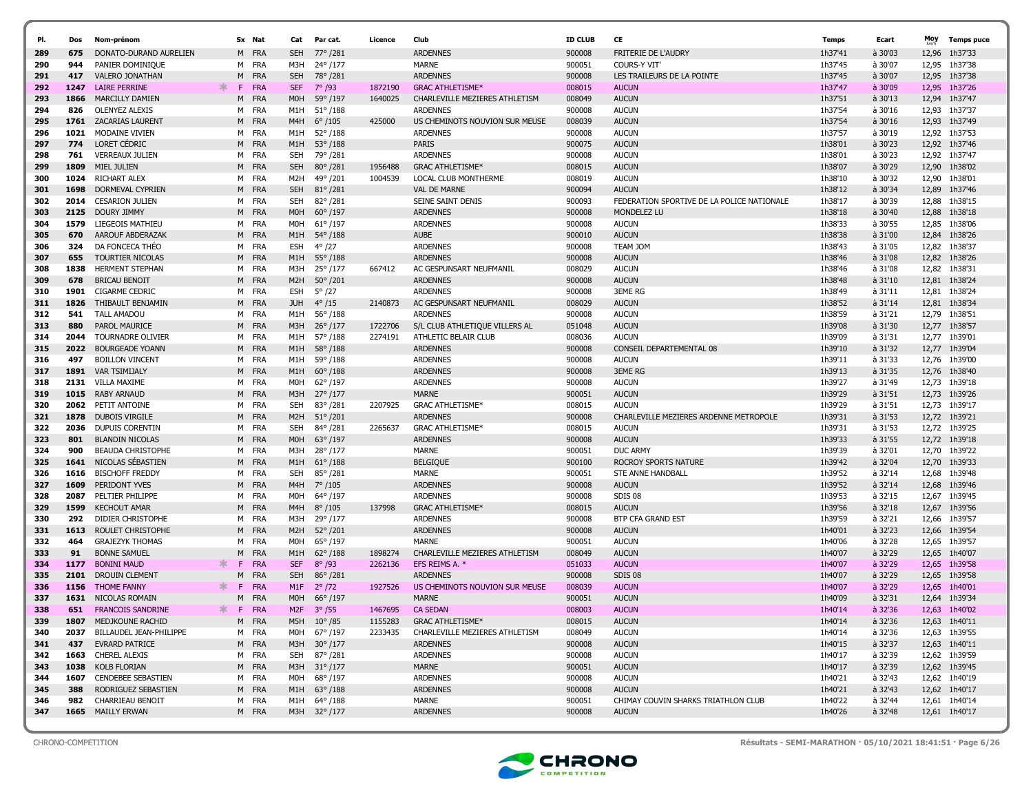| PI. | Dos  | Nom-prénom                   |          | Sx Nat          | Cat              | Par cat.          | Licence | Club                           | <b>ID CLUB</b> | CE                                         | Temps   | Ecart   | Moy   | <b>Temps puce</b> |
|-----|------|------------------------------|----------|-----------------|------------------|-------------------|---------|--------------------------------|----------------|--------------------------------------------|---------|---------|-------|-------------------|
| 289 | 675  | DONATO-DURAND AURELIEN       |          | M FRA           | <b>SEH</b>       | 77° /281          |         | <b>ARDENNES</b>                | 900008         | <b>FRITERIE DE L'AUDRY</b>                 | 1h37'41 | à 30'03 | 12,96 | 1h37'33           |
| 290 | 944  | PANIER DOMINIQUE             |          | M FRA           | M3H              | 24°/177           |         | <b>MARNE</b>                   | 900051         | <b>COURS-Y VIT'</b>                        | 1h37'45 | à 30'07 | 12,95 | 1h37'38           |
| 291 | 417  | <b>VALERO JONATHAN</b>       |          | M FRA           | <b>SEH</b>       | 78°/281           |         | <b>ARDENNES</b>                | 900008         | LES TRAILEURS DE LA POINTE                 | 1h37'45 | à 30'07 | 12,95 | 1h37'38           |
| 292 | 1247 | <b>LAIRE PERRINE</b>         | ж.<br>F. | <b>FRA</b>      | <b>SEF</b>       | $7^{\circ}$ /93   | 1872190 | <b>GRAC ATHLETISME*</b>        | 008015         | <b>AUCUN</b>                               | 1h37'47 | à 30'09 | 12,95 | 1h37'26           |
| 293 | 1866 | <b>MARCILLY DAMIEN</b>       |          | <b>FRA</b><br>M | M <sub>0</sub> H | 59°/197           | 1640025 | CHARLEVILLE MEZIERES ATHLETISM | 008049         | <b>AUCUN</b>                               | 1h37'51 | à 30'13 | 12,94 | 1h37'47           |
| 294 | 826  | <b>OLENYEZ ALEXIS</b>        |          | M FRA           | M1H              | $51^{\circ}$ /188 |         | <b>ARDENNES</b>                | 900008         | <b>AUCUN</b>                               | 1h37'54 | à 30'16 | 12,93 | 1h37'37           |
| 295 | 1761 | <b>ZACARIAS LAURENT</b>      |          | M FRA           | M4H              | $6^{\circ}/105$   | 425000  | US CHEMINOTS NOUVION SUR MEUSE | 008039         | <b>AUCUN</b>                               | 1h37'54 | à 30'16 | 12,93 | 1h37'49           |
| 296 | 1021 | MODAINE VIVIEN               |          | M FRA           | M1H              | $52^{\circ}/188$  |         | <b>ARDENNES</b>                | 900008         | <b>AUCUN</b>                               | 1h37'57 | à 30'19 |       | 12,92 1h37'53     |
| 297 | 774  | <b>LORET CEDRIC</b>          |          | M FRA           | M1H              | $53^{\circ}/188$  |         | <b>PARIS</b>                   | 900075         | <b>AUCUN</b>                               | 1h38'01 | à 30'23 |       | 12,92 1h37'46     |
| 298 | 761  | <b>VERREAUX JULIEN</b>       |          | FRA<br>M        | <b>SEH</b>       | 79°/281           |         | <b>ARDENNES</b>                | 900008         | <b>AUCUN</b>                               | 1h38'01 | à 30'23 | 12,92 | 1h37'47           |
| 299 | 1809 | MIEL JULIEN                  |          | M FRA           | <b>SEH</b>       | $80^{\circ}/281$  | 1956488 | <b>GRAC ATHLETISME*</b>        | 008015         | <b>AUCUN</b>                               | 1h38'07 | à 30'29 |       | 12,90 1h38'02     |
| 300 | 1024 | RICHART ALEX                 |          | M FRA           | M <sub>2</sub> H | 49°/201           | 1004539 | <b>LOCAL CLUB MONTHERME</b>    | 008019         | <b>AUCUN</b>                               | 1h38'10 | à 30'32 | 12,90 | 1h38'01           |
| 301 | 1698 | DORMEVAL CYPRIEN             |          | M FRA           | <b>SEH</b>       | $81^{\circ}/281$  |         | <b>VAL DE MARNE</b>            | 900094         | <b>AUCUN</b>                               | 1h38'12 | à 30'34 | 12,89 | 1h37'46           |
| 302 | 2014 | <b>CESARION JULIEN</b>       |          | M FRA           | SEH              | $82^{\circ}/281$  |         | SEINE SAINT DENIS              | 900093         | FEDERATION SPORTIVE DE LA POLICE NATIONALE | 1h38'17 | à 30'39 | 12,88 | 1h38'15           |
| 303 | 2125 | DOURY JIMMY                  |          | <b>FRA</b><br>M | M <sub>OH</sub>  | $60^{\circ}/197$  |         | <b>ARDENNES</b>                | 900008         | MONDELEZ LU                                | 1h38'18 | à 30'40 | 12,88 | 1h38'18           |
| 304 | 1579 | LIEGEOIS MATHIEU             |          | M FRA           | M0H              | $61^{\circ}/197$  |         | <b>ARDENNES</b>                | 900008         | <b>AUCUN</b>                               | 1h38'33 | à 30'55 | 12,85 | 1h38'06           |
| 305 | 670  | AAROUF ABDERAZAK             |          | M FRA           | M1H              | 54°/188           |         | <b>AUBE</b>                    | 900010         | <b>AUCUN</b>                               | 1h38'38 | à 31'00 | 12,84 | 1h38'26           |
| 306 | 324  | DA FONCECA THEO              |          | M FRA           | <b>ESH</b>       | $4^{\circ}/27$    |         | <b>ARDENNES</b>                | 900008         | <b>TEAM JOM</b>                            | 1h38'43 | à 31'05 | 12,82 | 1h38'37           |
| 307 | 655  | <b>TOURTIER NICOLAS</b>      |          | M FRA           | M1H              | $55^{\circ}$ /188 |         | <b>ARDENNES</b>                | 900008         | <b>AUCUN</b>                               | 1h38'46 | à 31'08 | 12,82 | 1h38'26           |
| 308 | 1838 | <b>HERMENT STEPHAN</b>       |          | M FRA           | M3H              | 25°/177           | 667412  | AC GESPUNSART NEUFMANIL        | 008029         | <b>AUCUN</b>                               | 1h38'46 | à 31'08 | 12,82 | 1h38'31           |
| 309 | 678  | <b>BRICAU BENOIT</b>         |          | M FRA           | M <sub>2</sub> H | $50^{\circ}/201$  |         | <b>ARDENNES</b>                | 900008         | <b>AUCUN</b>                               | 1h38'48 | à 31'10 |       | 12,81 1h38'24     |
| 310 | 1901 | <b>CIGARME CEDRIC</b>        |          | M FRA           | <b>ESH</b>       | $5^\circ$ /27     |         | <b>ARDENNES</b>                | 900008         | <b>3EME RG</b>                             | 1h38'49 | à 31'11 | 12,81 | 1h38'24           |
| 311 | 1826 | THIBAULT BENJAMIN            |          | M FRA           | <b>JUH</b>       | $4^{\circ}/15$    | 2140873 | AC GESPUNSART NEUFMANIL        | 008029         | <b>AUCUN</b>                               | 1h38'52 | à 31'14 | 12,81 | 1h38'34           |
| 312 | 541  | <b>TALL AMADOU</b>           |          | M FRA           | M1H              | $56^{\circ}$ /188 |         | <b>ARDENNES</b>                | 900008         | <b>AUCUN</b>                               | 1h38'59 | à 31'21 | 12,79 | 1h38'51           |
| 313 | 880  | <b>PAROL MAURICE</b>         |          | M FRA           | M3H              | $26^{\circ}/177$  | 1722706 | S/L CLUB ATHLETIQUE VILLERS AL | 051048         | <b>AUCUN</b>                               | 1h39'08 | à 31'30 | 12,77 | 1h38'57           |
| 314 | 2044 | TOURNADRE OLIVIER            |          | FRA<br>M        | M1H              | 57°/188           | 2274191 | ATHLETIC BELAIR CLUB           | 008036         | <b>AUCUN</b>                               | 1h39'09 | à 31'31 |       | 12,77 1h39'01     |
| 315 | 2022 | <b>BOURGEADE YOANN</b>       |          | M FRA           | M1H              | $58^{\circ}/188$  |         | <b>ARDENNES</b>                | 900008         | CONSEIL DEPARTEMENTAL 08                   | 1h39'10 | à 31'32 | 12,77 | 1h39'04           |
| 316 | 497  | <b>BOILLON VINCENT</b>       |          | M FRA           | M1H              | 59°/188           |         | <b>ARDENNES</b>                | 900008         | <b>AUCUN</b>                               | 1h39'11 | à 31'33 |       | 12,76 1h39'00     |
| 317 | 1891 | <b>VAR TSIMIJALY</b>         |          | M FRA           | M1H              | $60^{\circ}/188$  |         | <b>ARDENNES</b>                | 900008         | <b>3EME RG</b>                             | 1h39'13 | à 31'35 | 12,76 | 1h38'40           |
| 318 | 2131 | <b>VILLA MAXIME</b>          |          | M FRA           | <b>MOH</b>       | 62°/197           |         | <b>ARDENNES</b>                | 900008         | <b>AUCUN</b>                               | 1h39'27 | à 31'49 |       | 12,73 1h39'18     |
| 319 | 1015 | <b>RABY ARNAUD</b>           |          | M FRA           | M3H              | $27^{\circ}$ /177 |         | <b>MARNE</b>                   | 900051         | <b>AUCUN</b>                               | 1h39'29 | à 31'51 | 12,73 | 1h39'26           |
| 320 |      | 2062 PETIT ANTOINE           |          | M FRA           | <b>SEH</b>       | 83°/281           | 2207925 | <b>GRAC ATHLETISME*</b>        | 008015         | <b>AUCUN</b>                               | 1h39'29 | à 31'51 |       | 12,73 1h39'17     |
| 321 | 1878 | DUBOIS VIRGILE               |          | <b>FRA</b><br>M | M <sub>2</sub> H | $51^{\circ}/201$  |         | <b>ARDENNES</b>                | 900008         | CHARLEVILLE MEZIERES ARDENNE METROPOLE     | 1h39'31 | à 31'53 |       | 12,72 1h39'21     |
| 322 | 2036 | DUPUIS CORENTIN              |          | M FRA           | SEH              | 84°/281           | 2265637 | <b>GRAC ATHLETISME*</b>        | 008015         | <b>AUCUN</b>                               | 1h39'31 | à 31'53 |       | 12,72 1h39'25     |
| 323 | 801  | <b>BLANDIN NICOLAS</b>       |          | <b>FRA</b><br>M | M <sub>O</sub> H | $63^{\circ}/197$  |         | <b>ARDENNES</b>                | 900008         | <b>AUCUN</b>                               | 1h39'33 | à 31'55 | 12,72 | 1h39'18           |
| 324 | 900  | <b>BEAUDA CHRISTOPHE</b>     |          | M FRA           | M3H              | 28°/177           |         | <b>MARNE</b>                   | 900051         | <b>DUC ARMY</b>                            | 1h39'39 | à 32'01 | 12,70 | 1h39'22           |
| 325 | 1641 | NICOLAS SEBASTIEN            |          | <b>FRA</b><br>M | M1H              | $61^{\circ}/188$  |         | <b>BELGIQUE</b>                | 900100         | ROCROY SPORTS NATURE                       | 1h39'42 | à 32'04 | 12,70 | 1h39'33           |
| 326 | 1616 | <b>BISCHOFF FREDDY</b>       |          | M FRA           | <b>SEH</b>       | 85°/281           |         | MARNE                          | 900051         | STE ANNE HANDBALL                          | 1h39'52 | à 32'14 | 12,68 | 1h39'48           |
| 327 | 1609 | PERIDONT YVES                |          | M FRA           | M4H              | $7^{\circ}$ /105  |         | <b>ARDENNES</b>                | 900008         | <b>AUCUN</b>                               | 1h39'52 | à 32'14 | 12,68 | 1h39'46           |
| 328 | 2087 | PELTIER PHILIPPE             |          | M FRA           | M0H              | 64°/197           |         | <b>ARDENNES</b>                | 900008         | SDIS 08                                    | 1h39'53 | à 32'15 | 12,67 | 1h39'45           |
| 329 | 1599 | <b>KECHOUT AMAR</b>          |          | <b>FRA</b><br>M | M4H              | $8^{\circ}/105$   | 137998  | <b>GRAC ATHLETISME*</b>        | 008015         | <b>AUCUN</b>                               | 1h39'56 | à 32'18 | 12,67 | 1h39'56           |
| 330 | 292  | DIDIER CHRISTOPHE            |          | FRA<br>M        | M3H              | 29°/177           |         | <b>ARDENNES</b>                | 900008         | <b>BTP CFA GRAND EST</b>                   | 1h39'59 | à 32'21 | 12,66 | 1h39'57           |
| 331 | 1613 | ROULET CHRISTOPHE            |          | M FRA           | M <sub>2</sub> H | $52^{\circ}/201$  |         | <b>ARDENNES</b>                | 900008         | <b>AUCUN</b>                               | 1h40'01 | à 32'23 | 12,66 | 1h39'54           |
| 332 | 464  | <b>GRAJEZYK THOMAS</b>       |          | FRA<br>M        | <b>MOH</b>       | $65^{\circ}/197$  |         | <b>MARNE</b>                   | 900051         | <b>AUCUN</b>                               | 1h40'06 | à 32'28 | 12,65 | 1h39'57           |
| 333 | 91   | <b>BONNE SAMUEL</b>          |          | <b>FRA</b><br>M | M1H              | $62^{\circ}/188$  | 1898274 | CHARLEVILLE MEZIERES ATHLETISM | 008049         | <b>AUCUN</b>                               | 1h40'07 | à 32'29 | 12,65 | 1h40'07           |
| 334 | 1177 | <b>BONINI MAUD</b>           | ж.<br>F  | <b>FRA</b>      | <b>SEF</b>       | $8^{\circ}$ /93   | 2262136 | EFS REIMS A. *                 | 051033         | <b>AUCUN</b>                               | 1h40'07 | à 32'29 | 12,65 | 1h39'58           |
| 335 | 2101 | DROUIN CLEMENT               |          | <b>FRA</b><br>M | <b>SEH</b>       | $86^{\circ}/281$  |         | <b>ARDENNES</b>                | 900008         | <b>SDIS 08</b>                             | 1h40'07 | à 32'29 | 12,65 | 1h39'58           |
| 336 | 1156 | <b>THOME FANNY</b>           | -F       | <b>FRA</b>      | M1F              | $2^{\circ}/72$    | 1927526 | US CHEMINOTS NOUVION SUR MEUSE | 008039         | <b>AUCUN</b>                               | 1h40'07 | à 32'29 | 12,65 | 1h40'01           |
| 337 |      | 1631 NICOLAS ROMAIN          |          | M FRA           | M <sub>0</sub> H | $66^{\circ}/197$  |         | <b>MARNE</b>                   | 900051         | <b>AUCUN</b>                               | 1h40'09 | à 32'31 |       | 12,64 1h39'34     |
| 338 | 651  | FRANCOIS SANDRINE            | F.       | <b>FRA</b>      | M <sub>2F</sub>  | $3^{\circ}/55$    | 1467695 | <b>CA SEDAN</b>                | 008003         | <b>AUCUN</b>                               | 1h40'14 | à 32'36 |       | 12,63 1h40'02     |
| 339 |      | 1807 MEDJKOUNE RACHID        |          | M FRA           |                  | M5H 10°/85        | 1155283 | <b>GRAC ATHLETISME*</b>        | 008015         | <b>AUCUN</b>                               | 1h40'14 | à 32'36 |       | 12,63 1h40'11     |
| 340 |      | 2037 BILLAUDEL JEAN-PHILIPPE |          | M FRA           | MOH              | 67°/197           | 2233435 | CHARLEVILLE MEZIERES ATHLETISM | 008049         | <b>AUCUN</b>                               | 1h40'14 | à 32'36 |       | 12,63 1h39'55     |
| 341 | 437  | <b>EVRARD PATRICE</b>        |          | M FRA           | M3H              | $30^{\circ}/177$  |         | <b>ARDENNES</b>                | 900008         | <b>AUCUN</b>                               | 1h40'15 | à 32'37 |       | 12,63 1h40'11     |
| 342 |      | 1663 CHEREL ALEXIS           |          | M FRA           | SEH              | 87° /281          |         | ARDENNES                       | 900008         | <b>AUCUN</b>                               | 1h40'17 | à 32'39 |       | 12,62 1h39'59     |
| 343 |      | 1038 KOLB FLORIAN            |          | M FRA           |                  | M3H 31°/177       |         | MARNE                          | 900051         | <b>AUCUN</b>                               | 1h40'17 | à 32'39 |       | 12,62 1h39'45     |
| 344 | 1607 | <b>CENDEBEE SEBASTIEN</b>    |          | M FRA           | MOH              | 68° /197          |         | <b>ARDENNES</b>                | 900008         | <b>AUCUN</b>                               | 1h40'21 | à 32'43 |       | 12,62 1h40'19     |
| 345 | 388  | RODRIGUEZ SEBASTIEN          |          | M FRA           | M1H              | 63° / 188         |         | <b>ARDENNES</b>                | 900008         | <b>AUCUN</b>                               | 1h40'21 | à 32'43 |       | 12,62 1h40'17     |
| 346 | 982  | CHARRIEAU BENOIT             |          | M FRA           |                  | M1H 64°/188       |         | MARNE                          | 900051         | CHIMAY COUVIN SHARKS TRIATHLON CLUB        | 1h40'22 | à 32'44 |       | 12,61 1h40'14     |
| 347 |      | 1665 MAILLY ERWAN            |          | M FRA           |                  | M3H 32°/177       |         | <b>ARDENNES</b>                | 900008         | <b>AUCUN</b>                               | 1h40'26 | à 32'48 |       | 12,61 1h40'17     |
|     |      |                              |          |                 |                  |                   |         |                                |                |                                            |         |         |       |                   |



CHRONO-COMPETITION Résultats - SEMI-MARATHON · 05/10/2021 18:41:51 · Page 6/26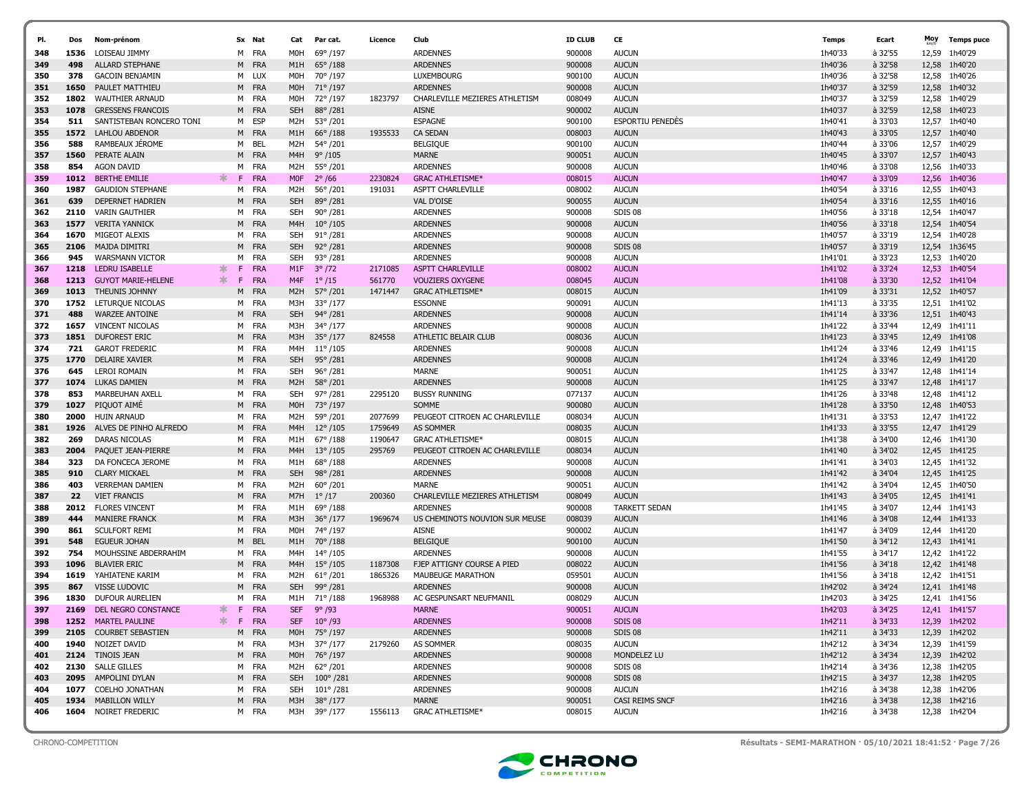| PI.        | Dos         | Nom-prénom                                  |              | Sx Nat              | Cat              | Par cat.            | Licence | Club                            | <b>ID CLUB</b>   | CE                           | <b>Temps</b>       | Ecart              | Moy   | <b>Temps puce</b>              |
|------------|-------------|---------------------------------------------|--------------|---------------------|------------------|---------------------|---------|---------------------------------|------------------|------------------------------|--------------------|--------------------|-------|--------------------------------|
| 348        |             | LOISEAU JIMMY                               |              | M FRA               | M <sub>O</sub> H | 69°/197             |         | <b>ARDENNES</b>                 | 900008           | <b>AUCUN</b>                 | 1h40'33            | à 32'55            | 12,59 | 1h40'29                        |
| 349        | 1536<br>498 | <b>ALLARD STEPHANE</b>                      |              | M FRA               | M1H              | $65^{\circ}/188$    |         | <b>ARDENNES</b>                 | 900008           | <b>AUCUN</b>                 | 1h40'36            | à 32'58            | 12,58 | 1h40'20                        |
| 350        | 378         | <b>GACOIN BENJAMIN</b>                      |              | M LUX               | M0H              | 70°/197             |         | <b>LUXEMBOURG</b>               | 900100           | <b>AUCUN</b>                 | 1h40'36            | à 32'58            | 12,58 | 1h40'26                        |
| 351        | 1650        | PAULET MATTHIEU                             |              | M FRA               | M0H              | 71°/197             |         | <b>ARDENNES</b>                 | 900008           | <b>AUCUN</b>                 | 1h40'37            | à 32'59            | 12,58 | 1h40'32                        |
| 352        | 1802        | <b>WAUTHIER ARNAUD</b>                      |              | M FRA               | M0H              | 72°/197             | 1823797 | CHARLEVILLE MEZIERES ATHLETISM  | 008049           | <b>AUCUN</b>                 | 1h40'37            | à 32'59            |       | 12,58 1h40'29                  |
| 353        | 1078        | <b>GRESSENS FRANCOIS</b>                    |              | M FRA               | <b>SEH</b>       | 88°/281             |         | <b>AISNE</b>                    | 900002           | <b>AUCUN</b>                 | 1h40'37            | à 32'59            |       | 12.58 1h40'23                  |
| 354        | 511         | SANTISTEBAN RONCERO TONI                    | м            | ESP                 | M2H              | 53°/201             |         | <b>ESPAGNE</b>                  | 900100           | ESPORTIU PENEDES             | 1h40'41            | à 33'03            | 12,57 | 1h40'40                        |
| 355        | 1572        | <b>LAHLOU ABDENOR</b>                       |              | M FRA               | M1H              | $66^{\circ}/188$    | 1935533 | <b>CA SEDAN</b>                 | 008003           | <b>AUCUN</b>                 | 1h40'43            | à 33'05            |       | 12,57 1h40'40                  |
| 356        | 588         | RAMBEAUX JEROME                             |              | M BEL               | M2H              | 54°/201             |         | <b>BELGIQUE</b>                 | 900100           | <b>AUCUN</b>                 | 1h40'44            | à 33'06            | 12,57 | 1h40'29                        |
| 357        | 1560        | PERATE ALAIN                                |              | M FRA               | M4H              | $9^{\circ}/105$     |         | <b>MARNE</b>                    | 900051           | <b>AUCUN</b>                 | 1h40'45            | à 33'07            | 12,57 | 1h40'43                        |
| 358        | 854         | <b>AGON DAVID</b>                           |              | M FRA               | M2H              | 55°/201             |         | <b>ARDENNES</b>                 | 900008           | <b>AUCUN</b>                 | 1h40'46            | à 33'08            | 12,56 | 1h40'33                        |
| 359        | 1012        | <b>BERTHE EMILIE</b>                        | ж.<br>F      | <b>FRA</b>          | <b>MOF</b>       | $2^{\circ}$ /66     | 2230824 | <b>GRAC ATHLETISME*</b>         | 008015           | <b>AUCUN</b>                 | 1h40'47            | à 33'09            | 12,56 | 1h40'36                        |
| 360        | 1987        | <b>GAUDION STEPHANE</b>                     |              | M FRA               | M2H              | 56°/201             | 191031  | ASPTT CHARLEVILLE               | 008002           | <b>AUCUN</b>                 | 1h40'54            | à 33'16            | 12,55 | 1h40'43                        |
| 361        | 639         | <b>DEPERNET HADRIEN</b>                     |              | M FRA               | <b>SEH</b>       | 89°/281             |         | <b>VAL D'OISE</b>               | 900055           | <b>AUCUN</b>                 | 1h40'54            | à 33'16            | 12,55 | 1h40'16                        |
| 362        | 2110        | <b>VARIN GAUTHIER</b>                       | M            | FRA                 | <b>SEH</b>       | $90^{\circ}/281$    |         | <b>ARDENNES</b>                 | 900008           | SDIS <sub>08</sub>           | 1h40'56            | à 33'18            | 12.54 | 1h40'47                        |
| 363        | 1577        | <b>VERITA YANNICK</b>                       | M            | <b>FRA</b>          | M4H              | $10^{\circ}/105$    |         | <b>ARDENNES</b>                 | 900008           | <b>AUCUN</b>                 | 1h40'56            | à 33'18            | 12,54 | 1h40'54                        |
| 364        | 1670        | MIGEOT ALEXIS                               | M            | FRA                 | SEH              | $91^{\circ}/281$    |         | <b>ARDENNES</b>                 | 900008           | <b>AUCUN</b>                 | 1h40'57            | à 33'19            | 12,54 | 1h40'28                        |
| 365        | 2106        | <b>MAJDA DIMITRI</b>                        | M            | <b>FRA</b>          | <b>SEH</b>       | $92^{\circ}/281$    |         | <b>ARDENNES</b>                 | 900008           | SDIS 08                      | 1h40'57            | à 33'19            | 12,54 | 1h36'45                        |
| 366        | 945         | <b>WARSMANN VICTOR</b>                      | M            | FRA                 | <b>SEH</b>       | $93^{\circ}/281$    |         | <b>ARDENNES</b>                 | 900008           | <b>AUCUN</b>                 | 1h41'01            | à 33'23            | 12,53 | 1h40'20                        |
| 367        | 1218        | LEDRU ISABELLE                              | $\ast$<br>F. | <b>FRA</b>          | M1F              | $3^{\circ}/72$      | 2171085 | <b>ASPTT CHARLEVILLE</b>        | 008002           | <b>AUCUN</b>                 | 1h41'02            | à 33'24            | 12,53 | 1h40'54                        |
| 368        | 1213        | <b>GUYOT MARIE-HELENE</b>                   | $\ast$<br>F. | <b>FRA</b>          | M4F              | $1^{\circ}/15$      | 561770  | <b>VOUZIERS OXYGENE</b>         | 008045           | <b>AUCUN</b>                 | 1h41'08            | à 33'30            | 12,52 | 1h41'04                        |
| 369        | 1013        | <b>THEUNIS JOHNNY</b>                       | М            | FRA                 | M <sub>2</sub> H | 57° /201            | 1471447 | <b>GRAC ATHLETISME*</b>         | 008015           | <b>AUCUN</b>                 | 1h41'09            | à 33'31            | 12,52 | 1h40'57                        |
| 370        | 1752        | LETURQUE NICOLAS                            |              | M FRA               | M3H              | 33°/177             |         | <b>ESSONNE</b>                  | 900091           | <b>AUCUN</b>                 | 1h41'13            | à 33'35            |       | 12,51 1h41'02                  |
| 371        | 488         | <b>WARZEE ANTOINE</b>                       |              | M FRA               | <b>SEH</b>       | $94^{\circ}/281$    |         | <b>ARDENNES</b>                 | 900008           | <b>AUCUN</b>                 | 1h41'14            | à 33'36            |       | 12.51 1h40'43                  |
| 372        | 1657        | <b>VINCENT NICOLAS</b>                      |              | M FRA               | M3H              | 34°/177             |         | <b>ARDENNES</b>                 | 900008           | <b>AUCUN</b>                 | 1h41'22            | à 33'44            |       | 12,49 1h41'11                  |
| 373        | 1851        | <b>DUFOREST ERIC</b>                        |              | M FRA               | M3H              | 35°/177             | 824558  | ATHLETIC BELAIR CLUB            | 008036           | <b>AUCUN</b>                 | 1h41'23            | à 33'45            |       | 12,49 1h41'08                  |
| 374        | 721         | <b>GAROT FREDERIC</b>                       |              | M FRA               | M4H              | $11^{\circ}/105$    |         | <b>ARDENNES</b>                 | 900008           | <b>AUCUN</b>                 | 1h41'24            | à 33'46            |       | 12,49 1h41'15                  |
| 375        | 1770        | <b>DELAIRE XAVIER</b>                       |              | M FRA               | <b>SEH</b>       | $95^{\circ}/281$    |         | <b>ARDENNES</b>                 | 900008           | <b>AUCUN</b>                 | 1h41'24            | à 33'46            |       | 12,49 1h41'20                  |
| 376        | 645         | <b>LEROI ROMAIN</b>                         |              | M FRA               | <b>SEH</b>       | $96^{\circ}/281$    |         | <b>MARNE</b>                    | 900051           | <b>AUCUN</b>                 | 1h41'25            | à 33'47            |       | 12,48 1h41'14                  |
| 377        | 1074        | LUKAS DAMIEN                                |              | M FRA               | M2H              | 58°/201             |         | <b>ARDENNES</b>                 | 900008           | <b>AUCUN</b>                 | 1h41'25            | à 33'47            |       | 12,48 1h41'17                  |
| 378        | 853         | MARBEUHAN AXELL                             |              | M FRA               | <b>SEH</b>       | 97°/281             | 2295120 | <b>BUSSY RUNNING</b>            | 077137           | <b>AUCUN</b>                 | 1h41'26            | à 33'48            |       | 12,48 1h41'12                  |
| 379        | 1027        | PIQUOT AIME                                 |              | M FRA               | M0H              | 73° /197            |         | SOMME                           | 900080           | <b>AUCUN</b>                 | 1h41'28            | à 33'50            |       | 12,48 1h40'53                  |
| 380        | 2000        | <b>HUIN ARNAUD</b>                          |              | M FRA               | M2H              | 59°/201             | 2077699 | PEUGEOT CITROEN AC CHARLEVILLE  | 008034           | <b>AUCUN</b>                 | 1h41'31            | à 33'53            | 12,47 | 1h41'22                        |
| 381        | 1926        | ALVES DE PINHO ALFREDO                      |              | M FRA               | M4H              | $12^{\circ}/105$    | 1759649 | <b>AS SOMMER</b>                | 008035           | <b>AUCUN</b>                 | 1h41'33            | à 33'55            |       | 12,47 1h41'29                  |
| 382        | 269         | DARAS NICOLAS                               |              | M FRA               | M1H              | 67°/188             | 1190647 | <b>GRAC ATHLETISME*</b>         | 008015           | <b>AUCUN</b>                 | 1h41'38            | à 34'00            |       | 12,46 1h41'30                  |
| 383        | 2004        | PAQUET JEAN-PIERRE                          |              | M FRA               | M4H              | $13^{\circ}/105$    | 295769  | PEUGEOT CITROEN AC CHARLEVILLE  | 008034           | <b>AUCUN</b>                 | 1h41'40            | à 34'02            |       | 12,45 1h41'25                  |
| 384        | 323         | DA FONCECA JEROME                           | M            | FRA                 | M1H              | 68°/188             |         | <b>ARDENNES</b>                 | 900008           | <b>AUCUN</b>                 | 1h41'41            | à 34'03            |       | 12,45 1h41'32                  |
| 385        | 910         | <b>CLARY MICKAEL</b>                        |              | M FRA               | <b>SEH</b>       | 98°/281             |         | <b>ARDENNES</b>                 | 900008           | <b>AUCUN</b>                 | 1h41'42            | à 34'04            |       | 12,45 1h41'25                  |
| 386        | 403         | <b>VERREMAN DAMIEN</b>                      |              | M FRA               | M2H              | 60°/201             |         | <b>MARNE</b>                    | 900051           | <b>AUCUN</b>                 | 1h41'42            | à 34'04            |       | 12,45 1h40'50                  |
| 387        | 22          | <b>VIET FRANCIS</b>                         |              | M FRA               | M7H              | $1^{\circ}/17$      | 200360  | CHARLEVILLE MEZIERES ATHLETISM  | 008049           | <b>AUCUN</b>                 | 1h41'43            | à 34'05            |       | 12,45 1h41'41                  |
| 388        | 2012        | <b>FLORES VINCENT</b>                       |              | M FRA               | M1H              | 69°/188             |         | <b>ARDENNES</b>                 | 900008           | <b>TARKETT SEDAN</b>         | 1h41'45            | à 34'07            |       | 12,44 1h41'43                  |
| 389        | 444         | <b>MANIERE FRANCK</b>                       |              | M FRA               | M3H              | $36^{\circ}/177$    | 1969674 | US CHEMINOTS NOUVION SUR MEUSE  | 008039           | <b>AUCUN</b>                 | 1h41'46            | à 34'08            | 12,44 | 1h41'33                        |
| 390        | 861<br>548  | <b>SCULFORT REMI</b><br><b>EGUEUR JOHAN</b> | M            | M FRA<br><b>BEL</b> | M0H<br>M1H       | 74° /197<br>70°/188 |         | <b>AISNE</b><br><b>BELGIQUE</b> | 900002<br>900100 | <b>AUCUN</b><br><b>AUCUN</b> | 1h41'47<br>1h41'50 | à 34'09<br>à 34'12 |       | 12,44 1h41'20<br>12,43 1h41'41 |
| 391<br>392 | 754         | MOUHSSINE ABDERRAHIM                        |              | M FRA               | M4H              | $14^{\circ}/105$    |         | <b>ARDENNES</b>                 | 900008           | <b>AUCUN</b>                 | 1h41'55            | à 34'17            |       | 12,42 1h41'22                  |
| 393        | 1096        | <b>BLAVIER ERIC</b>                         |              | M FRA               | M4H              | $15^{\circ}/105$    | 1187308 | FJEP ATTIGNY COURSE A PIED      | 008022           | <b>AUCUN</b>                 | 1h41'56            | à 34'18            |       | 12,42 1h41'48                  |
| 394        | 1619        | YAHIATENE KARIM                             | м            | FRA                 | M2H              | $61^{\circ}/201$    | 1865326 | <b>MAUBEUGE MARATHON</b>        | 059501           | <b>AUCUN</b>                 | 1h41'56            | à 34'18            |       | 12,42 1h41'51                  |
| 395        | 867         | <b>VISSE LUDOVIC</b>                        | M            | FRA                 | <b>SEH</b>       | 99°/281             |         | <b>ARDENNES</b>                 | 900008           | <b>AUCUN</b>                 | 1h42'02            | à 34'24            |       | 12,41 1h41'48                  |
| 396        | 1830        | DUFOUR AURELIEN                             |              | M FRA               | M1H              | 71°/188             | 1968988 | AC GESPUNSART NEUFMANIL         | 008029           | <b>AUCUN</b>                 | 1h42'03            | à 34'25            |       | 12,41 1h41'56                  |
| 397        | 2169        | DEL NEGRO CONSTANCE                         | *<br>F       | <b>FRA</b>          | <b>SEF</b>       | 9°/93               |         | <b>MARNE</b>                    | 900051           | <b>AUCUN</b>                 | 1h42'03            | à 34'25            |       | 12,41 1h41'57                  |
| 398        |             | 1252 MARTEL PAULINE                         |              | F FRA               | <b>SEF</b>       | $10^{\circ}$ /93    |         | <b>ARDENNES</b>                 | 900008           | SDIS 08                      | 1h42'11            | $a$ 34'33          |       | 12,39 1h42'02                  |
| 399        |             | 2105 COURBET SEBASTIEN                      |              | M FRA               | M0H              | 75° /197            |         | <b>ARDENNES</b>                 | 900008           | <b>SDIS 08</b>               | 1h42'11            | à 34'33            |       | 12,39 1h42'02                  |
| 400        | 1940        | NOIZET DAVID                                |              | M FRA               | M3H              | 37° /177            | 2179260 | AS SOMMER                       | 008035           | <b>AUCUN</b>                 | 1h42'12            | à 34'34            |       | 12,39 1h41'59                  |
| 401        |             | 2124 TINOIS JEAN                            |              | M FRA               |                  | M0H 76° /197        |         | <b>ARDENNES</b>                 | 900008           | MONDELEZ LU                  | 1h42'12            | à 34'34            |       | 12,39 1h42'02                  |
| 402        |             | 2130 SALLE GILLES                           |              | M FRA               | M2H              | 62°/201             |         | <b>ARDENNES</b>                 | 900008           | SDIS 08                      | 1h42'14            | à 34'36            |       | 12,38 1h42'05                  |
| 403        |             | 2095 AMPOLINI DYLAN                         |              | M FRA               | SEH              | $100^{\circ}/281$   |         | <b>ARDENNES</b>                 | 900008           | SDIS 08                      | 1h42'15            | à 34'37            |       | 12,38 1h42'05                  |
| 404        | 1077        | COELHO JONATHAN                             |              | M FRA               | SEH              | 101° /281           |         | <b>ARDENNES</b>                 | 900008           | <b>AUCUN</b>                 | 1h42'16            | à 34'38            |       | 12,38 1h42'06                  |
| 405        |             | 1934 MABILLON WILLY                         |              | M FRA               |                  | M3H 38° /177        |         | <b>MARNE</b>                    | 900051           | CASI REIMS SNCF              | 1h42'16            | à 34'38            |       | 12,38 1h42'16                  |
| 406        |             | 1604 NOIRET FREDERIC                        |              | M FRA               |                  | M3H 39°/177         | 1556113 | <b>GRAC ATHLETISME*</b>         | 008015           | <b>AUCUN</b>                 | 1h42'16            | à 34'38            |       | 12,38 1h42'04                  |
|            |             |                                             |              |                     |                  |                     |         |                                 |                  |                              |                    |                    |       |                                |



CHRONO-COMPETITION Résultats - SEMI-MARATHON · 05/10/2021 18:41:52 · Page 7/26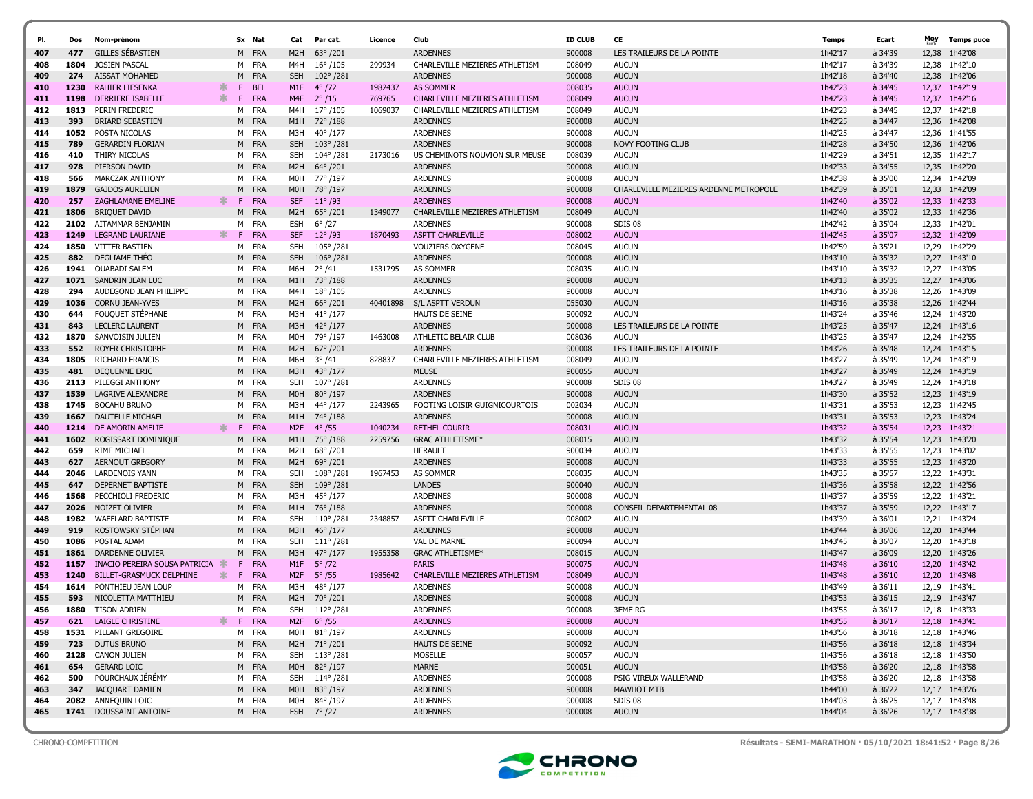| PI.        | Dos         | Nom-prénom                                    |    | Sx Nat         | Cat               | Par cat.                              | Licence  | Club                                        | <b>ID CLUB</b>   | CE                                     | Temps              | Ecart              | Moy   | <b>Temps puce</b>        |
|------------|-------------|-----------------------------------------------|----|----------------|-------------------|---------------------------------------|----------|---------------------------------------------|------------------|----------------------------------------|--------------------|--------------------|-------|--------------------------|
| 407        | 477         | <b>GILLES SEBASTIEN</b>                       |    | M FRA          | M2H               | $63^{\circ}/201$                      |          | <b>ARDENNES</b>                             | 900008           | LES TRAILEURS DE LA POINTE             | 1h42'17            | à 34'39            | 12,38 | 1h42'08                  |
| 408        | 1804        | <b>JOSIEN PASCAL</b>                          |    | M FRA          | M4H               | $16^{\circ}/105$                      | 299934   | CHARLEVILLE MEZIERES ATHLETISM              | 008049           | <b>AUCUN</b>                           | 1h42'17            | à 34'39            | 12,38 | 1h42'10                  |
| 409        | 274         | <b>AISSAT MOHAMED</b>                         | M  | <b>FRA</b>     | <b>SEH</b>        | $102^{\circ}/281$                     |          | <b>ARDENNES</b>                             | 900008           | <b>AUCUN</b>                           | 1h42'18            | à 34'40            | 12,38 | 1h42'06                  |
| 410        | 1230        | ж.<br><b>RAHIER LIESENKA</b>                  | F. | <b>BEL</b>     | M1F               | $4^{\circ}/72$                        | 1982437  | <b>AS SOMMER</b>                            | 008035           | <b>AUCUN</b>                           | 1h42'23            | à 34'45            | 12,37 | 1h42'19                  |
| 411        | 1198        | ∗.<br><b>DERRIERE ISABELLE</b>                | F. | <b>FRA</b>     | M <sub>4F</sub>   | $2^{\circ}/15$                        | 769765   | CHARLEVILLE MEZIERES ATHLETISM              | 008049           | <b>AUCUN</b>                           | 1h42'23            | à 34'45            | 12,37 | 1h42'16                  |
| 412        | 1813        | PERIN FREDERIC                                | м  | FRA            | M4H               | $17^{\circ}$ /105                     | 1069037  | CHARLEVILLE MEZIERES ATHLETISM              | 008049           | <b>AUCUN</b>                           | 1h42'23            | à 34'45            | 12,37 | 1h42'18                  |
| 413        | 393         | <b>BRIARD SEBASTIEN</b>                       | M  | <b>FRA</b>     | M1H               | 72°/188                               |          | <b>ARDENNES</b>                             | 900008           | <b>AUCUN</b>                           | 1h42'25            | à 34'47            | 12,36 | 1h42'08                  |
| 414        | 1052        | POSTA NICOLAS                                 |    | M FRA          | M3H               | $40^{\circ}/177$                      |          | <b>ARDENNES</b>                             | 900008           | <b>AUCUN</b>                           | 1h42'25            | à 34'47            | 12,36 | 1h41'55                  |
| 415        | 789         | <b>GERARDIN FLORIAN</b>                       |    | M FRA          | <b>SEH</b>        | $103^{\circ}/281$                     |          | <b>ARDENNES</b>                             | 900008           | <b>NOVY FOOTING CLUB</b>               | 1h42'28            | à 34'50            |       | 12,36 1h42'06            |
| 416        | 410         | THIRY NICOLAS                                 |    | M FRA          | <b>SEH</b>        | $104^{\circ}/281$                     | 2173016  | US CHEMINOTS NOUVION SUR MEUSE              | 008039           | <b>AUCUN</b>                           | 1h42'29            | à 34'51            | 12,35 | 1h42'17                  |
| 417        | 978         | PIERSON DAVID                                 |    | M FRA          | M <sub>2</sub> H  | 64°/201                               |          | <b>ARDENNES</b>                             | 900008           | <b>AUCUN</b>                           | 1h42'33            | à 34'55            | 12,35 | 1h42'20                  |
| 418        | 566         | <b>MARCZAK ANTHONY</b>                        | M  | FRA            | M <sub>OH</sub>   | 77° /197                              |          | <b>ARDENNES</b>                             | 900008           | <b>AUCUN</b>                           | 1h42'38            | à 35'00            | 12,34 | 1h42'09                  |
| 419        | 1879        | <b>GAJDOS AURELIEN</b>                        | M  | <b>FRA</b>     | M <sub>O</sub> H  | 78°/197                               |          | <b>ARDENNES</b>                             | 900008           | CHARLEVILLE MEZIERES ARDENNE METROPOLE | 1h42'39            | à 35'01            | 12,33 | 1h42'09                  |
| 420        | 257         | ж.<br>ZAGHLAMANE EMELINE                      | F. | <b>FRA</b>     | <b>SEF</b>        | $11^{\circ}$ /93                      |          | <b>ARDENNES</b>                             | 900008           | <b>AUCUN</b>                           | 1h42'40            | à 35'02            | 12,33 | 1h42'33                  |
| 421        | 1806        | <b>BRIQUET DAVID</b>                          | M  | FRA            | M <sub>2</sub> H  | $65^{\circ}/201$                      | 1349077  | CHARLEVILLE MEZIERES ATHLETISM              | 008049           | <b>AUCUN</b>                           | 1h42'40            | à 35'02            | 12,33 | 1h42'36                  |
| 422        | 2102        | AITAMMAR BENJAMIN                             |    | M FRA          | ESH               | $6^{\circ}$ /27                       |          | <b>ARDENNES</b>                             | 900008           | SDIS 08                                | 1h42'42            | à 35'04            | 12,33 | 1h42'01                  |
| 423        | 1249        | LEGRAND LAURIANE<br>ж.                        | F. | <b>FRA</b>     | <b>SEF</b>        | $12^{\circ}/93$                       | 1870493  | <b>ASPTT CHARLEVILLE</b>                    | 008002           | <b>AUCUN</b>                           | 1h42'45            | à 35'07            | 12,32 | 1h42'09                  |
| 424        | 1850        | <b>VITTER BASTIEN</b>                         |    | M FRA          | <b>SEH</b>        | 105°/281                              |          | <b>VOUZIERS OXYGENE</b>                     | 008045           | <b>AUCUN</b>                           | 1h42'59            | à 35'21            |       | 12,29 1h42'29            |
| 425        | 882         | DEGLIAME THEO                                 | M  | <b>FRA</b>     | <b>SEH</b>        | $106^{\circ}/281$                     |          | <b>ARDENNES</b>                             | 900008           | <b>AUCUN</b>                           | 1h43'10            | à 35'32            | 12,27 | 1h43'10                  |
| 426        | 1941        | OUABADI SALEM                                 |    | M FRA          | M6H               | $2^{\circ}/41$                        | 1531795  | AS SOMMER                                   | 008035           | <b>AUCUN</b>                           | 1h43'10            | à 35'32            |       | 12,27 1h43'05            |
| 427        | 1071        | SANDRIN JEAN LUC                              |    | M FRA          | M1H               | 73°/188                               |          | <b>ARDENNES</b>                             | 900008           | <b>AUCUN</b>                           | 1h43'13            | à 35'35            | 12,27 | 1h43'06                  |
| 428        | 294         | AUDEGOND JEAN PHILIPPE                        | M  | FRA            | M4H               | $18^{\circ}$ / 105                    |          | <b>ARDENNES</b>                             | 900008           | <b>AUCUN</b>                           | 1h43'16            | à 35'38            | 12,26 | 1h43'09                  |
| 429        | 1036        | <b>CORNU JEAN-YVES</b>                        |    | M FRA          | M <sub>2</sub> H  | $66^{\circ}/201$                      | 40401898 | S/L ASPTT VERDUN                            | 055030           | <b>AUCUN</b>                           | 1h43'16            | à 35'38            |       | 12,26 1h42'44            |
| 430        | 644         | FOUQUET STEPHANE                              |    | M FRA          | M3H               | $41^{\circ}/177$                      |          | <b>HAUTS DE SEINE</b>                       | 900092           | <b>AUCUN</b>                           | 1h43'24            | à 35'46            |       | 12,24 1h43'20            |
| 431        | 843         | <b>LECLERC LAURENT</b>                        |    | M FRA          | M3H               | $42^{\circ}/177$                      |          | <b>ARDENNES</b>                             | 900008           | LES TRAILEURS DE LA POINTE             | 1h43'25            | à 35'47            |       | 12,24 1h43'16            |
| 432        | 1870        | SANVOISIN JULIEN                              |    | M FRA          | M0H               | 79°/197                               | 1463008  | ATHLETIC BELAIR CLUB                        | 008036           | <b>AUCUN</b>                           | 1h43'25            | à 35'47            | 12,24 | 1h42'55                  |
| 433        | 552         | <b>ROYER CHRISTOPHE</b>                       |    | M FRA          | M <sub>2</sub> H  | $67^{\circ}$ /201                     |          | <b>ARDENNES</b>                             | 900008           | LES TRAILEURS DE LA POINTE             | 1h43'26            | à 35'48            | 12,24 | 1h43'15                  |
| 434        | 1805        | RICHARD FRANCIS                               |    | M FRA          | M6H               | $3^{\circ}/41$                        | 828837   | CHARLEVILLE MEZIERES ATHLETISM              | 008049           | <b>AUCUN</b>                           | 1h43'27            | à 35'49            |       | 12.24 1h43'19            |
| 435        | 481         | DEQUENNE ERIC                                 |    | M FRA          | M3H               | $43^{\circ}/177$                      |          | <b>MEUSE</b>                                | 900055           | <b>AUCUN</b>                           | 1h43'27            | à 35'49            |       | 12,24 1h43'19            |
| 436        | 2113        | PILEGGI ANTHONY                               |    | M FRA          | <b>SEH</b>        | 107°/281                              |          | <b>ARDENNES</b>                             | 900008           | SDIS 08                                | 1h43'27            | à 35'49            | 12,24 | 1h43'18                  |
| 437        | 1539        | <b>LAGRIVE ALEXANDRE</b>                      |    | M FRA          | M <sub>0</sub> H  | 80°/197                               |          | <b>ARDENNES</b>                             | 900008           | <b>AUCUN</b>                           | 1h43'30            | à 35'52            | 12,23 | 1h43'19                  |
| 438        | 1745        | <b>BOCAHU BRUNO</b>                           | м  | FRA            | M3H               | 44° /177                              | 2243965  | FOOTING LOISIR GUIGNICOURTOIS               | 002034           | <b>AUCUN</b>                           | 1h43'31            | à 35'53            | 12,23 | 1h42'45                  |
| 439        | 1667        | DAUTELLE MICHAEL                              | M  | <b>FRA</b>     | M1H               | 74°/188                               |          | <b>ARDENNES</b>                             | 900008           | <b>AUCUN</b>                           | 1h43'31            | à 35'53            | 12,23 | 1h43'24                  |
| 440        | 1214        | DE AMORIN AMELIE<br>ж.                        | F. | <b>FRA</b>     | M2F               | $4^{\circ}/55$                        | 1040234  | <b>RETHEL COURIR</b>                        | 008031           | <b>AUCUN</b>                           | 1h43'32            | à 35'54            | 12,23 | 1h43'21                  |
| 441        | 1602        | ROGISSART DOMINIQUE                           | M  | <b>FRA</b>     | M1H               | 75°/188                               | 2259756  | <b>GRAC ATHLETISME*</b>                     | 008015           | <b>AUCUN</b>                           | 1h43'32            | à 35'54            | 12,23 | 1h43'20                  |
| 442        | 659         | RIME MICHAEL                                  |    | M FRA          | M2H               | 68°/201                               |          | <b>HERAULT</b>                              | 900034           | <b>AUCUN</b>                           | 1h43'33            | à 35'55            | 12,23 | 1h43'02                  |
| 443        | 627         | AERNOUT GREGORY                               | M  | <b>FRA</b>     | M <sub>2</sub> H  | 69°/201                               |          | <b>ARDENNES</b>                             | 900008           | <b>AUCUN</b>                           | 1h43'33            | à 35'55            | 12,23 | 1h43'20                  |
| 444        | 2046        | LARDENOIS YANN                                |    | M FRA          | <b>SEH</b>        | $108^{\circ}/281$                     | 1967453  | <b>AS SOMMER</b>                            | 008035           | <b>AUCUN</b>                           | 1h43'35            | à 35'57            |       | 12,22 1h43'31            |
| 445        | 647         | DEPERNET BAPTISTE                             |    | M FRA          | <b>SEH</b>        | $109^{\circ}/281$                     |          | <b>LANDES</b>                               | 900040           | <b>AUCUN</b>                           | 1h43'36            | à 35'58            |       | 12,22 1h42'56            |
| 446        | 1568        | PECCHIOLI FREDERIC                            |    | M FRA          | МЗН               | 45°/177                               |          | <b>ARDENNES</b>                             | 900008           | <b>AUCUN</b>                           | 1h43'37            | à 35'59            |       | 12,22 1h43'21            |
| 447        | 2026        | NOIZET OLIVIER                                |    | M FRA          | M1H               | 76°/188                               |          | <b>ARDENNES</b>                             | 900008           | CONSEIL DEPARTEMENTAL 08               | 1h43'37            | à 35'59            |       | 12,22 1h43'17            |
| 448        | 1982<br>919 | <b>WAFFLARD BAPTISTE</b><br>ROSTOWSKY STÉPHAN |    | M FRA<br>M FRA | <b>SEH</b><br>M3H | $110^{\circ}/281$<br>$46^{\circ}/177$ | 2348857  | <b>ASPTT CHARLEVILLE</b><br><b>ARDENNES</b> | 008002<br>900008 | <b>AUCUN</b><br><b>AUCUN</b>           | 1h43'39<br>1h43'44 | à 36'01<br>à 36'06 | 12,21 | 1h43'24<br>12,20 1h43'44 |
| 449<br>450 | 1086        | POSTAL ADAM                                   | M  | FRA            | SEH               | $111^{\circ}/281$                     |          | <b>VAL DE MARNE</b>                         | 900094           | <b>AUCUN</b>                           | 1h43'45            | à 36'07            | 12,20 | 1h43'18                  |
| 451        | 1861        | DARDENNE OLIVIER                              | M  | <b>FRA</b>     | M3H               | 47° /177                              | 1955358  | <b>GRAC ATHLETISME*</b>                     | 008015           | <b>AUCUN</b>                           | 1h43'47            | à 36'09            | 12,20 | 1h43'26                  |
| 452        | 1157        | INACIO PEREIRA SOUSA PATRICIA                 | F. | <b>FRA</b>     | M1F               | $5^{\circ}$ /72                       |          | <b>PARIS</b>                                | 900075           | <b>AUCUN</b>                           | 1h43'48            | à 36'10            | 12,20 | 1h43'42                  |
| 453        | 1240        | $\ast$<br><b>BILLET-GRASMUCK DELPHINE</b>     | F. | <b>FRA</b>     | M <sub>2</sub> F  | $5^{\circ}$ /55                       | 1985642  | CHARLEVILLE MEZIERES ATHLETISM              | 008049           | <b>AUCUN</b>                           | 1h43'48            | à 36'10            | 12,20 | 1h43'48                  |
| 454        | 1614        | PONTHIEU JEAN LOUP                            | м  | FRA            | M3H               | 48°/177                               |          | <b>ARDENNES</b>                             | 900008           | <b>AUCUN</b>                           | 1h43'49            | à 36'11            | 12,19 | 1h43'41                  |
| 455        | 593         | NICOLETTA MATTHIEU                            |    | M FRA          |                   | M2H 70° /201                          |          | <b>ARDENNES</b>                             | 900008           | <b>AUCUN</b>                           | 1h43'53            | à 36'15            |       | 12,19 1h43'47            |
| 456        | 1880        | <b>TISON ADRIEN</b>                           | м  | <b>FRA</b>     |                   | SEH 112° /281                         |          | <b>ARDENNES</b>                             | 900008           | <b>3EME RG</b>                         | 1h43'55            | à 36'17            |       | 12,18 1h43'33            |
| 457        |             | <b>621 LAIGLE CHRISTINE</b>                   |    | * F FRA        |                   | M2F $6^{\circ}/55$                    |          | <b>ARDENNES</b>                             | 900008           | <b>AUCUN</b>                           | 1h43'55            | à 36'17            |       | 12,18 1h43'41            |
| 458        |             | 1531 PILLANT GREGOIRE                         |    | M FRA          | M0H               | 81°/197                               |          | <b>ARDENNES</b>                             | 900008           | <b>AUCUN</b>                           | 1h43'56            | à 36'18            |       | 12,18 1h43'46            |
| 459        | 723         | DUTUS BRUNO                                   |    | M FRA          |                   | M2H 71°/201                           |          | HAUTS DE SEINE                              | 900092           | <b>AUCUN</b>                           | 1h43'56            | à 36'18            |       | 12,18 1h43'34            |
| 460        |             | 2128 CANON JULIEN                             |    | M FRA          | SEH               | 113°/281                              |          | MOSELLE                                     | 900057           | <b>AUCUN</b>                           | 1h43'56            | à 36'18            |       | 12,18 1h43'50            |
| 461        | 654         | <b>GERARD LOIC</b>                            |    | M FRA          | M0H               | 82°/197                               |          | MARNE                                       | 900051           | <b>AUCUN</b>                           | 1h43'58            | à 36'20            |       | 12,18 1h43'58            |
| 462        | 500         | POURCHAUX JÉRÉMY                              |    | M FRA          | SEH               | 114°/281                              |          | <b>ARDENNES</b>                             | 900008           | PSIG VIREUX WALLERAND                  | 1h43'58            | à 36'20            |       | 12,18 1h43'58            |
| 463        | 347         | JACQUART DAMIEN                               |    | M FRA          | M0H               | 83°/197                               |          | <b>ARDENNES</b>                             | 900008           | MAWHOT MTB                             | 1h44'00            | $a$ 36'22          |       | 12,17 1h43'26            |
| 464        |             | 2082 ANNEQUIN LOIC                            |    | M FRA          | M0H               | 84° /197                              |          | <b>ARDENNES</b>                             | 900008           | SDIS 08                                | 1h44'03            | à 36'25            |       | 12,17 1h43'48            |
| 465        |             | 1741 DOUSSAINT ANTOINE                        |    | M FRA          |                   | ESH 7°/27                             |          | <b>ARDENNES</b>                             | 900008           | <b>AUCUN</b>                           | 1h44'04            | $a$ 36'26          |       | 12,17 1h43'38            |
|            |             |                                               |    |                |                   |                                       |          |                                             |                  |                                        |                    |                    |       |                          |



CHRONO-COMPETITION Résultats - SEMI-MARATHON · 05/10/2021 18:41:52 · Page 8/26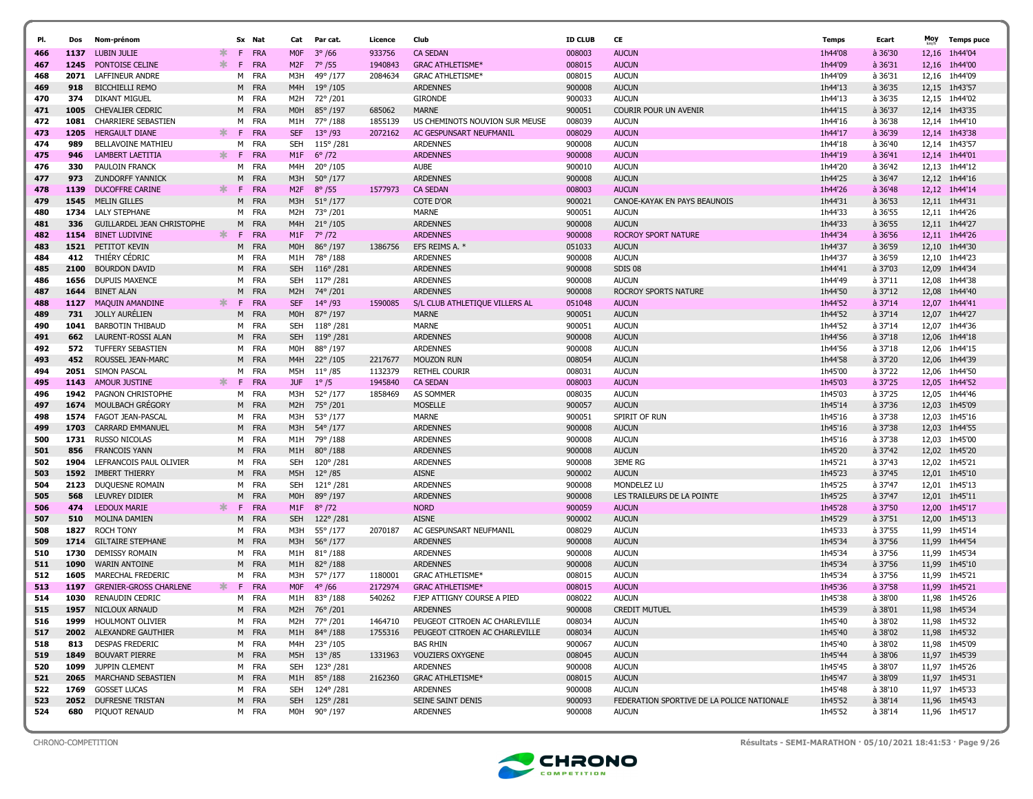| PI.        | Dos         | Nom-prénom                        |        |        | Sx Nat            | Cat               | Par cat.                    | Licence | Club                                    | <b>ID CLUB</b>   | CE                                         | Temps              | Ecart              | Moy   | <b>Temps puce</b>        |
|------------|-------------|-----------------------------------|--------|--------|-------------------|-------------------|-----------------------------|---------|-----------------------------------------|------------------|--------------------------------------------|--------------------|--------------------|-------|--------------------------|
| 466        | 1137        | <b>LUBIN JULIE</b>                | ж.     | F.     | FRA               | <b>MOF</b>        | $3^{\circ}$ /66             | 933756  | <b>CA SEDAN</b>                         | 008003           | <b>AUCUN</b>                               | 1h44'08            | $a$ 36'30          | 12,16 | 1h44'04                  |
| 467        | 1245        | PONTOISE CELINE                   | ∗.     | F      | <b>FRA</b>        | M <sub>2</sub> F  | $7^{\circ}$ /55             | 1940843 | <b>GRAC ATHLETISME*</b>                 | 008015           | <b>AUCUN</b>                               | 1h44'09            | $a$ 36'31          | 12,16 | 1h44'00                  |
| 468        | 2071        | <b>LAFFINEUR ANDRE</b>            |        | M      | FRA               | M3H               | 49° /177                    | 2084634 | <b>GRAC ATHLETISME*</b>                 | 008015           | <b>AUCUN</b>                               | 1h44'09            | à 36'31            |       | 12,16 1h44'09            |
| 469        | 918         | <b>BICCHIELLI REMO</b>            |        | M      | <b>FRA</b>        | M <sub>4</sub> H  | $19^{\circ}/105$            |         | <b>ARDENNES</b>                         | 900008           | <b>AUCUN</b>                               | 1h44'13            | $a$ 36'35          |       | 12,15 1h43'57            |
| 470        | 374         | DIKANT MIGUEL                     |        |        | M FRA             | M2H               | 72°/201                     |         | <b>GIRONDE</b>                          | 900033           | <b>AUCUN</b>                               | 1h44'13            | à 36'35            | 12,15 | 1h44'02                  |
| 471        | 1005        | <b>CHEVALIER CEDRIC</b>           |        | M      | <b>FRA</b>        | M0H               | 85°/197                     | 685062  | <b>MARNE</b>                            | 900051           | <b>COURIR POUR UN AVENIR</b>               | 1h44'15            | à 36'37            |       | 12,14 1h43'35            |
| 472        | 1081        | CHARRIERE SEBASTIEN               |        | м      | FRA               | M1H               | 77°/188                     | 1855139 | US CHEMINOTS NOUVION SUR MEUSE          | 008039           | <b>AUCUN</b>                               | 1h44'16            | à 36'38            |       | 12,14 1h44'10            |
| 473        | 1205        | <b>HERGAULT DIANE</b>             | ж      | F.     | <b>FRA</b>        | <b>SEF</b>        | $13^{\circ}$ /93            | 2072162 | AC GESPUNSART NEUFMANIL                 | 008029           | <b>AUCUN</b>                               | 1h44'17            | $a$ 36'39          |       | 12,14 1h43'38            |
| 474        | 989         | <b>BELLAVOINE MATHIEU</b>         |        | м      | FRA               | SEH               | $115^{\circ}/281$           |         | <b>ARDENNES</b>                         | 900008           | <b>AUCUN</b>                               | 1h44'18            | à 36'40            |       | 12,14 1h43'57            |
| 475        | 946         | LAMBERT LAETITIA                  | ∗.     | F      | <b>FRA</b>        | M1F               | $6^{\circ}/72$              |         | <b>ARDENNES</b>                         | 900008           | <b>AUCUN</b>                               | 1h44'19            | $a$ 36'41          |       | 12.14 1h44'01            |
| 476        | 330         | PAULOIN FRANCK                    |        | м      | <b>FRA</b>        | M4H               | 20°/105                     |         | <b>AUBE</b>                             | 900010           | <b>AUCUN</b>                               | 1h44'20            | à 36'42            | 12,13 | 1h44'12                  |
| 477        | 973         | <b>ZUNDORFF YANNICK</b>           |        | M      | <b>FRA</b>        | M3H               | $50^{\circ}/177$            |         | <b>ARDENNES</b>                         | 900008           | <b>AUCUN</b>                               | 1h44'25            | à 36'47            |       | 12,12 1h44'16            |
| 478        | 1139        | <b>DUCOFFRE CARINE</b>            | ∗.     | F.     | <b>FRA</b>        | M <sub>2F</sub>   | $8^{\circ}$ /55             | 1577973 | <b>CA SEDAN</b>                         | 008003           | <b>AUCUN</b>                               | 1h44'26            | $a$ 36'48          |       | 12,12 1h44'14            |
| 479        | 1545        | <b>MELIN GILLES</b>               |        | M      | <b>FRA</b>        | M3H               | $51^{\circ}/177$            |         | <b>COTE D'OR</b>                        | 900021           | CANOE-KAYAK EN PAYS BEAUNOIS               | 1h44'31            | $a$ 36'53          |       | 12,11 1h44'31            |
| 480        | 1734        | <b>LALY STEPHANE</b>              |        | M      | FRA               | M2H               | 73°/201                     |         | <b>MARNE</b>                            | 900051           | <b>AUCUN</b>                               | 1h44'33            | à 36'55            | 12,11 | 1h44'26                  |
| 481        | 336         | GUILLARDEL JEAN CHRISTOPHE        |        | M      | <b>FRA</b>        | M4H               | $21^{\circ}/105$            |         | <b>ARDENNES</b>                         | 900008           | <b>AUCUN</b>                               | 1h44'33            | à 36'55            |       | 12,11 1h44'27            |
| 482        | 1154        | <b>BINET LUDIVINE</b>             | *      | F      | <b>FRA</b>        | M1F               | $7^{\circ}/72$              |         | <b>ARDENNES</b>                         | 900008           | ROCROY SPORT NATURE                        | 1h44'34            | $a$ 36'56          | 12,11 | 1h44'26                  |
| 483        | 1521        | PETITOT KEVIN                     |        | M      | <b>FRA</b>        | M <sub>O</sub> H  | 86°/197                     | 1386756 | EFS REIMS A. *                          | 051033           | <b>AUCUN</b>                               | 1h44'37            | à 36'59            | 12,10 | 1h44'30                  |
| 484        | 412         | THIÈRY CÉDRIC                     |        | M      | FRA               | M1H               | 78°/188                     |         | <b>ARDENNES</b>                         | 900008           | <b>AUCUN</b>                               | 1h44'37            | à 36'59            | 12,10 | 1h44'23                  |
| 485        | 2100        | <b>BOURDON DAVID</b>              |        | M      | <b>FRA</b>        | <b>SEH</b>        | $116^{\circ}/281$           |         | <b>ARDENNES</b>                         | 900008           | SDIS 08                                    | 1h44'41            | à 37'03            | 12,09 | 1h44'34                  |
| 486        | 1656        | <b>DUPUIS MAXENCE</b>             |        | м      | FRA               | SEH               | 117°/281                    |         | <b>ARDENNES</b>                         | 900008           | <b>AUCUN</b>                               | 1h44'49            | à 37'11            | 12,08 | 1h44'38                  |
| 487        | 1644        | <b>BINET ALAN</b>                 |        | M      | <b>FRA</b>        | M <sub>2</sub> H  | 74°/201                     |         | <b>ARDENNES</b>                         | 900008           | <b>ROCROY SPORTS NATURE</b>                | 1h44'50            | à 37'12            | 12,08 | 1h44'40                  |
| 488        | 1127        | MAQUIN AMANDINE                   | ж.     | F.     | <b>FRA</b>        | <b>SEF</b>        | $14^{\circ}$ /93            | 1590085 | S/L CLUB ATHLETIQUE VILLERS AL          | 051048           | <b>AUCUN</b>                               | 1h44'52            | $a$ 37'14          |       | 12,07 1h44'41            |
| 489        | 731         | <b>JOLLY AURÉLIEN</b>             |        | M      | <b>FRA</b>        | M <sub>O</sub> H  | 87° /197                    |         | <b>MARNE</b>                            | 900051           | <b>AUCUN</b>                               | 1h44'52            | à 37'14            | 12,07 | 1h44'27                  |
| 490        | 1041        | <b>BARBOTIN THIBAUD</b>           |        |        | M FRA             | <b>SEH</b>        | $118^{\circ}/281$           |         | <b>MARNE</b>                            | 900051           | <b>AUCUN</b>                               | 1h44'52            | à 37'14            | 12,07 | 1h44'36                  |
| 491        | 662         | <b>LAURENT-ROSSI ALAN</b>         |        | M      | <b>FRA</b>        | <b>SEH</b>        | $119^{\circ}$ /281          |         | <b>ARDENNES</b>                         | 900008           | <b>AUCUN</b>                               | 1h44'56            | $a$ 37'18          | 12,06 | 1h44'18                  |
| 492        | 572         | TUFFERY SEBASTIEN                 |        |        | M FRA             | M0H               | 88°/197                     |         | <b>ARDENNES</b>                         | 900008           | <b>AUCUN</b>                               | 1h44'56            | à 37'18            |       | 12,06 1h44'15            |
| 493        | 452         | ROUSSEL JEAN-MARC                 |        | M      | <b>FRA</b>        | M4H               | $22^{\circ}/105$            | 2217677 | <b>MOUZON RUN</b>                       | 008054           | <b>AUCUN</b>                               | 1h44'58            | à 37'20            |       | 12,06 1h44'39            |
| 494        | 2051        | SIMON PASCAL                      |        | м      | FRA               | M5H               | $11^{\circ}$ /85            | 1132379 | <b>RETHEL COURIR</b>                    | 008031           | <b>AUCUN</b>                               | 1h45'00            | à 37'22            |       | 12.06 1h44'50            |
| 495        | 1143        | <b>AMOUR JUSTINE</b>              | $\ast$ | F      | <b>FRA</b>        | <b>JUF</b>        | $1^{\circ}/5$               | 1945840 | <b>CA SEDAN</b>                         | 008003           | <b>AUCUN</b>                               | 1h45'03            | à 37'25            |       | 12,05 1h44'52            |
| 496        | 1942        | <b>PAGNON CHRISTOPHE</b>          |        | м      | FRA               | M3H               | 52°/177                     | 1858469 | <b>AS SOMMER</b>                        | 008035           | <b>AUCUN</b>                               | 1h45'03            | à 37'25            | 12,05 | 1h44'46                  |
| 497        | 1674        | MOULBACH GREGORY                  |        | M      | <b>FRA</b>        | M <sub>2</sub> H  | 75°/201                     |         | <b>MOSELLE</b>                          | 900057           | <b>AUCUN</b>                               | 1h45'14            | à 37'36            |       | 12,03 1h45'09            |
| 498        | 1574        | <b>FAGOT JEAN-PASCAL</b>          |        | м      | FRA               | M3H               | 53°/177                     |         | <b>MARNE</b>                            | 900051           | SPIRIT OF RUN                              | 1h45'16            | à 37'38            | 12,03 | 1h45'16                  |
| 499        | 1703        | <b>CARRARD EMMANUEL</b>           |        |        | M FRA             | M3H               | 54°/177                     |         | <b>ARDENNES</b>                         | 900008           | <b>AUCUN</b>                               | 1h45'16            | à 37'38            |       | 12,03 1h44'55            |
| 500        | 1731        | <b>RUSSO NICOLAS</b>              |        | M      | FRA               | M1H               | 79° /188                    |         | <b>ARDENNES</b>                         | 900008           | <b>AUCUN</b>                               | 1h45'16            | à 37'38            | 12,03 | 1h45'00                  |
| 501        | 856         | <b>FRANCOIS YANN</b>              |        |        | M FRA             | M1H               | $80^{\circ}/188$            |         | <b>ARDENNES</b>                         | 900008           | <b>AUCUN</b>                               | 1h45'20            | à 37'42            |       | 12,02 1h45'20            |
| 502        | 1904        | LEFRANCOIS PAUL OLIVIER           |        | м      | FRA               | <b>SEH</b>        | 120°/281                    |         | <b>ARDENNES</b>                         | 900008           | <b>3EME RG</b>                             | 1h45'21            | à 37'43            | 12,02 | 1h45'21                  |
| 503        | 1592        | IMBERT THIERRY                    |        |        | M FRA             | M5H               | $12^{\circ}/85$             |         | <b>AISNE</b>                            | 900002           | <b>AUCUN</b>                               | 1h45'23            | à 37'45            |       | 12,01 1h45'10            |
| 504        | 2123        | DUQUESNE ROMAIN                   |        | M      | <b>FRA</b>        | <b>SEH</b>        | 121°/281                    |         | <b>ARDENNES</b>                         | 900008           | MONDELEZ LU                                | 1h45'25            | à 37'47            | 12.01 | 1h45'13                  |
| 505        | 568         | LEUVREY DIDIER                    |        | M      | <b>FRA</b>        | M0H               | 89°/197                     |         | <b>ARDENNES</b>                         | 900008           | LES TRAILEURS DE LA POINTE                 | 1h45'25            | à 37'47            |       | 12,01 1h45'11            |
| 506        | 474         | <b>LEDOUX MARIE</b>               | *      | F      | <b>FRA</b>        | M1F               | $8^{\circ}$ /72             |         | <b>NORD</b>                             | 900059           | <b>AUCUN</b>                               | 1h45'28            | à 37'50            | 12,00 | 1h45'17                  |
| 507        | 510<br>1827 | MOLINA DAMIEN<br><b>ROCH TONY</b> |        | M      | <b>FRA</b>        | <b>SEH</b><br>M3H | 122°/281                    |         | <b>AISNE</b><br>AC GESPUNSART NEUFMANIL | 900002<br>008029 | <b>AUCUN</b><br><b>AUCUN</b>               | 1h45'29<br>1h45'33 | à 37'51<br>à 37'55 | 12,00 | 1h45'13<br>11,99 1h45'14 |
| 508<br>509 | 1714        | <b>GILTAIRE STEPHANE</b>          |        | м<br>M | FRA<br><b>FRA</b> | M3H               | 55°/177<br>$56^{\circ}/177$ | 2070187 | <b>ARDENNES</b>                         | 900008           | <b>AUCUN</b>                               | 1h45'34            | à 37'56            |       | 11,99 1h44'54            |
| 510        | 1730        | <b>DEMISSY ROMAIN</b>             |        |        | M FRA             | M1H               | $81^{\circ}/188$            |         | <b>ARDENNES</b>                         | 900008           | <b>AUCUN</b>                               | 1h45'34            | à 37'56            |       | 11,99 1h45'34            |
| 511        | 1090        | <b>WARIN ANTOINE</b>              |        | M      | <b>FRA</b>        | M1H               | $82^{\circ}/188$            |         | <b>ARDENNES</b>                         | 900008           | <b>AUCUN</b>                               | 1h45'34            | à 37'56            | 11,99 | 1h45'10                  |
| 512        | 1605        | MARECHAL FREDERIC                 |        | м      | FRA               | M3H               | 57° /177                    | 1180001 | <b>GRAC ATHLETISME*</b>                 | 008015           | <b>AUCUN</b>                               | 1h45'34            | à 37'56            | 11,99 | 1h45'21                  |
| 513        | 1197        | <b>GRENIER-GROSS CHARLENE</b>     |        | F      | FRA               | M <sub>OF</sub>   | $4^{\circ}/66$              | 2172974 | <b>GRAC ATHLETISME*</b>                 | 008015           | <b>AUCUN</b>                               | 1h45'36            | $a$ 37'58          | 11,99 | 1h45'21                  |
| 514        | 1030        | <b>RENAUDIN CEDRIC</b>            |        |        | M FRA             | M1H               | $83^{\circ}/188$            | 540262  | FJEP ATTIGNY COURSE A PIED              | 008022           | <b>AUCUN</b>                               | 1h45'38            | à 38'00            |       | 11.98 1h45'26            |
| 515        | 1957        | NICLOUX ARNAUD                    |        | M      | <b>FRA</b>        | M2H               | 76°/201                     |         | <b>ARDENNES</b>                         | 900008           | <b>CREDIT MUTUEL</b>                       | 1h45'39            | à 38'01            |       | 11,98 1h45'34            |
| 516        |             | 1999 HOULMONT OLIVIER             |        |        | M FRA             |                   | M2H 77° /201                | 1464710 | PEUGEOT CITROEN AC CHARLEVILLE          | 008034           | <b>AUCUN</b>                               | 1h45'40            | à 38'02            |       | 11,98 1h45'32            |
| 517        |             | <b>2002</b> ALEXANDRE GAUTHIER    |        |        | M FRA             | M1H               | 84°/188                     | 1755316 | PEUGEOT CITROEN AC CHARLEVILLE          | 008034           | <b>AUCUN</b>                               | 1h45'40            | à 38'02            |       | 11,98 1h45'32            |
| 518        | 813         | <b>DESPAS FREDERIC</b>            |        |        | M FRA             | M4H               | 23°/105                     |         | <b>BAS RHIN</b>                         | 900067           | <b>AUCUN</b>                               | 1h45'40            | à 38'02            |       | 11,98 1h45'09            |
| 519        |             | 1849 BOUVART PIERRE               |        |        | M FRA             |                   | M5H 13°/85                  | 1331963 | <b>VOUZIERS OXYGENE</b>                 | 008045           | <b>AUCUN</b>                               | 1h45'44            | à 38'06            |       | 11,97 1h45'39            |
| 520        |             | 1099 JUPPIN CLEMENT               |        |        | M FRA             | SEH               | 123° /281                   |         | <b>ARDENNES</b>                         | 900008           | <b>AUCUN</b>                               | 1h45'45            | à 38'07            |       | 11,97 1h45'26            |
| 521        |             | 2065 MARCHAND SEBASTIEN           |        |        | M FRA             | M1H               | 85° / 188                   | 2162360 | <b>GRAC ATHLETISME*</b>                 | 008015           | <b>AUCUN</b>                               | 1h45'47            | à 38'09            |       | 11,97 1h45'31            |
| 522        | 1769        | <b>GOSSET LUCAS</b>               |        |        | M FRA             | SEH               | 124°/281                    |         | ARDENNES                                | 900008           | <b>AUCUN</b>                               | 1h45'48            | à 38'10            |       | 11,97 1h45'33            |
| 523        | 2052        | <b>DUFRESNE TRISTAN</b>           |        |        | M FRA             | <b>SEH</b>        | 125°/281                    |         | SEINE SAINT DENIS                       | 900093           | FEDERATION SPORTIVE DE LA POLICE NATIONALE | 1h45'52            | à 38'14            |       | 11,96 1h45'43            |
| 524        | 680         | PIQUOT RENAUD                     |        |        | M FRA             |                   | M0H 90° /197                |         | <b>ARDENNES</b>                         | 900008           | AUCUN                                      | 1h45'52            | à 38'14            |       | 11,96 1h45'17            |



CHRONO-COMPETITION Résultats - SEMI-MARATHON · 05/10/2021 18:41:53 · Page 9/26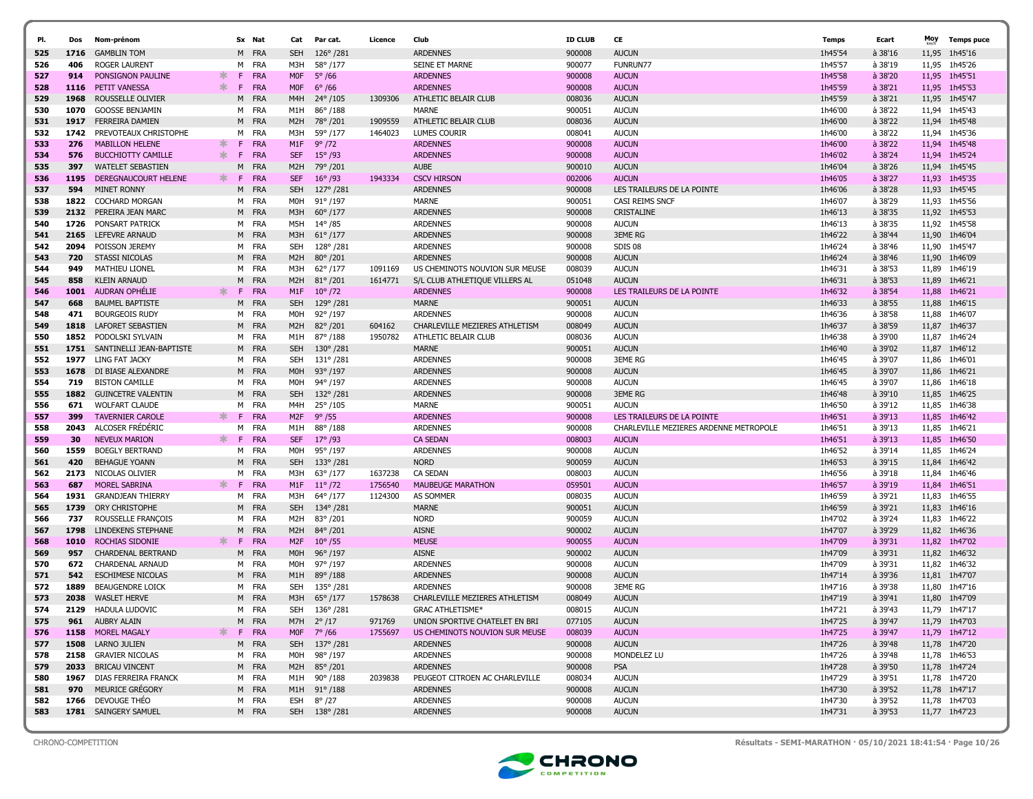| PI.        | Dos          | Nom-prénom                                      |        |         | Sx Nat                   | Cat                    | Par cat.                    | Licence | Club                                              | <b>ID CLUB</b>   | CE                                         | Temps              | Ecart              | Moy            | <b>Temps puce</b>  |
|------------|--------------|-------------------------------------------------|--------|---------|--------------------------|------------------------|-----------------------------|---------|---------------------------------------------------|------------------|--------------------------------------------|--------------------|--------------------|----------------|--------------------|
| 525        | 1716         | <b>GAMBLIN TOM</b>                              |        |         | M FRA                    | <b>SEH</b>             | $126^{\circ}/281$           |         | <b>ARDENNES</b>                                   | 900008           | <b>AUCUN</b>                               | 1h45'54            | à 38'16            | 11,95          | 1h45'16            |
| 526        | 406          | <b>ROGER LAURENT</b>                            |        |         | M FRA                    | M3H                    | 58°/177                     |         | SEINE ET MARNE                                    | 900077           | <b>FUNRUN77</b>                            | 1h45'57            | à 38'19            | 11,95          | 1h45'26            |
| 527        | 914          | PONSIGNON PAULINE                               | ∗.     | F.      | <b>FRA</b>               | <b>MOF</b>             | $5^{\circ}$ /66             |         | <b>ARDENNES</b>                                   | 900008           | <b>AUCUN</b>                               | 1h45'58            | à 38'20            | 11,95          | 1h45'51            |
| 528        | 1116         | PETIT VANESSA                                   | ∗      | F.      | <b>FRA</b>               | <b>MOF</b>             | $6^{\circ}$ /66             |         | <b>ARDENNES</b>                                   | 900008           | <b>AUCUN</b>                               | 1h45'59            | à 38'21            | 11,95          | 1h45'53            |
| 529        | 1968         | ROUSSELLE OLIVIER                               |        | M       | <b>FRA</b>               | M4H                    | 24° / 105                   | 1309306 | ATHLETIC BELAIR CLUB                              | 008036           | <b>AUCUN</b>                               | 1h45'59            | à 38'21            | 11,95          | 1h45'47            |
| 530        | 1070         | <b>GOOSSE BENJAMIN</b>                          |        |         | M FRA                    | M1H                    | 86°/188                     |         | <b>MARNE</b>                                      | 900051           | <b>AUCUN</b>                               | 1h46'00            | à 38'22            | 11,94          | 1h45'43            |
| 531        | 1917         | <b>FERREIRA DAMIEN</b>                          |        |         | M FRA                    | M2H                    | 78°/201                     | 1909559 | ATHLETIC BELAIR CLUB                              | 008036           | <b>AUCUN</b>                               | 1h46'00            | à 38'22            | 11,94          | 1h45'48            |
| 532        | 1742         | PREVOTEAUX CHRISTOPHE                           |        | M       | FRA                      | M3H                    | 59°/177                     | 1464023 | <b>LUMES COURIR</b>                               | 008041           | <b>AUCUN</b>                               | 1h46'00            | à 38'22            | 11,94          | 1h45'36            |
| 533        | 276          | <b>MABILLON HELENE</b>                          | ж.     | F.      | <b>FRA</b>               | M1F                    | $9^{\circ}$ /72             |         | <b>ARDENNES</b>                                   | 900008           | <b>AUCUN</b>                               | 1h46'00            | à 38'22            | 11,94          | 1h45'48            |
| 534        | 576          | <b>BUCCHIOTTY CAMILLE</b>                       | $\ast$ | F.      | <b>FRA</b>               | <b>SEF</b>             | $15^{\circ}$ /93            |         | <b>ARDENNES</b>                                   | 900008           | <b>AUCUN</b>                               | 1h46'02            | à 38'24            | 11,94          | 1h45'24            |
| 535        | 397          | <b>WATELET SEBASTIEN</b>                        |        | M       | <b>FRA</b>               | M <sub>2</sub> H       | 79°/201                     |         | <b>AUBE</b>                                       | 900010           | <b>AUCUN</b>                               | 1h46'04            | à 38'26            | 11,94          | 1h45'45            |
| 536        | 1195         | DEREGNAUCOURT HELENE                            | ж.     | F.      | <b>FRA</b>               | <b>SEF</b>             | $16^{\circ}$ /93            | 1943334 | <b>CSCV HIRSON</b>                                | 002006           | <b>AUCUN</b>                               | 1h46'05            | à 38'27            | 11,93          | 1h45'35            |
| 537        | 594          | <b>MINET RONNY</b>                              |        | M       | FRA                      | <b>SEH</b>             | 127°/281                    |         | <b>ARDENNES</b>                                   | 900008           | LES TRAILEURS DE LA POINTE                 | 1h46'06            | à 38'28            | 11,93          | 1h45'45            |
| 538        | 1822         | <b>COCHARD MORGAN</b>                           |        |         | M FRA                    | M0H                    | $91^{\circ}$ /197           |         | MARNE                                             | 900051           | CASI REIMS SNCF                            | 1h46'07            | à 38'29            | 11,93          | 1h45'56            |
| 539        | 2132         | PEREIRA JEAN MARC                               |        |         | M FRA                    | M3H                    | $60^{\circ}/177$            |         | <b>ARDENNES</b>                                   | 900008           | <b>CRISTALINE</b>                          | 1h46'13            | à 38'35            | 11,92          | 1h45'53            |
| 540        | 1726         | PONSART PATRICK                                 |        |         | M FRA                    | M5H                    | $14^{\circ}/85$             |         | <b>ARDENNES</b>                                   | 900008           | <b>AUCUN</b>                               | 1h46'13            | à 38'35            |                | 11,92 1h45'58      |
| 541        | 2165         | LEFEVRE ARNAUD                                  |        |         | M FRA                    | M3H                    | $61^{\circ}/177$            |         | <b>ARDENNES</b>                                   | 900008           | <b>3EME RG</b>                             | 1h46'22            | à 38'44            | 11,90          | 1h46'04            |
| 542        | 2094         | POISSON JEREMY                                  |        |         | M FRA                    | SEH                    | 128°/281                    |         | <b>ARDENNES</b>                                   | 900008           | SDIS 08                                    | 1h46'24            | à 38'46            | 11,90          | 1h45'47            |
| 543        | 720          | <b>STASSI NICOLAS</b>                           |        |         | M FRA                    | M2H                    | 80°/201                     |         | <b>ARDENNES</b>                                   | 900008           | <b>AUCUN</b>                               | 1h46'24            | à 38'46            | 11,90          | 1h46'09            |
| 544        | 949          | <b>MATHIEU LIONEL</b>                           |        | M       | FRA                      | M3H                    | 62°/177                     | 1091169 | US CHEMINOTS NOUVION SUR MEUSE                    | 008039           | <b>AUCUN</b>                               | 1h46'31            | à 38'53            | 11,89          | 1h46'19            |
| 545        | 858          | <b>KLEIN ARNAUD</b>                             | ∗.     | M<br>F. | <b>FRA</b>               | M2H                    | $81^{\circ}/201$            | 1614771 | S/L CLUB ATHLETIQUE VILLERS AL<br><b>ARDENNES</b> | 051048           | <b>AUCUN</b><br>LES TRAILEURS DE LA POINTE | 1h46'31            | à 38'53            | 11,89          | 1h46'21            |
| 546<br>547 | 1001<br>668  | <b>AUDRAN OPHELIE</b><br><b>BAUMEL BAPTISTE</b> |        |         | <b>FRA</b><br>M FRA      | M1F<br><b>SEH</b>      | $10^{\circ}/72$<br>129°/281 |         | <b>MARNE</b>                                      | 900008<br>900051 | <b>AUCUN</b>                               | 1h46'32<br>1h46'33 | à 38'54<br>à 38'55 | 11,88<br>11,88 | 1h46'21<br>1h46'15 |
| 548        | 471          | <b>BOURGEOIS RUDY</b>                           |        |         | M FRA                    | M <sub>OH</sub>        | 92°/197                     |         | <b>ARDENNES</b>                                   | 900008           | <b>AUCUN</b>                               | 1h46'36            | à 38'58            | 11,88          | 1h46'07            |
| 549        | 1818         | LAFORET SEBASTIEN                               |        |         | M FRA                    | M <sub>2</sub> H       | $82^{\circ}/201$            | 604162  | CHARLEVILLE MEZIERES ATHLETISM                    | 008049           | <b>AUCUN</b>                               | 1h46'37            | à 38'59            | 11,87          | 1h46'37            |
| 550        | 1852         | PODOLSKI SYLVAIN                                |        |         | M FRA                    | M1H                    | 87°/188                     | 1950782 | ATHLETIC BELAIR CLUB                              | 008036           | <b>AUCUN</b>                               | 1h46'38            | à 39'00            | 11,87          | 1h46'24            |
| 551        | 1751         | SANTINELLI JEAN-BAPTISTE                        |        |         | M FRA                    | <b>SEH</b>             | $130^{\circ}/281$           |         | <b>MARNE</b>                                      | 900051           | <b>AUCUN</b>                               | 1h46'40            | à 39'02            | 11,87          | 1h46'12            |
| 552        | 1977         | LING FAT JACKY                                  |        |         | M FRA                    | <b>SEH</b>             | $131^{\circ}/281$           |         | ARDENNES                                          | 900008           | <b>3EME RG</b>                             | 1h46'45            | à 39'07            | 11,86          | 1h46'01            |
| 553        | 1678         | DI BIASE ALEXANDRE                              |        |         | M FRA                    | M <sub>O</sub> H       | $93^{\circ}/197$            |         | <b>ARDENNES</b>                                   | 900008           | <b>AUCUN</b>                               | 1h46'45            | à 39'07            | 11,86          | 1h46'21            |
| 554        | 719          | <b>BISTON CAMILLE</b>                           |        |         | M FRA                    | M0H                    | 94°/197                     |         | <b>ARDENNES</b>                                   | 900008           | <b>AUCUN</b>                               | 1h46'45            | à 39'07            | 11,86          | 1h46'18            |
| 555        | 1882         | <b>GUINCETRE VALENTIN</b>                       |        |         | M FRA                    | <b>SEH</b>             | 132°/281                    |         | <b>ARDENNES</b>                                   | 900008           | <b>3EME RG</b>                             | 1h46'48            | à 39'10            | 11,85          | 1h46'25            |
| 556        | 671          | <b>WOLFART CLAUDE</b>                           |        |         | M FRA                    | M4H                    | 25°/105                     |         | <b>MARNE</b>                                      | 900051           | <b>AUCUN</b>                               | 1h46'50            | à 39'12            | 11,85          | 1h46'38            |
| 557        | 399          | <b>TAVERNIER CAROLE</b>                         | ∗.     | F.      | FRA                      | M <sub>2F</sub>        | $9^{\circ}$ /55             |         | <b>ARDENNES</b>                                   | 900008           | LES TRAILEURS DE LA POINTE                 | 1h46'51            | à 39'13            | 11,85          | 1h46'42            |
| 558        | 2043         | ALCOSER FRÉDÉRIC                                |        |         | M FRA                    | M1H                    | 88°/188                     |         | <b>ARDENNES</b>                                   | 900008           | CHARLEVILLE MEZIERES ARDENNE METROPOLE     | 1h46'51            | à 39'13            | 11,85          | 1h46'21            |
| 559        | 30           | <b>NEVEUX MARION</b>                            | ж.     | F.      | <b>FRA</b>               | <b>SEF</b>             | $17^{\circ}$ /93            |         | <b>CA SEDAN</b>                                   | 008003           | <b>AUCUN</b>                               | 1h46'51            | à 39'13            | 11,85          | 1h46'50            |
| 560        | 1559         | <b>BOEGLY BERTRAND</b>                          |        |         | M FRA                    | M0H                    | 95°/197                     |         | <b>ARDENNES</b>                                   | 900008           | <b>AUCUN</b>                               | 1h46'52            | à 39'14            | 11,85          | 1h46'24            |
| 561        | 420          | <b>BEHAGUE YOANN</b>                            |        | M       | <b>FRA</b>               | <b>SEH</b>             | 133°/281                    |         | <b>NORD</b>                                       | 900059           | <b>AUCUN</b>                               | 1h46'53            | à 39'15            | 11,84          | 1h46'42            |
| 562        | 2173         | NICOLAS OLIVIER                                 |        |         | M FRA                    | МЗН                    | $63^{\circ}/177$            | 1637238 | CA SEDAN                                          | 008003           | <b>AUCUN</b>                               | 1h46'56            | à 39'18            |                | 11,84 1h46'46      |
| 563        | 687          | <b>MOREL SABRINA</b>                            | ж.     | F.      | <b>FRA</b>               | M1F                    | $11^{\circ}$ /72            | 1756540 | <b>MAUBEUGE MARATHON</b>                          | 059501           | <b>AUCUN</b>                               | 1h46'57            | à 39'19            | 11,84          | 1h46'51            |
| 564        | 1931         | <b>GRANDJEAN THIERRY</b>                        |        | M       | FRA                      | M3H                    | 64° /177                    | 1124300 | AS SOMMER                                         | 008035           | <b>AUCUN</b>                               | 1h46'59            | à 39'21            | 11,83          | 1h46'55            |
| 565        | 1739         | ORY CHRISTOPHE                                  |        |         | M FRA                    | <b>SEH</b>             | 134°/281                    |         | <b>MARNE</b>                                      | 900051           | <b>AUCUN</b>                               | 1h46'59            | à 39'21            | 11,83          | 1h46'16            |
| 566        | 737          | ROUSSELLE FRANÇOIS                              |        | M       | FRA                      | M2H                    | 83°/201                     |         | <b>NORD</b>                                       | 900059           | <b>AUCUN</b>                               | 1h47'02            | à 39'24            | 11,83          | 1h46'22            |
| 567<br>568 | 1798<br>1010 | LINDEKENS STEPHANE<br>ROCHIAS SIDONIE           | ж.     | M<br>F. | <b>FRA</b><br><b>FRA</b> | M2H<br>M <sub>2F</sub> | 84°/201<br>$10^{\circ}/55$  |         | <b>AISNE</b><br><b>MEUSE</b>                      | 900002<br>900055 | <b>AUCUN</b><br><b>AUCUN</b>               | 1h47'07<br>1h47'09 | à 39'29<br>à 39'31 | 11,82<br>11,82 | 1h46'36<br>1h47'02 |
| 569        | 957          | <b>CHARDENAL BERTRAND</b>                       |        |         | M FRA                    | M <sub>0</sub> H       | $96^{\circ}/197$            |         | <b>AISNE</b>                                      | 900002           | <b>AUCUN</b>                               | 1h47'09            | à 39'31            | 11,82          | 1h46'32            |
| 570        | 672          | <b>CHARDENAL ARNAUD</b>                         |        |         | M FRA                    | M0H                    | 97°/197                     |         | <b>ARDENNES</b>                                   | 900008           | <b>AUCUN</b>                               | 1h47'09            | à 39'31            | 11,82          | 1h46'32            |
| 571        | 542          | <b>ESCHIMESE NICOLAS</b>                        |        |         | M FRA                    | M1H                    | $89^{\circ}/188$            |         | <b>ARDENNES</b>                                   | 900008           | <b>AUCUN</b>                               | 1h47'14            | à 39'36            |                | 11,81 1h47'07      |
| 572        | 1889         | <b>BEAUGENDRE LOICK</b>                         |        | M       | <b>FRA</b>               | <b>SEH</b>             | 135°/281                    |         | <b>ARDENNES</b>                                   | 900008           | <b>3EME RG</b>                             | 1h47'16            | à 39'38            | 11,80          | 1h47'16            |
| 573        | 2038         | <b>WASLET HERVE</b>                             |        |         | M FRA                    | M3H                    | $65^{\circ}/177$            | 1578638 | CHARLEVILLE MEZIERES ATHLETISM                    | 008049           | <b>AUCUN</b>                               | 1h47'19            | à 39'41            |                | 11,80 1h47'09      |
| 574        | 2129         | <b>HADULA LUDOVIC</b>                           |        | м       | FRA                      | <b>SEH</b>             | 136°/281                    |         | <b>GRAC ATHLETISME*</b>                           | 008015           | <b>AUCUN</b>                               | 1h47'21            | à 39'43            |                | 11,79 1h47'17      |
| 575        | 961          | <b>AUBRY ALAIN</b>                              |        |         | M FRA                    | M7H                    | $2^{\circ}/17$              | 971769  | UNION SPORTIVE CHATELET EN BRI                    | 077105           | <b>AUCUN</b>                               | 1h47'25            | à 39'47            |                | 11,79 1h47'03      |
| 576        |              | 1158 MOREL MAGALY                               | ж.     |         | F FRA                    | <b>MOF</b>             | $7^{\circ}$ /66             | 1755697 | US CHEMINOTS NOUVION SUR MEUSE                    | 008039           | <b>AUCUN</b>                               | 1h47'25            | à 39'47            |                | 11,79 1h47'12      |
| 577        |              | 1508 LARNO JULIEN                               |        |         | M FRA                    | <b>SEH</b>             | 137° /281                   |         | <b>ARDENNES</b>                                   | 900008           | <b>AUCUN</b>                               | 1h47'26            | à 39'48            |                | 11,78 1h47'20      |
| 578        |              | 2158 GRAVIER NICOLAS                            |        |         | M FRA                    | MOH                    | 98° /197                    |         | <b>ARDENNES</b>                                   | 900008           | MONDELEZ LU                                | 1h47'26            | à 39'48            |                | 11,78 1h46'53      |
| 579        |              | 2033 BRICAU VINCENT                             |        |         | M FRA                    | M <sub>2</sub> H       | 85°/201                     |         | <b>ARDENNES</b>                                   | 900008           | <b>PSA</b>                                 | 1h47'28            | à 39'50            |                | 11,78 1h47'24      |
| 580        |              | 1967 DIAS FERREIRA FRANCK                       |        |         | M FRA                    | M1H                    | 90°/188                     | 2039838 | PEUGEOT CITROEN AC CHARLEVILLE                    | 008034           | <b>AUCUN</b>                               | 1h47'29            | à 39'51            |                | 11,78 1h47'20      |
| 581        | 970          | MEURICE GRÉGORY                                 |        |         | M FRA                    | M1H                    | 91°/188                     |         | <b>ARDENNES</b>                                   | 900008           | <b>AUCUN</b>                               | 1h47'30            | à 39'52            |                | 11,78 1h47'17      |
| 582        |              | 1766 DEVOUGE THEO                               |        |         | M FRA                    | ESH                    | 8° /27                      |         | <b>ARDENNES</b>                                   | 900008           | <b>AUCUN</b>                               | 1h47'30            | à 39'52            |                | 11,78 1h47'03      |
| 583        |              | 1781 SAINGERY SAMUEL                            |        |         | M FRA                    |                        | SEH 138°/281                |         | <b>ARDENNES</b>                                   | 900008           | <b>AUCUN</b>                               | 1h47'31            | à 39'53            |                | 11,77 1h47'23      |



CHRONO-COMPETITION Résultats - SEMI-MARATHON · 05/10/2021 18:41:54 · Page 10/26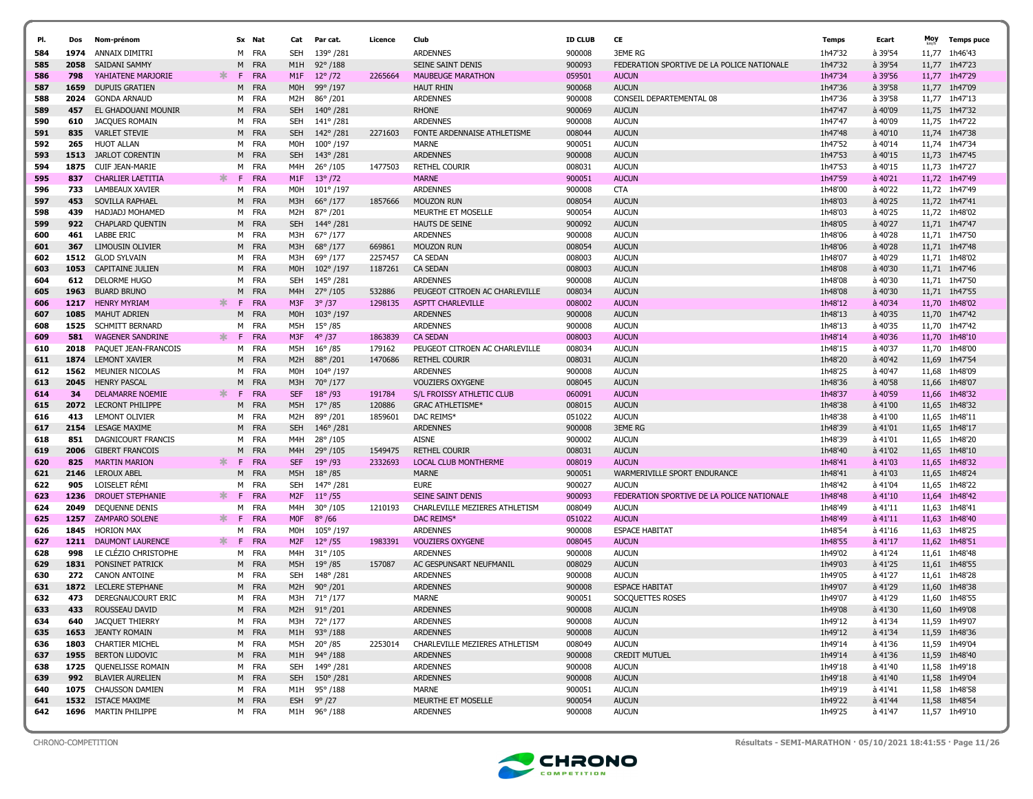| PI.        | Dos          | Nom-prénom                               |    |    | Sx Nat              | Cat                    | Par cat.                             | Licence | Club                                         | <b>ID CLUB</b>   | CE                                         | <b>Temps</b>       | Ecart              | Moy            | <b>Temps puce</b>  |
|------------|--------------|------------------------------------------|----|----|---------------------|------------------------|--------------------------------------|---------|----------------------------------------------|------------------|--------------------------------------------|--------------------|--------------------|----------------|--------------------|
| 584        | 1974         | ANNAIX DIMITRI                           |    |    | M FRA               | SEH                    | 139°/281                             |         | <b>ARDENNES</b>                              | 900008           | <b>3EME RG</b>                             | 1h47'32            | à 39'54            | 11,77          | 1h46'43            |
| 585        | 2058         | SAIDANI SAMMY                            |    | M  | <b>FRA</b>          | M1H                    | $92^{\circ}/188$                     |         | SEINE SAINT DENIS                            | 900093           | FEDERATION SPORTIVE DE LA POLICE NATIONALE | 1h47'32            | à 39'54            | 11,77          | 1h47'23            |
|            |              | YAHIATENE MARJORIE                       |    | F. |                     |                        |                                      |         |                                              |                  |                                            |                    |                    |                |                    |
| 586        | 798<br>1659  | <b>DUPUIS GRATIEN</b>                    | ж  | M  | <b>FRA</b><br>FRA   | M1F<br>M0H             | $12^{\circ}/72$<br>99°/197           | 2265664 | <b>MAUBEUGE MARATHON</b><br><b>HAUT RHIN</b> | 059501<br>900068 | <b>AUCUN</b><br><b>AUCUN</b>               | 1h47'34<br>1h47'36 | à 39'56<br>à 39'58 | 11,77<br>11,77 | 1h47'29<br>1h47'09 |
| 587<br>588 | 2024         | <b>GONDA ARNAUD</b>                      |    |    | M FRA               | M2H                    | 86°/201                              |         | <b>ARDENNES</b>                              | 900008           | CONSEIL DEPARTEMENTAL 08                   | 1h47'36            | à 39'58            |                | 11,77 1h47'13      |
| 589        | 457          | EL GHADOUANI MOUNIR                      |    | M  | FRA                 | <b>SEH</b>             | 140°/281                             |         | <b>RHONE</b>                                 | 900069           | <b>AUCUN</b>                               | 1h47'47            | à 40'09            |                | 11,75 1h47'32      |
| 590        | 610          | JACQUES ROMAIN                           |    | M  | FRA                 | SEH                    | 141°/281                             |         | <b>ARDENNES</b>                              | 900008           | <b>AUCUN</b>                               | 1h47'47            | à 40'09            |                | 11,75 1h47'22      |
| 591        | 835          | <b>VARLET STEVIE</b>                     |    |    | M FRA               | <b>SEH</b>             | 142°/281                             | 2271603 | FONTE ARDENNAISE ATHLETISME                  | 008044           | <b>AUCUN</b>                               | 1h47'48            | $a$ 40'10          |                | 11,74 1h47'38      |
| 592        | 265          | <b>HUOT ALLAN</b>                        |    |    | M FRA               | M <sub>O</sub> H       | 100°/197                             |         | <b>MARNE</b>                                 | 900051           | <b>AUCUN</b>                               | 1h47'52            | à 40'14            |                | 11,74 1h47'34      |
| 593        | 1513         | <b>JARLOT CORENTIN</b>                   |    |    | M FRA               | <b>SEH</b>             | 143°/281                             |         | <b>ARDENNES</b>                              | 900008           | <b>AUCUN</b>                               | 1h47'53            | $a$ 40'15          |                | 11,73 1h47'45      |
| 594        | 1875         | CUIF JEAN-MARIE                          |    | M  | FRA                 | M4H                    | $26^{\circ}$ /105                    | 1477503 | <b>RETHEL COURIR</b>                         | 008031           | <b>AUCUN</b>                               | 1h47'53            | à 40'15            | 11,73          | 1h47'27            |
| 595        | 837          | <b>CHARLIER LAETITIA</b>                 | ж. | F. | <b>FRA</b>          | M1F                    | $13^{\circ}/72$                      |         | <b>MARNE</b>                                 | 900051           | <b>AUCUN</b>                               | 1h47'59            | à 40'21            | 11,72          | 1h47'49            |
| 596        | 733          | LAMBEAUX XAVIER                          |    |    | M FRA               | M0H                    | $101^{\circ}/197$                    |         | <b>ARDENNES</b>                              | 900008           | <b>CTA</b>                                 | 1h48'00            | à 40'22            |                | 11,72 1h47'49      |
| 597        | 453          | SOVILLA RAPHAEL                          |    |    | M FRA               | M3H                    | 66°/177                              | 1857666 | <b>MOUZON RUN</b>                            | 008054           | <b>AUCUN</b>                               | 1h48'03            | à 40'25            |                | 11,72 1h47'41      |
| 598        | 439          | HADJADJ MOHAMED                          |    | M  | FRA                 | M <sub>2</sub> H       | 87° /201                             |         | MEURTHE ET MOSELLE                           | 900054           | <b>AUCUN</b>                               | 1h48'03            | à 40'25            |                | 11,72 1h48'02      |
| 599        | 922          | <b>CHAPLARD QUENTIN</b>                  |    | M  | <b>FRA</b>          | <b>SEH</b>             | 144°/281                             |         | HAUTS DE SEINE                               | 900092           | <b>AUCUN</b>                               | 1h48'05            | à 40'27            |                | 11,71 1h47'47      |
| 600        | 461          | <b>LABBE ERIC</b>                        |    | M  | FRA                 | M3H                    | 67° /177                             |         | <b>ARDENNES</b>                              | 900008           | <b>AUCUN</b>                               | 1h48'06            | à 40'28            |                | 11,71 1h47'50      |
| 601        | 367          | LIMOUSIN OLIVIER                         |    | M  | <b>FRA</b>          | M3H                    | 68°/177                              | 669861  | <b>MOUZON RUN</b>                            | 008054           | <b>AUCUN</b>                               | 1h48'06            | à 40'28            |                | 11,71 1h47'48      |
| 602        | 1512         | <b>GLOD SYLVAIN</b>                      |    |    | M FRA               | M3H                    | 69°/177                              | 2257457 | <b>CA SEDAN</b>                              | 008003           | <b>AUCUN</b>                               | 1h48'07            | à 40'29            |                | 11,71 1h48'02      |
| 603        | 1053         | <b>CAPITAINE JULIEN</b>                  |    |    | M FRA               | M <sub>O</sub> H       | $102^{\circ}/197$                    | 1187261 | <b>CA SEDAN</b>                              | 008003           | <b>AUCUN</b>                               | 1h48'08            | $a$ 40'30          |                | 11,71 1h47'46      |
| 604        | 612          | DELORME HUGO                             |    |    | M FRA               | SEH                    | 145°/281                             |         | <b>ARDENNES</b>                              | 900008           | <b>AUCUN</b>                               | 1h48'08            | à 40'30            |                | 11,71 1h47'50      |
| 605        | 1963         | <b>BUARD BRUNO</b>                       |    | М  | <b>FRA</b>          | M <sub>4</sub> H       | $27^{\circ}/105$                     | 532886  | PEUGEOT CITROEN AC CHARLEVILLE               | 008034           | <b>AUCUN</b>                               | 1h48'08            | à 40'30            | 11,71          | 1h47'55            |
| 606        | 1217         | <b>HENRY MYRIAM</b>                      | ж. | F. | <b>FRA</b>          | M3F                    | $3^{\circ}/37$                       | 1298135 | <b>ASPTT CHARLEVILLE</b>                     | 008002           | <b>AUCUN</b>                               | 1h48'12            | à 40'34            |                | 11,70 1h48'02      |
| 607        | 1085         | <b>MAHUT ADRIEN</b>                      |    | M  | FRA                 | M <sub>O</sub> H       | $103^{\circ}/197$                    |         | <b>ARDENNES</b>                              | 900008           | <b>AUCUN</b>                               | 1h48'13            | à 40'35            | 11,70          | 1h47'42            |
| 608        | 1525         | SCHMITT BERNARD                          |    | M  | FRA                 | M5H                    | $15^{\circ}$ /85                     |         | <b>ARDENNES</b>                              | 900008           | <b>AUCUN</b>                               | 1h48'13            | à 40'35            | 11,70          | 1h47'42            |
| 609        | 581          | <b>WAGENER SANDRINE</b>                  | ж. | F  | FRA                 | M3F                    | $4^{\circ}/37$                       | 1863839 | <b>CA SEDAN</b>                              | 008003           | <b>AUCUN</b>                               | 1h48'14            | $a$ 40'36          | 11,70          | 1h48'10            |
| 610        | 2018         | PAOUET JEAN-FRANCOIS                     |    | м  | FRA                 | M5H                    | $16^{\circ}$ /85                     | 179162  | PEUGEOT CITROEN AC CHARLEVILLE               | 008034           | <b>AUCUN</b>                               | 1h48'15            | à 40'37            | 11,70          | 1h48'00            |
| 611        | 1874         | <b>LEMONT XAVIER</b>                     |    | M  | FRA                 | M2H                    | 88°/201                              | 1470686 | <b>RETHEL COURIR</b>                         | 008031           | <b>AUCUN</b>                               | 1h48'20            | à 40'42            |                | 11,69 1h47'54      |
| 612        | 1562         | MEUNIER NICOLAS                          |    | M  | FRA                 | M0H                    | 104°/197                             |         | <b>ARDENNES</b>                              | 900008           | <b>AUCUN</b>                               | 1h48'25            | à 40'47            | 11,68          | 1h48'09            |
| 613        | 2045         | <b>HENRY PASCAL</b>                      |    | M  | FRA                 | M3H                    | 70°/177                              |         | <b>VOUZIERS OXYGENE</b>                      | 008045           | <b>AUCUN</b>                               | 1h48'36            | à 40'58            | 11,66          | 1h48'07            |
| 614        | 34           | <b>DELAMARRE NOEMIE</b>                  | ∗. | F. | <b>FRA</b>          | <b>SEF</b>             | $18^{\circ}$ /93                     | 191784  | S/L FROISSY ATHLETIC CLUB                    | 060091           | <b>AUCUN</b>                               | 1h48'37            | $a$ 40'59          | 11,66          | 1h48'32            |
| 615        | 2072         | <b>LECRONT PHILIPPE</b>                  |    | M  | FRA                 | M5H                    | $17^{\circ}$ /85                     | 120886  | <b>GRAC ATHLETISME*</b>                      | 008015           | <b>AUCUN</b>                               | 1h48'38            | à 41'00            | 11,65          | 1h48'32            |
| 616        | 413          | <b>LEMONT OLIVIER</b>                    |    | M  | FRA                 | M <sub>2</sub> H       | 89°/201                              | 1859601 | DAC REIMS*                                   | 051022           | <b>AUCUN</b>                               | 1h48'38            | à 41'00            | 11,65          | 1h48'11            |
| 617        | 2154         | <b>LESAGE MAXIME</b>                     |    |    | M FRA               | <b>SEH</b>             | 146°/281                             |         | <b>ARDENNES</b>                              | 900008           | <b>3EME RG</b>                             | 1h48'39            | à 41'01            | 11,65          | 1h48'17            |
| 618        | 851          | DAGNICOURT FRANCIS                       |    | M  | FRA                 | M4H                    | $28^{\circ}$ /105                    |         | <b>AISNE</b>                                 | 900002           | <b>AUCUN</b>                               | 1h48'39            | à 41'01            | 11,65          | 1h48'20            |
| 619        | 2006         | <b>GIBERT FRANCOIS</b>                   |    | M  | FRA                 | M4H                    | 29°/105                              | 1549475 | <b>RETHEL COURIR</b>                         | 008031           | <b>AUCUN</b>                               | 1h48'40            | à 41'02            | 11,65          | 1h48'10            |
| 620        | 825          | <b>MARTIN MARION</b>                     | ∗. | F. | <b>FRA</b>          | <b>SEF</b>             | $19^{\circ}$ /93                     | 2332693 | <b>LOCAL CLUB MONTHERME</b>                  | 008019           | <b>AUCUN</b>                               | 1h48'41            | à 41'03            |                | 11,65 1h48'32      |
| 621        | 2146         | <b>LEROUX ABEL</b>                       |    | M  | <b>FRA</b>          | M5H                    | $18^{\circ}$ /85                     |         | <b>MARNE</b>                                 | 900051           | WARMERIVILLE SPORT ENDURANCE               | 1h48'41            | à 41'03            |                | 11,65 1h48'24      |
| 622        | 905          | LOISELET RÉMI                            |    | M  | FRA                 | SEH                    | 147°/281                             |         | <b>EURE</b>                                  | 900027           | <b>AUCUN</b>                               | 1h48'42            | à 41'04            | 11,65          | 1h48'22            |
| 623        | 1236         | <b>DROUET STEPHANIE</b>                  | ∗. | F  | <b>FRA</b>          | M <sub>2F</sub>        | $11^{\circ}/55$                      |         | <b>SEINE SAINT DENIS</b>                     | 900093           | FEDERATION SPORTIVE DE LA POLICE NATIONALE | 1h48'48            | $a$ 41'10          | 11,64          | 1h48'42            |
| 624        | 2049         | DEQUENNE DENIS                           |    |    | M FRA               | M4H                    | $30^{\circ}/105$                     | 1210193 | CHARLEVILLE MEZIERES ATHLETISM               | 008049           | <b>AUCUN</b>                               | 1h48'49            | à 41'11            |                | 11,63 1h48'41      |
| 625        | 1257         | <b>ZAMPARO SOLENE</b>                    | ж. | F. | FRA                 | <b>MOF</b>             | $8^{\circ}$ /66                      |         | DAC REIMS*                                   | 051022           | <b>AUCUN</b>                               | 1h48'49            | à 41'11            |                | 11,63 1h48'40      |
| 626        | 1845<br>1211 | <b>HORION MAX</b>                        | ж. | F. | M FRA<br><b>FRA</b> | M0H<br>M <sub>2F</sub> | $105^{\circ}/197$                    |         | <b>ARDENNES</b>                              | 900008           | <b>ESPACE HABITAT</b><br><b>AUCUN</b>      | 1h48'54            | à 41'16<br>à 41'17 | 11,63          | 1h48'25<br>1h48'51 |
| 627<br>628 | 998          | DAUMONT LAURENCE<br>LE CLÉZIO CHRISTOPHE |    |    | M FRA               | M4H                    | $12^{\circ}/55$<br>$31^{\circ}$ /105 | 1983391 | <b>VOUZIERS OXYGENE</b><br><b>ARDENNES</b>   | 008045<br>900008 | <b>AUCUN</b>                               | 1h48'55<br>1h49'02 | à 41'24            | 11,62          | 11.61 1h48'48      |
|            | 1831         | PONSINET PATRICK                         |    | M  | FRA                 | M5H                    | $19^{\circ}$ /85                     | 157087  | AC GESPUNSART NEUFMANIL                      | 008029           | <b>AUCUN</b>                               | 1h49'03            | à 41'25            |                | 11,61 1h48'55      |
| 629<br>630 | 272          | <b>CANON ANTOINE</b>                     |    | M  | FRA                 | <b>SEH</b>             | 148°/281                             |         | <b>ARDENNES</b>                              | 900008           | <b>AUCUN</b>                               | 1h49'05            | à 41'27            | 11,61          | 1h48'28            |
| 631        |              | 1872 LECLERE STEPHANE                    |    | M  | FRA                 | M <sub>2</sub> H       | $90^{\circ}/201$                     |         | <b>ARDENNES</b>                              | 900008           | <b>ESPACE HABITAT</b>                      | 1h49'07            | à 41'29            |                | 11,60 1h48'38      |
| 632        | 473          | DEREGNAUCOURT ERIC                       |    |    | M FRA               | M3H                    | 71°/177                              |         | <b>MARNE</b>                                 | 900051           | SOCQUETTES ROSES                           | 1h49'07            | à 41'29            |                | 11,60 1h48'55      |
| 633        | 433          | ROUSSEAU DAVID                           |    | M  | <b>FRA</b>          | M2H                    | 91° /201                             |         | <b>ARDENNES</b>                              | 900008           | <b>AUCUN</b>                               | 1h49'08            | à 41'30            |                | 11,60 1h49'08      |
| 634        |              | <b>640 JACQUET THIERRY</b>               |    |    | M FRA               |                        | M3H 72°/177                          |         | <b>ARDENNES</b>                              | 900008           | <b>AUCUN</b>                               | 1h49'12            | à 41'34            |                | 11,59 1h49'07      |
| 635        |              | 1653 JEANTY ROMAIN                       |    |    | M FRA               | M1H                    | $93^{\circ}/188$                     |         | <b>ARDENNES</b>                              | 900008           | <b>AUCUN</b>                               | 1h49'12            | à 41'34            |                | 11,59 1h48'36      |
| 636        |              | 1803 CHARTIER MICHEL                     |    |    | M FRA               | M5H                    | 20° /85                              | 2253014 | CHARLEVILLE MEZIERES ATHLETISM               | 008049           | <b>AUCUN</b>                               | 1h49'14            | à 41'36            |                | 11,59 1h49'04      |
| 637        |              | 1955 BERTON LUDOVIC                      |    |    | M FRA               |                        | M1H 94°/188                          |         | <b>ARDENNES</b>                              | 900008           | <b>CREDIT MUTUEL</b>                       | 1h49'14            | à 41'36            |                | 11,59 1h48'40      |
| 638        |              | 1725 OUENELISSE ROMAIN                   |    |    | M FRA               | <b>SEH</b>             | 149° /281                            |         | <b>ARDENNES</b>                              | 900008           | <b>AUCUN</b>                               | 1h49'18            | à 41'40            |                | 11,58 1h49'18      |
| 639        | 992          | <b>BLAVIER AURELIEN</b>                  |    |    | M FRA               | <b>SEH</b>             | $150^{\circ}/281$                    |         | <b>ARDENNES</b>                              | 900008           | <b>AUCUN</b>                               | 1h49'18            | à 41'40            |                | 11,58 1h49'04      |
| 640        |              | 1075 CHAUSSON DAMIEN                     |    |    | M FRA               |                        | M1H 95°/188                          |         | MARNE                                        | 900051           | <b>AUCUN</b>                               | 1h49'19            | à 41'41            |                | 11,58 1h48'58      |
| 641        |              | 1532 ISTACE MAXIME                       |    |    | M FRA               | <b>ESH</b>             | $9^{\circ}/27$                       |         | MEURTHE ET MOSELLE                           | 900054           | <b>AUCUN</b>                               | 1h49'22            | à 41'44            |                | 11,58 1h48'54      |
| 642        |              | 1696 MARTIN PHILIPPE                     |    |    | M FRA               |                        | M1H 96°/188                          |         | <b>ARDENNES</b>                              | 900008           | <b>AUCUN</b>                               | 1h49'25            | à 41'47            |                | 11,57 1h49'10      |
|            |              |                                          |    |    |                     |                        |                                      |         |                                              |                  |                                            |                    |                    |                |                    |



CHRONO-COMPETITION Résultats - SEMI-MARATHON · 05/10/2021 18:41:55 · Page 11/26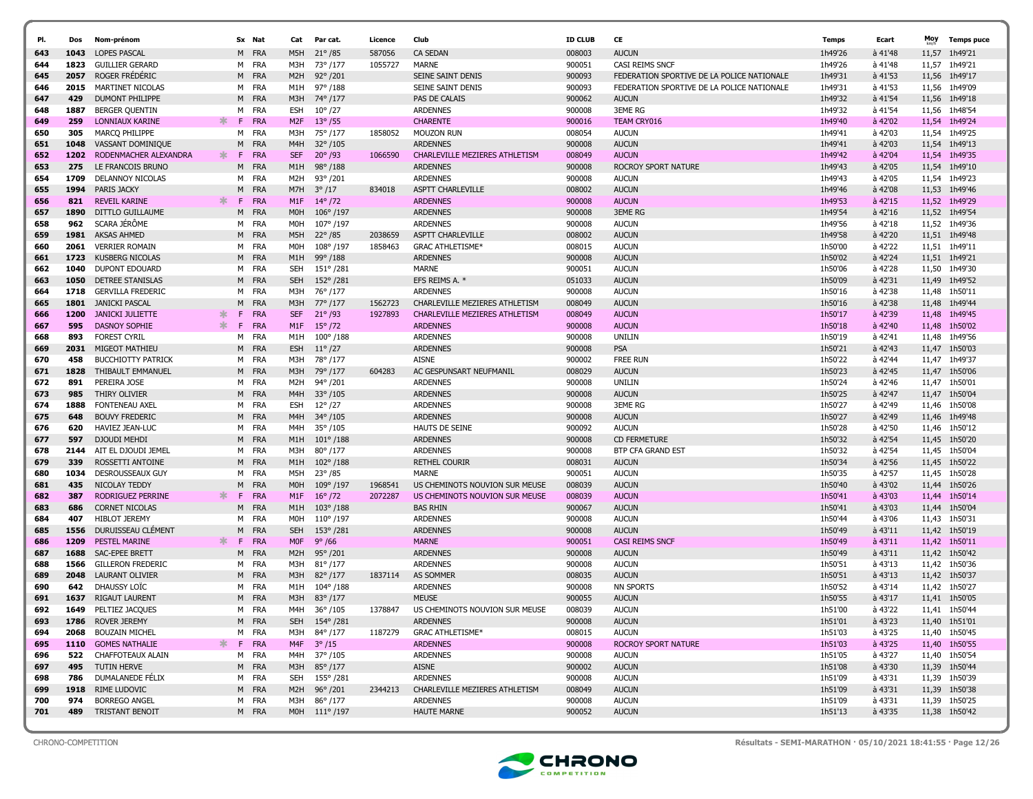| PI. | Dos  | Nom-prénom                   |    |    | Sx Nat     | Cat              | Par cat.          | Licence | Club                           | <b>ID CLUB</b> | CE                                         | Temps   | Ecart           | Moy   | <b>Temps puce</b> |
|-----|------|------------------------------|----|----|------------|------------------|-------------------|---------|--------------------------------|----------------|--------------------------------------------|---------|-----------------|-------|-------------------|
| 643 | 1043 | <b>LOPES PASCAL</b>          |    |    | M FRA      | M5H              | $21^{\circ}$ /85  | 587056  | <b>CA SEDAN</b>                | 008003         | <b>AUCUN</b>                               | 1h49'26 | à 41'48         | 11,57 | 1h49'21           |
| 644 | 1823 | <b>GUILLIER GERARD</b>       |    |    | M FRA      | МЗН              | 73° /177          | 1055727 | <b>MARNE</b>                   | 900051         | CASI REIMS SNCF                            | 1h49'26 | à 41'48         | 11,57 | 1h49'21           |
| 645 | 2057 | ROGER FRÉDÉRIC               |    |    | M FRA      | M <sub>2</sub> H | $92^{\circ}/201$  |         | SEINE SAINT DENIS              | 900093         | FEDERATION SPORTIVE DE LA POLICE NATIONALE | 1h49'31 | à 41'53         |       | 11,56 1h49'17     |
| 646 | 2015 | MARTINET NICOLAS             |    | M  | FRA        | M1H              | $97^{\circ}$ /188 |         | SEINE SAINT DENIS              | 900093         | FEDERATION SPORTIVE DE LA POLICE NATIONALE | 1h49'31 | à 41'53         | 11,56 | 1h49'09           |
| 647 | 429  | <b>DUMONT PHILIPPE</b>       |    |    | M FRA      | M3H              | 74° /177          |         | PAS DE CALAIS                  | 900062         | <b>AUCUN</b>                               | 1h49'32 | à 41'54         |       | 11.56 1h49'18     |
| 648 | 1887 | BERGER QUENTIN               |    | M  | FRA        | ESH              | $10^{\circ}/27$   |         | <b>ARDENNES</b>                | 900008         | <b>3EME RG</b>                             | 1h49'32 | à 41'54         |       | 11,56 1h48'54     |
| 649 | 259  | <b>LONNIAUX KARINE</b>       | ж. | F. | <b>FRA</b> | M <sub>2F</sub>  | $13^{\circ}$ /55  |         | <b>CHARENTE</b>                | 900016         | TEAM CRY016                                | 1h49'40 | à 42'02         |       | 11,54 1h49'24     |
| 650 | 305  | MARCQ PHILIPPE               |    | M  | FRA        | M3H              | 75° /177          | 1858052 | MOUZON RUN                     | 008054         | <b>AUCUN</b>                               | 1h49'41 | à 42'03         | 11,54 | 1h49'25           |
| 651 | 1048 | VASSANT DOMINIQUE            |    | M  | <b>FRA</b> | M4H              | $32^{\circ}/105$  |         | <b>ARDENNES</b>                | 900008         | <b>AUCUN</b>                               | 1h49'41 | à 42'03         | 11,54 | 1h49'13           |
| 652 | 1202 | RODENMACHER ALEXANDRA        | ж. | F. | <b>FRA</b> | <b>SEF</b>       | $20^{\circ}$ /93  | 1066590 | CHARLEVILLE MEZIERES ATHLETISM | 008049         | <b>AUCUN</b>                               | 1h49'42 | à 42'04         |       | 11.54 1h49'35     |
| 653 | 275  | LE FRANCOIS BRUNO            |    |    | M FRA      | M1H              | $98^{\circ}/188$  |         | <b>ARDENNES</b>                | 900008         | <b>ROCROY SPORT NATURE</b>                 | 1h49'43 | à 42'05         |       | 11,54 1h49'10     |
| 654 | 1709 | <b>DELANNOY NICOLAS</b>      |    | M  | FRA        | M2H              | 93°/201           |         | <b>ARDENNES</b>                | 900008         | <b>AUCUN</b>                               | 1h49'43 | à 42'05         | 11,54 | 1h49'23           |
| 655 | 1994 | PARIS JACKY                  |    | M  | <b>FRA</b> | M7H              | $3^{\circ}/17$    | 834018  | <b>ASPTT CHARLEVILLE</b>       | 008002         | <b>AUCUN</b>                               | 1h49'46 | à 42'08         |       | 11,53 1h49'46     |
| 656 | 821  | <b>REVEIL KARINE</b>         | ж. | F. | <b>FRA</b> | M1F              | $14^{\circ}/72$   |         | <b>ARDENNES</b>                | 900008         | <b>AUCUN</b>                               | 1h49'53 | à 42'15         | 11,52 | 1h49'29           |
| 657 | 1890 | DITTLO GUILLAUME             |    | M  | <b>FRA</b> | M <sub>O</sub> H | 106°/197          |         | <b>ARDENNES</b>                | 900008         | <b>3EME RG</b>                             | 1h49'54 | à 42'16         | 11,52 | 1h49'54           |
| 658 | 962  | SCARA JÉRÔME                 |    |    | M FRA      | M0H              | 107°/197          |         | <b>ARDENNES</b>                | 900008         | <b>AUCUN</b>                               | 1h49'56 | à 42'18         |       | 11,52 1h49'36     |
| 659 | 1981 | <b>AKSAS AHMED</b>           |    |    | M FRA      | M5H              | $22^{\circ}/85$   | 2038659 | ASPTT CHARLEVILLE              | 008002         | <b>AUCUN</b>                               | 1h49'58 | à 42'20         |       | 11,51 1h49'48     |
| 660 | 2061 | <b>VERRIER ROMAIN</b>        |    |    | M FRA      | M0H              | 108°/197          | 1858463 | <b>GRAC ATHLETISME*</b>        | 008015         | <b>AUCUN</b>                               | 1h50'00 | à 42'22         |       | 11,51 1h49'11     |
| 661 | 1723 | KUSBERG NICOLAS              |    | M  | <b>FRA</b> | M1H              | $99^{\circ}/188$  |         | <b>ARDENNES</b>                | 900008         | <b>AUCUN</b>                               | 1h50'02 | à 42'24         |       | 11,51 1h49'21     |
| 662 | 1040 | DUPONT EDOUARD               |    | M  | FRA        | <b>SEH</b>       | 151°/281          |         | <b>MARNE</b>                   | 900051         | <b>AUCUN</b>                               | 1h50'06 | à 42'28         | 11,50 | 1h49'30           |
| 663 |      | <b>1050 DETREE STANISLAS</b> |    |    | M FRA      | <b>SEH</b>       | 152°/281          |         | EFS REIMS A. *                 | 051033         | <b>AUCUN</b>                               | 1h50'09 | à 42'31         |       | 11,49 1h49'52     |
| 664 | 1718 | <b>GERVILLA FREDERIC</b>     |    | м  | FRA        | M3H              | 76°/177           |         | <b>ARDENNES</b>                | 900008         | <b>AUCUN</b>                               | 1h50'16 | à 42'38         | 11,48 | 1h50'11           |
| 665 |      | 1801 JANICKI PASCAL          |    | M  | <b>FRA</b> | M3H              | 77° /177          | 1562723 | CHARLEVILLE MEZIERES ATHLETISM | 008049         | <b>AUCUN</b>                               | 1h50'16 | à 42'38         |       | 11,48 1h49'44     |
| 666 | 1200 | JANICKI JULIETTE             | ж. | F. | <b>FRA</b> | <b>SEF</b>       | $21^{\circ}/93$   | 1927893 | CHARLEVILLE MEZIERES ATHLETISM | 008049         | <b>AUCUN</b>                               | 1h50'17 | $a$ 42'39       | 11,48 | 1h49'45           |
| 667 | 595  | <b>DASNOY SOPHIE</b>         | ∗. | F. | <b>FRA</b> | M <sub>1</sub> F | $15^{\circ}$ /72  |         | <b>ARDENNES</b>                | 900008         | <b>AUCUN</b>                               | 1h50'18 | à 42'40         | 11,48 | 1h50'02           |
| 668 | 893  | <b>FOREST CYRIL</b>          |    | м  | FRA        | M1H              | $100^{\circ}/188$ |         | <b>ARDENNES</b>                | 900008         | <b>UNILIN</b>                              | 1h50'19 | à 42'41         | 11,48 | 1h49'56           |
| 669 | 2031 | MIGEOT MATHIEU               |    |    | M FRA      | <b>ESH</b>       | $11^{\circ}/27$   |         | <b>ARDENNES</b>                | 900008         | <b>PSA</b>                                 | 1h50'21 | à 42'43         | 11,47 | 1h50'03           |
| 670 | 458  | <b>BUCCHIOTTY PATRICK</b>    |    | м  | FRA        | МЗН              | 78°/177           |         | <b>AISNE</b>                   | 900002         | <b>FREE RUN</b>                            | 1h50'22 | à 42'44         | 11,47 | 1h49'37           |
| 671 | 1828 | THIBAULT EMMANUEL            |    |    | M FRA      | M3H              | 79° /177          | 604283  | AC GESPUNSART NEUFMANIL        | 008029         | <b>AUCUN</b>                               | 1h50'23 | à 42'45         | 11,47 | 1h50'06           |
| 672 | 891  | PEREIRA JOSE                 |    | M  | FRA        | M2H              | 94°/201           |         | <b>ARDENNES</b>                | 900008         | <b>UNILIN</b>                              | 1h50'24 | à 42'46         | 11,47 | 1h50'01           |
| 673 | 985  | THIRY OLIVIER                |    | M  | <b>FRA</b> | M4H              | $33^{\circ}/105$  |         | <b>ARDENNES</b>                | 900008         | <b>AUCUN</b>                               | 1h50'25 | à 42'47         |       | 11,47 1h50'04     |
| 674 | 1888 | <b>FONTENEAU AXEL</b>        |    |    | M FRA      | <b>ESH</b>       | $12^{\circ}/27$   |         | <b>ARDENNES</b>                | 900008         | <b>3EME RG</b>                             | 1h50'27 | à 42'49         | 11,46 | 1h50'08           |
| 675 | 648  | <b>BOUVY FREDERIC</b>        |    |    | M FRA      | M <sub>4</sub> H | 34°/105           |         | <b>ARDENNES</b>                | 900008         | <b>AUCUN</b>                               | 1h50'27 | à 42'49         |       | 11,46 1h49'48     |
| 676 | 620  | <b>HAVIEZ JEAN-LUC</b>       |    |    | M FRA      | M4H              | 35°/105           |         | <b>HAUTS DE SEINE</b>          | 900092         | <b>AUCUN</b>                               | 1h50'28 | à 42'50         |       | 11,46 1h50'12     |
| 677 | 597  | DJOUDI MEHDI                 |    | M  | <b>FRA</b> | M1H              | $101^{\circ}/188$ |         | <b>ARDENNES</b>                | 900008         | <b>CD FERMETURE</b>                        | 1h50'32 | à 42'54         |       | 11,45 1h50'20     |
| 678 | 2144 | AIT EL DJOUDI JEMEL          |    |    | M FRA      | M3H              | 80°/177           |         | <b>ARDENNES</b>                | 900008         | BTP CFA GRAND EST                          | 1h50'32 | à 42'54         |       | 11,45 1h50'04     |
| 679 | 339  | ROSSETTI ANTOINE             |    |    | M FRA      | M1H              | $102^{\circ}/188$ |         | <b>RETHEL COURIR</b>           | 008031         | <b>AUCUN</b>                               | 1h50'34 | à 42'56         | 11,45 | 1h50'22           |
| 680 | 1034 | DESROUSSEAUX GUY             |    |    | M FRA      | M5H              | $23^{\circ}/85$   |         | <b>MARNE</b>                   | 900051         | <b>AUCUN</b>                               | 1h50'35 | à 42'57         |       | 11,45 1h50'28     |
| 681 | 435  | NICOLAY TEDDY                |    | M  | <b>FRA</b> | M0H              | 109°/197          | 1968541 | US CHEMINOTS NOUVION SUR MEUSE | 008039         | <b>AUCUN</b>                               | 1h50'40 | $\hat{a}$ 43'02 | 11,44 | 1h50'26           |
| 682 | 387  | RODRIGUEZ PERRINE            | ж. | F. | <b>FRA</b> | M1F              | $16^{\circ}/72$   | 2072287 | US CHEMINOTS NOUVION SUR MEUSE | 008039         | <b>AUCUN</b>                               | 1h50'41 | à 43'03         | 11,44 | 1h50'14           |
| 683 | 686  | <b>CORNET NICOLAS</b>        |    |    | M FRA      | M1H              | $103^{\circ}/188$ |         | <b>BAS RHIN</b>                | 900067         | <b>AUCUN</b>                               | 1h50'41 | à 43'03         | 11,44 | 1h50'04           |
| 684 | 407  | <b>HIBLOT JEREMY</b>         |    | M  | FRA        | M0H              | $110^{\circ}/197$ |         | <b>ARDENNES</b>                | 900008         | <b>AUCUN</b>                               | 1h50'44 | à 43'06         | 11,43 | 1h50'31           |
| 685 | 1556 | DURUISSEAU CLÉMENT           |    | M  | <b>FRA</b> | <b>SEH</b>       | 153°/281          |         | <b>ARDENNES</b>                | 900008         | <b>AUCUN</b>                               | 1h50'49 | à 43'11         |       | 11,42 1h50'19     |
| 686 | 1209 | PESTEL MARINE                | ∗. | F. | <b>FRA</b> | <b>MOF</b>       | $9^{\circ}$ /66   |         | <b>MARNE</b>                   | 900051         | CASI REIMS SNCF                            | 1h50'49 | $a$ 43'11       |       | 11,42 1h50'11     |
| 687 | 1688 | <b>SAC-EPEE BRETT</b>        |    |    | M FRA      | M2H              | $95^{\circ}/201$  |         | <b>ARDENNES</b>                | 900008         | <b>AUCUN</b>                               | 1h50'49 | à 43'11         |       | 11,42 1h50'42     |
| 688 | 1566 | <b>GILLERON FREDERIC</b>     |    | M  | FRA        | M3H              | $81^{\circ}/177$  |         | <b>ARDENNES</b>                | 900008         | <b>AUCUN</b>                               | 1h50'51 | à 43'13         | 11,42 | 1h50'36           |
| 689 | 2048 | <b>LAURANT OLIVIER</b>       |    |    | M FRA      | M3H              | 82°/177           | 1837114 | <b>AS SOMMER</b>               | 008035         | <b>AUCUN</b>                               | 1h50'51 | à 43'13         |       | 11,42 1h50'37     |
| 690 | 642  | DHAUSSY LOÏC                 |    | M  | FRA        | M1H              | $104^{\circ}/188$ |         | <b>ARDENNES</b>                | 900008         | <b>NN SPORTS</b>                           | 1h50'52 | à 43'14         |       | 11,42 1h50'27     |
| 691 | 1637 | RIGAUT LAURENT               |    |    | M FRA      |                  | M3H 83° /177      |         | <b>MEUSE</b>                   | 900055         | <b>AUCUN</b>                               | 1h50'55 | à 43'17         |       | 11,41 1h50'05     |
| 692 | 1649 | PELTIEZ JACQUES              |    | м  | <b>FRA</b> | M4H              | 36°/105           | 1378847 | US CHEMINOTS NOUVION SUR MEUSE | 008039         | <b>AUCUN</b>                               | 1h51'00 | à 43'22         |       | 11,41 1h50'44     |
| 693 |      | 1786 ROVER JEREMY            |    |    | M FRA      |                  | SEH 154° /281     |         | <b>ARDENNES</b>                | 900008         | <b>AUCUN</b>                               | 1h51'01 | $a$ 43'23       |       | 11,40 1h51'01     |
| 694 |      | 2068 BOUZAIN MICHEL          |    |    | M FRA      |                  | M3H 84°/177       | 1187279 | <b>GRAC ATHLETISME*</b>        | 008015         | <b>AUCUN</b>                               | 1h51'03 | à 43'25         |       | 11,40 1h50'45     |
| 695 |      | 1110 GOMES NATHALIE          |    |    | F FRA      | M <sub>4F</sub>  | $3^{\circ}/15$    |         | <b>ARDENNES</b>                | 900008         | ROCROY SPORT NATURE                        | 1h51'03 | $a$ 43'25       |       | 11,40 1h50'55     |
| 696 |      | 522 CHAFFOTEAUX ALAIN        |    |    | M FRA      |                  | M4H 37°/105       |         | <b>ARDENNES</b>                | 900008         | <b>AUCUN</b>                               | 1h51'05 | à 43'27         |       | 11,40 1h50'54     |
| 697 | 495  | TUTIN HERVE                  |    |    | M FRA      |                  | M3H 85°/177       |         | AISNE                          | 900002         | <b>AUCUN</b>                               | 1h51'08 | à 43'30         |       | 11,39 1h50'44     |
| 698 | 786  | DUMALANEDE FÉLIX             |    |    | M FRA      |                  | SEH 155° /281     |         | <b>ARDENNES</b>                | 900008         | <b>AUCUN</b>                               | 1h51'09 | à 43'31         |       | 11,39 1h50'39     |
| 699 | 1918 | RIME LUDOVIC                 |    |    | M FRA      |                  | M2H 96° /201      | 2344213 | CHARLEVILLE MEZIERES ATHLETISM | 008049         | <b>AUCUN</b>                               | 1h51'09 | à 43'31         |       | 11,39 1h50'38     |
| 700 | 974  | <b>BORREGO ANGEL</b>         |    |    | M FRA      |                  | M3H 86° /177      |         | ARDENNES                       | 900008         | <b>AUCUN</b>                               | 1h51'09 | à 43'31         |       | 11,39 1h50'25     |
| 701 | 489  | TRISTANT BENOIT              |    |    | M FRA      |                  | M0H 111°/197      |         | <b>HAUTE MARNE</b>             | 900052         | <b>AUCUN</b>                               | 1h51'13 | à 43'35         |       | 11,38 1h50'42     |



CHRONO-COMPETITION Résultats - SEMI-MARATHON · 05/10/2021 18:41:55 · Page 12/26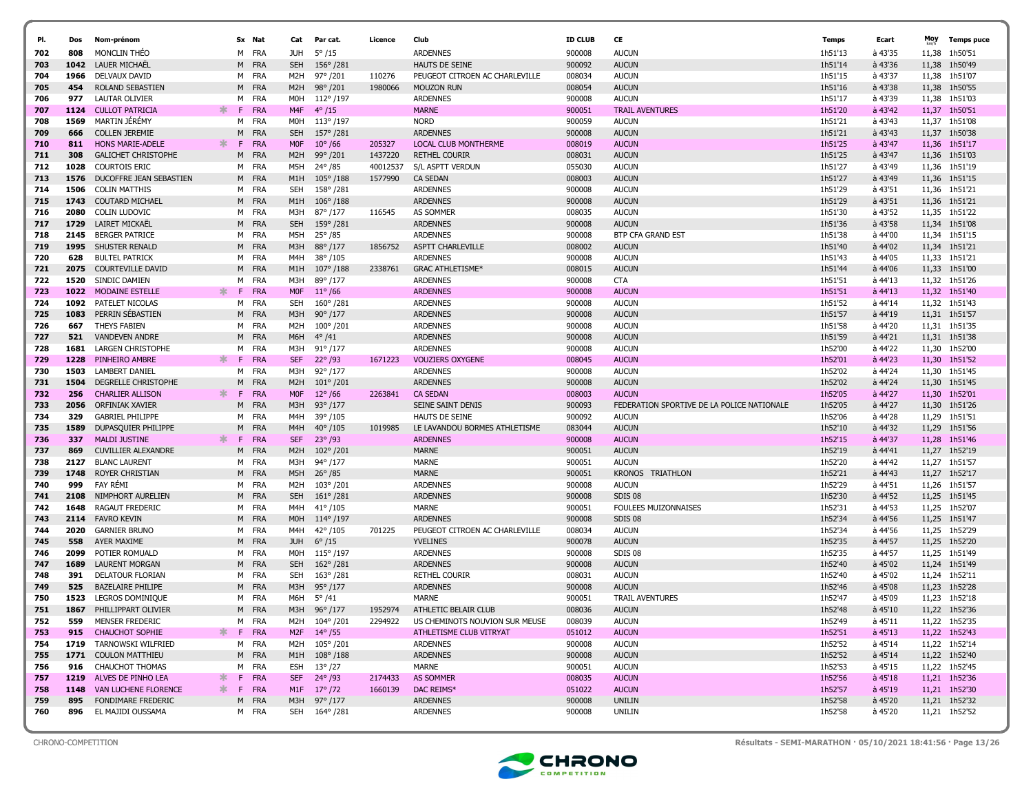|            |             |                                          |    |    |              |                  |                                     |          |                                 |                  |                                            |                    |                      | Moy            |                    |
|------------|-------------|------------------------------------------|----|----|--------------|------------------|-------------------------------------|----------|---------------------------------|------------------|--------------------------------------------|--------------------|----------------------|----------------|--------------------|
| PI.        | Dos         | Nom-prénom                               |    |    | Sx Nat       | Cat              | Par cat.                            | Licence  | Club                            | <b>ID CLUB</b>   | CE                                         | Temps              | Ecart                |                | <b>Temps puce</b>  |
| 702        | 808         | MONCLIN THEO                             |    |    | M FRA        | JUH              | $5^{\circ}/15$                      |          | <b>ARDENNES</b>                 | 900008           | <b>AUCUN</b>                               | 1h51'13            | à 43'35              | 11,38          | 1h50'51            |
| 703        | 1042        | LAUER MICHAËL                            |    |    | M FRA        | <b>SEH</b>       | $156^{\circ}/281$                   |          | HAUTS DE SEINE                  | 900092           | <b>AUCUN</b>                               | 1h51'14            | à 43'36              | 11,38          | 1h50'49            |
| 704        | 1966        | DELVAUX DAVID                            |    |    | M FRA        | M2H              | 97°/201                             | 110276   | PEUGEOT CITROEN AC CHARLEVILLE  | 008034           | <b>AUCUN</b>                               | 1h51'15            | à 43'37              | 11,38          | 1h51'07            |
| 705        | 454         | ROLAND SEBASTIEN                         |    | M  | FRA          | M <sub>2</sub> H | $98^{\circ}/201$                    | 1980066  | <b>MOUZON RUN</b>               | 008054           | <b>AUCUN</b>                               | 1h51'16            | à 43'38              | 11,38          | 1h50'55            |
| 706<br>707 | 977<br>1124 | LAUTAR OLIVIER<br><b>CULLOT PATRICIA</b> | ж  | F. | M FRA<br>FRA | MOH<br>M4F       | $112^{\circ}/197$<br>$4^{\circ}/15$ |          | <b>ARDENNES</b><br><b>MARNE</b> | 900008<br>900051 | <b>AUCUN</b><br><b>TRAIL AVENTURES</b>     | 1h51'17<br>1h51'20 | à 43'39<br>$a$ 43'42 | 11,38<br>11,37 | 1h51'03<br>1h50'51 |
| 708        | 1569        | <b>MARTIN JEREMY</b>                     |    | м  | FRA          | MOH              | 113°/197                            |          | <b>NORD</b>                     | 900059           | <b>AUCUN</b>                               | 1h51'21            | à 43'43              | 11,37          | 1h51'08            |
| 709        | 666         | <b>COLLEN JEREMIE</b>                    |    | M  | FRA          | <b>SEH</b>       | 157°/281                            |          | <b>ARDENNES</b>                 | 900008           | <b>AUCUN</b>                               | 1h51'21            | à 43'43              |                | 11,37 1h50'38      |
| 710        | 811         | <b>HONS MARIE-ADELE</b>                  | ж. | F. | FRA          | <b>MOF</b>       | $10^{\circ}$ /66                    | 205327   | <b>LOCAL CLUB MONTHERME</b>     | 008019           | <b>AUCUN</b>                               | 1h51'25            | $a$ 43'47            |                | 11,36 1h51'17      |
| 711        | 308         | <b>GALICHET CHRISTOPHE</b>               |    | M  | FRA          | M2H              | 99°/201                             | 1437220  | <b>RETHEL COURIR</b>            | 008031           | <b>AUCUN</b>                               | 1h51'25            | à 43'47              |                | 11,36 1h51'03      |
| 712        | 1028        | COURTOIS ERIC                            |    |    | M FRA        | M5H              | 24°/85                              | 40012537 | S/L ASPTT VERDUN                | 055030           | <b>AUCUN</b>                               | 1h51'27            | à 43'49              | 11,36          | 1h51'19            |
| 713        | 1576        | DUCOFFRE JEAN SEBASTIEN                  |    |    | M FRA        | M1H              | $105^{\circ}/188$                   | 1577990  | <b>CA SEDAN</b>                 | 008003           | <b>AUCUN</b>                               | 1h51'27            | à 43'49              | 11,36          | 1h51'15            |
| 714        | 1506        | <b>COLIN MATTHIS</b>                     |    |    | M FRA        | <b>SEH</b>       | 158°/281                            |          | <b>ARDENNES</b>                 | 900008           | <b>AUCUN</b>                               | 1h51'29            | à 43'51              | 11,36          | 1h51'21            |
| 715        | 1743        | <b>COUTARD MICHAEL</b>                   |    |    | M FRA        | M1H              | $106^{\circ}/188$                   |          | <b>ARDENNES</b>                 | 900008           | <b>AUCUN</b>                               | 1h51'29            | à 43'51              | 11,36          | 1h51'21            |
| 716        | 2080        | <b>COLIN LUDOVIC</b>                     |    | м  | FRA          | M3H              | 87°/177                             | 116545   | AS SOMMER                       | 008035           | <b>AUCUN</b>                               | 1h51'30            | à 43'52              | 11,35          | 1h51'22            |
| 717        | 1729        | LAIRET MICKAEL                           |    |    | M FRA        | <b>SEH</b>       | 159°/281                            |          | <b>ARDENNES</b>                 | 900008           | <b>AUCUN</b>                               | 1h51'36            | à 43'58              | 11,34          | 1h51'08            |
| 718        | 2145        | <b>BERGER PATRICE</b>                    |    | м  | FRA          | M5H              | 25°/85                              |          | <b>ARDENNES</b>                 | 900008           | <b>BTP CFA GRAND EST</b>                   | 1h51'38            | à 44'00              | 11,34          | 1h51'15            |
| 719        | 1995        | SHUSTER RENALD                           |    | M  | FRA          | M3H              | 88°/177                             | 1856752  | <b>ASPTT CHARLEVILLE</b>        | 008002           | <b>AUCUN</b>                               | 1h51'40            | à 44'02              | 11,34          | 1h51'21            |
| 720        | 628         | <b>BULTEL PATRICK</b>                    |    | M  | FRA          | M4H              | 38°/105                             |          | <b>ARDENNES</b>                 | 900008           | <b>AUCUN</b>                               | 1h51'43            | à 44'05              | 11,33          | 1h51'21            |
| 721        | 2075        | <b>COURTEVILLE DAVID</b>                 |    | M  | FRA          | M1H              | $107^{\circ}/188$                   | 2338761  | <b>GRAC ATHLETISME*</b>         | 008015           | <b>AUCUN</b>                               | 1h51'44            | à 44'06              | 11,33          | 1h51'00            |
| 722        | 1520        | SINDIC DAMIEN                            |    |    | M FRA        | M3H              | 89°/177                             |          | <b>ARDENNES</b>                 | 900008           | <b>CTA</b>                                 | 1h51'51            | à 44'13              |                | 11,32 1h51'26      |
| 723        | 1022        | MODAINE ESTELLE                          | ж  | F  | FRA          | <b>MOF</b>       | $11^{\circ} / 66$                   |          | <b>ARDENNES</b>                 | 900008           | <b>AUCUN</b>                               | 1h51'51            | $a$ 44'13            | 11,32          | 1h51'40            |
| 724        | 1092        | PATELET NICOLAS                          |    |    | M FRA        | <b>SEH</b>       | $160^{\circ}/281$                   |          | <b>ARDENNES</b>                 | 900008           | <b>AUCUN</b>                               | 1h51'52            | à 44'14              | 11,32          | 1h51'43            |
| 725        | 1083        | PERRIN SÉBASTIEN                         |    |    | M FRA        | M3H              | $90^{\circ}/177$                    |          | <b>ARDENNES</b>                 | 900008           | <b>AUCUN</b>                               | 1h51'57            | à 44'19              |                | 11,31 1h51'57      |
| 726        | 667         | THEYS FABIEN                             |    |    | M FRA        | M2H              | 100°/201                            |          | <b>ARDENNES</b>                 | 900008           | <b>AUCUN</b>                               | 1h51'58            | à 44'20              | 11,31          | 1h51'35            |
| 727        | 521         | <b>VANDEVEN ANDRE</b>                    |    | M  | FRA          | M6H              | $4^{\circ}/41$                      |          | <b>ARDENNES</b>                 | 900008           | <b>AUCUN</b>                               | 1h51'59            | à 44'21              |                | 11.31 1h51'38      |
| 728        | 1681        | <b>LARGEN CHRISTOPHE</b>                 |    |    | M FRA        | M3H              | 91° /177                            |          | <b>ARDENNES</b>                 | 900008           | <b>AUCUN</b>                               | 1h52'00            | à 44'22              | 11,30          | 1h52'00            |
| 729        | 1228        | PINHEIRO AMBRE                           | *  | F  | FRA          | <b>SEF</b>       | $22^{\circ}$ /93                    | 1671223  | <b>VOUZIERS OXYGENE</b>         | 008045           | <b>AUCUN</b>                               | 1h52'01            | $a$ 44'23            | 11,30          | 1h51'52            |
| 730        | 1503        | LAMBERT DANIEL                           |    | м  | FRA          | M3H              | 92°/177                             |          | <b>ARDENNES</b>                 | 900008           | <b>AUCUN</b>                               | 1h52'02            | à 44'24              | 11,30          | 1h51'45            |
| 731        | 1504        | DEGRELLE CHRISTOPHE                      |    | M  | FRA          | M2H              | $101^{\circ}/201$                   |          | <b>ARDENNES</b>                 | 900008           | <b>AUCUN</b>                               | 1h52'02            | à 44'24              | 11,30          | 1h51'45            |
| 732        | 256         | <b>CHARLIER ALLISON</b>                  | ∗. | F. | FRA          | <b>MOF</b>       | $12^{\circ}/66$                     | 2263841  | <b>CA SEDAN</b>                 | 008003           | <b>AUCUN</b>                               | 1h52'05            | à 44'27              | 11,30          | 1h52'01            |
| 733        | 2056        | ORFINIAK XAVIER                          |    | M  | FRA          | M3H              | $93^{\circ}/177$                    |          | <b>SEINE SAINT DENIS</b>        | 900093           | FEDERATION SPORTIVE DE LA POLICE NATIONALE | 1h52'05            | à 44'27              | 11,30          | 1h51'26            |
| 734        | 329         | <b>GABRIEL PHILIPPE</b>                  |    | м  | FRA          | M4H              | 39°/105                             |          | HAUTS DE SEINE                  | 900092           | <b>AUCUN</b>                               | 1h52'06            | à 44'28              | 11,29          | 1h51'51            |
| 735        | 1589        | DUPASQUIER PHILIPPE                      |    | M  | FRA          | M4H              | $40^{\circ}/105$                    | 1019985  | LE LAVANDOU BORMES ATHLETISME   | 083044           | <b>AUCUN</b>                               | 1h52'10            | à 44'32              | 11,29          | 1h51'56            |
| 736        | 337         | <b>MALDI JUSTINE</b>                     | ж  | F. | <b>FRA</b>   | <b>SEF</b>       | $23^{\circ}$ /93                    |          | <b>ARDENNES</b>                 | 900008           | <b>AUCUN</b>                               | 1h52'15            | à 44'37              | 11,28          | 1h51'46            |
| 737        | 869         | <b>CUVILLIER ALEXANDRE</b>               |    |    | M FRA        | M <sub>2</sub> H | $102^{\circ}/201$                   |          | <b>MARNE</b>                    | 900051           | <b>AUCUN</b>                               | 1h52'19            | à 44'41              | 11,27          | 1h52'19            |
| 738        | 2127        | <b>BLANC LAURENT</b>                     |    | M  | FRA          | M3H              | 94°/177                             |          | MARNE                           | 900051           | <b>AUCUN</b>                               | 1h52'20            | à 44'42              | 11,27          | 1h51'57            |
| 739        | 1748        | <b>ROYER CHRISTIAN</b>                   |    | M  | FRA          | M5H              | $26^{\circ}$ /85                    |          | <b>MARNE</b>                    | 900051           | <b>KRONOS</b><br><b>TRIATHLON</b>          | 1h52'21            | à 44'43              | 11,27          | 1h52'17            |
| 740        | 999         | FAY RÉMI                                 |    | м  | FRA          | M2H              | 103°/201                            |          | <b>ARDENNES</b>                 | 900008           | <b>AUCUN</b>                               | 1h52'29            | à 44'51              |                | 11,26 1h51'57      |
| 741        | 2108        | NIMPHORT AURELIEN                        |    | M  | FRA          | <b>SEH</b>       | $161^{\circ}/281$                   |          | <b>ARDENNES</b>                 | 900008           | <b>SDIS 08</b>                             | 1h52'30            | à 44'52              |                | 11,25 1h51'45      |
| 742        | 1648        | RAGAUT FREDERIC                          |    |    | M FRA        | M4H              | $41^{\circ}/105$                    |          | <b>MARNE</b>                    | 900051           | FOULEES MUIZONNAISES                       | 1h52'31            | à 44'53              |                | 11,25 1h52'07      |
| 743        | 2114        | <b>FAVRO KEVIN</b>                       |    |    | M FRA        | M <sub>O</sub> H | $114^{\circ}/197$                   |          | <b>ARDENNES</b>                 | 900008           | SDIS <sub>08</sub>                         | 1h52'34            | à 44'56              | 11,25          | 1h51'47            |
| 744        | 2020        | <b>GARNIER BRUNO</b>                     |    |    | M FRA        | M4H              | 42°/105                             | 701225   | PEUGEOT CITROEN AC CHARLEVILLE  | 008034           | <b>AUCUN</b>                               | 1h52'34            | à 44'56              | 11,25          | 1h52'29            |
| 745        | 558         | AYER MAXIME                              |    |    | M FRA        | <b>JUH</b>       | $6^{\circ}/15$                      |          | <b>YVELINES</b>                 | 900078           | <b>AUCUN</b>                               | 1h52'35            | à 44'57              | 11,25          | 1h52'20            |
| 746        | 2099        | POTIER ROMUALD                           |    |    | M FRA        | MOH              | $115^{\circ}/197$                   |          | <b>ARDENNES</b>                 | 900008           | SDIS 08                                    | 1h52'35            | à 44'57              |                | 11,25 1h51'49      |
| 747        | 1689        | <b>LAURENT MORGAN</b>                    |    |    | M FRA        | <b>SEH</b>       | $162^{\circ}/281$                   |          | <b>ARDENNES</b>                 | 900008           | <b>AUCUN</b>                               | 1h52'40            | à 45'02              |                | 11,24 1h51'49      |
| 748        | 391         | DELATOUR FLORIAN                         |    |    | M FRA        | <b>SEH</b>       | 163°/281                            |          | <b>RETHEL COURIR</b>            | 008031           | <b>AUCUN</b>                               | 1h52'40            | à 45'02              |                | 11,24 1h52'11      |
| 749        | 525         | <b>BAZELAIRE PHILIPE</b>                 |    | M  | FRA          | M3H              | $95^{\circ}$ /177                   |          | <b>ARDENNES</b>                 | 900008           | <b>AUCUN</b>                               | 1h52'46            | à 45'08              | 11,23          | 1h52'28            |
| 750        | 1523        | LEGROS DOMINIQUE                         |    | м  | FRA          | M6H              | $5^{\circ}/41$                      |          | <b>MARNE</b>                    | 900051           | <b>TRAIL AVENTURES</b>                     | 1h52'47            | à 45'09              |                | 11,23 1h52'18      |
| 751        | 1867        | PHILLIPPART OLIVIER                      |    | M  | <b>FRA</b>   | M3H              | 96° /177                            | 1952974  | ATHLETIC BELAIR CLUB            | 008036           | <b>AUCUN</b>                               | 1h52'48            | à 45'10              |                | 11,22 1h52'36      |
| 752        | 559         | MENSER FREDERIC                          |    |    | M FRA        |                  | M2H 104°/201                        | 2294922  | US CHEMINOTS NOUVION SUR MEUSE  | 008039           | <b>AUCUN</b>                               | 1h52'49            | à 45'11              |                | 11,22 1h52'35      |
| 753        | 915         | <b>CHAUCHOT SOPHIE</b>                   |    |    | F FRA        | M <sub>2F</sub>  | $14^{\circ}$ /55                    |          | ATHLETISME CLUB VITRYAT         | 051012           | <b>AUCUN</b>                               | 1h52'51            | à 45'13              |                | 11,22 1h52'43      |
| 754        | 1719        | TARNOWSKI WILFRIED                       |    |    | M FRA        | M2H              | 105°/201                            |          | <b>ARDENNES</b>                 | 900008           | <b>AUCUN</b>                               | 1h52'52            | à 45'14              |                | 11,22 1h52'14      |
| 755        | 1771        | <b>COULON MATTHIEU</b>                   |    |    | M FRA        | M1H              | $108^{\circ}/188$                   |          | <b>ARDENNES</b>                 | 900008           | <b>AUCUN</b>                               | 1h52'52            | à 45'14              |                | 11,22 1h52'40      |
| 756        | 916         | CHAUCHOT THOMAS                          |    |    | M FRA        | <b>ESH</b>       | $13^{\circ}/27$                     |          | MARNE                           | 900051           | <b>AUCUN</b>                               | 1h52'53            | à 45'15              |                | 11,22 1h52'45      |
| 757        | 1219        | ALVES DE PINHO LEA                       | ∗  | F. | <b>FRA</b>   | <b>SEF</b>       | 24°/93                              | 2174433  | <b>AS SOMMER</b>                | 008035           | <b>AUCUN</b>                               | 1h52'56            | $a$ 45'18            |                | 11,21 1h52'36      |
| 758        | 1148        | VAN LUCHENE FLORENCE                     | ж. |    | F FRA        |                  | M1F 17° /72                         | 1660139  | DAC REIMS*                      | 051022           | <b>AUCUN</b>                               | 1h52'57            | à 45'19              |                | 11,21 1h52'30      |
| 759        | 895         | FONDIMARE FREDERIC                       |    |    | M FRA        |                  | M3H 97° /177                        |          | <b>ARDENNES</b>                 | 900008           | <b>UNILIN</b>                              | 1h52'58            | à 45'20              |                | 11,21 1h52'32      |
| 760        | 896         | EL MAJIDI OUSSAMA                        |    |    | M FRA        |                  | SEH 164° /281                       |          | <b>ARDENNES</b>                 | 900008           | UNILIN                                     | 1h52'58            | à 45'20              |                | 11,21 1h52'52      |



CHRONO-COMPETITION Résultats - SEMI-MARATHON · 05/10/2021 18:41:56 · Page 13/26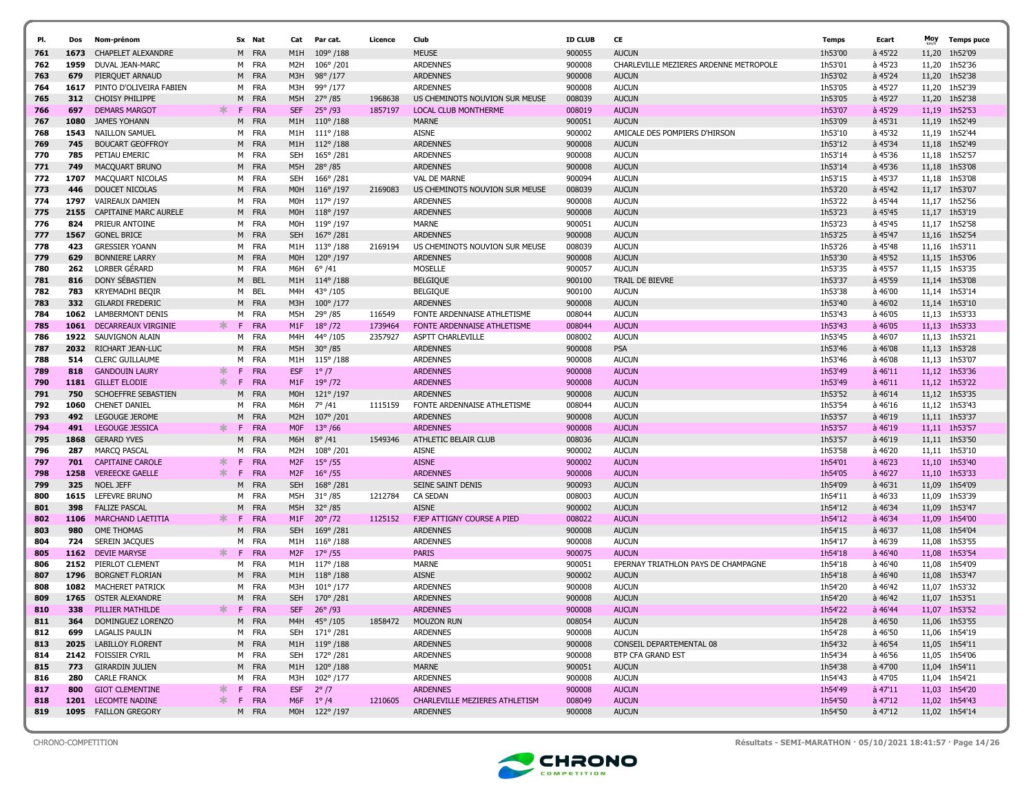| PI.        | Dos         | Nom-prénom                                       |        |         | Sx Nat            | Cat                                | Par cat.                           | Licence | Club                                       | <b>ID CLUB</b>   | CE                                     | <b>Temps</b>       | Ecart                  | Moy            | <b>Temps puce</b>        |
|------------|-------------|--------------------------------------------------|--------|---------|-------------------|------------------------------------|------------------------------------|---------|--------------------------------------------|------------------|----------------------------------------|--------------------|------------------------|----------------|--------------------------|
| 761        | 1673        | <b>CHAPELET ALEXANDRE</b>                        |        |         | M FRA             |                                    | 109°/188                           |         | <b>MEUSE</b>                               | 900055           | <b>AUCUN</b>                           | 1h53'00            | à 45'22                |                | 1h52'09                  |
| 762        | 1959        | DUVAL JEAN-MARC                                  |        |         | M FRA             | M1H<br>M <sub>2</sub> H            | 106°/201                           |         | <b>ARDENNES</b>                            | 900008           | CHARLEVILLE MEZIERES ARDENNE METROPOLE | 1h53'01            | à 45'23                | 11,20<br>11,20 | 1h52'36                  |
| 763        | 679         | PIERQUET ARNAUD                                  |        |         | M FRA             | M3H                                | 98°/177                            |         | <b>ARDENNES</b>                            | 900008           | <b>AUCUN</b>                           | 1h53'02            | à 45'24                | 11,20          | 1h52'38                  |
| 764        | 1617        | PINTO D'OLIVEIRA FABIEN                          |        | M       | FRA               | M3H                                | 99°/177                            |         | <b>ARDENNES</b>                            | 900008           | <b>AUCUN</b>                           | 1h53'05            | à 45'27                | 11,20          | 1h52'39                  |
| 765        | 312         | <b>CHOISY PHILIPPE</b>                           |        |         | M FRA             | M5H                                | 27° / 85                           | 1968638 | US CHEMINOTS NOUVION SUR MEUSE             | 008039           | <b>AUCUN</b>                           | 1h53'05            | à 45'27                | 11,20          | 1h52'38                  |
| 766        | 697         | <b>DEMARS MARGOT</b>                             | *      | F       | <b>FRA</b>        | <b>SEF</b>                         | $25^{\circ}$ /93                   | 1857197 | <b>LOCAL CLUB MONTHERME</b>                | 008019           | <b>AUCUN</b>                           | 1h53'07            | à 45'29                | 11,19          | 1h52'53                  |
| 767        | 1080        | JAMES YOHANN                                     |        | M       | FRA               | M1H                                | $110^{\circ}/188$                  |         | <b>MARNE</b>                               | 900051           | <b>AUCUN</b>                           | 1h53'09            | à 45'31                | 11,19          | 1h52'49                  |
| 768        | 1543        | NAILLON SAMUEL                                   |        | M       | FRA               | M1H                                | $111^{\circ}/188$                  |         | <b>AISNE</b>                               | 900002           | AMICALE DES POMPIERS D'HIRSON          | 1h53'10            | à 45'32                |                | 11,19 1h52'44            |
|            | 745         |                                                  |        |         | M FRA             | M1H                                |                                    |         | <b>ARDENNES</b>                            | 900008           | <b>AUCUN</b>                           | 1h53'12            | à 45'34                |                | 11,18 1h52'49            |
| 769        | 785         | <b>BOUCART GEOFFROY</b><br>PETIAU EMERIC         |        |         | M FRA             | <b>SEH</b>                         | $112^{\circ}/188$                  |         | <b>ARDENNES</b>                            | 900008           | <b>AUCUN</b>                           | 1h53'14            | à 45'36                |                |                          |
| 770        | 749         |                                                  |        | M       | FRA               | M5H                                | 165°/281<br>$28^{\circ}/85$        |         | <b>ARDENNES</b>                            | 900008           | <b>AUCUN</b>                           | 1h53'14            | à 45'36                |                | 11,18 1h52'57<br>1h53'08 |
| 771        |             | MACQUART BRUNO                                   |        |         |                   |                                    |                                    |         |                                            |                  |                                        |                    |                        | 11,18          |                          |
| 772        | 1707        | MACQUART NICOLAS                                 |        |         | M FRA             | <b>SEH</b>                         | 166°/281                           |         | <b>VAL DE MARNE</b>                        | 900094           | <b>AUCUN</b>                           | 1h53'15            | à 45'37                |                | 11,18 1h53'08            |
| 773        | 446         | DOUCET NICOLAS                                   |        | M       | FRA               | M0H                                | $116^{\circ}/197$                  | 2169083 | US CHEMINOTS NOUVION SUR MEUSE             | 008039           | <b>AUCUN</b>                           | 1h53'20            | à 45'42                |                | 11,17 1h53'07            |
| 774        | 1797        | VAIREAUX DAMIEN                                  |        |         | M FRA             | M0H                                | 117°/197                           |         | <b>ARDENNES</b>                            | 900008           | <b>AUCUN</b>                           | 1h53'22            | à 45'44                |                | 11,17 1h52'56            |
| 775        | 2155        | CAPITAINE MARC AURELE                            |        |         | M FRA             | M <sub>O</sub> H                   | $118^{\circ}/197$                  |         | <b>ARDENNES</b>                            | 900008           | <b>AUCUN</b>                           | 1h53'23            | à 45'45                | 11,17          | 1h53'19                  |
| 776        | 824<br>1567 | PRIEUR ANTOINE                                   |        |         | M FRA             | M0H                                | 119°/197                           |         | MARNE                                      | 900051           | <b>AUCUN</b>                           | 1h53'23            | à 45'45                |                | 11,17 1h52'58            |
| 777        |             | <b>GONEL BRICE</b>                               |        |         | M FRA             | <b>SEH</b>                         | 167°/281                           |         | <b>ARDENNES</b>                            | 900008           | <b>AUCUN</b>                           | 1h53'25            | à 45'47                |                | 11,16 1h52'54            |
| 778        | 423         | <b>GRESSIER YOANN</b>                            |        | M       | FRA               | M1H                                | $113^{\circ}/188$                  | 2169194 | US CHEMINOTS NOUVION SUR MEUSE             | 008039           | <b>AUCUN</b>                           | 1h53'26            | à 45'48                | 11,16          | 1h53'11                  |
| 779        | 629         | <b>BONNIERE LARRY</b>                            |        |         | M FRA             | M0H                                | $120^{\circ}/197$                  |         | <b>ARDENNES</b>                            | 900008           | <b>AUCUN</b>                           | 1h53'30            | à 45'52                |                | 11,15 1h53'06            |
| 780        | 262         | LORBER GERARD                                    |        | M       | FRA               | M6H                                | $6^{\circ}/41$                     |         | <b>MOSELLE</b>                             | 900057           | <b>AUCUN</b>                           | 1h53'35            | à 45'57                |                | 11,15 1h53'35            |
| 781        | 816         | DONY SÉBASTIEN                                   |        |         | M BEL             | M1H                                | $114^{\circ}/188$                  |         | <b>BELGIQUE</b>                            | 900100           | TRAIL DE BIEVRE                        | 1h53'37            | à 45'59                |                | 11,14 1h53'08            |
| 782        | 783         | KRYEMADHI BEQIR                                  |        | M       | BEL               | M4H                                | 43°/105                            |         | <b>BELGIQUE</b>                            | 900100           | <b>AUCUN</b>                           | 1h53'38            | à 46'00                |                | 11,14 1h53'14            |
| 783        | 332         | <b>GILARDI FREDERIC</b>                          |        |         | M FRA             | M3H                                | $100^{\circ}/177$                  |         | <b>ARDENNES</b>                            | 900008           | <b>AUCUN</b>                           | 1h53'40            | à 46'02                | 11,14          | 1h53'10                  |
| 784        | 1062        | LAMBERMONT DENIS                                 |        | M       | FRA               | M5H                                | 29°/85                             | 116549  | FONTE ARDENNAISE ATHLETISME                | 008044           | <b>AUCUN</b>                           | 1h53'43            | à 46'05                | 11,13          | 1h53'33                  |
| 785        | 1061        | DECARREAUX VIRGINIE                              | ж      | F.      | <b>FRA</b>        | M1F                                | $18^{\circ}/72$                    | 1739464 | FONTE ARDENNAISE ATHLETISME                | 008044           | <b>AUCUN</b>                           | 1h53'43            | à 46'05                |                | 11,13 1h53'33            |
| 786        | 1922        | SAUVIGNON ALAIN                                  |        | M       | FRA               | M4H                                | 44°/105                            | 2357927 | <b>ASPTT CHARLEVILLE</b>                   | 008002           | <b>AUCUN</b>                           | 1h53'45            | à 46'07                | 11,13          | 1h53'21                  |
| 787        | 2032        | RICHART JEAN-LUC                                 |        | M       | <b>FRA</b>        | M5H                                | $30^{\circ}/85$                    |         | <b>ARDENNES</b>                            | 900008           | <b>PSA</b>                             | 1h53'46            | à 46'08                | 11,13          | 1h53'28                  |
| 788        | 514         | <b>CLERC GUILLAUME</b>                           |        | M       | FRA               | M1H                                | $115^{\circ}/188$                  |         | <b>ARDENNES</b>                            | 900008           | <b>AUCUN</b>                           | 1h53'46            | à 46'08                |                | 11,13 1h53'07            |
| 789        | 818         | <b>GANDOUIN LAURY</b>                            | ж      | F.      | <b>FRA</b>        | <b>ESF</b>                         | $1^{\circ}/7$                      |         | <b>ARDENNES</b>                            | 900008           | <b>AUCUN</b>                           | 1h53'49            | $a$ 46'11              |                | 11,12 1h53'36            |
| 790        | 1181        | <b>GILLET ELODIE</b>                             | $\ast$ | F       | FRA               | M1F                                | $19^{\circ}/72$                    |         | <b>ARDENNES</b>                            | 900008           | <b>AUCUN</b>                           | 1h53'49            | $a$ 46'11              |                | 11,12 1h53'22            |
| 791        | 750         | SCHOEFFRE SEBASTIEN                              |        | M       | FRA               | M <sub>O</sub> H                   | $121^{\circ}/197$                  |         | <b>ARDENNES</b>                            | 900008           | <b>AUCUN</b>                           | 1h53'52            | à 46'14                |                | 11,12 1h53'35            |
| 792        | 1060        | <b>CHENET DANIEL</b>                             |        | M       | FRA               | M6H                                | $7^{\circ}$ /41                    | 1115159 | FONTE ARDENNAISE ATHLETISME                | 008044           | <b>AUCUN</b>                           | 1h53'54            | à 46'16                |                | 11,12 1h53'43            |
| 793        | 492         | LEGOUGE JEROME                                   |        | м       | FRA               | M <sub>2</sub> H                   | 107°/201                           |         | <b>ARDENNES</b>                            | 900008           | <b>AUCUN</b>                           | 1h53'57            | à 46'19                | 11,11          | 1h53'37                  |
| 794        | 491         | LEGOUGE JESSICA                                  | ж      | F.      | FRA               | <b>MOF</b>                         | $13^{\circ}/66$                    |         | <b>ARDENNES</b>                            | 900008           | <b>AUCUN</b>                           | 1h53'57            | à 46'19                |                | 11,11 1h53'57            |
| 795<br>796 | 1868        | <b>GERARD YVES</b>                               |        | M<br>M  | FRA<br>FRA        | M6H                                | $8^{\circ}/41$                     | 1549346 | ATHLETIC BELAIR CLUB                       | 008036           | <b>AUCUN</b>                           | 1h53'57            | à 46'19                | 11,11          | 1h53'50                  |
|            | 287         | <b>MARCQ PASCAL</b><br><b>CAPITAINE CAROLE</b>   | ∗      | F       | <b>FRA</b>        | M2H                                | 108°/201<br>$15^{\circ}$ /55       |         | <b>AISNE</b><br><b>AISNE</b>               | 900002           | <b>AUCUN</b>                           | 1h53'58<br>1h54'01 | à 46'20                |                | 11,11 1h53'10            |
| 797        | 701<br>1258 | <b>VEREECKE GAELLE</b>                           | $\ast$ | F.      | <b>FRA</b>        | M <sub>2F</sub><br>M <sub>2F</sub> |                                    |         | <b>ARDENNES</b>                            | 900002           | <b>AUCUN</b><br><b>AUCUN</b>           | 1h54'05            | $a$ 46'23<br>$a$ 46'27 | 11,10<br>11,10 | 1h53'40<br>1h53'33       |
| 798        | 325         | <b>NOEL JEFF</b>                                 |        |         | FRA               | <b>SEH</b>                         | $16^{\circ}$ /55                   |         |                                            | 900008<br>900093 | <b>AUCUN</b>                           | 1h54'09            | à 46'31                | 11,09          | 1h54'09                  |
| 799        | 1615        |                                                  |        | M       | FRA               | M5H                                | $168^{\circ}/281$                  | 1212784 | SEINE SAINT DENIS<br><b>CA SEDAN</b>       | 008003           | <b>AUCUN</b>                           | 1h54'11            | à 46'33                |                | 1h53'39                  |
| 800        |             | LEFEVRE BRUNO                                    |        | м       |                   |                                    | $31^{\circ}/85$                    |         |                                            |                  |                                        |                    |                        | 11,09          |                          |
| 801<br>802 | 398<br>1106 | <b>FALIZE PASCAL</b><br><b>MARCHAND LAETITIA</b> | ∗.     | M<br>F. | FRA<br><b>FRA</b> | M5H<br>M <sub>1</sub> F            | $32^{\circ}/85$<br>$20^{\circ}/72$ | 1125152 | <b>AISNE</b><br>FJEP ATTIGNY COURSE A PIED | 900002<br>008022 | <b>AUCUN</b><br><b>AUCUN</b>           | 1h54'12<br>1h54'12 | à 46'34<br>à 46'34     | 11,09<br>11,09 | 1h53'47<br>1h54'00       |
| 803        | 980         | OME THOMAS                                       |        | М       | FRA               | <b>SEH</b>                         | $169^{\circ}/281$                  |         | <b>ARDENNES</b>                            | 900008           | <b>AUCUN</b>                           | 1h54'15            | à 46'37                | 11,08          | 1h54'04                  |
| 804        | 724         | <b>SEREIN JACQUES</b>                            |        | м       | FRA               | M1H                                | $116^{\circ}/188$                  |         | <b>ARDENNES</b>                            | 900008           | <b>AUCUN</b>                           | 1h54'17            | à 46'39                | 11,08          | 1h53'55                  |
| 805        | 1162        | <b>DEVIE MARYSE</b>                              | ∗.     | F.      | FRA               | M <sub>2F</sub>                    | $17^{\circ}$ /55                   |         | <b>PARIS</b>                               | 900075           | <b>AUCUN</b>                           | 1h54'18            | à 46'40                | 11,08          | 1h53'54                  |
| 806        |             | 2152 PIERLOT CLEMENT                             |        | м       | FRA               | M1H                                | $117^{\circ}/188$                  |         | <b>MARNE</b>                               | 900051           | EPERNAY TRIATHLON PAYS DE CHAMPAGNE    | 1h54'18            | à 46'40                | 11,08          | 1h54'09                  |
| 807        | 1796        | <b>BORGNET FLORIAN</b>                           |        | M       | <b>FRA</b>        | M1H                                | $118^{\circ}/188$                  |         | <b>AISNE</b>                               | 900002           | <b>AUCUN</b>                           | 1h54'18            | à 46'40                | 11,08          | 1h53'47                  |
| 808        | 1082        | <b>MACHERET PATRICK</b>                          |        | м       | FRA               | M3H                                | $101^{\circ}/177$                  |         | <b>ARDENNES</b>                            | 900008           | <b>AUCUN</b>                           | 1h54'20            | à 46'42                | 11,07          | 1h53'32                  |
| 809        | 1765        | OSTER ALEXANDRE                                  |        |         | M FRA             | <b>SEH</b>                         | 170°/281                           |         | <b>ARDENNES</b>                            | 900008           | <b>AUCUN</b>                           | 1h54'20            | à 46'42                |                | 11,07 1h53'51            |
| 810        | 338         | PILLIER MATHILDE                                 | ∗      | F.      | <b>FRA</b>        | <b>SEF</b>                         | $26^{\circ}$ /93                   |         | <b>ARDENNES</b>                            | 900008           | <b>AUCUN</b>                           | 1h54'22            | $a$ 46'44              |                | 11,07 1h53'52            |
| 811        | 364         | DOMINGUEZ LORENZO                                |        |         | M FRA             |                                    | M4H 45°/105                        | 1858472 | <b>MOUZON RUN</b>                          | 008054           | <b>AUCUN</b>                           | 1h54'28            | à 46'50                |                | 11,06 1h53'55            |
| 812        | 699         | LAGALIS PAULIN                                   |        |         | M FRA             |                                    | SEH 171°/281                       |         | ARDENNES                                   | 900008           | <b>AUCUN</b>                           | 1h54'28            | à 46'50                |                | 11,06 1h54'19            |
| 813        |             | 2025 LABILLOY FLORENT                            |        |         | M FRA             |                                    | M1H 119°/188                       |         | <b>ARDENNES</b>                            | 900008           | CONSEIL DEPARTEMENTAL 08               | 1h54'32            | à 46'54                |                | 11,05 1h54'11            |
| 814        |             | 2142 FOISSIER CYRIL                              |        |         | M FRA             |                                    | SEH 172° /281                      |         | ARDENNES                                   | 900008           | BTP CFA GRAND EST                      | 1h54'34            | à 46'56                |                | 11,05 1h54'06            |
| 815        | 773         | GIRARDIN JULIEN                                  |        |         | M FRA             |                                    | M1H 120°/188                       |         | MARNE                                      | 900051           | <b>AUCUN</b>                           | 1h54'38            | à 47'00                |                | 11,04 1h54'11            |
| 816        | 280         | <b>CARLE FRANCK</b>                              |        |         | M FRA             |                                    | M3H 102°/177                       |         | <b>ARDENNES</b>                            | 900008           | <b>AUCUN</b>                           | 1h54'43            | à 47'05                |                | 11,04 1h54'21            |
| 817        | 800         | <b>GIOT CLEMENTINE</b>                           | ∗      | F.      | <b>FRA</b>        | <b>ESF</b>                         | $2^{\circ}/7$                      |         | <b>ARDENNES</b>                            | 900008           | <b>AUCUN</b>                           | 1h54'49            | à 47'11                |                | 11,03 1h54'20            |
| 818        |             | 1201 LECOMTE NADINE                              | ∗      |         | F FRA             |                                    | M6F $1^{\circ}/4$                  | 1210605 | CHARLEVILLE MEZIERES ATHLETISM             | 008049           | <b>AUCUN</b>                           | 1h54'50            | à 47'12                |                | 11,02 1h54'43            |
| 819        |             | 1095 FAILLON GREGORY                             |        |         | M FRA             |                                    | M0H 122° /197                      |         | <b>ARDENNES</b>                            | 900008           | <b>AUCUN</b>                           | 1h54'50            | à 47'12                |                | 11,02 1h54'14            |
|            |             |                                                  |        |         |                   |                                    |                                    |         |                                            |                  |                                        |                    |                        |                |                          |



CHRONO-COMPETITION Résultats - SEMI-MARATHON · 05/10/2021 18:41:57 · Page 14/26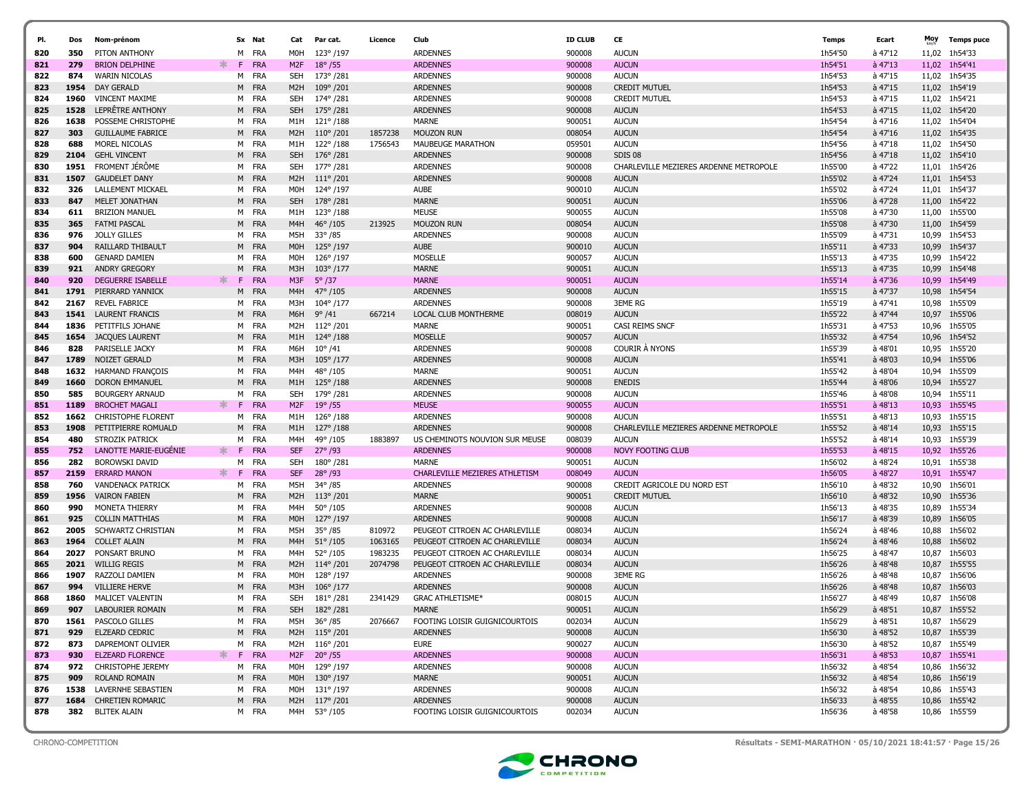| PI. | Dos  | Nom-prénom                |          | Sx Nat     | Cat              | Par cat.           | Licence | Club                           | <b>ID CLUB</b> | CE                                     | Temps   | Ecart     | Moy   | <b>Temps puce</b> |
|-----|------|---------------------------|----------|------------|------------------|--------------------|---------|--------------------------------|----------------|----------------------------------------|---------|-----------|-------|-------------------|
| 820 | 350  | PITON ANTHONY             | M        | FRA        | M0H              | 123°/197           |         | <b>ARDENNES</b>                | 900008         | <b>AUCUN</b>                           | 1h54'50 | à 47'12   |       | 11,02 1h54'33     |
| 821 | 279  | <b>BRION DELPHINE</b>     | ∗.<br>F. | FRA        | M <sub>2F</sub>  | $18^{\circ}/55$    |         | <b>ARDENNES</b>                | 900008         | <b>AUCUN</b>                           | 1h54'51 | $a$ 47'13 | 11,02 | 1h54'41           |
| 822 | 874  | <b>WARIN NICOLAS</b>      |          | M FRA      | <b>SEH</b>       | 173°/281           |         | <b>ARDENNES</b>                | 900008         | <b>AUCUN</b>                           | 1h54'53 | à 47'15   |       | 11,02 1h54'35     |
| 823 | 1954 | <b>DAY GERALD</b>         | M        | FRA        | M <sub>2</sub> H | 109°/201           |         | <b>ARDENNES</b>                | 900008         | <b>CREDIT MUTUEL</b>                   | 1h54'53 | à 47'15   | 11,02 | 1h54'19           |
| 824 | 1960 | <b>VINCENT MAXIME</b>     |          | M FRA      | SEH              | 174°/281           |         | <b>ARDENNES</b>                | 900008         | <b>CREDIT MUTUEL</b>                   | 1h54'53 | à 47'15   |       | 11,02 1h54'21     |
| 825 | 1528 | LEPRÊTRE ANTHONY          | M        | FRA        | <b>SEH</b>       | 175°/281           |         | <b>ARDENNES</b>                | 900008         | <b>AUCUN</b>                           | 1h54'53 | à 47'15   |       | 11,02 1h54'20     |
| 826 | 1638 | POSSEME CHRISTOPHE        |          | M FRA      | M1H              | $121^{\circ}/188$  |         | MARNE                          | 900051         | AUCUN                                  | 1h54'54 | à 47'16   |       | 11,02 1h54'04     |
| 827 | 303  | <b>GUILLAUME FABRICE</b>  |          | M FRA      | M <sub>2</sub> H | $110^{\circ}/201$  | 1857238 | <b>MOUZON RUN</b>              | 008054         | <b>AUCUN</b>                           | 1h54'54 | à 47'16   |       | 11,02 1h54'35     |
| 828 | 688  | MOREL NICOLAS             | м        | FRA        | M1H              | 122°/188           | 1756543 | MAUBEUGE MARATHON              | 059501         | <b>AUCUN</b>                           | 1h54'56 | à 47'18   |       | 11,02 1h54'50     |
| 829 | 2104 | <b>GEHL VINCENT</b>       |          | M FRA      | <b>SEH</b>       | $176^{\circ}$ /281 |         | <b>ARDENNES</b>                | 900008         | SDIS 08                                | 1h54'56 | $a$ 47'18 |       | 11,02 1h54'10     |
| 830 | 1951 | FROMENT JÉRÔME            | м        | FRA        | SEH              | 177°/281           |         | <b>ARDENNES</b>                | 900008         | CHARLEVILLE MEZIERES ARDENNE METROPOLE | 1h55'00 | à 47'22   |       | 11,01 1h54'26     |
| 831 | 1507 | <b>GAUDELET DANY</b>      |          | M FRA      | M <sub>2</sub> H | $111^{\circ}/201$  |         | <b>ARDENNES</b>                | 900008         | <b>AUCUN</b>                           | 1h55'02 | à 47'24   |       | 11,01 1h54'53     |
| 832 | 326  | <b>LALLEMENT MICKAEL</b>  |          | M FRA      | M0H              | 124°/197           |         | <b>AUBE</b>                    | 900010         | <b>AUCUN</b>                           | 1h55'02 | à 47'24   |       | 11,01 1h54'37     |
| 833 | 847  | MELET JONATHAN            |          | M FRA      | <b>SEH</b>       | 178°/281           |         | <b>MARNE</b>                   | 900051         | <b>AUCUN</b>                           | 1h55'06 | à 47'28   | 11,00 | 1h54'22           |
| 834 | 611  | <b>BRIZION MANUEL</b>     | м        | FRA        | M1H              | 123°/188           |         | <b>MEUSE</b>                   | 900055         | <b>AUCUN</b>                           | 1h55'08 | à 47'30   | 11,00 | 1h55'00           |
| 835 | 365  | <b>FATMI PASCAL</b>       |          | M FRA      | M4H              | $46^{\circ}/105$   | 213925  | <b>MOUZON RUN</b>              | 008054         | <b>AUCUN</b>                           | 1h55'08 | à 47'30   | 11,00 | 1h54'59           |
| 836 | 976  | <b>JOLLY GILLES</b>       | м        | FRA        | M5H              | $33^{\circ}/85$    |         | <b>ARDENNES</b>                | 900008         | AUCUN                                  | 1h55'09 | à 47'31   | 10,99 | 1h54'53           |
| 837 | 904  | RAILLARD THIBAULT         | M        | <b>FRA</b> | M <sub>O</sub> H | $125^{\circ}$ /197 |         | <b>AUBE</b>                    | 900010         | <b>AUCUN</b>                           | 1h55'11 | à 47'33   | 10,99 | 1h54'37           |
| 838 | 600  | <b>GENARD DAMIEN</b>      | M        | FRA        | M0H              | 126°/197           |         | <b>MOSELLE</b>                 | 900057         | <b>AUCUN</b>                           | 1h55'13 | à 47'35   | 10,99 | 1h54'22           |
| 839 | 921  | <b>ANDRY GREGORY</b>      | M        | FRA        | M3H              | $103^{\circ}/177$  |         | <b>MARNE</b>                   | 900051         | <b>AUCUN</b>                           | 1h55'13 | à 47'35   | 10,99 | 1h54'48           |
| 840 | 920  | <b>DEGUERRE ISABELLE</b>  | *<br>F.  | FRA        | M3F              | $5^{\circ}/37$     |         | <b>MARNE</b>                   | 900051         | <b>AUCUN</b>                           | 1h55'14 | à 47'36   | 10,99 | 1h54'49           |
| 841 | 1791 | PIERRARD YANNICK          | M        | FRA        | M <sub>4H</sub>  | 47° /105           |         | <b>ARDENNES</b>                | 900008         | <b>AUCUN</b>                           | 1h55'15 | à 47'37   | 10,98 | 1h54'54           |
| 842 | 2167 | <b>REVEL FABRICE</b>      |          | M FRA      | мзн              | 104°/177           |         | <b>ARDENNES</b>                | 900008         | <b>3EME RG</b>                         | 1h55'19 | à 47'41   | 10,98 | 1h55'09           |
| 843 | 1541 | <b>LAURENT FRANCIS</b>    | M        | FRA        | M6H              | $9^{\circ}/41$     | 667214  | LOCAL CLUB MONTHERME           | 008019         | <b>AUCUN</b>                           | 1h55'22 | à 47'44   | 10,97 | 1h55'06           |
| 844 | 1836 | PETITFILS JOHANE          |          | M FRA      | M2H              | 112°/201           |         | <b>MARNE</b>                   | 900051         | CASI REIMS SNCF                        | 1h55'31 | à 47'53   | 10,96 | 1h55'05           |
| 845 | 1654 | <b>JACQUES LAURENT</b>    |          | M FRA      | M1H              | 124°/188           |         | <b>MOSELLE</b>                 | 900057         | <b>AUCUN</b>                           | 1h55'32 | à 47'54   | 10,96 | 1h54'52           |
| 846 | 828  | PARISELLE JACKY           |          | M FRA      | M6H              | $10^{\circ}/41$    |         | <b>ARDENNES</b>                | 900008         | <b>COURIR A NYONS</b>                  | 1h55'39 | à 48'01   |       | 10,95 1h55'20     |
| 847 | 1789 | NOIZET GERALD             |          | M FRA      | M3H              | $105^{\circ}/177$  |         | <b>ARDENNES</b>                | 900008         | <b>AUCUN</b>                           | 1h55'41 | à 48'03   |       | 10,94 1h55'06     |
| 848 | 1632 | <b>HARMAND FRANCOIS</b>   | м        | FRA        | M4H              | 48°/105            |         | <b>MARNE</b>                   | 900051         | <b>AUCUN</b>                           | 1h55'42 | à 48'04   |       | 10,94 1h55'09     |
| 849 | 1660 | <b>DORON EMMANUEL</b>     |          | M FRA      | M1H              | $125^{\circ}/188$  |         | <b>ARDENNES</b>                | 900008         | <b>ENEDIS</b>                          | 1h55'44 | à 48'06   |       | 10,94 1h55'27     |
| 850 | 585  | <b>BOURGERY ARNAUD</b>    | м        | FRA        | <b>SEH</b>       | 179°/281           |         | <b>ARDENNES</b>                | 900008         | <b>AUCUN</b>                           | 1h55'46 | à 48'08   |       | 10,94 1h55'11     |
| 851 | 1189 | <b>BROCHET MAGALI</b>     | ∗.<br>F. | <b>FRA</b> | M <sub>2F</sub>  | $19^{\circ}$ /55   |         | <b>MEUSE</b>                   | 900055         | <b>AUCUN</b>                           | 1h55'51 | à 48'13   |       | 10,93 1h55'45     |
| 852 | 1662 | <b>CHRISTOPHE FLORENT</b> | M        | <b>FRA</b> | M1H              | $126^{\circ}/188$  |         | <b>ARDENNES</b>                | 900008         | <b>AUCUN</b>                           | 1h55'51 | à 48'13   |       | 10,93 1h55'15     |
| 853 | 1908 | PETITPIERRE ROMUALD       | M        | FRA        | M1H              | $127^{\circ}/188$  |         | <b>ARDENNES</b>                | 900008         | CHARLEVILLE MEZIERES ARDENNE METROPOLE | 1h55'52 | à 48'14   | 10,93 | 1h55'15           |
| 854 | 480  | STROZIK PATRICK           | м        | FRA        | M4H              | 49°/105            | 1883897 | US CHEMINOTS NOUVION SUR MEUSE | 008039         | <b>AUCUN</b>                           | 1h55'52 | à 48'14   | 10,93 | 1h55'39           |
| 855 | 752  | LANOTTE MARIE-EUGENIE     | ∗<br>F.  | FRA        | <b>SEF</b>       | $27^{\circ}$ /93   |         | <b>ARDENNES</b>                | 900008         | <b>NOVY FOOTING CLUB</b>               | 1h55'53 | à 48'15   |       | 10,92 1h55'26     |
| 856 | 282  | <b>BOROWSKI DAVID</b>     | м        | FRA        | <b>SEH</b>       | 180°/281           |         | <b>MARNE</b>                   | 900051         | <b>AUCUN</b>                           | 1h56'02 | à 48'24   | 10,91 | 1h55'38           |
| 857 | 2159 | <b>ERRARD MANON</b>       | -F       | FRA        | <b>SEF</b>       | 28° /93            |         | CHARLEVILLE MEZIERES ATHLETISM | 008049         | <b>AUCUN</b>                           | 1h56'05 | $a$ 48'27 |       | 10,91 1h55'47     |
| 858 | 760  | <b>VANDENACK PATRICK</b>  | M        | FRA        | M5H              | 34°/85             |         | <b>ARDENNES</b>                | 900008         | CREDIT AGRICOLE DU NORD EST            | 1h56'10 | à 48'32   | 10,90 | 1h56'01           |
| 859 | 1956 | <b>VAIRON FABIEN</b>      | M        | FRA        | M <sub>2</sub> H | $113^{\circ}/201$  |         | <b>MARNE</b>                   | 900051         | <b>CREDIT MUTUEL</b>                   | 1h56'10 | à 48'32   |       | 10,90 1h55'36     |
| 860 | 990  | MONETA THIERRY            |          | M FRA      | M4H              | $50^{\circ}$ /105  |         | <b>ARDENNES</b>                | 900008         | <b>AUCUN</b>                           | 1h56'13 | à 48'35   | 10,89 | 1h55'34           |
| 861 | 925  | <b>COLLIN MATTHIAS</b>    | M        | FRA        | M <sub>OH</sub>  | 127°/197           |         | <b>ARDENNES</b>                | 900008         | <b>AUCUN</b>                           | 1h56'17 | à 48'39   |       | 10,89 1h56'05     |
| 862 | 2005 | <b>SCHWARTZ CHRISTIAN</b> |          | M FRA      | M5H              | $35^{\circ}$ /85   | 810972  | PEUGEOT CITROEN AC CHARLEVILLE | 008034         | <b>AUCUN</b>                           | 1h56'24 | à 48'46   | 10,88 | 1h56'02           |
| 863 | 1964 | <b>COLLET ALAIN</b>       | M        | FRA        | M <sub>4H</sub>  | $51^{\circ}/105$   | 1063165 | PEUGEOT CITROEN AC CHARLEVILLE | 008034         | <b>AUCUN</b>                           | 1h56'24 | à 48'46   | 10,88 | 1h56'02           |
| 864 | 2027 | PONSART BRUNO             |          | M FRA      | M4H              | 52°/105            | 1983235 | PEUGEOT CITROEN AC CHARLEVILLE | 008034         | <b>AUCUN</b>                           | 1h56'25 | à 48'47   | 10,87 | 1h56'03           |
| 865 | 2021 | <b>WILLIG REGIS</b>       | M        | FRA        | M <sub>2</sub> H | $114^{\circ}/201$  | 2074798 | PEUGEOT CITROEN AC CHARLEVILLE | 008034         | <b>AUCUN</b>                           | 1h56'26 | à 48'48   | 10,87 | 1h55'55           |
| 866 | 1907 | RAZZOLI DAMIEN            |          | M FRA      | M0H              | 128°/197           |         | <b>ARDENNES</b>                | 900008         | <b>3EME RG</b>                         | 1h56'26 | à 48'48   | 10,87 | 1h56'06           |
| 867 | 994  | <b>VILLIERE HERVE</b>     | M        | <b>FRA</b> | M3H              | $106^{\circ}/177$  |         | <b>ARDENNES</b>                | 900008         | <b>AUCUN</b>                           | 1h56'26 | $a$ 48'48 | 10,87 | 1h56'03           |
| 868 | 1860 | MALICET VALENTIN          | м        | FRA        | <b>SEH</b>       | 181°/281           | 2341429 | <b>GRAC ATHLETISME*</b>        | 008015         | <b>AUCUN</b>                           | 1h56'27 | à 48'49   |       | 10,87 1h56'08     |
| 869 | 907  | <b>LABOURIER ROMAIN</b>   | M        | <b>FRA</b> | <b>SEH</b>       | 182°/281           |         | <b>MARNE</b>                   | 900051         | <b>AUCUN</b>                           | 1h56'29 | à 48'51   |       | 10,87 1h55'52     |
| 870 |      | 1561 PASCOLO GILLES       |          | M FRA      | M5H              | 36°/85             | 2076667 | FOOTING LOISIR GUIGNICOURTOIS  | 002034         | <b>AUCUN</b>                           | 1h56'29 | à 48'51   |       | 10,87 1h56'29     |
| 871 | 929  | ELZEARD CEDRIC            |          | M FRA      |                  | M2H 115° /201      |         | <b>ARDENNES</b>                | 900008         | <b>AUCUN</b>                           | 1h56'30 | $a$ 48'52 |       | 10,87 1h55'39     |
| 872 | 873  | DAPREMONT OLIVIER         |          | M FRA      | M2H              | 116° /201          |         | EURE                           | 900027         | <b>AUCUN</b>                           | 1h56'30 | à 48'52   |       | 10,87 1h55'49     |
| 873 | 930  | <b>ELZEARD FLORENCE</b>   |          | F FRA      | M <sub>2F</sub>  | $20^{\circ}/55$    |         | <b>ARDENNES</b>                | 900008         | <b>AUCUN</b>                           | 1h56'31 | $a$ 48'53 |       | 10,87 1h55'41     |
| 874 | 972  | <b>CHRISTOPHE JEREMY</b>  |          | M FRA      | M0H              | 129°/197           |         | <b>ARDENNES</b>                | 900008         | <b>AUCUN</b>                           | 1h56'32 | à 48'54   |       | 10,86 1h56'32     |
| 875 | 909  | ROLAND ROMAIN             |          | M FRA      | M0H              | 130°/197           |         | <b>MARNE</b>                   | 900051         | <b>AUCUN</b>                           | 1h56'32 | à 48'54   |       | 10,86 1h56'19     |
| 876 |      | 1538 LAVERNHE SEBASTIEN   |          | M FRA      | MOH              | 131° /197          |         | <b>ARDENNES</b>                | 900008         | <b>AUCUN</b>                           | 1h56'32 | à 48'54   |       | 10,86 1h55'43     |
| 877 | 1684 | <b>CHRETIEN ROMARIC</b>   |          | M FRA      |                  | M2H 117°/201       |         | <b>ARDENNES</b>                | 900008         | <b>AUCUN</b>                           | 1h56'33 | à 48'55   |       | 10,86 1h55'42     |
| 878 | 382  | <b>BLITEK ALAIN</b>       |          | M FRA      |                  | M4H 53°/105        |         | FOOTING LOISIR GUIGNICOURTOIS  | 002034         | <b>AUCUN</b>                           | 1h56'36 | à 48'58   |       | 10,86 1h55'59     |
|     |      |                           |          |            |                  |                    |         |                                |                |                                        |         |           |       |                   |



CHRONO-COMPETITION Résultats - SEMI-MARATHON · 05/10/2021 18:41:57 · Page 15/26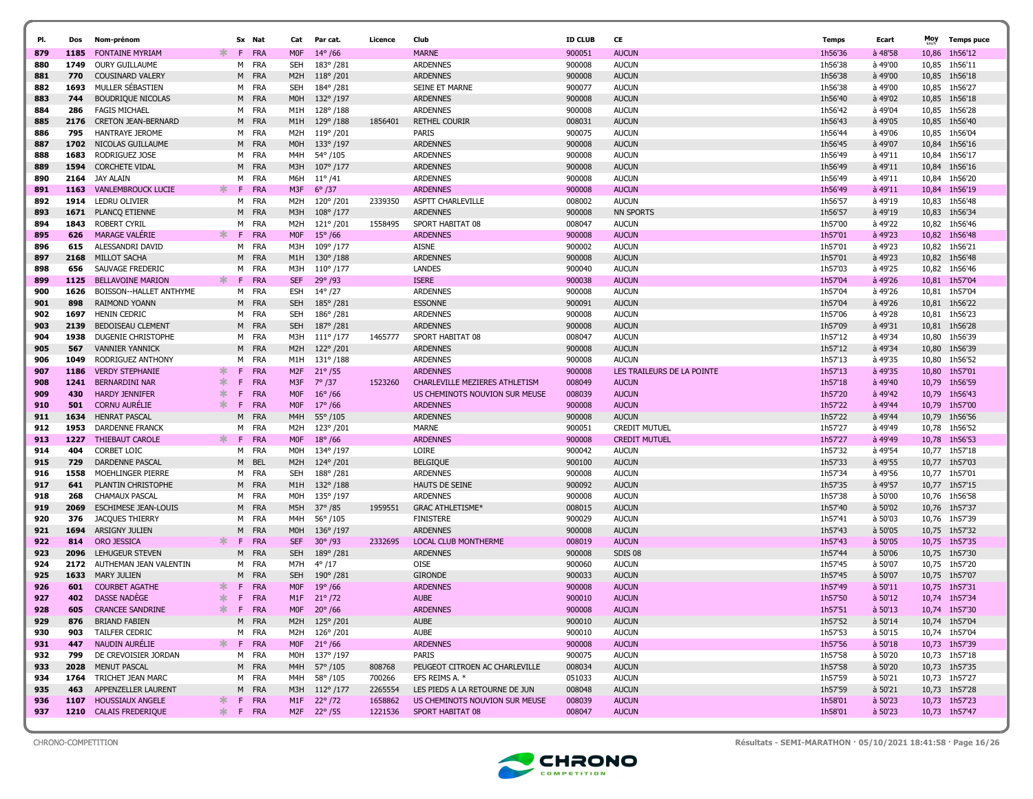| PI.        | Dos          | Nom-prénom                                  |              | Sx Nat               | Cat                      | Par cat.             | Licence | Club                                | <b>ID CLUB</b>   | CE                               | Temps              | Ecart              | Moy   | <b>Temps puce</b>              |
|------------|--------------|---------------------------------------------|--------------|----------------------|--------------------------|----------------------|---------|-------------------------------------|------------------|----------------------------------|--------------------|--------------------|-------|--------------------------------|
| 879        | 1185         | <b>FONTAINE MYRIAM</b>                      | F.           | FRA                  | <b>MOF</b>               | $14^{\circ}$ /66     |         | <b>MARNE</b>                        | 900051           | <b>AUCUN</b>                     | 1h56'36            | $a$ 48'58          | 10,86 | 1h56'12                        |
| 880        | 1749         | <b>OURY GUILLAUME</b>                       |              | M FRA                | <b>SEH</b>               | 183°/281             |         | <b>ARDENNES</b>                     | 900008           | <b>AUCUN</b>                     | 1h56'38            | à 49'00            | 10,85 | 1h56'11                        |
| 881        | 770          | <b>COUSINARD VALERY</b>                     |              | M FRA                | M <sub>2</sub> H         | $118^{\circ}/201$    |         | <b>ARDENNES</b>                     | 900008           | <b>AUCUN</b>                     | 1h56'38            | à 49'00            |       | 10,85 1h56'18                  |
| 882        | 1693         | MULLER SÉBASTIEN                            |              | FRA<br>M             | SEH                      | 184°/281             |         | SEINE ET MARNE                      | 900077           | <b>AUCUN</b>                     | 1h56'38            | à 49'00            | 10,85 | 1h56'27                        |
| 883        | 744          | <b>BOUDRIQUE NICOLAS</b>                    |              | M FRA                | M <sub>O</sub> H         | 132°/197             |         | <b>ARDENNES</b>                     | 900008           | <b>AUCUN</b>                     | 1h56'40            | à 49'02            |       | 10,85 1h56'18                  |
| 884        | 286          | <b>FAGIS MICHAEL</b>                        |              | M FRA                | M1H                      | $128^{\circ}/188$    |         | <b>ARDENNES</b>                     | 900008           | <b>AUCUN</b>                     | 1h56'42            | à 49'04            |       | 10,85 1h56'28                  |
| 885        | 2176         | <b>CRETON JEAN-BERNARD</b>                  |              | M FRA                | M1H                      | $129^{\circ}/188$    | 1856401 | <b>RETHEL COURIR</b>                | 008031           | <b>AUCUN</b>                     | 1h56'43            | à 49'05            | 10,85 | 1h56'40                        |
| 886        | 795          | <b>HANTRAYE JEROME</b>                      |              | M FRA                | M2H                      | 119°/201             |         | PARIS                               | 900075           | <b>AUCUN</b>                     | 1h56'44            | à 49'06            | 10,85 | 1h56'04                        |
| 887        | 1702         | NICOLAS GUILLAUME                           |              | M FRA                | M0H                      | 133°/197             |         | <b>ARDENNES</b>                     | 900008           | <b>AUCUN</b>                     | 1h56'45            | à 49'07            | 10,84 | 1h56'16                        |
| 888        | 1683         | RODRIGUEZ JOSE                              |              | M FRA                | M4H                      | 54°/105              |         | <b>ARDENNES</b>                     | 900008           | <b>AUCUN</b>                     | 1h56'49            | à 49'11            | 10,84 | 1h56'17                        |
| 889        | 1594         | <b>CORCHETE VIDAL</b>                       |              | M FRA                | M3H                      | $107^{\circ}/177$    |         | <b>ARDENNES</b>                     | 900008           | <b>AUCUN</b>                     | 1h56'49            | à 49'11            | 10,84 | 1h56'16                        |
| 890        | 2164         | JAY ALAIN                                   |              | FRA<br>M             | M6H                      | $11^{\circ}/41$      |         | <b>ARDENNES</b>                     | 900008           | <b>AUCUN</b>                     | 1h56'49            | à 49'11            | 10.84 | 1h56'20                        |
| 891        | 1163         | <b>VANLEMBROUCK LUCIE</b>                   | ж<br>F.      | <b>FRA</b>           | M3F                      | $6^{\circ}/37$       |         | <b>ARDENNES</b>                     | 900008           | <b>AUCUN</b>                     | 1h56'49            | à 49'11            | 10,84 | 1h56'19                        |
| 892        | 1914         | LEDRU OLIVIER                               |              | FRA<br>M             | M2H                      | 120°/201             | 2339350 | ASPTT CHARLEVILLE                   | 008002           | <b>AUCUN</b>                     | 1h56'57            | à 49'19            | 10,83 | 1h56'48                        |
| 893<br>894 | 1671<br>1843 | PLANCQ ETIENNE<br>ROBERT CYRIL              |              | FRA<br>M<br>M FRA    | M3H<br>M2H               | 108°/177<br>121°/201 | 1558495 | <b>ARDENNES</b><br>SPORT HABITAT 08 | 900008<br>008047 | <b>NN SPORTS</b><br><b>AUCUN</b> | 1h56'57<br>1h57'00 | à 49'19<br>à 49'22 |       | 10,83 1h56'34<br>10,82 1h56'46 |
| 895        | 626          | <b>MARAGE VALERIE</b>                       | ∗.<br>F.     | FRA                  | <b>MOF</b>               | $15^{\circ}$ /66     |         | <b>ARDENNES</b>                     | 900008           | <b>AUCUN</b>                     | 1h57'01            | à 49'23            |       | 10,82 1h56'48                  |
| 896        | 615          | ALESSANDRI DAVID                            |              | M FRA                | M3H                      | 109°/177             |         | <b>AISNE</b>                        | 900002           | <b>AUCUN</b>                     | 1h57'01            | à 49'23            | 10,82 | 1h56'21                        |
| 897        | 2168         | MILLOT SACHA                                |              | <b>FRA</b><br>M      | M1H                      | $130^{\circ}/188$    |         | <b>ARDENNES</b>                     | 900008           | <b>AUCUN</b>                     | 1h57'01            | à 49'23            | 10,82 | 1h56'48                        |
| 898        | 656          | SAUVAGE FREDERIC                            |              | M FRA                | M3H                      | $110^{\circ}/177$    |         | <b>LANDES</b>                       | 900040           | <b>AUCUN</b>                     | 1h57'03            | à 49'25            | 10,82 | 1h56'46                        |
| 899        | 1125         | <b>BELLAVOINE MARION</b>                    | $\ast$<br>F. | FRA                  | <b>SEF</b>               | $29^{\circ}$ /93     |         | <b>ISERE</b>                        | 900038           | <b>AUCUN</b>                     | 1h57'04            | $a$ 49'26          |       | 10.81 1h57'04                  |
| 900        | 1626         | BOISSON--HALLET ANTHYME                     |              | M FRA                | ESH                      | $14^{\circ}/27$      |         | <b>ARDENNES</b>                     | 900008           | <b>AUCUN</b>                     | 1h57'04            | à 49'26            | 10,81 | 1h57'04                        |
| 901        | 898          | <b>RAIMOND YOANN</b>                        |              | M FRA                | <b>SEH</b>               | 185°/281             |         | <b>ESSONNE</b>                      | 900091           | <b>AUCUN</b>                     | 1h57'04            | à 49'26            |       | 10.81 1h56'22                  |
| 902        | 1697         | <b>HENIN CEDRIC</b>                         |              | M FRA                | SEH                      | 186°/281             |         | <b>ARDENNES</b>                     | 900008           | <b>AUCUN</b>                     | 1h57'06            | à 49'28            |       | 10.81 1h56'23                  |
| 903        | 2139         | <b>BEDOISEAU CLEMENT</b>                    |              | M FRA                | <b>SEH</b>               | 187°/281             |         | <b>ARDENNES</b>                     | 900008           | <b>AUCUN</b>                     | 1h57'09            | à 49'31            |       | 10,81 1h56'28                  |
| 904        | 1938         | DUGENIE CHRISTOPHE                          |              | M FRA                | M3H                      | $111^{\circ}/177$    | 1465777 | SPORT HABITAT 08                    | 008047           | <b>AUCUN</b>                     | 1h57'12            | à 49'34            |       | 10,80 1h56'39                  |
| 905        | 567          | <b>VANNIER YANNICK</b>                      |              | M FRA                | M <sub>2</sub> H         | 122°/201             |         | <b>ARDENNES</b>                     | 900008           | <b>AUCUN</b>                     | 1h57'12            | à 49'34            | 10,80 | 1h56'39                        |
| 906        | 1049         | RODRIGUEZ ANTHONY                           |              | FRA<br>M             | M1H                      | $131^{\circ}/188$    |         | <b>ARDENNES</b>                     | 900008           | <b>AUCUN</b>                     | 1h57'13            | à 49'35            | 10,80 | 1h56'52                        |
| 907        | 1186         | <b>VERDY STEPHANIE</b>                      | F<br>∗       | <b>FRA</b>           | M <sub>2F</sub>          | $21^{\circ}$ /55     |         | <b>ARDENNES</b>                     | 900008           | LES TRAILEURS DE LA POINTE       | 1h57'13            | à 49'35            | 10,80 | 1h57'01                        |
| 908        | 1241         | <b>BERNARDINI NAR</b>                       | ∗<br>F       | FRA                  | M3F                      | $7^{\circ}/37$       | 1523260 | CHARLEVILLE MEZIERES ATHLETISM      | 008049           | <b>AUCUN</b>                     | 1h57'18            | à 49'40            | 10,79 | 1h56'59                        |
| 909        | 430          | <b>HARDY JENNIFER</b>                       | ∗<br>F       | FRA                  | <b>MOF</b>               | $16^{\circ}$ /66     |         | US CHEMINOTS NOUVION SUR MEUSE      | 008039           | <b>AUCUN</b>                     | 1h57'20            | à 49'42            | 10,79 | 1h56'43                        |
| 910        | 501          | <b>CORNU AURELIE</b>                        | $\ast$<br>F  | <b>FRA</b>           | <b>MOF</b>               | $17^{\circ}$ /66     |         | <b>ARDENNES</b>                     | 900008           | <b>AUCUN</b>                     | 1h57'22            | à 49'44            | 10,79 | 1h57'00                        |
| 911        | 1634         | <b>HENRAT PASCAL</b>                        | M            | FRA                  | M4H                      | $55^{\circ}/105$     |         | <b>ARDENNES</b>                     | 900008           | <b>AUCUN</b>                     | 1h57'22            | à 49'44            | 10,79 | 1h56'56                        |
| 912        | 1953         | <b>DARDENNE FRANCK</b>                      |              | FRA<br>M             | M2H                      | 123°/201             |         | <b>MARNE</b>                        | 900051           | <b>CREDIT MUTUEL</b>             | 1h57'27            | à 49'49            | 10,78 | 1h56'52                        |
| 913        | 1227         | THIEBAUT CAROLE                             | ∗.           | F.<br><b>FRA</b>     | <b>MOF</b>               | $18^{\circ}$ /66     |         | <b>ARDENNES</b>                     | 900008           | <b>CREDIT MUTUEL</b>             | 1h57'27            | à 49'49            |       | 10,78 1h56'53                  |
| 914        | 404          | CORBET LOIC                                 |              | M FRA                | M0H                      | 134°/197             |         | LOIRE                               | 900042           | <b>AUCUN</b>                     | 1h57'32            | à 49'54            |       | 10,77 1h57'18                  |
| 915        | 729          | <b>DARDENNE PASCAL</b>                      |              | <b>BEL</b><br>M      | M <sub>2</sub> H         | 124°/201             |         | <b>BELGIQUE</b>                     | 900100           | <b>AUCUN</b>                     | 1h57'33            | à 49'55            |       | 10,77 1h57'03                  |
| 916        | 1558         | MOEHLINGER PIERRE                           |              | M FRA                | SEH                      | 188°/281             |         | <b>ARDENNES</b>                     | 900008           | <b>AUCUN</b>                     | 1h57'34            | à 49'56            |       | 10,77 1h57'01                  |
| 917        | 641          | PLANTIN CHRISTOPHE                          |              | M FRA                | M1H                      | $132^{\circ}/188$    |         | <b>HAUTS DE SEINE</b>               | 900092           | <b>AUCUN</b>                     | 1h57'35            | à 49'57            |       | 10,77 1h57'15                  |
| 918        | 268          | <b>CHAMAUX PASCAL</b>                       |              | M FRA                | M0H                      | 135°/197             |         | <b>ARDENNES</b>                     | 900008           | <b>AUCUN</b>                     | 1h57'38            | à 50'00            |       | 10,76 1h56'58                  |
| 919        | 2069         | <b>ESCHIMESE JEAN-LOUIS</b>                 |              | M FRA                | M5H                      | $37^{\circ}/85$      | 1959551 | <b>GRAC ATHLETISME*</b>             | 008015           | <b>AUCUN</b>                     | 1h57'40            | à 50'02            |       | 10,76 1h57'37                  |
| 920        | 376          | <b>JACQUES THIERRY</b>                      |              | M FRA                | M4H                      | 56°/105              |         | <b>FINISTERE</b>                    | 900029           | <b>AUCUN</b>                     | 1h57'41            | à 50'03            |       | 10,76 1h57'39                  |
| 921        | 1694         | ARSIGNY JULIEN                              |              | M<br>FRA             | M <sub>O</sub> H         | 136°/197             |         | <b>ARDENNES</b>                     | 900008           | <b>AUCUN</b>                     | 1h57'43            | à 50'05            |       | 10,75 1h57'32                  |
| 922        | 814          | <b>ORO JESSICA</b>                          | ∗.<br>F      | FRA                  | <b>SEF</b>               | $30^{\circ}$ /93     | 2332695 | <b>LOCAL CLUB MONTHERME</b>         | 008019           | <b>AUCUN</b>                     | 1h57'43            | $a_{50'05}$        |       | 10,75 1h57'35                  |
| 923        | 2096         | LEHUGEUR STEVEN                             |              | M FRA                | <b>SEH</b>               | 189°/281             |         | <b>ARDENNES</b>                     | 900008           | SDIS 08                          | 1h57'44            | $a_{50'06}$        |       | 10,75 1h57'30                  |
| 924<br>925 | 2172<br>1633 | AUTHEMAN JEAN VALENTIN                      |              | FRA<br>M<br>FRA<br>M | M7H                      | $4^{\circ}/17$       |         | OISE<br><b>GIRONDE</b>              | 900060           | <b>AUCUN</b>                     | 1h57'45<br>1h57'45 | à 50'07            |       | 10,75 1h57'20<br>10,75 1h57'07 |
| 926        | 601          | <b>MARY JULIEN</b><br><b>COURBET AGATHE</b> | ж<br>F       | FRA                  | <b>SEH</b><br><b>MOF</b> | 190°/281<br>19°/66   |         | <b>ARDENNES</b>                     | 900033<br>900008 | <b>AUCUN</b><br><b>AUCUN</b>     | 1h57'49            | à 50'07<br>a 50'11 |       | 10,75 1h57'31                  |
| 927        | 402          | <b>DASSE NADEGE</b>                         | ∗            | F FRA                | M1F                      | $21^{\circ}$ /72     |         | <b>AUBE</b>                         | 900010           | <b>AUCUN</b>                     | 1h57'50            | à 50'12            |       | 10.74 1h57'34                  |
| 928        |              | <b>605</b> CRANCEE SANDRINE                 | sk.          | F.<br><b>FRA</b>     | <b>MOF</b>               | $20^{\circ}/66$      |         | <b>ARDENNES</b>                     | 900008           | <b>AUCUN</b>                     | 1h57'51            | a 50'13            |       | 10,74 1h57'30                  |
| 929        | 876          | <b>BRIAND FABIEN</b>                        |              | M FRA                |                          | M2H 125° /201        |         | AUBE                                | 900010           | <b>AUCUN</b>                     | 1h57'52            | à 50'14            |       | 10,74 1h57'04                  |
| 930        | 903          | TAILFER CEDRIC                              |              | M FRA                |                          | M2H 126°/201         |         | AUBE                                | 900010           | <b>AUCUN</b>                     | 1h57'53            | à 50'15            |       | 10,74 1h57'04                  |
| 931        | 447          | NAUDIN AURELIE                              |              | F FRA                | <b>MOF</b>               | $21^{\circ}/66$      |         | <b>ARDENNES</b>                     | 900008           | <b>AUCUN</b>                     | 1h57'56            | a 50'18            |       | 10,73 1h57'39                  |
| 932        | 799          | DE CREVOISIER JORDAN                        |              | M FRA                | M0H                      | 137° / 197           |         | PARIS                               | 900075           | <b>AUCUN</b>                     | 1h57'58            | à 50'20            |       | 10,73 1h57'18                  |
| 933        |              | 2028 MENUT PASCAL                           |              | M FRA                |                          | M4H 57°/105          | 808768  | PEUGEOT CITROEN AC CHARLEVILLE      | 008034           | <b>AUCUN</b>                     | 1h57'58            | à 50'20            |       | 10,73 1h57'35                  |
| 934        |              | 1764 TRICHET JEAN MARC                      |              | M FRA                | M4H                      | 58° /105             | 700266  | EFS REIMS A. *                      | 051033           | <b>AUCUN</b>                     | 1h57'59            | à 50'21            |       | 10,73 1h57'27                  |
| 935        | 463          | APPENZELLER LAURENT                         |              | M FRA                |                          | M3H 112°/177         | 2265554 | LES PIEDS A LA RETOURNE DE JUN      | 008048           | <b>AUCUN</b>                     | 1h57'59            | a 50'21            |       | 10,73 1h57'28                  |
| 936        |              | 1107 HOUSSIAUX ANGELE                       |              | * F FRA              |                          | M1F 22°/72           | 1658862 | US CHEMINOTS NOUVION SUR MEUSE      | 008039           | <b>AUCUN</b>                     | 1h58'01            | $a$ 50'23          |       | 10,73 1h57'23                  |
| 937        |              | 1210 CALAIS FREDERIQUE                      |              | * F FRA              |                          | M2F 22°/55           | 1221536 | SPORT HABITAT 08                    | 008047           | <b>AUCUN</b>                     | 1h58'01            | $a$ 50'23          |       | 10,73 1h57'47                  |
|            |              |                                             |              |                      |                          |                      |         |                                     |                  |                                  |                    |                    |       |                                |



CHRONO-COMPETITION Résultats - SEMI-MARATHON · 05/10/2021 18:41:58 · Page 16/26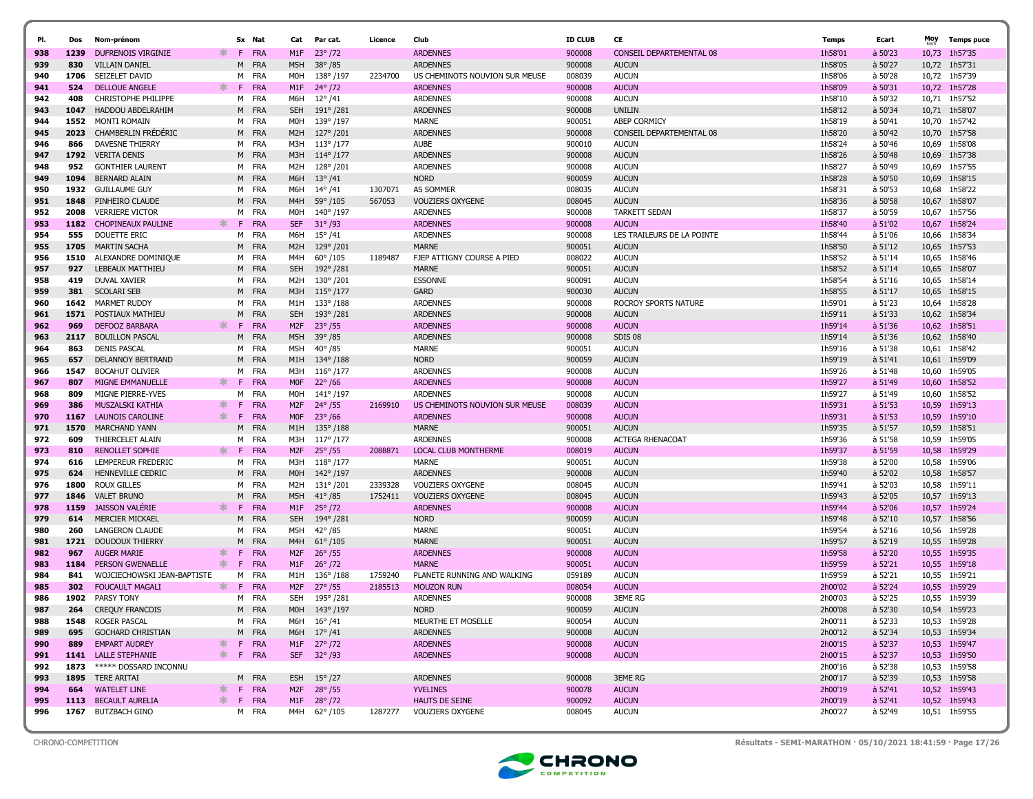| PI.        | Dos         | Nom-prénom                                      |        |         | Sx Nat            | Cat                     | Par cat.                             | Licence | Club                               | <b>ID CLUB</b>   | CE                             | <b>Temps</b>       | Ecart                | Moy            | <b>Temps puce</b>              |
|------------|-------------|-------------------------------------------------|--------|---------|-------------------|-------------------------|--------------------------------------|---------|------------------------------------|------------------|--------------------------------|--------------------|----------------------|----------------|--------------------------------|
| 938        | 1239        | DUFRENOIS VIRGINIE                              | ж.     | F.      | FRA               | M1F                     | $23^{\circ}/72$                      |         | <b>ARDENNES</b>                    | 900008           | CONSEIL DEPARTEMENTAL 08       | 1h58'01            | $a$ 50'23            | 10,73          | 1h57'35                        |
| 939        | 830         | <b>VILLAIN DANIEL</b>                           |        | M       | <b>FRA</b>        | M5H                     | $38^{\circ}/85$                      |         | <b>ARDENNES</b>                    | 900008           | <b>AUCUN</b>                   | 1h58'05            | à 50'27              |                | 10,72 1h57'31                  |
| 940        | 1706        | SEIZELET DAVID                                  |        | м       | FRA               | M0H                     | 138°/197                             | 2234700 | US CHEMINOTS NOUVION SUR MEUSE     | 008039           | <b>AUCUN</b>                   | 1h58'06            | à 50'28              |                | 10,72 1h57'39                  |
| 941        | 524         | <b>DELLOUE ANGELE</b>                           | ∗.     | F.      | <b>FRA</b>        | M1F                     | $24^{\circ}/72$                      |         | <b>ARDENNES</b>                    | 900008           | <b>AUCUN</b>                   | 1h58'09            | à 50'31              |                | 10,72 1h57'28                  |
| 942        | 408         | <b>CHRISTOPHE PHILIPPE</b>                      |        | м       | FRA               | M6H                     | $12^{\circ}/41$                      |         | <b>ARDENNES</b>                    | 900008           | <b>AUCUN</b>                   | 1h58'10            | à 50'32              |                | 10,71 1h57'52                  |
| 943        | 1047        | <b>HADDOU ABDELRAHIM</b>                        |        | M       | <b>FRA</b>        | <b>SEH</b>              | 191°/281                             |         | <b>ARDENNES</b>                    | 900008           | <b>UNILIN</b>                  | 1h58'12            | à 50'34              |                | 10,71 1h58'07                  |
| 944        | 1552        | <b>MONTI ROMAIN</b>                             |        | M       | FRA               | M0H                     | 139°/197                             |         | <b>MARNE</b>                       | 900051           | ABEP CORMICY                   | 1h58'19            | à 50'41              |                | 10,70 1h57'42                  |
| 945        | 2023        | <b>CHAMBERLIN FREDERIC</b>                      |        | M       | <b>FRA</b>        | M <sub>2</sub> H        | 127°/201                             |         | <b>ARDENNES</b>                    | 900008           | CONSEIL DEPARTEMENTAL 08       | 1h58'20            | à 50'42              | 10,70          | 1h57'58                        |
| 946        | 866         | <b>DAVESNE THIERRY</b>                          |        |         | M FRA             | M3H                     | $113^{\circ}/177$                    |         | <b>AUBE</b>                        | 900010           | <b>AUCUN</b>                   | 1h58'24            | à 50'46              | 10,69          | 1h58'08                        |
| 947        | 1792        | <b>VERITA DENIS</b>                             |        | M       | <b>FRA</b>        | M3H                     | 114° /177                            |         | <b>ARDENNES</b>                    | 900008           | <b>AUCUN</b>                   | 1h58'26            | $a$ 50'48            | 10,69          | 1h57'38                        |
| 948        | 952         | <b>GONTHIER LAURENT</b>                         |        | м       | FRA               | M <sub>2</sub> H        | 128°/201                             |         | <b>ARDENNES</b>                    | 900008           | <b>AUCUN</b>                   | 1h58'27            | à 50'49              | 10,69          | 1h57'55                        |
| 949        | 1094        | <b>BERNARD ALAIN</b>                            |        | M       | <b>FRA</b>        | M6H                     | $13^{\circ}/41$                      |         | <b>NORD</b>                        | 900059           | <b>AUCUN</b>                   | 1h58'28            | à 50'50              | 10,69          | 1h58'15                        |
| 950        | 1932        | <b>GUILLAUME GUY</b>                            |        | м       | FRA               | M6H                     | $14^{\circ}/41$                      | 1307071 | <b>AS SOMMER</b>                   | 008035           | <b>AUCUN</b>                   | 1h58'31            | à 50'53              | 10,68          | 1h58'22                        |
| 951        | 1848        | PINHEIRO CLAUDE                                 |        | M       | <b>FRA</b>        | M <sub>4</sub> H        | 59°/105                              | 567053  | <b>VOUZIERS OXYGENE</b>            | 008045           | <b>AUCUN</b>                   | 1h58'36            | à 50'58              |                | 10,67 1h58'07                  |
| 952        | 2008        | <b>VERRIERE VICTOR</b>                          |        | M       | FRA               | M0H                     | 140°/197                             |         | <b>ARDENNES</b>                    | 900008           | <b>TARKETT SEDAN</b>           | 1h58'37            | à 50'59              | 10,67          | 1h57'56                        |
| 953        | 1182        | <b>CHOPINEAUX PAULINE</b>                       | ж.     | F       | <b>FRA</b>        | <b>SEF</b>              | $31^{\circ}$ /93                     |         | <b>ARDENNES</b>                    | 900008           | <b>AUCUN</b>                   | 1h58'40            | à 51'02              | 10,67          | 1h58'24                        |
| 954        | 555         | DOUETTE ERIC                                    |        | м       | FRA               | M6H                     | $15^{\circ}$ /41                     |         | <b>ARDENNES</b>                    | 900008           | LES TRAILEURS DE LA POINTE     | 1h58'44            | à 51'06              | 10,66          | 1h58'34                        |
| 955        | 1705        | <b>MARTIN SACHA</b>                             |        | M       | <b>FRA</b>        | M <sub>2</sub> H        | 129°/201                             |         | <b>MARNE</b>                       | 900051           | <b>AUCUN</b>                   | 1h58'50            | à 51'12              | 10,65          | 1h57'53                        |
| 956        | 1510        | ALEXANDRE DOMINIQUE                             |        | м       | FRA               | M4H                     | 60°/105                              | 1189487 | FJEP ATTIGNY COURSE A PIED         | 008022           | <b>AUCUN</b>                   | 1h58'52            | à 51'14              | 10,65          | 1h58'46                        |
| 957        | 927         | LEBEAUX MATTHIEU                                |        |         | M FRA             | <b>SEH</b>              | 192°/281                             |         | <b>MARNE</b>                       | 900051           | <b>AUCUN</b>                   | 1h58'52            | à 51'14              |                | 10,65 1h58'07                  |
| 958        | 419         | DUVAL XAVIER                                    |        | м       | FRA               | M2H                     | 130°/201                             |         | <b>ESSONNE</b>                     | 900091           | <b>AUCUN</b>                   | 1h58'54            | à 51'16              | 10,65          | 1h58'14                        |
| 959        | 381         | <b>SCOLARI SEB</b>                              |        | M       | <b>FRA</b>        | M3H                     | $115^{\circ}/177$                    |         | <b>GARD</b>                        | 900030           | <b>AUCUN</b>                   | 1h58'55            | à 51'17              | 10,65          | 1h58'15                        |
| 960        | 1642        | MARMET RUDDY                                    |        | M       | FRA               | M1H                     | 133°/188                             |         | <b>ARDENNES</b>                    | 900008           | <b>ROCROY SPORTS NATURE</b>    | 1h59'01            | à 51'23              | 10,64          | 1h58'28                        |
| 961        | 1571        | POSTIAUX MATHIEU                                | $\ast$ | M       | <b>FRA</b>        | <b>SEH</b>              | 193°/281                             |         | <b>ARDENNES</b>                    | 900008           | <b>AUCUN</b>                   | 1h59'11            | à 51'33              |                | 10,62 1h58'34                  |
| 962        | 969<br>2117 | <b>DEFOOZ BARBARA</b><br><b>BOUILLON PASCAL</b> |        | F.<br>M | <b>FRA</b><br>FRA | M <sub>2</sub> F<br>M5H | $23^{\circ}$ /55<br>$39^{\circ}$ /85 |         | <b>ARDENNES</b><br><b>ARDENNES</b> | 900008<br>900008 | <b>AUCUN</b><br><b>SDIS 08</b> | 1h59'14<br>1h59'14 | $a$ 51'36<br>à 51'36 | 10,62<br>10,62 | 1h58'51<br>1h58'40             |
| 963<br>964 | 863         | <b>DENIS PASCAL</b>                             |        | M       | FRA               | M5H                     | $40^{\circ}$ /85                     |         | <b>MARNE</b>                       | 900051           | <b>AUCUN</b>                   | 1h59'16            | à 51'38              | 10,61          | 1h58'42                        |
| 965        | 657         | DELANNOY BERTRAND                               |        | M       | <b>FRA</b>        | M1H                     | 134°/188                             |         | <b>NORD</b>                        | 900059           | <b>AUCUN</b>                   | 1h59'19            | à 51'41              |                | 10,61 1h59'09                  |
| 966        | 1547        | <b>BOCAHUT OLIVIER</b>                          |        | м       | FRA               | M3H                     | $116^{\circ}/177$                    |         | <b>ARDENNES</b>                    | 900008           | <b>AUCUN</b>                   | 1h59'26            | à 51'48              | 10,60          | 1h59'05                        |
| 967        | 807         | MIGNE EMMANUELLE                                | $\ast$ | E       | FRA               | M <sub>OF</sub>         | $22^{\circ}$ /66                     |         | <b>ARDENNES</b>                    | 900008           | <b>AUCUN</b>                   | 1h59'27            | $a$ 51'49            | 10,60          | 1h58'52                        |
| 968        | 809         | MIGNE PIERRE-YVES                               |        | м       | FRA               | M0H                     | 141° /197                            |         | <b>ARDENNES</b>                    | 900008           | <b>AUCUN</b>                   | 1h59'27            | à 51'49              | 10.60          | 1h58'52                        |
| 969        | 386         | <b>MUSZALSKI KATHIA</b>                         | ∗.     | F       | <b>FRA</b>        | M <sub>2</sub> F        | $24^{\circ}$ /55                     | 2169910 | US CHEMINOTS NOUVION SUR MEUSE     | 008039           | <b>AUCUN</b>                   | 1h59'31            | à 51'53              | 10,59          | 1h59'13                        |
| 970        | 1167        | <b>LAUNOIS CAROLINE</b>                         | $\ast$ | F       | <b>FRA</b>        | <b>MOF</b>              | $23^{\circ}$ /66                     |         | <b>ARDENNES</b>                    | 900008           | <b>AUCUN</b>                   | 1h59'31            | à 51'53              | 10,59          | 1h59'10                        |
| 971        | 1570        | <b>MARCHAND YANN</b>                            |        | M       | FRA               | M1H                     | $135^{\circ}/188$                    |         | <b>MARNE</b>                       | 900051           | <b>AUCUN</b>                   | 1h59'35            | à 51'57              | 10,59          | 1h58'51                        |
| 972        | 609         | THIERCELET ALAIN                                |        | м       | FRA               | M3H                     | 117° /177                            |         | <b>ARDENNES</b>                    | 900008           | <b>ACTEGA RHENACOAT</b>        | 1h59'36            | à 51'58              |                | 10,59 1h59'05                  |
| 973        | 810         | <b>RENOLLET SOPHIE</b>                          | ∗.     | F       | <b>FRA</b>        | M <sub>2F</sub>         | $25^{\circ}$ /55                     | 2088871 | LOCAL CLUB MONTHERME               | 008019           | <b>AUCUN</b>                   | 1h59'37            | à 51'59              | 10,58          | 1h59'29                        |
| 974        | 616         | LEMPEREUR FREDERIC                              |        | м       | FRA               | M3H                     | $118^{\circ}/177$                    |         | <b>MARNE</b>                       | 900051           | <b>AUCUN</b>                   | 1h59'38            | à 52'00              | 10,58          | 1h59'06                        |
| 975        | 624         | HENNEVILLE CEDRIC                               |        |         | M FRA             | M0H                     | 142°/197                             |         | <b>ARDENNES</b>                    | 900008           | <b>AUCUN</b>                   | 1h59'40            | à 52'02              | 10,58          | 1h58'57                        |
| 976        | 1800        | <b>ROUX GILLES</b>                              |        | M       | FRA               | M2H                     | 131° /201                            | 2339328 | <b>VOUZIERS OXYGENE</b>            | 008045           | <b>AUCUN</b>                   | 1h59'41            | à 52'03              | 10,58          | 1h59'11                        |
| 977        | 1846        | <b>VALET BRUNO</b>                              |        | M       | <b>FRA</b>        | M5H                     | $41^{\circ}$ /85                     | 1752411 | <b>VOUZIERS OXYGENE</b>            | 008045           | <b>AUCUN</b>                   | 1h59'43            | à 52'05              | 10,57          | 1h59'13                        |
| 978        | 1159        | <b>JAISSON VALERIE</b>                          | ж      | F       | <b>FRA</b>        | M1F                     | $25^{\circ}$ /72                     |         | <b>ARDENNES</b>                    | 900008           | <b>AUCUN</b>                   | 1h59'44            | $a$ 52'06            |                | 10,57 1h59'24                  |
| 979        | 614         | <b>MERCIER MICKAEL</b>                          |        | M       | <b>FRA</b>        | <b>SEH</b>              | 194°/281                             |         | <b>NORD</b>                        | 900059           | <b>AUCUN</b>                   | 1h59'48            | à 52'10              | 10,57          | 1h58'56                        |
| 980        | 260         | <b>LANGERON CLAUDE</b>                          |        | M       | <b>FRA</b>        | M5H                     | $42^{\circ}$ /85                     |         | <b>MARNE</b>                       | 900051           | <b>AUCUN</b>                   | 1h59'54            | à 52'16              | 10,56          | 1h59'28                        |
| 981        | 1721        | <b>DOUDOUX THIERRY</b>                          |        | M       | <b>FRA</b>        | M <sub>4</sub> H        | $61^{\circ}/105$                     |         | <b>MARNE</b>                       | 900051           | <b>AUCUN</b>                   | 1h59'57            | à 52'19              | 10,55          | 1h59'28                        |
| 982        | 967         | <b>AUGER MARIE</b>                              | ∗.     | E       | <b>FRA</b>        | M <sub>2</sub> F        | $26^{\circ}$ /55                     |         | <b>ARDENNES</b>                    | 900008           | <b>AUCUN</b>                   | 1h59'58            | $a$ 52'20            | 10,55          | 1h59'35                        |
| 983        | 1184        | <b>PERSON GWENAELLE</b>                         | ∗.     | E       | <b>FRA</b>        | M1F                     | $26^{\circ}$ /72                     |         | <b>MARNE</b>                       | 900051           | <b>AUCUN</b>                   | 1h59'59            | $a$ 52'21            |                | 10,55 1h59'18                  |
| 984        | 841         | WOJCIECHOWSKI JEAN-BAPTISTE                     |        | M<br>F  | FRA<br><b>FRA</b> | M1H                     | $136^{\circ}/188$                    | 1759240 | PLANETE RUNNING AND WALKING        | 059189           | <b>AUCUN</b>                   | 1h59'59            | à 52'21              | 10,55          | 1h59'21                        |
| 985        | 302<br>1902 | <b>FOUCAULT MAGALI</b>                          |        |         | FRA               | M <sub>2F</sub>         | $27^{\circ}$ /55                     | 2185513 | <b>MOUZON RUN</b>                  | 008054<br>900008 | <b>AUCUN</b><br><b>3EME RG</b> | 2h00'02<br>2h00'03 | à 52'24<br>à 52'25   | 10,55          | 1h59'29                        |
| 986<br>987 | 264         | PARSY TONY                                      |        | м       | M FRA             | SEH                     | 195°/281                             |         | <b>ARDENNES</b><br><b>NORD</b>     | 900059           | <b>AUCUN</b>                   | 2h00'08            | à 52'30              |                | 10,55 1h59'39<br>10,54 1h59'23 |
| 988        |             | <b>CREQUY FRANCOIS</b><br>1548 ROGER PASCAL     |        |         | M FRA             |                         | M0H 143°/197<br>M6H 16°/41           |         | MEURTHE ET MOSELLE                 | 900054           | <b>AUCUN</b>                   | 2h00'11            | à 52'33              |                | 10,53 1h59'28                  |
| 989        | 695         | <b>GOCHARD CHRISTIAN</b>                        |        |         | M FRA             |                         | M6H 17° /41                          |         | <b>ARDENNES</b>                    | 900008           | <b>AUCUN</b>                   | 2h00'12            | à 52'34              |                | 10,53 1h59'34                  |
| 990        | 889         | <b>EMPART AUDREY</b>                            |        |         | * F FRA           |                         | M1F 27° /72                          |         | <b>ARDENNES</b>                    | 900008           | <b>AUCUN</b>                   | 2h00'15            | à 52'37              |                | 10,53 1h59'47                  |
| 991        |             | 1141 LALLE STEPHANIE                            |        |         | * F FRA           |                         | SEF 32° /93                          |         | <b>ARDENNES</b>                    | 900008           | <b>AUCUN</b>                   | 2h00'15            | a 52'37              |                | 10,53 1h59'50                  |
| 992        | 1873        | ***** DOSSARD INCONNU                           |        |         |                   |                         |                                      |         |                                    |                  |                                | 2h00'16            | à 52'38              |                | 10,53 1h59'58                  |
| 993        | 1895        | TERE ARITAI                                     |        |         | M FRA             |                         | ESH 15° /27                          |         | <b>ARDENNES</b>                    | 900008           | <b>3EME RG</b>                 | 2h00'17            | à 52'39              |                | 10,53 1h59'58                  |
| 994        | 664         | <b>WATELET LINE</b>                             | ∗.     |         | F FRA             |                         | M2F 28°/55                           |         | <b>YVELINES</b>                    | 900078           | <b>AUCUN</b>                   | 2h00'19            | a 52'41              |                | 10,52 1h59'43                  |
| 995        | 1113        | <b>BECAULT AURELIA</b>                          |        |         | F FRA             |                         | M1F 28°/72                           |         | HAUTS DE SEINE                     | 900092           | <b>AUCUN</b>                   | 2h00'19            | a 52'41              |                | 10,52 1h59'43                  |
| 996        | 1767        | <b>BUTZBACH GINO</b>                            |        |         | M FRA             |                         | M4H 62°/105                          | 1287277 | <b>VOUZIERS OXYGENE</b>            | 008045           | <b>AUCUN</b>                   | 2h00'27            | à 52'49              |                | 10,51 1h59'55                  |
|            |             |                                                 |        |         |                   |                         |                                      |         |                                    |                  |                                |                    |                      |                |                                |

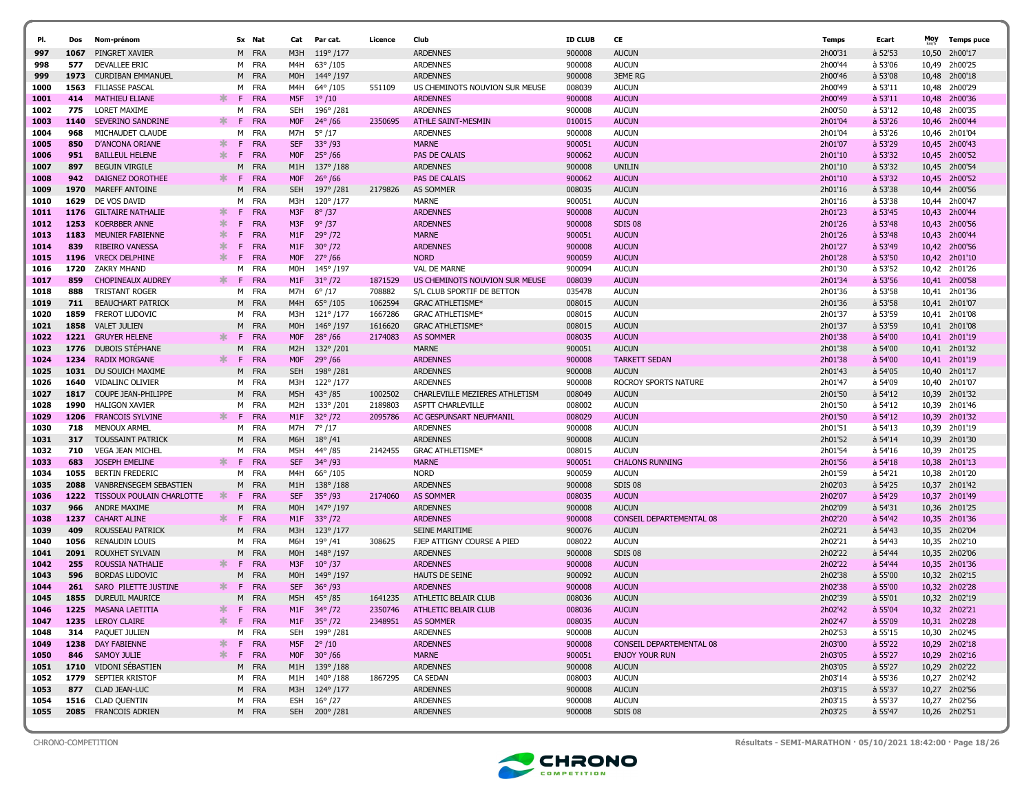| PI.          | Dos  | Nom-prénom                    |        |     | Sx Nat     | Cat              | Par cat.            | Licence | Club                           | <b>ID CLUB</b> | CE                       | Temps   | Ecart     | Moy   | <b>Temps puce</b> |
|--------------|------|-------------------------------|--------|-----|------------|------------------|---------------------|---------|--------------------------------|----------------|--------------------------|---------|-----------|-------|-------------------|
| 997          | 1067 | PINGRET XAVIER                |        |     | M FRA      | M3H              | $119^{\circ}/177$   |         | <b>ARDENNES</b>                | 900008         | <b>AUCUN</b>             | 2h00'31 | à 52'53   | 10,50 | 2h00'17           |
| 998          | 577  | DEVALLEE ERIC                 |        |     | M FRA      | M4H              | $63^{\circ}/105$    |         | <b>ARDENNES</b>                | 900008         | <b>AUCUN</b>             | 2h00'44 | à 53'06   | 10,49 | 2h00'25           |
| 999          | 1973 | <b>CURDIBAN EMMANUEL</b>      |        |     | M FRA      | M <sub>0</sub> H | 144°/197            |         | <b>ARDENNES</b>                | 900008         | <b>3EME RG</b>           | 2h00'46 | à 53'08   | 10,48 | 2h00'18           |
| 1000         | 1563 | <b>FILIASSE PASCAL</b>        |        | м   | FRA        | M4H              | 64°/105             | 551109  | US CHEMINOTS NOUVION SUR MEUSE | 008039         | <b>AUCUN</b>             | 2h00'49 | à 53'11   | 10,48 | 2h00'29           |
| 1001         | 414  | <b>MATHIEU ELIANE</b>         | ж.     | -F. | FRA        | M5F              | $1^{\circ}/10$      |         | <b>ARDENNES</b>                | 900008         | <b>AUCUN</b>             | 2h00'49 | à 53'11   | 10,48 | 2h00'36           |
| 1002         | 775  | LORET MAXIME                  |        | м   | FRA        | <b>SEH</b>       | 196°/281            |         | <b>ARDENNES</b>                | 900008         | <b>AUCUN</b>             | 2h00'50 | à 53'12   | 10,48 | 2h00'35           |
| 1003         | 1140 | SEVERINO SANDRINE             | ж.     | -F  | <b>FRA</b> | <b>MOF</b>       | $24^{\circ}$ /66    | 2350695 | <b>ATHLE SAINT-MESMIN</b>      | 010015         | <b>AUCUN</b>             | 2h01'04 | à 53'26   |       | 10,46 2h00'44     |
| 1004         | 968  | MICHAUDET CLAUDE              |        | м   | <b>FRA</b> | M7H              | $5^{\circ}/17$      |         | <b>ARDENNES</b>                | 900008         | <b>AUCUN</b>             | 2h01'04 | à 53'26   | 10,46 | 2h01'04           |
| 1005         | 850  | D'ANCONA ORIANE               | ∗      | F.  | <b>FRA</b> | <b>SEF</b>       | $33^{\circ}/93$     |         | <b>MARNE</b>                   | 900051         | <b>AUCUN</b>             | 2h01'07 | à 53'29   | 10,45 | 2h00'43           |
| 1006         | 951  | <b>BAILLEUL HELENE</b>        | $\ast$ | F.  | <b>FRA</b> | <b>MOF</b>       | $25^{\circ}$ /66    |         | PAS DE CALAIS                  | 900062         | <b>AUCUN</b>             | 2h01'10 | à 53'32   | 10,45 | 2h00'52           |
| 1007         | 897  | <b>BEGUIN VIRGILE</b>         |        | м   | <b>FRA</b> | M1H              | $137^{\circ}/188$   |         | <b>ARDENNES</b>                | 900008         | <b>UNILIN</b>            | 2h01'10 | à 53'32   | 10,45 | 2h00'54           |
| 1008         | 942  | DAIGNEZ DOROTHEE              | ж.     | -F. | <b>FRA</b> | <b>MOF</b>       | $26^{\circ}$ /66    |         | PAS DE CALAIS                  | 900062         | <b>AUCUN</b>             | 2h01'10 | à 53'32   |       | 10,45 2h00'52     |
| 1009         | 1970 | MAREFF ANTOINE                |        | м   | FRA        | <b>SEH</b>       | 197°/281            | 2179826 | AS SOMMER                      | 008035         | <b>AUCUN</b>             | 2h01'16 | à 53'38   |       | 10.44 2h00'56     |
| 1010         | 1629 | DE VOS DAVID                  |        | м   | FRA        | МЗН              | 120°/177            |         | <b>MARNE</b>                   | 900051         | <b>AUCUN</b>             | 2h01'16 | à 53'38   |       | 10,44 2h00'47     |
| 1011         | 1176 | <b>GILTAIRE NATHALIE</b>      | $\ast$ | F   | <b>FRA</b> | M3F              | $8^{\circ}/37$      |         | <b>ARDENNES</b>                | 900008         | <b>AUCUN</b>             | 2h01'23 | à 53'45   | 10,43 | 2h00'44           |
| 1012         | 1253 | <b>KOERBBER ANNE</b>          | $\ast$ | F.  | FRA        | M3F              | $9^{\circ}/37$      |         | <b>ARDENNES</b>                | 900008         | SDIS 08                  | 2h01'26 | $a$ 53'48 | 10,43 | 2h00'56           |
| 1013         | 1183 | <b>MEUNIER FABIENNE</b>       | ж.     | F   | <b>FRA</b> | M1F              | $29^{\circ}/72$     |         | <b>MARNE</b>                   | 900051         | <b>AUCUN</b>             | 2h01'26 | $a$ 53'48 | 10,43 | 2h00'44           |
|              | 839  | <b>RIBEIRO VANESSA</b>        | 氺      | F   | <b>FRA</b> | M1F              | $30^{\circ}/72$     |         | <b>ARDENNES</b>                | 900008         | <b>AUCUN</b>             | 2h01'27 | à 53'49   |       | 10,42 2h00'56     |
| 1014<br>1015 | 1196 | <b>VRECK DELPHINE</b>         | $\ast$ | F   | <b>FRA</b> | M <sub>OF</sub>  | $27^{\circ}$ /66    |         | <b>NORD</b>                    | 900059         | <b>AUCUN</b>             | 2h01'28 | à 53'50   | 10,42 | 2h01'10           |
|              | 1720 | ZAKRY MHAND                   |        | м   | FRA        | M0H              | 145°/197            |         | <b>VAL DE MARNE</b>            | 900094         | <b>AUCUN</b>             | 2h01'30 | à 53'52   | 10,42 | 2h01'26           |
| 1016<br>1017 | 859  | <b>CHOPINEAUX AUDREY</b>      | ж.     | -F. | <b>FRA</b> | M1F              | $31^{\circ}/72$     | 1871529 | US CHEMINOTS NOUVION SUR MEUSE | 008039         | <b>AUCUN</b>             | 2h01'34 | à 53'56   |       | 10,41 2h00'58     |
| 1018         | 888  | <b>TRISTANT ROGER</b>         |        | M   | <b>FRA</b> | M7H              | $6^{\circ}/17$      | 708882  | S/L CLUB SPORTIF DE BETTON     | 035478         | <b>AUCUN</b>             | 2h01'36 | à 53'58   | 10,41 | 2h01'36           |
|              | 711  | <b>BEAUCHART PATRICK</b>      |        |     | M FRA      | M4H              | $65^{\circ}/105$    | 1062594 | <b>GRAC ATHLETISME*</b>        | 008015         | <b>AUCUN</b>             | 2h01'36 | à 53'58   |       | 10,41 2h01'07     |
| 1019<br>1020 | 1859 | <b>FREROT LUDOVIC</b>         |        | м   | FRA        | M3H              | $121^{\circ}/177$   | 1667286 | <b>GRAC ATHLETISME*</b>        | 008015         | <b>AUCUN</b>             | 2h01'37 | à 53'59   |       | 10,41 2h01'08     |
| 1021         | 1858 | <b>VALET JULIEN</b>           |        | М   | <b>FRA</b> | M <sub>0</sub> H | 146°/197            | 1616620 | <b>GRAC ATHLETISME*</b>        | 008015         | <b>AUCUN</b>             | 2h01'37 | à 53'59   | 10,41 | 2h01'08           |
| 1022         | 1221 | <b>GRUYER HELENE</b>          | $\ast$ | F.  | FRA        | <b>MOF</b>       | $28^{\circ}/66$     | 2174083 | <b>AS SOMMER</b>               | 008035         | <b>AUCUN</b>             | 2h01'38 | à 54'00   | 10,41 | 2h01'19           |
| 1023         |      | 1776 DUBOIS STEPHANE          |        | M   | <b>FRA</b> | M2H              | 132°/201            |         | <b>MARNE</b>                   | 900051         | <b>AUCUN</b>             | 2h01'38 | à 54'00   |       | 10,41 2h01'32     |
| 1024         | 1234 | <b>RADIX MORGANE</b>          | Ж.     | -F. | <b>FRA</b> | <b>MOF</b>       | 29°/66              |         | <b>ARDENNES</b>                | 900008         | <b>TARKETT SEDAN</b>     | 2h01'38 | à 54'00   | 10,41 | 2h01'19           |
| 1025         | 1031 | DU SOUICH MAXIME              |        | M   | <b>FRA</b> | <b>SEH</b>       | 198°/281            |         | <b>ARDENNES</b>                | 900008         | <b>AUCUN</b>             | 2h01'43 | à 54'05   | 10,40 | 2h01'17           |
| 1026         | 1640 | VIDALINC OLIVIER              |        | м   | FRA        | M3H              | 122°/177            |         | <b>ARDENNES</b>                | 900008         | ROCROY SPORTS NATURE     | 2h01'47 | à 54'09   | 10,40 | 2h01'07           |
| 1027         | 1817 | COUPE JEAN-PHILIPPE           |        | м   | <b>FRA</b> | M5H              | $43^{\circ}/85$     | 1002502 | CHARLEVILLE MEZIERES ATHLETISM | 008049         | <b>AUCUN</b>             | 2h01'50 | à 54'12   | 10,39 | 2h01'32           |
| 1028         | 1990 | HALIGON XAVIER                |        | м   | FRA        | M <sub>2</sub> H | 133°/201            | 2189803 | ASPTT CHARLEVILLE              | 008002         | <b>AUCUN</b>             | 2h01'50 | à 54'12   |       | 10,39 2h01'46     |
| 1029         | 1206 | <b>FRANCOIS SYLVINE</b>       |        | F.  | <b>FRA</b> | M1F              | $32^{\circ}/72$     | 2095786 | AC GESPUNSART NEUFMANIL        | 008029         | <b>AUCUN</b>             | 2h01'50 | $a$ 54'12 | 10,39 | 2h01'32           |
| 1030         | 718  | MENOUX ARMEL                  |        |     | M FRA      | M7H              | 7° /17              |         | ARDENNES                       | 900008         | <b>AUCUN</b>             | 2h01'51 | à 54'13   |       | 10,39 2h01'19     |
| 1031         | 317  | <b>TOUSSAINT PATRICK</b>      |        | м   | FRA        | M6H              | $18^{\circ}$ /41    |         | <b>ARDENNES</b>                | 900008         | <b>AUCUN</b>             | 2h01'52 | à 54'14   | 10,39 | 2h01'30           |
| 1032         | 710  | <b>VEGA JEAN MICHEL</b>       |        |     | M FRA      | M5H              | 44° / 85            | 2142455 | <b>GRAC ATHLETISME*</b>        | 008015         | <b>AUCUN</b>             | 2h01'54 | à 54'16   | 10,39 | 2h01'25           |
| 1033         | 683  | <b>JOSEPH EMELINE</b>         | $\ast$ | F.  | <b>FRA</b> | <b>SEF</b>       | $34^{\circ}/93$     |         | <b>MARNE</b>                   | 900051         | <b>CHALONS RUNNING</b>   | 2h01'56 | $a$ 54'18 | 10,38 | 2h01'13           |
| 1034         | 1055 | <b>BERTIN FREDERIC</b>        |        |     | M FRA      | M4H              | $66^{\circ}/105$    |         | <b>NORD</b>                    | 900059         | <b>AUCUN</b>             | 2h01'59 | à 54'21   | 10,38 | 2h01'20           |
| 1035         | 2088 | <b>VANBRENSEGEM SEBASTIEN</b> |        | м   | <b>FRA</b> | M1H              | $138^{\circ}/188$   |         | <b>ARDENNES</b>                | 900008         | SDIS 08                  | 2h02'03 | à 54'25   | 10,37 | 2h01'42           |
| 1036         | 1222 | TISSOUX POULAIN CHARLOTTE     | ж.     | F.  | <b>FRA</b> | <b>SEF</b>       | $35^{\circ}$ /93    | 2174060 | <b>AS SOMMER</b>               | 008035         | <b>AUCUN</b>             | 2h02'07 | à 54'29   | 10,37 | 2h01'49           |
| 1037         | 966  | <b>ANDRE MAXIME</b>           |        | M   | <b>FRA</b> | M <sub>0</sub> H | 147° /197           |         | <b>ARDENNES</b>                | 900008         | <b>AUCUN</b>             | 2h02'09 | à 54'31   | 10,36 | 2h01'25           |
| 1038         | 1237 | <b>CAHART ALINE</b>           | ж.     | F.  | <b>FRA</b> | M1F              | $33^{\circ}/72$     |         | <b>ARDENNES</b>                | 900008         | CONSEIL DEPARTEMENTAL 08 | 2h02'20 | à 54'42   |       | 10,35 2h01'36     |
| 1039         | 409  | ROUSSEAU PATRICK              |        | M   | <b>FRA</b> | M3H              | $123^{\circ}/177$   |         | <b>SEINE MARITIME</b>          | 900076         | <b>AUCUN</b>             | 2h02'21 | à 54'43   |       | 10,35 2h02'04     |
| 1040         | 1056 | <b>RENAUDIN LOUIS</b>         |        | м   | FRA        | M6H              | $19^{\circ}$ /41    | 308625  | FJEP ATTIGNY COURSE A PIED     | 008022         | <b>AUCUN</b>             | 2h02'21 | à 54'43   | 10,35 | 2h02'10           |
| 1041         | 2091 | ROUXHET SYLVAIN               |        | M   | <b>FRA</b> | M0H              | 148°/197            |         | <b>ARDENNES</b>                | 900008         | SDIS <sub>08</sub>       | 2h02'22 | à 54'44   | 10,35 | 2h02'06           |
| 1042         | 255  | ROUSSIA NATHALIE              | ∗      | F.  | <b>FRA</b> | M3F              | $10^{\circ}/37$     |         | <b>ARDENNES</b>                | 900008         | <b>AUCUN</b>             | 2h02'22 | à 54'44   | 10,35 | 2h01'36           |
| 1043         | 596  | <b>BORDAS LUDOVIC</b>         |        | M   | FRA        | M <sub>0</sub> H | 149°/197            |         | HAUTS DE SEINE                 | 900092         | <b>AUCUN</b>             | 2h02'38 | à 55'00   | 10,32 | 2h02'15           |
| 1044         | 261  | SARO PILETTE JUSTINE          |        | F.  | <b>FRA</b> | <b>SEF</b>       | $36^{\circ}/93$     |         | <b>ARDENNES</b>                | 900008         | <b>AUCUN</b>             | 2h02'38 | à 55'00   |       | 10,32 2h02'28     |
| 1045         |      | 1855 DUREUIL MAURICE          |        |     | M FRA      | M5H              | $45^{\circ}$ /85    | 1641235 | ATHLETIC BELAIR CLUB           | 008036         | <b>AUCUN</b>             | 2h02'39 | à 55'01   |       | 10,32 2h02'19     |
| 1046         |      | 1225 MASANA LAETITIA          |        | F.  | <b>FRA</b> |                  | M1F 34°/72          | 2350746 | ATHLETIC BELAIR CLUB           | 008036         | <b>AUCUN</b>             | 2h02'42 | à 55'04   |       | 10,32 2h02'21     |
| 1047         |      | 1235 LEROY CLAIRE             | ∗.     |     | F FRA      |                  | M1F 35°/72          | 2348951 | AS SOMMER                      | 008035         | <b>AUCUN</b>             | 2h02'47 | à 55'09   |       | 10,31 2h02'28     |
| 1048         |      | 314 PAQUET JULIEN             |        |     | M FRA      |                  | SEH 199° /281       |         | <b>ARDENNES</b>                | 900008         | <b>AUCUN</b>             | 2h02'53 | à 55'15   |       | 10,30 2h02'45     |
| 1049         |      | 1238 DAY FABIENNE             | ж.     |     | F FRA      |                  | M5F $2^{\circ}/10$  |         | <b>ARDENNES</b>                | 900008         | CONSEIL DEPARTEMENTAL 08 | 2h03'00 | a 55'22   |       | 10,29 2h02'18     |
| 1050         |      | 846 SAMOY JULIE               | ж.     |     | F FRA      |                  | M0F $30^{\circ}/66$ |         | <b>MARNE</b>                   | 900051         | <b>ENJOY YOUR RUN</b>    | 2h03'05 | à 55'27   |       | 10,29 2h02'16     |
| 1051         |      | 1710 VIDONI SÉBASTIEN         |        |     | M FRA      |                  | M1H 139°/188        |         | <b>ARDENNES</b>                | 900008         | <b>AUCUN</b>             | 2h03'05 | à 55'27   |       | 10,29 2h02'22     |
| 1052         |      | 1779 SEPTIER KRISTOF          |        |     | M FRA      |                  | M1H 140°/188        | 1867295 | CA SEDAN                       | 008003         | <b>AUCUN</b>             | 2h03'14 | à 55'36   |       | 10,27 2h02'42     |
| 1053         | 877  | CLAD JEAN-LUC                 |        |     | M FRA      |                  | M3H 124° /177       |         | <b>ARDENNES</b>                | 900008         | <b>AUCUN</b>             | 2h03'15 | à 55'37   |       | 10,27 2h02'56     |
| 1054         |      | 1516 CLAD QUENTIN             |        |     | M FRA      |                  | ESH 16°/27          |         | <b>ARDENNES</b>                | 900008         | <b>AUCUN</b>             | 2h03'15 | à 55'37   |       | 10,27 2h02'56     |
| 1055         |      | 2085 FRANCOIS ADRIEN          |        |     | M FRA      |                  | SEH 200°/281        |         | <b>ARDENNES</b>                | 900008         | SDIS 08                  | 2h03'25 | à 55'47   |       | 10,26 2h02'51     |
|              |      |                               |        |     |            |                  |                     |         |                                |                |                          |         |           |       |                   |

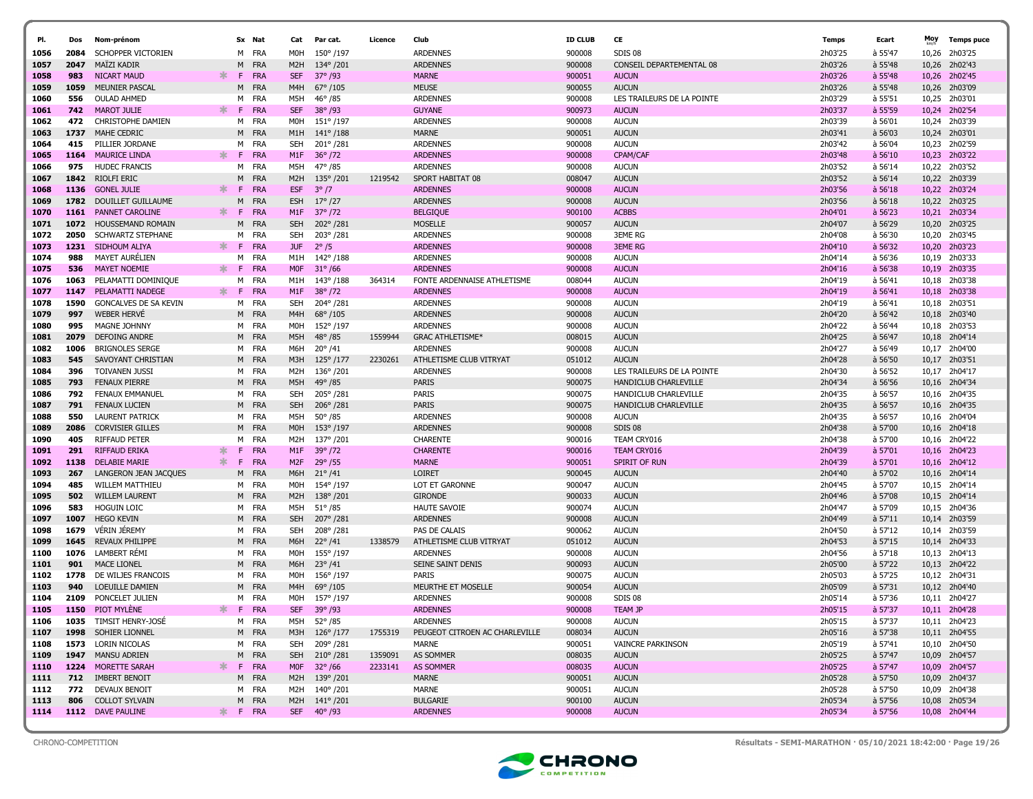| PI.          |             |                                         |    |         | Sx Nat                   | Cat               | Par cat.                     | Licence |                                     |                  |                              |                    |                    | Moy            |                          |
|--------------|-------------|-----------------------------------------|----|---------|--------------------------|-------------------|------------------------------|---------|-------------------------------------|------------------|------------------------------|--------------------|--------------------|----------------|--------------------------|
|              | Dos         | Nom-prénom                              |    |         |                          |                   |                              |         | Club                                | <b>ID CLUB</b>   | CE                           | Temps              | Ecart              |                | <b>Temps puce</b>        |
| 1056         | 2084        | SCHOPPER VICTORIEN                      |    | м       | FRA                      | M0H               | 150°/197                     |         | <b>ARDENNES</b>                     | 900008           | SDIS 08                      | 2h03'25            | à 55'47            | 10,26          | 2h03'25                  |
| 1057         | 2047        | <b>MAÏZI KADIR</b>                      |    | м       | <b>FRA</b>               | M <sub>2</sub> H  | 134°/201                     |         | <b>ARDENNES</b>                     | 900008           | CONSEIL DEPARTEMENTAL 08     | 2h03'26            | à 55'48            | 10,26          | 2h02'43                  |
| 1058         | 983         | <b>NICART MAUD</b>                      | Ж. | -F      | <b>FRA</b>               | <b>SEF</b>        | $37^{\circ}$ /93             |         | <b>MARNE</b>                        | 900051           | <b>AUCUN</b>                 | 2h03'26            | à 55'48            | 10,26          | 2h02'45                  |
| 1059         | 1059        | MEUNIER PASCAL                          |    | М       | <b>FRA</b>               | M4H               | $67^{\circ}/105$             |         | <b>MEUSE</b>                        | 900055           | <b>AUCUN</b>                 | 2h03'26            | à 55'48            | 10,26          | 2h03'09                  |
| 1060         | 556         | <b>OULAD AHMED</b>                      |    |         | M FRA                    | M5H               | $46^{\circ}/85$              |         | <b>ARDENNES</b>                     | 900008           | LES TRAILEURS DE LA POINTE   | 2h03'29            | à 55'51            | 10,25          | 2h03'01                  |
| 1061         | 742         | <b>MAROT JULIE</b>                      | ж. | F.      | <b>FRA</b>               | <b>SEF</b>        | $38^{\circ}/93$              |         | <b>GUYANE</b>                       | 900973           | <b>AUCUN</b>                 | 2h03'37            | à 55'59            |                | 10.24 2h02'54            |
| 1062         | 472         | <b>CHRISTOPHE DAMIEN</b>                |    | м       | FRA                      | M0H               | 151°/197                     |         | <b>ARDENNES</b>                     | 900008           | <b>AUCUN</b>                 | 2h03'39            | à 56'01            | 10,24          | 2h03'39                  |
| 1063         | 1737        | MAHE CEDRIC                             |    | M       | <b>FRA</b>               | M1H               | $141^{\circ}/188$            |         | <b>MARNE</b>                        | 900051           | <b>AUCUN</b>                 | 2h03'41            | à 56'03            |                | 10,24 2h03'01            |
| 1064         | 415         | PILLIER JORDANE<br><b>MAURICE LINDA</b> |    | M<br>F. | FRA                      | <b>SEH</b>        | 201°/281                     |         | <b>ARDENNES</b>                     | 900008           | <b>AUCUN</b>                 | 2h03'42            | à 56'04            |                | 10,23 2h02'59            |
| 1065<br>1066 | 1164<br>975 | <b>HUDEC FRANCIS</b>                    | ж. | м       | <b>FRA</b><br><b>FRA</b> | M1F<br>M5H        | $36^{\circ}$ /72<br>47° / 85 |         | <b>ARDENNES</b><br><b>ARDENNES</b>  | 900008<br>900008 | CPAM/CAF<br><b>AUCUN</b>     | 2h03'48<br>2h03'52 | a 56'10<br>à 56'14 |                | 10,23 2h03'22<br>2h03'52 |
|              |             |                                         |    |         |                          |                   |                              |         |                                     |                  |                              |                    |                    | 10,22          |                          |
| 1067         | 1136        | 1842 RIOLFI ERIC<br><b>GONEL JULIE</b>  | ∗. | M<br>F  | <b>FRA</b><br>FRA        | M2H<br><b>ESF</b> | 135°/201<br>$3^{\circ}/7$    | 1219542 | SPORT HABITAT 08<br><b>ARDENNES</b> | 008047           | <b>AUCUN</b><br><b>AUCUN</b> | 2h03'52<br>2h03'56 | à 56'14            | 10,22          | 10,22 2h03'39<br>2h03'24 |
| 1068         | 1782        | DOUILLET GUILLAUME                      |    | М       | <b>FRA</b>               | <b>ESH</b>        | $17^{\circ}/27$              |         | <b>ARDENNES</b>                     | 900008<br>900008 | <b>AUCUN</b>                 | 2h03'56            | à 56'18<br>à 56'18 |                | 10,22 2h03'25            |
| 1069         | 1161        | PANNET CAROLINE                         | ж. | -F      | <b>FRA</b>               | M1F               | $37^{\circ}/72$              |         | <b>BELGIQUE</b>                     |                  | <b>ACBBS</b>                 | 2h04'01            | $a$ 56'23          |                | 2h03'34                  |
| 1070         | 1072        | HOUSSEMAND ROMAIN                       |    | M       | <b>FRA</b>               | <b>SEH</b>        | 202°/281                     |         | <b>MOSELLE</b>                      | 900100<br>900057 | <b>AUCUN</b>                 | 2h04'07            | à 56'29            | 10,21<br>10,20 | 2h03'25                  |
| 1071<br>1072 | 2050        | <b>SCHWARTZ STEPHANE</b>                |    | м       | FRA                      | SEH               | 203°/281                     |         | <b>ARDENNES</b>                     | 900008           | <b>3EME RG</b>               | 2h04'08            | à 56'30            | 10,20          | 2h03'45                  |
|              | 1231        | SIDHOUM ALIYA                           | ∗. | F.      | <b>FRA</b>               | <b>JUF</b>        | $2^{\circ}/5$                |         | <b>ARDENNES</b>                     | 900008           | <b>3EME RG</b>               | 2h04'10            | a 56'32            | 10,20          | 2h03'23                  |
| 1073<br>1074 | 988         | <b>MAYET AURÉLIEN</b>                   |    | м       | <b>FRA</b>               | M1H               | 142°/188                     |         | <b>ARDENNES</b>                     | 900008           | <b>AUCUN</b>                 | 2h04'14            | à 56'36            |                | 10,19 2h03'33            |
| 1075         | 536         | <b>MAYET NOEMIE</b>                     | ж. | -F.     | <b>FRA</b>               | <b>MOF</b>        | $31^{\circ}/66$              |         | <b>ARDENNES</b>                     | 900008           | <b>AUCUN</b>                 | 2h04'16            | à 56'38            |                | 10,19 2h03'35            |
| 1076         | 1063        | PELAMATTI DOMINIQUE                     |    | м       | FRA                      | M1H               | 143°/188                     | 364314  | FONTE ARDENNAISE ATHLETISME         | 008044           | <b>AUCUN</b>                 | 2h04'19            | à 56'41            |                | 10,18 2h03'38            |
|              | 1147        | PELAMATTI NADEGE                        | ∗. | F.      | <b>FRA</b>               | M1F               | $38^{\circ}/72$              |         | <b>ARDENNES</b>                     | 900008           | <b>AUCUN</b>                 | 2h04'19            | à 56'41            | 10,18          | 2h03'38                  |
| 1077<br>1078 | 1590        | GONCALVES DE SA KEVIN                   |    | м       | FRA                      | <b>SEH</b>        | 204°/281                     |         | <b>ARDENNES</b>                     | 900008           | <b>AUCUN</b>                 | 2h04'19            | à 56'41            |                | 10,18 2h03'51            |
| 1079         | 997         | <b>WEBER HERVE</b>                      |    | м       | <b>FRA</b>               | M4H               | 68°/105                      |         | <b>ARDENNES</b>                     | 900008           | <b>AUCUN</b>                 | 2h04'20            | à 56'42            |                | 10,18 2h03'40            |
| 1080         | 995         | MAGNE JOHNNY                            |    |         | M FRA                    | M0H               | 152°/197                     |         | <b>ARDENNES</b>                     | 900008           | <b>AUCUN</b>                 | 2h04'22            | à 56'44            |                | 10,18 2h03'53            |
| 1081         | 2079        | <b>DEFOING ANDRE</b>                    |    |         | M FRA                    | M5H               | $48^{\circ}/85$              | 1559944 | <b>GRAC ATHLETISME*</b>             | 008015           | <b>AUCUN</b>                 | 2h04'25            | à 56'47            | 10,18          | 2h04'14                  |
| 1082         | 1006        | <b>BRIGNOLES SERGE</b>                  |    |         | M FRA                    | M6H               | $20^{\circ}/41$              |         | <b>ARDENNES</b>                     | 900008           | <b>AUCUN</b>                 | 2h04'27            | à 56'49            |                | 10,17 2h04'00            |
| 1083         | 545         | SAVOYANT CHRISTIAN                      |    | м       | <b>FRA</b>               | M3H               | $125^{\circ}/177$            | 2230261 | ATHLETISME CLUB VITRYAT             | 051012           | <b>AUCUN</b>                 | 2h04'28            | à 56'50            |                | 10.17 2h03'51            |
| 1084         | 396         | <b>TOIVANEN JUSSI</b>                   |    | м       | <b>FRA</b>               | M2H               | 136°/201                     |         | <b>ARDENNES</b>                     | 900008           | LES TRAILEURS DE LA POINTE   | 2h04'30            | à 56'52            |                | 10,17 2h04'17            |
| 1085         | 793         | <b>FENAUX PIERRE</b>                    |    |         | M FRA                    | M5H               | $49^{\circ}/85$              |         | <b>PARIS</b>                        | 900075           | HANDICLUB CHARLEVILLE        | 2h04'34            | à 56'56            |                | 10,16 2h04'34            |
| 1086         | 792         | <b>FENAUX EMMANUEL</b>                  |    | M       | FRA                      | <b>SEH</b>        | 205°/281                     |         | <b>PARIS</b>                        | 900075           | HANDICLUB CHARLEVILLE        | 2h04'35            | à 56'57            |                | 10,16 2h04'35            |
| 1087         | 791         | <b>FENAUX LUCIEN</b>                    |    |         | M FRA                    | <b>SEH</b>        | 206°/281                     |         | <b>PARIS</b>                        | 900075           | HANDICLUB CHARLEVILLE        | 2h04'35            | à 56'57            |                | 10,16 2h04'35            |
| 1088         | 550         | <b>LAURENT PATRICK</b>                  |    | м       | FRA                      | M5H               | $50^{\circ}/85$              |         | ARDENNES                            | 900008           | <b>AUCUN</b>                 | 2h04'35            | à 56'57            | 10,16          | 2h04'04                  |
| 1089         | 2086        | <b>CORVISIER GILLES</b>                 |    | M       | <b>FRA</b>               | M <sub>O</sub> H  | 153°/197                     |         | <b>ARDENNES</b>                     | 900008           | SDIS <sub>08</sub>           | 2h04'38            | à 57'00            |                | 10,16 2h04'18            |
| 1090         | 405         | <b>RIFFAUD PETER</b>                    |    | M       | <b>FRA</b>               | M2H               | 137°/201                     |         | CHARENTE                            | 900016           | TEAM CRY016                  | 2h04'38            | à 57'00            |                | 10,16 2h04'22            |
| 1091         | 291         | <b>RIFFAUD ERIKA</b>                    | ж  | F       | <b>FRA</b>               | M1F               | $39^{\circ}/72$              |         | <b>CHARENTE</b>                     | 900016           | TEAM CRY016                  | 2h04'39            | à 57'01            | 10,16          | 2h04'23                  |
| 1092         | 1138        | <b>DELABIE MARIE</b>                    | *  | F.      | <b>FRA</b>               | M <sub>2</sub> F  | $29^{\circ}$ /55             |         | <b>MARNE</b>                        | 900051           | SPIRIT OF RUN                | 2h04'39            | à 57'01            |                | 10,16 2h04'12            |
| 1093         | 267         | LANGERON JEAN JACQUES                   |    | м       | FRA                      | M6H               | $21^{\circ}/41$              |         | <b>LOIRET</b>                       | 900045           | <b>AUCUN</b>                 | 2h04'40            | à 57'02            |                | 10,16 2h04'14            |
| 1094         | 485         | <b>WILLEM MATTHIEU</b>                  |    | м       | FRA                      | M0H               | 154°/197                     |         | LOT ET GARONNE                      | 900047           | <b>AUCUN</b>                 | 2h04'45            | à 57'07            |                | 10,15 2h04'14            |
| 1095         | 502         | <b>WILLEM LAURENT</b>                   |    |         | M FRA                    | M <sub>2</sub> H  | 138°/201                     |         | <b>GIRONDE</b>                      | 900033           | <b>AUCUN</b>                 | 2h04'46            | à 57'08            |                | 10,15 2h04'14            |
| 1096         | 583         | <b>HOGUIN LOIC</b>                      |    |         | M FRA                    | M5H               | $51^{\circ}/85$              |         | <b>HAUTE SAVOIE</b>                 | 900074           | <b>AUCUN</b>                 | 2h04'47            | à 57'09            |                | 10,15 2h04'36            |
| 1097         | 1007        | <b>HEGO KEVIN</b>                       |    | м       | <b>FRA</b>               | <b>SEH</b>        | 207°/281                     |         | <b>ARDENNES</b>                     | 900008           | <b>AUCUN</b>                 | 2h04'49            | à 57'11            |                | 10,14 2h03'59            |
| 1098         | 1679        | <b>VERIN JEREMY</b>                     |    |         | M FRA                    | <b>SEH</b>        | 208°/281                     |         | PAS DE CALAIS                       | 900062           | <b>AUCUN</b>                 | 2h04'50            | à 57'12            |                | 10,14 2h03'59            |
| 1099         | 1645        | REVAUX PHILIPPE                         |    | M       | <b>FRA</b>               | M6H               | $22^{\circ}/41$              | 1338579 | ATHLETISME CLUB VITRYAT             | 051012           | <b>AUCUN</b>                 | 2h04'53            | à 57'15            |                | 10,14 2h04'33            |
| 1100         | 1076        | LAMBERT RÉMI                            |    |         | M FRA                    | MOH               | 155°/197                     |         | <b>ARDENNES</b>                     | 900008           | <b>AUCUN</b>                 | 2h04'56            | à 57'18            |                | 10,13 2h04'13            |
| 1101         | 901         | <b>MACE LIONEL</b>                      |    | M       | <b>FRA</b>               | M6H               | $23^{\circ}/41$              |         | SEINE SAINT DENIS                   | 900093           | <b>AUCUN</b>                 | 2h05'00            | à 57'22            |                | 10,13 2h04'22            |
| 1102         | 1778        | DE WILJES FRANCOIS                      |    |         | M FRA                    | M0H               | 156°/197                     |         | PARIS                               | 900075           | <b>AUCUN</b>                 | 2h05'03            | à 57'25            |                | 10,12 2h04'31            |
| 1103         | 940         | LOEUILLE DAMIEN                         |    | м       | FRA                      | M4H               | 69°/105                      |         | MEURTHE ET MOSELLE                  | 900054           | <b>AUCUN</b>                 | 2h05'09            | à 57'31            |                | 10,12 2h04'40            |
| 1104         | 2109        | PONCELET JULIEN                         |    | м       | FRA                      | M0H               | 157°/197                     |         | <b>ARDENNES</b>                     | 900008           | SDIS <sub>08</sub>           | 2h05'14            | à 57'36            |                | 10,11 2h04'27            |
| 1105         | 1150        | PIOT MYLENE                             | ж  | F.      | <b>FRA</b>               | <b>SEF</b>        | $39^{\circ}$ /93             |         | <b>ARDENNES</b>                     | 900008           | <b>TEAM JP</b>               | 2h05'15            | à 57'37            |                | 10,11 2h04'28            |
| 1106         |             | 1035 TIMSIT HENRY-JOSÉ                  |    |         | M FRA                    | M5H               | $52^{\circ}/85$              |         | <b>ARDENNES</b>                     | 900008           | <b>AUCUN</b>                 | 2h05'15            | à 57'37            |                | 10,11 2h04'23            |
| 1107         |             | 1998 SOHIER LIONNEL                     |    |         | M FRA                    | M3H               | $126^{\circ}/177$            | 1755319 | PEUGEOT CITROEN AC CHARLEVILLE      | 008034           | <b>AUCUN</b>                 | 2h05'16            | à 57'38            |                | 10,11 2h04'55            |
| 1108         |             | 1573 LORIN NICOLAS                      |    |         | M FRA                    | <b>SEH</b>        | 209°/281                     |         | MARNE                               | 900051           | VAINCRE PARKINSON            | 2h05'19            | à 57'41            |                | 10,10 2h04'50            |
| 1109         |             | 1947 MANSU ADRIEN                       |    |         | M FRA                    |                   | SEH 210° /281                | 1359091 | AS SOMMER                           | 008035           | <b>AUCUN</b>                 | 2h05'25            | à 57'47            |                | 10,09 2h04'57            |
| 1110         |             | 1224 MORETTE SARAH                      | ∗  | F.      | <b>FRA</b>               | <b>MOF</b>        | $32^{\circ}/66$              | 2233141 | AS SOMMER                           | 008035           | <b>AUCUN</b>                 | 2h05'25            | à 57'47            |                | 10,09 2h04'57            |
| 1111         |             | 712 IMBERT BENOIT                       |    |         | M FRA                    |                   | M2H 139°/201                 |         | <b>MARNE</b>                        | 900051           | <b>AUCUN</b>                 | 2h05'28            | à 57'50            |                | 10,09 2h04'37            |
| 1112         |             | 772 DEVAUX BENOIT                       |    |         | M FRA                    | M2H               | 140° /201                    |         | MARNE                               | 900051           | <b>AUCUN</b>                 | 2h05'28            | à 57'50            |                | 10,09 2h04'38            |
| 1113         | 806         | <b>COLLOT SYLVAIN</b>                   |    |         | M FRA                    |                   | M2H 141°/201                 |         | <b>BULGARIE</b>                     | 900100           | <b>AUCUN</b>                 | 2h05'34            | à 57'56            |                | 10,08 2h05'34            |
| 1114         |             | 1112 DAVE PAULINE                       |    |         | * F FRA                  |                   | SEF 40° /93                  |         | <b>ARDENNES</b>                     | 900008           | <b>AUCUN</b>                 | 2h05'34            | à 57'56            |                | 10,08 2h04'44            |
|              |             |                                         |    |         |                          |                   |                              |         |                                     |                  |                              |                    |                    |                |                          |



CHRONO-COMPETITION Résultats - SEMI-MARATHON · 05/10/2021 18:42:00 · Page 19/26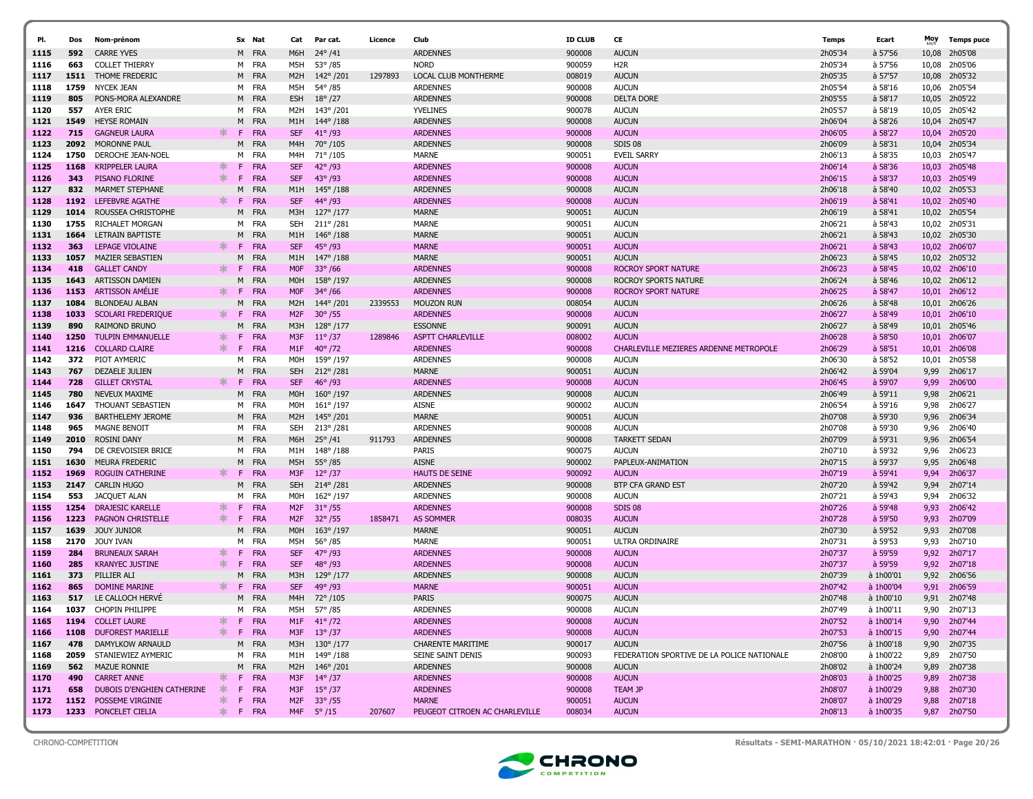| PI.          | Dos         | Nom-prénom                                          |        |        | Sx Nat              | Cat               | Par cat.              | Licence | Club                                           | <b>ID CLUB</b>   | CE                                                     | Temps              | Ecart                  | Moy           | <b>Temps puce</b>  |
|--------------|-------------|-----------------------------------------------------|--------|--------|---------------------|-------------------|-----------------------|---------|------------------------------------------------|------------------|--------------------------------------------------------|--------------------|------------------------|---------------|--------------------|
| 1115         | 592         | <b>CARRE YVES</b>                                   |        |        | M FRA               | M6H               | $24^{\circ}/41$       |         | <b>ARDENNES</b>                                | 900008           | <b>AUCUN</b>                                           | 2h05'34            | à 57'56                | 10,08         | 2h05'08            |
| 1116         | 663         | <b>COLLET THIERRY</b>                               |        |        | M FRA               | M5H               | 53° / 85              |         | <b>NORD</b>                                    | 900059           | H <sub>2R</sub>                                        | 2h05'34            | à 57'56                | 10,08         | 2h05'06            |
| 1117         | 1511        | THOME FREDERIC                                      |        |        | M FRA               | M2H               | 142°/201              | 1297893 | LOCAL CLUB MONTHERME                           | 008019           | <b>AUCUN</b>                                           | 2h05'35            | à 57'57                | 10,08         | 2h05'32            |
| 1118         | 1759        | NYCEK JEAN                                          |        | M      | FRA                 | M5H               | 54°/85                |         | <b>ARDENNES</b>                                | 900008           | <b>AUCUN</b>                                           | 2h05'54            | à 58'16                | 10,06         | 2h05'54            |
| 1119         | 805         | PONS-MORA ALEXANDRE                                 |        |        | M FRA               | <b>ESH</b>        | $18^{\circ}/27$       |         | <b>ARDENNES</b>                                | 900008           | <b>DELTA DORE</b>                                      | 2h05'55            | à 58'17                | 10,05         | 2h05'22            |
| 1120         | 557         | AYER ERIC                                           |        | м      | FRA                 | M2H               | 143°/201              |         | <b>YVELINES</b>                                | 900078           | <b>AUCUN</b>                                           | 2h05'57            | à 58'19                | 10,05         | 2h05'42            |
| 1121         | 1549        | <b>HEYSE ROMAIN</b>                                 |        | M      | FRA                 | M1H               | 144°/188              |         | <b>ARDENNES</b>                                | 900008           | <b>AUCUN</b>                                           | 2h06'04            | à 58'26                | 10,04         | 2h05'47            |
| 1122         | 715         | <b>GAGNEUR LAURA</b>                                | *      | F.     | FRA                 | <b>SEF</b>        | $41^{\circ}$ /93      |         | <b>ARDENNES</b>                                | 900008           | <b>AUCUN</b>                                           | 2h06'05            | à 58'27                | 10,04         | 2h05'20            |
| 1123         | 2092        | MORONNE PAUL                                        |        | M      | FRA                 | M4H               | 70°/105               |         | <b>ARDENNES</b>                                | 900008           | SDIS 08                                                | 2h06'09            | à 58'31                | 10,04         | 2h05'34            |
| 1124         | 1750        | DEROCHE JEAN-NOEI                                   |        | м      | FRA                 | M4H               | 71°/105               |         | MARNE                                          | 900051           | <b>EVEIL SARRY</b>                                     | 2h06'13            | à 58'35                | 10,03         | 2h05'47            |
| 1125         | 1168        | <b>KRIPPELER LAURA</b>                              |        | F      | <b>FRA</b>          | <b>SEF</b>        | $42^{\circ}/93$       |         | <b>ARDENNES</b>                                | 900008           | <b>AUCUN</b>                                           | 2h06'14            | à 58'36                | 10,03         | 2h05'48            |
| 1126         | 343         | PISANO FLORINE                                      | ж      | F.     | <b>FRA</b>          | <b>SEF</b>        | $43^{\circ}/93$       |         | <b>ARDENNES</b>                                | 900008           | <b>AUCUN</b>                                           | 2h06'15            | à 58'37                | 10,03         | 2h05'49            |
| 1127         | 832         | <b>MARMET STEPHANE</b>                              |        | M      | <b>FRA</b>          | M1H               | $145^{\circ}/188$     |         | <b>ARDENNES</b>                                | 900008           | <b>AUCUN</b>                                           | 2h06'18            | $a$ 58'40              | 10,02         | 2h05'53            |
| 1128         | 1192        | LEFEBVRE AGATHE                                     | ж      | F      | <b>FRA</b>          | <b>SEF</b>        | 44° / 93              |         | <b>ARDENNES</b>                                | 900008           | <b>AUCUN</b>                                           | 2h06'19            | a 58'41                | 10,02         | 2h05'40            |
| 1129         | 1014        | ROUSSEA CHRISTOPHE                                  |        | M      | FRA                 | M3H               | $127^{\circ}/177$     |         | <b>MARNE</b>                                   | 900051           | <b>AUCUN</b>                                           | 2h06'19            | à 58'41                | 10,02         | 2h05'54            |
| 1130         | 1755        | RICHALET MORGAN                                     |        | м      | FRA                 | SEH               | 211°/281              |         | MARNE                                          | 900051           | <b>AUCUN</b>                                           | 2h06'21            | à 58'43                | 10,02         | 2h05'31            |
| 1131         | 1664        | LETRAIN BAPTISTE                                    |        | M      | <b>FRA</b>          | M1H               | $146^{\circ}/188$     |         | <b>MARNE</b>                                   | 900051           | <b>AUCUN</b>                                           | 2h06'21            | à 58'43                | 10,02         | 2h05'30            |
| 1132         | 363         | LEPAGE VIOLAINE                                     | ∗      | F      | <b>FRA</b>          | <b>SEF</b>        | $45^{\circ}$ /93      |         | <b>MARNE</b>                                   | 900051           | <b>AUCUN</b>                                           | 2h06'21            | a 58'43                | 10,02         | 2h06'07            |
| 1133         | 1057        | <b>MAZIER SEBASTIEN</b>                             |        | M      | <b>FRA</b>          | M1H               | 147°/188              |         | <b>MARNE</b>                                   | 900051           | <b>AUCUN</b>                                           | 2h06'23            | à 58'45                | 10,02         | 2h05'32            |
| 1134         | 418         | <b>GALLET CANDY</b>                                 | $\ast$ | F.     | <b>FRA</b>          | <b>MOF</b>        | $33^{\circ}/66$       |         | <b>ARDENNES</b>                                | 900008           | <b>ROCROY SPORT NATURE</b>                             | 2h06'23            | à 58'45                | 10,02         | 2h06'10            |
| 1135         | 1643        | <b>ARTISSON DAMIEN</b>                              |        | M      | <b>FRA</b>          | M0H               | 158°/197              |         | <b>ARDENNES</b>                                | 900008           | ROCROY SPORTS NATURE                                   | 2h06'24            | à 58'46                |               | 10,02 2h06'12      |
| 1136         | 1153        | <b>ARTISSON AMÉLIE</b>                              | ж      | F      | <b>FRA</b>          | <b>MOF</b>        | $34^{\circ}$ /66      |         | <b>ARDENNES</b>                                | 900008           | <b>ROCROY SPORT NATURE</b>                             | 2h06'25            | à 58'47                | 10,01         | 2h06'12            |
| 1137         | 1084        | <b>BLONDEAU ALBAN</b>                               |        | M      | <b>FRA</b>          | M2H               | 144°/201              | 2339553 | <b>MOUZON RUN</b>                              | 008054           | <b>AUCUN</b>                                           | 2h06'26            | à 58'48                | 10,01         | 2h06'26            |
| 1138         | 1033        | <b>SCOLARI FREDERIQUE</b>                           | $\ast$ | F      | <b>FRA</b>          | M <sub>2F</sub>   | $30^{\circ}$ /55      |         | <b>ARDENNES</b>                                | 900008           | <b>AUCUN</b>                                           | 2h06'27            | à 58'49                | 10,01         | 2h06'10            |
| 1139         | 890         | <b>RAIMOND BRUNO</b>                                |        | M      | FRA                 | M3H               | $128^{\circ}/177$     |         | <b>ESSONNE</b>                                 | 900091           | <b>AUCUN</b>                                           | 2h06'27            | à 58'49                | 10,01         | 2h05'46            |
| 1140         | 1250        | <b>TULPIN EMMANUELLE</b>                            | ж      | F      | <b>FRA</b>          | M3F               | $11^{\circ}/37$       | 1289846 | <b>ASPTT CHARLEVILLE</b>                       | 008002           | <b>AUCUN</b>                                           | 2h06'28            | à 58'50                | 10,01         | 2h06'07            |
| 1141         | 1216<br>372 | <b>COLLARD CLAIRE</b>                               | ж      | F      | <b>FRA</b><br>FRA   | M1F               | $40^{\circ}/72$       |         | <b>ARDENNES</b>                                | 900008           | CHARLEVILLE MEZIERES ARDENNE METROPOLE<br><b>AUCUN</b> | 2h06'29            | $a$ 58'51              | 10,01         | 2h06'08            |
| 1142<br>1143 | 767         | PIOT AYMERIC<br><b>DEZAELE JULIEN</b>               |        | м<br>M | FRA                 | MOH<br><b>SEH</b> | 159°/197<br>212° /281 |         | <b>ARDENNES</b><br><b>MARNE</b>                | 900008<br>900051 | <b>AUCUN</b>                                           | 2h06'30<br>2h06'42 | à 58'52<br>à 59'04     | 10,01<br>9,99 | 2h05'58<br>2h06'17 |
| 1144         | 728         | <b>GILLET CRYSTAL</b>                               | $\ast$ | F.     | <b>FRA</b>          | <b>SEF</b>        | $46^{\circ}$ /93      |         | <b>ARDENNES</b>                                | 900008           | <b>AUCUN</b>                                           | 2h06'45            | à 59'07                | 9,99          | 2h06'00            |
| 1145         | 780         | <b>NEVEUX MAXIME</b>                                |        | M      | FRA                 | M <sub>O</sub> H  | $160^{\circ}/197$     |         | <b>ARDENNES</b>                                | 900008           | <b>AUCUN</b>                                           | 2h06'49            | à 59'11                | 9,98          | 2h06'21            |
| 1146         | 1647        | THOUANT SEBASTIEN                                   |        |        | M FRA               | MOH               | $161^{\circ}/197$     |         | <b>AISNE</b>                                   | 900002           | <b>AUCUN</b>                                           | 2h06'54            | à 59'16                | 9,98          | 2h06'27            |
| 1147         | 936         | <b>BARTHELEMY JEROME</b>                            |        | M      | <b>FRA</b>          | M2H               | 145°/201              |         | <b>MARNE</b>                                   | 900051           | <b>AUCUN</b>                                           | 2h07'08            | à 59'30                | 9,96          | 2h06'34            |
| 1148         | 965         | MAGNE BENOIT                                        |        |        | M FRA               | SEH               | 213°/281              |         | <b>ARDENNES</b>                                | 900008           | <b>AUCUN</b>                                           | 2h07'08            | à 59'30                | 9,96          | 2h06'40            |
| 1149         | 2010        | <b>ROSINI DANY</b>                                  |        | M      | <b>FRA</b>          | M6H               | $25^{\circ}/41$       | 911793  | <b>ARDENNES</b>                                | 900008           | <b>TARKETT SEDAN</b>                                   | 2h07'09            | à 59'31                | 9,96          | 2h06'54            |
| 1150         | 794         | DE CREVOISIER BRICE                                 |        | м      | FRA                 | M1H               | 148°/188              |         | PARIS                                          | 900075           | <b>AUCUN</b>                                           | 2h07'10            | à 59'32                | 9,96          | 2h06'23            |
| 1151         | 1630        | <b>MEURA FREDERIC</b>                               |        | M      | FRA                 | M5H               | $55^{\circ} / 85$     |         | <b>AISNE</b>                                   | 900002           | PAPLEUX-ANIMATION                                      | 2h07'15            | à 59'37                | 9,95          | 2h06'48            |
| 1152         | 1969        | <b>ROGUIN CATHERINE</b>                             | $\ast$ | F.     | FRA                 | M3F               | $12^{\circ}/37$       |         | <b>HAUTS DE SEINE</b>                          | 900092           | <b>AUCUN</b>                                           | 2h07'19            | à 59'41                | 9,94          | 2h06'37            |
| 1153         | 2147        | <b>CARLIN HUGO</b>                                  |        | м      | FRA                 | <b>SEH</b>        | 214°/281              |         | <b>ARDENNES</b>                                | 900008           | BTP CFA GRAND EST                                      | 2h07'20            | à 59'42                | 9,94          | 2h07'14            |
| 1154         | 553         | JACQUET ALAN                                        |        | м      | FRA                 | MOH               | 162°/197              |         | <b>ARDENNES</b>                                | 900008           | <b>AUCUN</b>                                           | 2h07'21            | à 59'43                | 9,94          | 2h06'32            |
| 1155         | 1254        | <b>DRAJESIC KARELLE</b>                             | 氺      | F      | <b>FRA</b>          | M <sub>2</sub> F  | $31^{\circ}/55$       |         | <b>ARDENNES</b>                                | 900008           | SDIS <sub>08</sub>                                     | 2h07'26            | $a$ 59'48              | 9,93          | 2h06'42            |
| 1156         | 1223        | <b>PAGNON CHRISTELLE</b>                            | *      | F.     | FRA                 | M <sub>2</sub> F  | $32^{\circ}/55$       | 1858471 | <b>AS SOMMER</b>                               | 008035           | <b>AUCUN</b>                                           | 2h07'28            | à 59'50                | 9,93          | 2h07'09            |
| 1157         | 1639        | JOUY JUNIOR                                         |        | M      | <b>FRA</b>          | M0H               | $163^{\circ}/197$     |         | <b>MARNE</b>                                   | 900051           | <b>AUCUN</b>                                           | 2h07'30            | à 59'52                | 9,93          | 2h07'08            |
| 1158         | 2170        | Jouy Ivan                                           |        | м      | FRA                 | M5H               | $56^{\circ}$ /85      |         | MARNE                                          | 900051           | ULTRA ORDINAIRE                                        | 2h07'31            | à 59'53                | 9,93          | 2h07'10            |
| 1159         | 284         | <b>BRUNEAUX SARAH</b>                               | ж      | F      | FRA                 | <b>SEF</b>        | $47^{\circ}$ /93      |         | <b>ARDENNES</b>                                | 900008           | <b>AUCUN</b>                                           | 2h07'37            | à 59'59                | 9,92          | 2h07'17            |
| 1160         | 285         | <b>KRANYEC JUSTINE</b>                              | ж      | F      | <b>FRA</b>          | <b>SEF</b>        | $48^{\circ}/93$       |         | <b>ARDENNES</b>                                | 900008           | <b>AUCUN</b>                                           | 2h07'37            | à 59'59                | 9,92          | 2h07'18            |
| 1161         | 373         | PILLIER ALI                                         |        | M      | FRA                 | M3H               | $129^{\circ}/177$     |         | <b>ARDENNES</b>                                | 900008           | <b>AUCUN</b>                                           | 2h07'39            | à 1h00'01              | 9,92          | 2h06'56            |
| 1162         | 865         | <b>DOMINE MARINE</b>                                |        | F      | <b>FRA</b>          | <b>SEF</b>        | 49°/93                |         | <b>MARNE</b>                                   | 900051           | <b>AUCUN</b>                                           | 2h07'42            | à 1h00'04              | 9,91          | 2h06'59            |
| 1163         | 517         | LE CALLOCH HERVE                                    |        | M      | <b>FRA</b>          |                   | M4H 72° /105          |         | <b>PARIS</b>                                   | 900075           | <b>AUCUN</b>                                           | 2h07'48            | à 1h00'10              | 9,91          | 2h07'48            |
| 1164         | 1037        | <b>CHOPIN PHILIPPE</b>                              |        | м      | <b>FRA</b>          | M5H               | 57° / 85              |         | <b>ARDENNES</b>                                | 900008           | <b>AUCUN</b>                                           | 2h07'49            | à 1h00'11              | 9,90          | 2h07'13            |
| 1165         |             | 1194 COLLET LAURE                                   | ∗      | F      | <b>FRA</b>          | M1F               | $41^{\circ}/72$       |         | <b>ARDENNES</b>                                | 900008           | <b>AUCUN</b>                                           | 2h07'52            | à 1h00'14              | 9,90          | 2h07'44            |
| 1166         |             | 1108 DUFOREST MARIELLE                              | ж      | F.     | <b>FRA</b>          | M3F               | $13^{\circ}/37$       |         | <b>ARDENNES</b>                                | 900008           | <b>AUCUN</b>                                           | 2h07'53            | à 1h00'15              | 9,90          | 2h07'44            |
| 1167         | 478         | DAMYLKOW ARNAULD                                    |        |        | M FRA               | M3H               | $130^{\circ}/177$     |         | <b>CHARENTE MARITIME</b>                       | 900017           | <b>AUCUN</b>                                           | 2h07'56            | à 1h00'18              | 9,90          | 2h07'35            |
| 1168         | 2059        | STANIEWIEZ AYMERIC                                  |        |        | M FRA               |                   | M1H 149°/188          |         | SEINE SAINT DENIS                              | 900093           | FEDERATION SPORTIVE DE LA POLICE NATIONALE             | 2h08'00            | à 1h00'22              | 9,89          | 2h07'50            |
| 1169         | 562         | <b>MAZUE RONNIE</b>                                 |        |        | M FRA               | M2H               | 146°/201              |         | <b>ARDENNES</b>                                | 900008           | <b>AUCUN</b>                                           | 2h08'02            | à 1h00'24              | 9,89          | 2h07'38            |
| 1170         | 490         | <b>CARRET ANNE</b>                                  | ∗      | F.     | <b>FRA</b>          | M3F               | $14^{\circ}/37$       |         | <b>ARDENNES</b>                                | 900008           | <b>AUCUN</b>                                           | 2h08'03            | à 1h00'25              | 9,89          | 2h07'38            |
| 1171         | 658         | DUBOIS D'ENGHIEN CATHERINE<br>1152 POSSEME VIRGINIE | ∗      | F.     | <b>FRA</b>          | M3F               | $15^{\circ}/37$       |         | <b>ARDENNES</b>                                | 900008           | <b>TEAM JP</b>                                         | 2h08'07            | à 1h00'29              | 9,88          | 2h07'30            |
| 1172         |             | 1233 PONCELET CIELIA                                | ∗<br>∗ | F.     | <b>FRA</b><br>F FRA |                   | M2F 33°/55            | 207607  | <b>MARNE</b><br>PEUGEOT CITROEN AC CHARLEVILLE | 900051<br>008034 | <b>AUCUN</b><br><b>AUCUN</b>                           | 2h08'07<br>2h08'13 | à 1h00'29<br>à 1h00'35 | 9,88          | 2h07'18            |
| 1173         |             |                                                     |        |        |                     |                   | M4F $5^{\circ}/15$    |         |                                                |                  |                                                        |                    |                        |               | 9,87 2h07'50       |

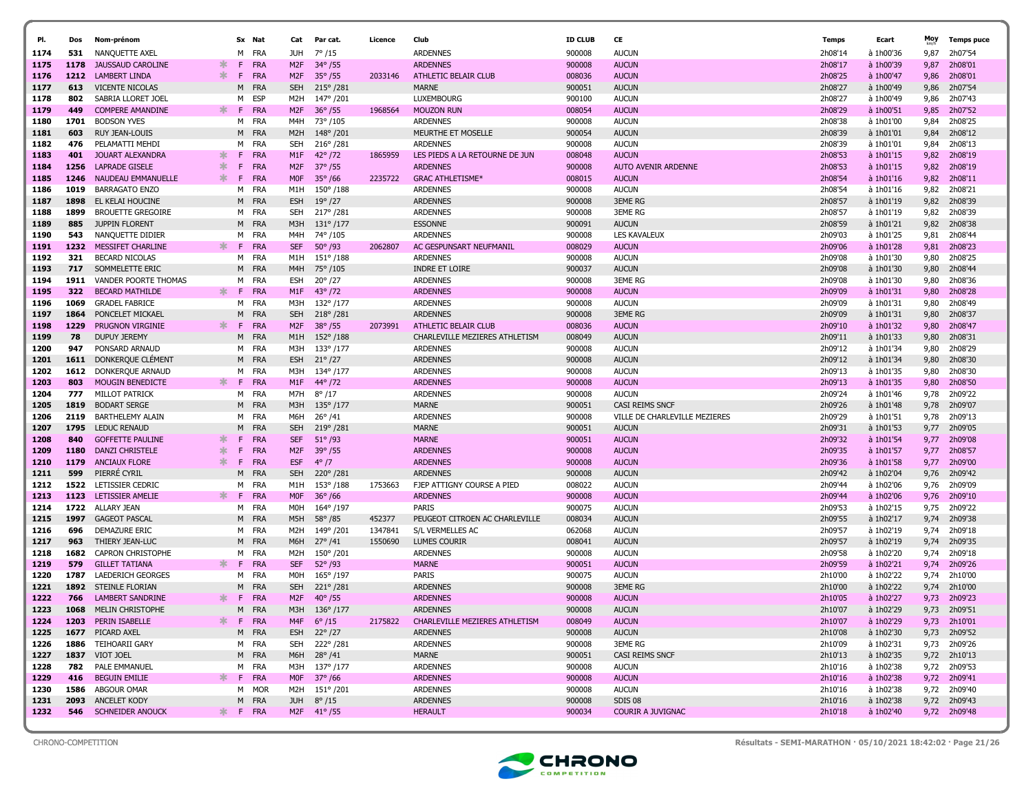|              |             |                                              |                  |         |                   |                   |                                |                    |                                      |                  |                               |                    |                        | Moy          |                    |
|--------------|-------------|----------------------------------------------|------------------|---------|-------------------|-------------------|--------------------------------|--------------------|--------------------------------------|------------------|-------------------------------|--------------------|------------------------|--------------|--------------------|
| PI.          | Dos         | Nom-prénom                                   |                  |         | Sx Nat            | Cat               | Par cat.                       | Licence            | Club                                 | <b>ID CLUB</b>   | CE                            | Temps              | Ecart                  |              | <b>Temps puce</b>  |
| 1174         | 531         | NANQUETTE AXEL                               |                  | M       | FRA               | JUH               | $7^{\circ}/15$                 |                    | <b>ARDENNES</b>                      | 900008           | <b>AUCUN</b>                  | 2h08'14            | à 1h00'36              | 9,87         | 2h07'54            |
| 1175         | 1178        | <b>JAUSSAUD CAROLINE</b>                     | $\ast$<br>$\ast$ | F.      | FRA               | M <sub>2F</sub>   | $34^{\circ}/55$                |                    | <b>ARDENNES</b>                      | 900008           | <b>AUCUN</b>                  | 2h08'17            | à 1h00'39              | 9,87         | 2h08'01            |
| 1176         | 1212<br>613 | <b>LAMBERT LINDA</b>                         |                  | F.<br>м | FRA<br>FRA        | M <sub>2</sub> F  | $35^{\circ}$ /55               | 2033146            | ATHLETIC BELAIR CLUB<br><b>MARNE</b> | 008036           | <b>AUCUN</b><br><b>AUCUN</b>  | 2h08'25            | à 1h00'47<br>à 1h00'49 | 9,86         | 2h08'01<br>2h07'54 |
| 1177<br>1178 | 802         | <b>VICENTE NICOLAS</b><br>SABRIA LLORET JOEL |                  | M       | ESP               | <b>SEH</b><br>M2H | $215^{\circ}$ /281<br>147°/201 |                    | LUXEMBOURG                           | 900051<br>900100 | <b>AUCUN</b>                  | 2h08'27<br>2h08'27 | à 1h00'49              | 9,86<br>9,86 | 2h07'43            |
| 1179         | 449         | <b>COMPERE AMANDINE</b>                      | $\ast$           | F       | FRA               | M <sub>2</sub> F  | $36^{\circ}/55$                | 1968564            | <b>MOUZON RUN</b>                    | 008054           | <b>AUCUN</b>                  | 2h08'29            | à 1h00'51              | 9,85         | 2h07'52            |
| 1180         | 1701        | <b>BODSON YVES</b>                           |                  |         | M FRA             | M4H               | 73°/105                        |                    | <b>ARDENNES</b>                      | 900008           | <b>AUCUN</b>                  | 2h08'38            | à 1h01'00              | 9,84         | 2h08'25            |
| 1181         | 603         | RUY JEAN-LOUIS                               |                  | M       | FRA               | M <sub>2</sub> H  | 148°/201                       |                    | MEURTHE ET MOSELLE                   | 900054           | <b>AUCUN</b>                  | 2h08'39            | à 1h01'01              | 9,84         | 2h08'12            |
| 1182         | 476         | PELAMATTI MEHDI                              |                  | M       | FRA               | <b>SEH</b>        | 216°/281                       |                    | <b>ARDENNES</b>                      | 900008           | <b>AUCUN</b>                  | 2h08'39            | à 1h01'01              | 9.84         | 2h08'13            |
| 1183         | 401         | JOUART ALEXANDRA                             | $\ast$           | F       | <b>FRA</b>        | M1F               | $42^{\circ}/72$                | 1865959            | LES PIEDS A LA RETOURNE DE JUN       | 008048           | <b>AUCUN</b>                  | 2h08'53            | $a$ 1h01'15            | 9,82         | 2h08'19            |
| 1184         | 1256        | <b>LAPRADE GISELE</b>                        | ∗                | F       | FRA               | M <sub>2F</sub>   | $37^{\circ}$ /55               |                    | <b>ARDENNES</b>                      | 900008           | <b>AUTO AVENIR ARDENNE</b>    | 2h08'53            | $a$ 1h01'15            | 9,82         | 2h08'19            |
| 1185         | 1246        | NAUDEAU EMMANUELLE                           | ж.               | F.      | FRA               | <b>MOF</b>        | $35^{\circ}$ /66               | 2235722            | <b>GRAC ATHLETISME*</b>              | 008015           | <b>AUCUN</b>                  | 2h08'54            | à 1h01'16              | 9,82         | 2h08'11            |
| 1186         | 1019        | <b>BARRAGATO ENZO</b>                        |                  | M       | FRA               | M1H               | $150^{\circ}/188$              |                    | <b>ARDENNES</b>                      | 900008           | <b>AUCUN</b>                  | 2h08'54            | à 1h01'16              | 9,82         | 2h08'21            |
| 1187         | 1898        | EL KELAI HOUCINE                             |                  | M       | FRA               | <b>ESH</b>        | $19^{\circ}/27$                |                    | <b>ARDENNES</b>                      | 900008           | <b>3EME RG</b>                | 2h08'57            | à 1h01'19              | 9,82         | 2h08'39            |
| 1188         | 1899        | <b>BROUETTE GREGOIRE</b>                     |                  | M       | FRA               | <b>SEH</b>        | 217° /281                      |                    | <b>ARDENNES</b>                      | 900008           | <b>3EME RG</b>                | 2h08'57            | à 1h01'19              | 9,82         | 2h08'39            |
| 1189         | 885         | <b>JUPPIN FLORENT</b>                        |                  |         | M FRA             | M3H               | $131^{\circ}/177$              |                    | <b>ESSONNE</b>                       | 900091           | <b>AUCUN</b>                  | 2h08'59            | à 1h01'21              | 9,82         | 2h08'38            |
| 1190         | 543         | NANQUETTE DIDIER                             |                  | м       | FRA               | M4H               | 74°/105                        |                    | <b>ARDENNES</b>                      | 900008           | <b>LES KAVALEUX</b>           | 2h09'03            | à 1h01'25              | 9,81         | 2h08'44            |
| 1191         | 1232        | MESSIFET CHARLINE                            | $\ast$           | F.      | FRA               | <b>SEF</b>        | $50^{\circ}$ /93               | 2062807            | AC GESPUNSART NEUFMANIL              | 008029           | <b>AUCUN</b>                  | 2h09'06            | à 1h01'28              | 9,81         | 2h08'23            |
| 1192         | 321         | <b>BECARD NICOLAS</b>                        |                  | м       | FRA               | M1H               | $151^{\circ}$ /188             |                    | <b>ARDENNES</b>                      | 900008           | <b>AUCUN</b>                  | 2h09'08            | à 1h01'30              | 9.80         | 2h08'25            |
| 1193         | 717         | SOMMELETTE ERIC                              |                  | M       | FRA               | M4H               | 75°/105                        |                    | <b>INDRE ET LOIRE</b>                | 900037           | <b>AUCUN</b>                  | 2h09'08            | à 1h01'30              | 9,80         | 2h08'44            |
| 1194         | 1911        | VANDER POORTE THOMAS                         |                  | м       | FRA               | ESH               | $20^{\circ}/27$                |                    | <b>ARDENNES</b>                      | 900008           | <b>3EME RG</b>                | 2h09'08            | à 1h01'30              | 9,80         | 2h08'36            |
| 1195         | 322         | <b>BECARD MATHILDE</b>                       | $\ast$           | F.      | <b>FRA</b>        | M1F               | $43^{\circ}/72$                |                    | <b>ARDENNES</b>                      | 900008           | <b>AUCUN</b>                  | 2h09'09            | à 1h01'31              | 9,80         | 2h08'28            |
| 1196         | 1069        | <b>GRADEL FABRICE</b>                        |                  | м       | FRA               | МЗН               | 132°/177                       |                    | <b>ARDENNES</b>                      | 900008           | <b>AUCUN</b>                  | 2h09'09            | à 1h01'31              | 9,80         | 2h08'49            |
| 1197         | 1864        | PONCELET MICKAEL                             |                  | м       | <b>FRA</b>        | <b>SEH</b>        | 218°/281                       |                    | <b>ARDENNES</b>                      | 900008           | <b>3EME RG</b>                | 2h09'09            | à 1h01'31              | 9,80         | 2h08'37            |
| 1198         | 1229        | <b>PRUGNON VIRGINIE</b>                      | ∗.               | F.      | FRA               | M <sub>2</sub> F  | $38^{\circ}/55$                | 2073991            | ATHLETIC BELAIR CLUB                 | 008036           | <b>AUCUN</b>                  | 2h09'10            | à 1h01'32              | 9,80         | 2h08'47            |
| 1199         | 78          | <b>DUPUY JEREMY</b>                          |                  | M       | FRA               | M1H               | $152^{\circ}/188$              |                    | CHARLEVILLE MEZIERES ATHLETISM       | 008049           | <b>AUCUN</b>                  | 2h09'11            | à 1h01'33              | 9,80         | 2h08'31            |
| 1200         | 947         | PONSARD ARNAUD                               |                  |         | M FRA             | МЗН               | 133°/177                       |                    | <b>ARDENNES</b>                      | 900008           | <b>AUCUN</b>                  | 2h09'12            | à 1h01'34              | 9,80         | 2h08'29            |
| 1201         | 1611        | DONKERQUE CLÉMENT                            |                  | м       | FRA               | <b>ESH</b>        | $21^{\circ}/27$                |                    | <b>ARDENNES</b>                      | 900008           | <b>AUCUN</b>                  | 2h09'12            | à 1h01'34              | 9,80         | 2h08'30            |
| 1202         |             | 1612 DONKERQUE ARNAUD                        |                  | м       | FRA               | МЗН               | 134°/177                       |                    | <b>ARDENNES</b>                      | 900008           | <b>AUCUN</b>                  | 2h09'13            | à 1h01'35              | 9,80         | 2h08'30            |
| 1203         | 803         | <b>MOUGIN BENEDICTE</b>                      | $\ast$           | F.      | FRA               | M1F               | 44° /72                        |                    | <b>ARDENNES</b>                      | 900008           | <b>AUCUN</b>                  | 2h09'13            | à 1h01'35              | 9,80         | 2h08'50            |
| 1204         | 777         | <b>MILLOT PATRICK</b>                        |                  | м       | FRA               | M7H               | $8^{\circ}/17$                 |                    | <b>ARDENNES</b>                      | 900008           | <b>AUCUN</b>                  | 2h09'24            | à 1h01'46              | 9,78         | 2h09'22            |
| 1205         | 1819        | <b>BODART SERGE</b>                          |                  | M       | FRA               | M3H               | $135^{\circ}$ /177             |                    | <b>MARNE</b>                         | 900051           | CASI REIMS SNCF               | 2h09'26            | à 1h01'48              | 9,78         | 2h09'07            |
| 1206         | 2119        | BARTHELEMY ALAIN                             |                  | M       | FRA               | M6H               | $26^{\circ}$ /41               |                    | <b>ARDENNES</b>                      | 900008           | VILLE DE CHARLEVILLE MEZIERES | 2h09'29            | à 1h01'51              | 9,78         | 2h09'13            |
| 1207         | 1795        | <b>LEDUC RENAUD</b>                          |                  | M       | <b>FRA</b>        | <b>SEH</b>        | 219°/281                       |                    | <b>MARNE</b>                         | 900051           | <b>AUCUN</b>                  | 2h09'31            | à 1h01'53              | 9,77         | 2h09'05            |
| 1208         | 840         | <b>GOFFETTE PAULINE</b>                      | $\ast$           | F       | <b>FRA</b>        | <b>SEF</b>        | $51^{\circ}$ /93               |                    | <b>MARNE</b>                         | 900051           | <b>AUCUN</b>                  | 2h09'32            | à 1h01'54              | 9,77         | 2h09'08            |
| 1209         | 1180        | <b>DANZI CHRISTELE</b>                       | 氺                | F       | FRA               | M <sub>2</sub> F  | $39^{\circ}$ /55               |                    | <b>ARDENNES</b>                      | 900008           | <b>AUCUN</b>                  | 2h09'35            | à 1h01'57              | 9,77         | 2h08'57            |
| 1210         | 1179        | <b>ANCIAUX FLORE</b>                         | $\ast$           | F.      | FRA               | <b>ESF</b>        | $4^{\circ}/7$                  |                    | <b>ARDENNES</b>                      | 900008           | <b>AUCUN</b>                  | 2h09'36            | à 1h01'58              | 9,77         | 2h09'00            |
| 1211         | 599         | PIERRE CYRIL                                 |                  | M       | FRA               | <b>SEH</b>        | 220°/281                       |                    | <b>ARDENNES</b>                      | 900008           | <b>AUCUN</b>                  | 2h09'42            | à 1h02'04              | 9,76         | 2h09'42            |
| 1212         | 1522        | LETISSIER CEDRIC                             |                  | м       | FRA               | M1H               | 153°/188                       | 1753663            | FJEP ATTIGNY COURSE A PIED           | 008022           | <b>AUCUN</b>                  | 2h09'44            | à 1h02'06              | 9.76         | 2h09'09            |
| 1213         | 1123        | LETISSIER AMELIE                             |                  | F.      | FRA               | <b>MOF</b>        | $36^{\circ}$ /66               |                    | <b>ARDENNES</b>                      | 900008           | <b>AUCUN</b>                  | 2h09'44            | à 1h02'06              | 9,76         | 2h09'10            |
| 1214         |             | 1722 ALLARY JEAN                             |                  |         | M FRA             | MOH               | 164°/197                       |                    | <b>PARIS</b>                         | 900075           | <b>AUCUN</b>                  | 2h09'53            | à 1h02'15              | 9.75         | 2h09'22            |
| 1215         | 1997<br>696 | <b>GAGEOT PASCAL</b>                         |                  | M<br>M  | <b>FRA</b><br>FRA | M5H               | $58^{\circ}/85$                | 452377             | PEUGEOT CITROEN AC CHARLEVILLE       | 008034           | <b>AUCUN</b>                  | 2h09'55            | à 1h02'17<br>à 1h02'19 | 9,74         | 2h09'38<br>2h09'18 |
| 1216<br>1217 | 963         | <b>DEMAZURE ERIC</b><br>THIERY JEAN-LUC      |                  | м       | <b>FRA</b>        | M2H<br>M6H        | 149°/201<br>$27^{\circ}/41$    | 1347841<br>1550690 | S/L VERMELLES AC<br>LUMES COURIR     | 062068<br>008041 | <b>AUCUN</b><br><b>AUCUN</b>  | 2h09'57<br>2h09'57 | à 1h02'19              | 9,74<br>9,74 | 2h09'35            |
| 1218         | 1682        | <b>CAPRON CHRISTOPHE</b>                     |                  |         | M FRA             | M2H               | 150°/201                       |                    | <b>ARDENNES</b>                      | 900008           | <b>AUCUN</b>                  | 2h09'58            | à 1h02'20              | 9,74         | 2h09'18            |
| 1219         | 579         | <b>GILLET TATIANA</b>                        | ∗                | F       | FRA               | <b>SEF</b>        | $52^{\circ}$ /93               |                    | <b>MARNE</b>                         | 900051           | <b>AUCUN</b>                  | 2h09'59            | à 1h02'21              | 9,74         | 2h09'26            |
| 1220         | 1787        | <b>LAEDERICH GEORGES</b>                     |                  | м       | FRA               | MOH               | 165°/197                       |                    | <b>PARIS</b>                         | 900075           | <b>AUCUN</b>                  | 2h10'00            | à 1h02'22              | 9,74         | 2h10'00            |
| 1221         | 1892        | STEINLE FLORIAN                              |                  | м       | FRA               | <b>SEH</b>        | $221^{\circ}$ /281             |                    | <b>ARDENNES</b>                      | 900008           | <b>3EME RG</b>                | 2h10'00            | à 1h02'22              | 9,74         | 2h10'00            |
| 1222         | 766         | <b>LAMBERT SANDRINE</b>                      |                  | F.      | <b>FRA</b>        | M <sub>2F</sub>   | $40^{\circ}$ /55               |                    | <b>ARDENNES</b>                      | 900008           | <b>AUCUN</b>                  | 2h10'05            | à 1h02'27              | 9,73         | 2h09'23            |
| 1223         | 1068        | <b>MELIN CHRISTOPHE</b>                      |                  | м       | <b>FRA</b>        |                   | M3H 136°/177                   |                    | <b>ARDENNES</b>                      | 900008           | <b>AUCUN</b>                  | 2h10'07            | à 1h02'29              | 9,73         | 2h09'51            |
| 1224         |             | 1203 PERIN ISABELLE                          | ж.               |         | F FRA             |                   | M4F $6^{\circ}/15$             | 2175822            | CHARLEVILLE MEZIERES ATHLETISM       | 008049           | <b>AUCUN</b>                  | 2h10'07            | à 1h02'29              |              | 9,73 2h10'01       |
| 1225         |             | 1677 PICARD AXEL                             |                  |         | M FRA             |                   | ESH 22° /27                    |                    | <b>ARDENNES</b>                      | 900008           | <b>AUCUN</b>                  | 2h10'08            | à 1h02'30              |              | 9,73 2h09'52       |
| 1226         |             | 1886 TEIHOARII GARY                          |                  |         | M FRA             |                   | SEH 222°/281                   |                    | <b>ARDENNES</b>                      | 900008           | 3EME RG                       | 2h10'09            | à 1h02'31              |              | 9,73 2h09'26       |
| 1227         |             | 1837 VIOT JOEL                               |                  |         | M FRA             |                   | M6H 28°/41                     |                    | MARNE                                | 900051           | CASI REIMS SNCF               | 2h10'13            | à 1h02'35              |              | 9,72 2h10'13       |
| 1228         |             | 782 PALE EMMANUEL                            |                  |         | M FRA             |                   | M3H 137°/177                   |                    | <b>ARDENNES</b>                      | 900008           | AUCUN                         | 2h10'16            | à 1h02'38              |              | 9,72 2h09'53       |
| 1229         | 416         | <b>BEGUIN EMILIE</b>                         |                  |         | F FRA             |                   | M0F 37°/66                     |                    | <b>ARDENNES</b>                      | 900008           | <b>AUCUN</b>                  | 2h10'16            | à 1h02'38              |              | 9,72 2h09'41       |
| 1230         |             | 1586 ABGOUR OMAR                             |                  |         | M MOR             |                   | M2H 151°/201                   |                    | <b>ARDENNES</b>                      | 900008           | <b>AUCUN</b>                  | 2h10'16            | à 1h02'38              |              | 9,72 2h09'40       |
| 1231         |             | 2093 ANCELET KODY                            |                  |         | M FRA             |                   | JUH $8^{\circ}/15$             |                    | <b>ARDENNES</b>                      | 900008           | SDIS 08                       | 2h10'16            | à 1h02'38              |              | 9,72 2h09'43       |
| 1232         |             | <b>546</b> SCHNEIDER ANOUCK                  |                  |         | * F FRA           |                   | M2F 41°/55                     |                    | <b>HERAULT</b>                       | 900034           | COURIR A JUVIGNAC             | 2h10'18            | à 1h02'40              |              | 9,72 2h09'48       |
|              |             |                                              |                  |         |                   |                   |                                |                    |                                      |                  |                               |                    |                        |              |                    |



CHRONO-COMPETITION Résultats - SEMI-MARATHON · 05/10/2021 18:42:02 · Page 21/26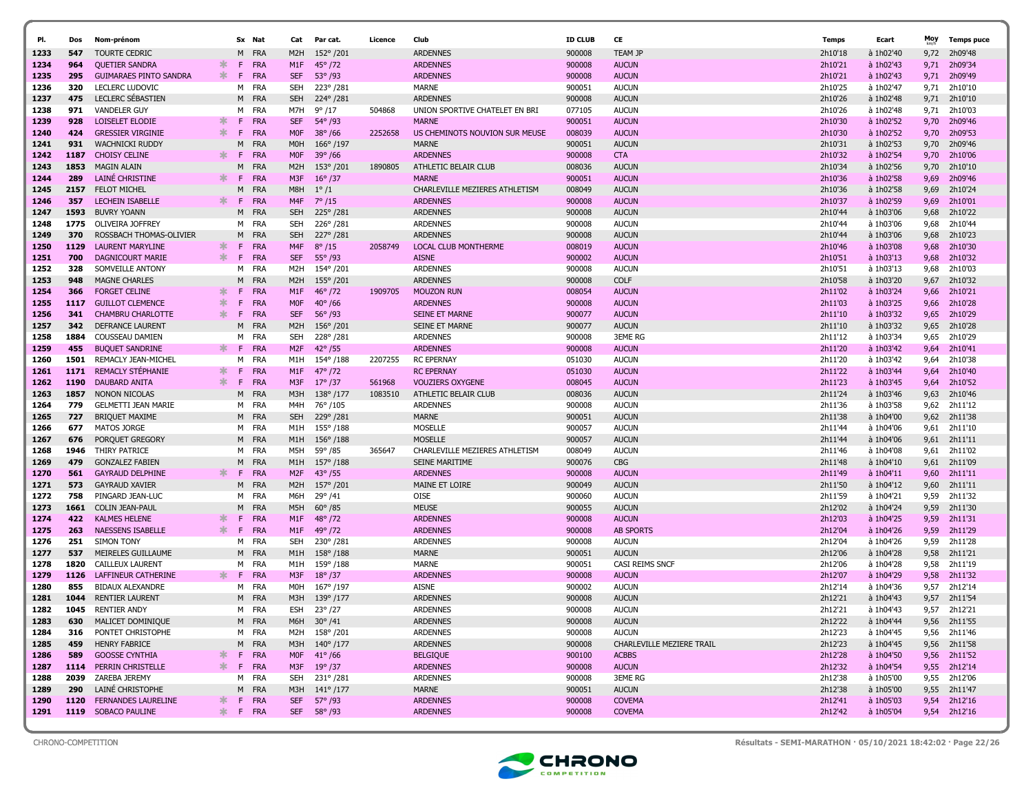| PI.          | Dos        | Nom-prénom                                       |         |         | Sx Nat            | Cat                                  | Par cat.                           | Licence | Club                               | <b>ID CLUB</b>   | CE                               | Temps              | Ecart                  | Moy          | <b>Temps puce</b>  |
|--------------|------------|--------------------------------------------------|---------|---------|-------------------|--------------------------------------|------------------------------------|---------|------------------------------------|------------------|----------------------------------|--------------------|------------------------|--------------|--------------------|
| 1233         | 547        | <b>TOURTE CEDRIC</b>                             |         | M       | <b>FRA</b>        | M <sub>2</sub> H                     | 152°/201                           |         | <b>ARDENNES</b>                    | 900008           | <b>TEAM JP</b>                   | 2h10'18            | à 1h02'40              | 9,72         | 2h09'48            |
| 1234         | 964        | <b>QUETIER SANDRA</b>                            | ∗       | F.      | <b>FRA</b>        | M <sub>1</sub> F                     | $45^{\circ}$ /72                   |         | <b>ARDENNES</b>                    | 900008           | <b>AUCUN</b>                     | 2h10'21            | à 1h02'43              | 9,71         | 2h09'34            |
| 1235         | 295        | <b>GUIMARAES PINTO SANDRA</b>                    | ∗       | F.      | FRA               | <b>SEF</b>                           | $53^{\circ}$ /93                   |         | <b>ARDENNES</b>                    | 900008           | <b>AUCUN</b>                     | 2h10'21            | à 1h02'43              | 9,71         | 2h09'49            |
| 1236         | 320        | <b>LECLERC LUDOVIC</b>                           |         | м       | FRA               | <b>SEH</b>                           | 223°/281                           |         | <b>MARNE</b>                       | 900051           | <b>AUCUN</b>                     | 2h10'25            | à 1h02'47              | 9,71         | 2h10'10            |
| 1237         | 475        | LECLERC SEBASTIEN                                |         |         | M FRA             | <b>SEH</b>                           | 224°/281                           |         | <b>ARDENNES</b>                    | 900008           | <b>AUCUN</b>                     | 2h10'26            | à 1h02'48              | 9,71         | 2h10'10            |
| 1238         | 971        | <b>VANDELER GUY</b>                              |         | M       | <b>FRA</b>        | M7H                                  | $9^{\circ}/17$                     | 504868  | UNION SPORTIVE CHATELET EN BRI     | 077105           | <b>AUCUN</b>                     | 2h10'26            | à 1h02'48              | 9,71         | 2h10'03            |
| 1239         | 928        | LOISELET ELODIE                                  |         | F       | FRA               | <b>SEF</b>                           | 54° /93                            |         | <b>MARNE</b>                       | 900051           | <b>AUCUN</b>                     | 2h10'30            | à 1h02'52              | 9,70         | 2h09'46            |
| 1240         | 424        | <b>GRESSIER VIRGINIE</b>                         | ∗       | F.      | <b>FRA</b>        | <b>MOF</b>                           | $38^{\circ}$ /66                   | 2252658 | US CHEMINOTS NOUVION SUR MEUSE     | 008039           | <b>AUCUN</b>                     | 2h10'30            | à 1h02'52              | 9,70         | 2h09'53            |
| 1241         | 931        | <b>WACHNICKI RUDDY</b>                           |         | м       | <b>FRA</b>        | <b>MOH</b>                           | $166^{\circ}/197$                  |         | <b>MARNE</b>                       | 900051           | <b>AUCUN</b>                     | 2h10'31            | à 1h02'53              | 9,70         | 2h09'46            |
| 1242         | 1187       | <b>CHOISY CELINE</b>                             | ж.      | F.      | <b>FRA</b>        | <b>MOF</b>                           | $39^{\circ}/66$                    |         | <b>ARDENNES</b>                    | 900008           | <b>CTA</b>                       | 2h10'32            | à 1h02'54              | 9,70         | 2h10'06            |
| 1243         | 1853       | <b>MAGIN ALAIN</b>                               |         | м       | <b>FRA</b>        | M <sub>2</sub> H                     | $153^{\circ}/201$                  | 1890805 | ATHLETIC BELAIR CLUB               | 008036           | <b>AUCUN</b>                     | 2h10'34            | à 1h02'56              | 9,70         | 2h10'10            |
| 1244         | 289        | LAINÉ CHRISTINE                                  |         | F.      | <b>FRA</b>        | M3F                                  | $16^{\circ}/37$                    |         | <b>MARNE</b>                       | 900051           | <b>AUCUN</b>                     | 2h10'36            | à 1h02'58              | 9,69         | 2h09'46            |
| 1245         | 2157       | <b>FELOT MICHEL</b>                              |         | м       | <b>FRA</b>        | M8H                                  | $1^{\circ}/1$                      |         | CHARLEVILLE MEZIERES ATHLETISM     | 008049           | <b>AUCUN</b>                     | 2h10'36            | à 1h02'58              | 9,69         | 2h10'24            |
| 1246         | 357        | <b>LECHEIN ISABELLE</b>                          | ж.      | -F      | FRA               | M4F                                  | $7^{\circ}/15$                     |         | <b>ARDENNES</b>                    | 900008           | <b>AUCUN</b>                     | 2h10'37            | à 1h02'59              | 9,69         | 2h10'01            |
| 1247         | 1593       | BUVRY YOANN                                      |         | M       | FRA               | <b>SEH</b>                           | 225°/281                           |         | <b>ARDENNES</b>                    | 900008           | <b>AUCUN</b>                     | 2h10'44            | à 1h03'06              | 9,68         | 2h10'22            |
| 1248         | 1775       | OLIVEIRA JOFFREY                                 |         | м       | <b>FRA</b>        | SEH                                  | 226°/281                           |         | <b>ARDENNES</b>                    | 900008           | <b>AUCUN</b>                     | 2h10'44            | à 1h03'06              | 9,68         | 2h10'44            |
| 1249         | 370        | ROSSBACH THOMAS-OLIVIER                          |         | M       | <b>FRA</b>        | <b>SEH</b>                           | 227° /281                          |         | <b>ARDENNES</b>                    | 900008           | <b>AUCUN</b>                     | 2h10'44            | à 1h03'06              | 9,68         | 2h10'23            |
| 1250         | 1129       | <b>LAURENT MARYLINE</b>                          | ∗       | F.      | FRA               | M4F                                  | $8^{\circ}/15$                     | 2058749 | LOCAL CLUB MONTHERME               | 008019           | <b>AUCUN</b>                     | 2h10'46            | à 1h03'08              | 9,68         | 2h10'30            |
| 1251         | 700        | DAGNICOURT MARIE                                 | ж.      | F.      | <b>FRA</b>        | <b>SEF</b>                           | $55^{\circ}$ /93                   |         | <b>AISNE</b>                       | 900002           | <b>AUCUN</b>                     | 2h10'51            | à 1h03'13              | 9,68         | 2h10'32            |
| 1252         | 328        | SOMVEILLE ANTONY<br><b>MAGNE CHARLES</b>         |         | м       | FRA<br><b>FRA</b> | M2H                                  | 154°/201                           |         | <b>ARDENNES</b><br><b>ARDENNES</b> | 900008           | <b>AUCUN</b>                     | 2h10'51            | à 1h03'13              | 9,68         | 2h10'03            |
| 1253<br>1254 | 948<br>366 | <b>FORGET CELINE</b>                             | $\ast$  | M<br>F  | <b>FRA</b>        | M2H<br>M <sub>1</sub> F              | 155°/201<br>$46^{\circ}$ /72       | 1909705 | <b>MOUZON RUN</b>                  | 900008           | <b>COLF</b><br><b>AUCUN</b>      | 2h10'58<br>2h11'02 | à 1h03'20              | 9,67         | 2h10'32            |
| 1255         | 1117       | <b>GUILLOT CLEMENCE</b>                          | 米       | F       | FRA               | <b>MOF</b>                           | $40^{\circ}/66$                    |         | <b>ARDENNES</b>                    | 008054<br>900008 | <b>AUCUN</b>                     | 2h11'03            | à 1h03'24<br>à 1h03'25 | 9,66<br>9,66 | 2h10'21<br>2h10'28 |
| 1256         | 341        | <b>CHAMBRU CHARLOTTE</b>                         | ж.      | F.      | FRA               | <b>SEF</b>                           | $56^{\circ}$ /93                   |         | <b>SEINE ET MARNE</b>              | 900077           | <b>AUCUN</b>                     | 2h11'10            | à 1h03'32              | 9,65         | 2h10'29            |
| 1257         | 342        | DEFRANCE LAURENT                                 |         | М       | FRA               | M2H                                  | $156^{\circ}/201$                  |         | <b>SEINE ET MARNE</b>              | 900077           | <b>AUCUN</b>                     | 2h11'10            | à 1h03'32              | 9,65         | 2h10'28            |
| 1258         | 1884       | COUSSEAU DAMIEN                                  |         | м       | <b>FRA</b>        | <b>SEH</b>                           | 228°/281                           |         | <b>ARDENNES</b>                    | 900008           | <b>3EME RG</b>                   | 2h11'12            | à 1h03'34              | 9,65         | 2h10'29            |
| 1259         | 455        | <b>BUQUET SANDRINE</b>                           | ∗.      | -F      | FRA               | M <sub>2F</sub>                      | $42^{\circ}$ /55                   |         | <b>ARDENNES</b>                    | 900008           | <b>AUCUN</b>                     | 2h11'20            | à 1h03'42              | 9,64         | 2h10'41            |
| 1260         | 1501       | REMACLY JEAN-MICHEL                              |         | м       | <b>FRA</b>        | M1H                                  | 154°/188                           | 2207255 | <b>RC EPERNAY</b>                  | 051030           | <b>AUCUN</b>                     | 2h11'20            | à 1h03'42              | 9,64         | 2h10'38            |
| 1261         | 1171       | REMACLY STÉPHANIE                                | ж.      | F       | <b>FRA</b>        | M1F                                  | $47^{\circ}$ /72                   |         | <b>RC EPERNAY</b>                  | 051030           | <b>AUCUN</b>                     | 2h11'22            | à 1h03'44              | 9,64         | 2h10'40            |
| 1262         | 1190       | <b>DAUBARD ANITA</b>                             | ж.      | F.      | <b>FRA</b>        | M3F                                  | $17^{\circ}/37$                    | 561968  | <b>VOUZIERS OXYGENE</b>            | 008045           | <b>AUCUN</b>                     | 2h11'23            | à 1h03'45              | 9,64         | 2h10'52            |
| 1263         | 1857       | NONON NICOLAS                                    |         | м       | <b>FRA</b>        | M3H                                  | $138^{\circ}/177$                  | 1083510 | ATHLETIC BELAIR CLUB               | 008036           | <b>AUCUN</b>                     | 2h11'24            | à 1h03'46              | 9,63         | 2h10'46            |
| 1264         | 779        | <b>GELMETTI JEAN MARIE</b>                       |         |         | M FRA             | M4H                                  | 76°/105                            |         | <b>ARDENNES</b>                    | 900008           | <b>AUCUN</b>                     | 2h11'36            | à 1h03'58              | 9,62         | 2h11'12            |
| 1265         | 727        | <b>BRIQUET MAXIME</b>                            |         | м       | <b>FRA</b>        | <b>SEH</b>                           | 229°/281                           |         | <b>MARNE</b>                       | 900051           | <b>AUCUN</b>                     | 2h11'38            | à 1h04'00              | 9,62         | 2h11'38            |
| 1266         | 677        | <b>MATOS JORGE</b>                               |         |         | M FRA             | M1H                                  | 155°/188                           |         | MOSELLE                            | 900057           | <b>AUCUN</b>                     | 2h11'44            | à 1h04'06              | 9,61         | 2h11'10            |
| 1267         | 676        | PORQUET GREGORY                                  |         | M       | <b>FRA</b>        | M1H                                  | $156^{\circ}/188$                  |         | <b>MOSELLE</b>                     | 900057           | <b>AUCUN</b>                     | 2h11'44            | à 1h04'06              | 9,61         | 2h11'11            |
| 1268         | 1946       | THIRY PATRICE                                    |         | M       | <b>FRA</b>        | M5H                                  | 59°/85                             | 365647  | CHARLEVILLE MEZIERES ATHLETISM     | 008049           | <b>AUCUN</b>                     | 2h11'46            | à 1h04'08              | 9,61         | 2h11'02            |
| 1269         | 479        | <b>GONZALEZ FABIEN</b>                           |         | M       | <b>FRA</b>        | M1H                                  | 157°/188                           |         | <b>SEINE MARITIME</b>              | 900076           | <b>CBG</b>                       | 2h11'48            | à 1h04'10              | 9,61         | 2h11'09            |
| 1270         | 561        | <b>GAYRAUD DELPHINE</b>                          | ж.      | -F.     | FRA               | M <sub>2F</sub>                      | $43^{\circ}$ /55                   |         | <b>ARDENNES</b>                    | 900008           | <b>AUCUN</b>                     | 2h11'49            | à 1h04'11              | 9,60         | 2h11'11            |
| 1271         | 573        | <b>GAYRAUD XAVIER</b>                            |         | M       | <b>FRA</b>        | M <sub>2</sub> H                     | 157°/201                           |         | MAINE ET LOIRE                     | 900049           | <b>AUCUN</b>                     | 2h11'50            | à 1h04'12              | 9,60         | 2h11'11            |
| 1272         | 758        | PINGARD JEAN-LUC                                 |         | м       | FRA               | M6H                                  | $29^{\circ}$ /41                   |         | OISE                               | 900060           | <b>AUCUN</b>                     | 2h11'59            | à 1h04'21              | 9,59         | 2h11'32            |
| 1273         | 1661       | <b>COLIN JEAN-PAUL</b>                           |         | M       | <b>FRA</b>        | M5H                                  | $60^{\circ}/85$                    |         | <b>MEUSE</b>                       | 900055           | <b>AUCUN</b>                     | 2h12'02            | à 1h04'24              | 9,59         | 2h11'30            |
| 1274         | 422<br>263 | <b>KALMES HELENE</b><br><b>NAESSENS ISABELLE</b> | ∗<br>ж. | F<br>F. | <b>FRA</b><br>FRA | M <sub>1</sub> F<br>M <sub>1</sub> F | $48^{\circ}/72$<br>$49^{\circ}/72$ |         | <b>ARDENNES</b><br><b>ARDENNES</b> | 900008<br>900008 | <b>AUCUN</b><br><b>AB SPORTS</b> | 2h12'03<br>2h12'04 | à 1h04'25<br>à 1h04'26 | 9,59<br>9,59 | 2h11'31<br>2h11'29 |
| 1275<br>1276 | 251        | <b>SIMON TONY</b>                                |         | м       | FRA               | <b>SEH</b>                           | 230°/281                           |         | <b>ARDENNES</b>                    | 900008           | <b>AUCUN</b>                     | 2h12'04            | à 1h04'26              | 9,59         | 2h11'28            |
| 1277         | 537        | MEIRELES GUILLAUME                               |         |         | M FRA             | M1H                                  | $158^{\circ}/188$                  |         | <b>MARNE</b>                       | 900051           | <b>AUCUN</b>                     | 2h12'06            | à 1h04'28              | 9,58         | 2h11'21            |
| 1278         | 1820       | CAILLEUX LAURENT                                 |         | M       | FRA               | M1H                                  | 159°/188                           |         | <b>MARNE</b>                       | 900051           | CASI REIMS SNCF                  | 2h12'06            | à 1h04'28              | 9,58         | 2h11'19            |
| 1279         | 1126       | LAFFINEUR CATHERINE                              |         | -F      | FRA               | M3F                                  | $18^{\circ}/37$                    |         | <b>ARDENNES</b>                    | 900008           | <b>AUCUN</b>                     | 2h12'07            | à 1h04'29              | 9,58         | 2h11'32            |
| 1280         | 855        | <b>BIDAUX ALEXANDRE</b>                          |         | м       | FRA               | M0H                                  | 167°/197                           |         | <b>AISNE</b>                       | 900002           | <b>AUCUN</b>                     | 2h12'14            | à 1h04'36              | 9.57         | 2h12'14            |
| 1281         | 1044       | <b>RENTIER LAURENT</b>                           |         | м       | <b>FRA</b>        | M3H                                  | 139°/177                           |         | <b>ARDENNES</b>                    | 900008           | <b>AUCUN</b>                     | 2h12'21            | à 1h04'43              |              | 9,57 2h11'54       |
| 1282         | 1045       | <b>RENTIER ANDY</b>                              |         | м       | <b>FRA</b>        | ESH                                  | $23^{\circ}/27$                    |         | <b>ARDENNES</b>                    | 900008           | <b>AUCUN</b>                     | 2h12'21            | à 1h04'43              | 9,57         | 2h12'21            |
| 1283         | 630        | MALICET DOMINIQUE                                |         |         | M FRA             | M6H                                  | $30^{\circ}/41$                    |         | <b>ARDENNES</b>                    | 900008           | <b>AUCUN</b>                     | 2h12'22            | à 1h04'44              |              | 9,56 2h11'55       |
| 1284         | 316        | PONTET CHRISTOPHE                                |         |         | M FRA             | M2H                                  | 158°/201                           |         | <b>ARDENNES</b>                    | 900008           | <b>AUCUN</b>                     | 2h12'23            | à 1h04'45              |              | 9,56 2h11'46       |
| 1285         | 459        | <b>HENRY FABRICE</b>                             |         |         | M FRA             | M3H                                  | 140°/177                           |         | <b>ARDENNES</b>                    | 900008           | CHARLEVILLE MEZIERE TRAIL        | 2h12'23            | à 1h04'45              | 9,56         | 2h11'58            |
| 1286         | 589        | <b>GOOSSE CYNTHIA</b>                            | ∗       |         | F FRA             |                                      | M0F 41°/66                         |         | <b>BELGIQUE</b>                    | 900100           | <b>ACBBS</b>                     | 2h12'28            | à 1h04'50              |              | 9,56 2h11'52       |
| 1287         |            | 1114 PERRIN CHRISTELLE                           | ж.      | F.      | <b>FRA</b>        | M3F                                  | $19^{\circ}/37$                    |         | <b>ARDENNES</b>                    | 900008           | <b>AUCUN</b>                     | 2h12'32            | à 1h04'54              |              | 9,55 2h12'14       |
| 1288         | 2039       | ZAREBA JEREMY                                    |         |         | M FRA             | <b>SEH</b>                           | 231°/281                           |         | <b>ARDENNES</b>                    | 900008           | <b>3EME RG</b>                   | 2h12'38            | à 1h05'00              |              | 9,55 2h12'06       |
| 1289         | 290        | LAINÉ CHRISTOPHE                                 |         |         | M FRA             | M3H                                  | 141° / 177                         |         | MARNE                              | 900051           | <b>AUCUN</b>                     | 2h12'38            | à 1h05'00              |              | 9,55 2h11'47       |
| 1290         |            | 1120 FERNANDES LAURELINE                         | ∗.      |         | F FRA             | <b>SEF</b>                           | $57^{\circ}$ /93                   |         | <b>ARDENNES</b>                    | 900008           | <b>COVEMA</b>                    | 2h12'41            | à 1h05'03              |              | 9,54 2h12'16       |
| 1291         |            | 1119 SOBACO PAULINE                              | ∗.      |         | F FRA             |                                      | SEF 58°/93                         |         | <b>ARDENNES</b>                    | 900008           | <b>COVEMA</b>                    | 2h12'42            | à 1h05'04              |              | 9,54 2h12'16       |



CHRONO-COMPETITION Résultats - SEMI-MARATHON · 05/10/2021 18:42:02 · Page 22/26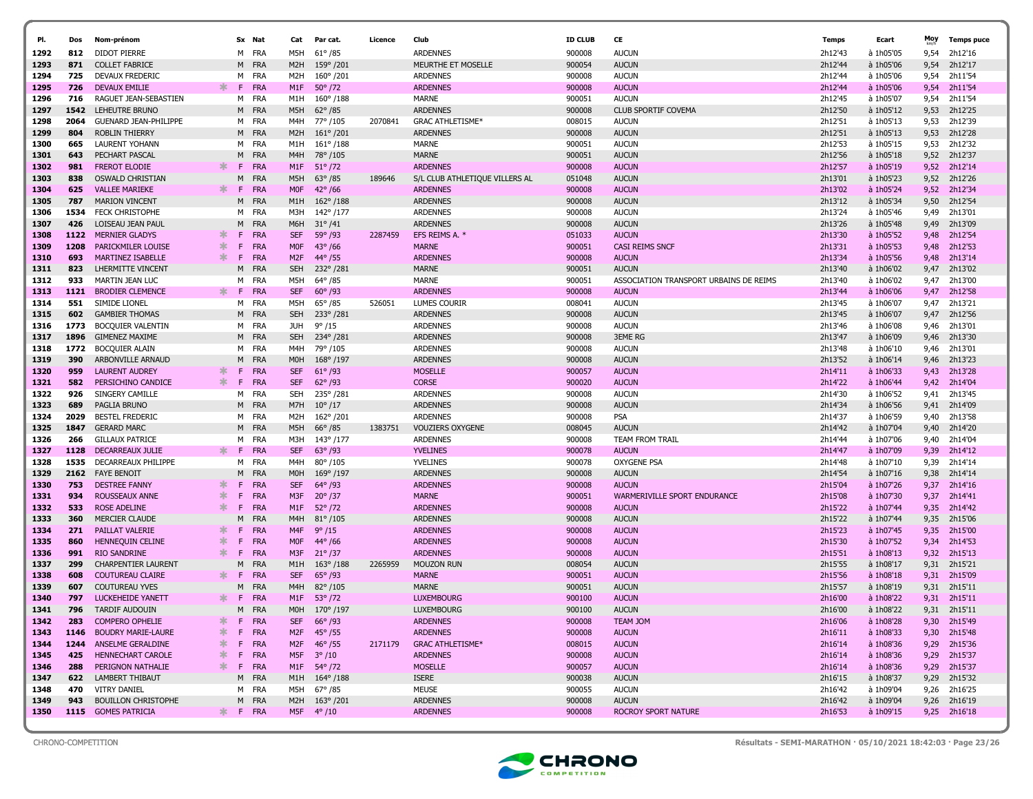| PI.          | Dos          | Nom-prénom                                   |        |         | Sx Nat                   | Cat                            | Par cat.                               | Licence | Club                                       | <b>ID CLUB</b>   | CE                                     | <b>Temps</b>       | Ecart                    | Moy          | <b>Temps puce</b>  |
|--------------|--------------|----------------------------------------------|--------|---------|--------------------------|--------------------------------|----------------------------------------|---------|--------------------------------------------|------------------|----------------------------------------|--------------------|--------------------------|--------------|--------------------|
|              |              |                                              |        |         |                          |                                |                                        |         |                                            |                  |                                        |                    |                          |              |                    |
| 1292<br>1293 | 812<br>871   | <b>DIDOT PIERRE</b><br><b>COLLET FABRICE</b> |        | м<br>м  | FRA<br><b>FRA</b>        | M5H<br>M <sub>2</sub> H        | $61^{\circ}$ /85<br>159°/201           |         | <b>ARDENNES</b><br>MEURTHE ET MOSELLE      | 900008<br>900054 | <b>AUCUN</b><br><b>AUCUN</b>           | 2h12'43<br>2h12'44 | à 1h05'05<br>à 1h05'06   | 9,54<br>9,54 | 2h12'16<br>2h12'17 |
| 1294         | 725          | DEVAUX FREDERIC                              |        | м       | FRA                      | M2H                            | 160°/201                               |         | <b>ARDENNES</b>                            | 900008           | <b>AUCUN</b>                           | 2h12'44            | à 1h05'06                | 9,54         | 2h11'54            |
| 1295         | 726          | <b>DEVAUX EMILIE</b>                         | ж      | F       | <b>FRA</b>               | M <sub>1</sub> F               | $50^{\circ}/72$                        |         | <b>ARDENNES</b>                            | 900008           | <b>AUCUN</b>                           | 2h12'44            | à 1h05'06                | 9,54         | 2h11'54            |
| 1296         | 716          | RAGUET JEAN-SEBASTIEN                        |        | м       | FRA                      | M1H                            | $160^{\circ}/188$                      |         | <b>MARNE</b>                               | 900051           | <b>AUCUN</b>                           | 2h12'45            | à 1h05'07                | 9,54         | 2h11'54            |
| 1297         | 1542         | LEHEUTRE BRUNO                               |        | M       | <b>FRA</b>               | M5H                            | $62^{\circ}/85$                        |         | <b>ARDENNES</b>                            | 900008           | <b>CLUB SPORTIF COVEMA</b>             | 2h12'50            | à 1h05'12                | 9,53         | 2h12'25            |
| 1298         | 2064         | <b>GUENARD JEAN-PHILIPPE</b>                 |        | м       | FRA                      | M4H                            | 77°/105                                | 2070841 | <b>GRAC ATHLETISME*</b>                    | 008015           | <b>AUCUN</b>                           | 2h12'51            | à 1h05'13                | 9,53         | 2h12'39            |
| 1299         | 804          | <b>ROBLIN THIERRY</b>                        |        | M       | <b>FRA</b>               | M2H                            | $161^{\circ}/201$                      |         | <b>ARDENNES</b>                            | 900008           | <b>AUCUN</b>                           | 2h12'51            | à 1h05'13                | 9,53         | 2h12'28            |
| 1300         | 665          | <b>LAURENT YOHANN</b>                        |        | м       | <b>FRA</b>               | M1H                            | $161^{\circ}/188$                      |         | <b>MARNE</b>                               | 900051           | <b>AUCUN</b>                           | 2h12'53            | à 1h05'15                | 9,53         | 2h12'32            |
| 1301         | 643          | PECHART PASCAL                               |        | M       | <b>FRA</b>               | M4H                            | 78°/105                                |         | <b>MARNE</b>                               | 900051           | <b>AUCUN</b>                           | 2h12'56            | à 1h05'18                | 9,52         | 2h12'37            |
| 1302         | 981          | <b>FREROT ELODIE</b>                         | ∗.     | F       | <b>FRA</b>               | M <sub>1</sub> F               | $51^{\circ}$ /72                       |         | <b>ARDENNES</b>                            | 900008           | <b>AUCUN</b>                           | 2h12'57            | à 1h05'19                | 9,52         | 2h12'14            |
| 1303         | 838          | <b>OSWALD CHRISTIAN</b>                      |        | M       | <b>FRA</b>               | M5H                            | $63^{\circ}$ /85                       | 189646  | S/L CLUB ATHLETIQUE VILLERS AL             | 051048           | <b>AUCUN</b>                           | 2h13'01            | à 1h05'23                | 9,52         | 2h12'26            |
| 1304         | 625          | <b>VALLEE MARIEKE</b>                        | ж.     | F       | <b>FRA</b>               | <b>MOF</b>                     | $42^{\circ}/66$                        |         | <b>ARDENNES</b>                            | 900008           | <b>AUCUN</b>                           | 2h13'02            | à 1h05'24                | 9,52         | 2h12'34            |
| 1305         | 787          | <b>MARION VINCENT</b>                        |        | М       | <b>FRA</b>               | M1H                            | $162^{\circ}/188$                      |         | <b>ARDENNES</b>                            | 900008           | <b>AUCUN</b>                           | 2h13'12            | à 1h05'34                | 9,50         | 2h12'54            |
| 1306         | 1534         | <b>FECK CHRISTOPHE</b>                       |        | м       | FRA                      | M3H                            | 142°/177                               |         | <b>ARDENNES</b>                            | 900008           | <b>AUCUN</b>                           | 2h13'24            | à 1h05'46                | 9,49         | 2h13'01            |
| 1307         | 426          | LOISEAU JEAN PAUL                            |        | м       | <b>FRA</b>               | M6H                            | $31^{\circ}/41$                        |         | <b>ARDENNES</b>                            | 900008           | <b>AUCUN</b>                           | 2h13'26            | à 1h05'48                | 9,49         | 2h13'09            |
| 1308         | 1122         | <b>MERNIER GLADYS</b>                        | $\ast$ | F       | <b>FRA</b>               | <b>SEF</b>                     | $59^{\circ}$ /93                       | 2287459 | EFS REIMS A. *                             | 051033           | <b>AUCUN</b>                           | 2h13'30            | à 1h05'52                | 9,48         | 2h12'54            |
| 1309         | 1208         | PARICKMILER LOUISE                           | *      | F       | <b>FRA</b>               | <b>MOF</b>                     | $43^{\circ}/66$                        |         | <b>MARNE</b>                               | 900051           | <b>CASI REIMS SNCF</b>                 | 2h13'31            | à 1h05'53                | 9,48         | 2h12'53            |
| 1310         | 693          | MARTINEZ ISABELLE                            | ∗.     | F.      | <b>FRA</b>               | M <sub>2F</sub>                | $44^{\circ}/55$                        |         | <b>ARDENNES</b>                            | 900008           | <b>AUCUN</b>                           | 2h13'34            | à 1h05'56                | 9,48         | 2h13'14            |
| 1311         | 823          | LHERMITTE VINCENT                            |        | м       | FRA                      | <b>SEH</b>                     | 232°/281                               |         | <b>MARNE</b>                               | 900051           | <b>AUCUN</b>                           | 2h13'40            | à 1h06'02                | 9,47         | 2h13'02            |
| 1312         | 933          | MARTIN JEAN LUC                              |        | м       | FRA                      | M5H                            | $64^{\circ}/85$                        |         | MARNE                                      | 900051           | ASSOCIATION TRANSPORT URBAINS DE REIMS | 2h13'40            | à 1h06'02                | 9,47         | 2h13'00            |
| 1313         | 1121         | <b>BRODIER CLEMENCE</b>                      | ж      | F       | <b>FRA</b>               | <b>SEF</b>                     | $60^{\circ}$ /93                       |         | <b>ARDENNES</b>                            | 900008           | <b>AUCUN</b>                           | 2h13'44            | à 1h06'06                | 9,47         | 2h12'58            |
| 1314         | 551          | SIMIDE LIONEL                                |        | м       | <b>FRA</b>               | M5H                            | $65^{\circ}$ /85                       | 526051  | <b>LUMES COURIR</b>                        | 008041           | <b>AUCUN</b>                           | 2h13'45            | à 1h06'07                | 9,47         | 2h13'21            |
| 1315         | 602          | <b>GAMBIER THOMAS</b>                        |        | м       | <b>FRA</b>               | <b>SEH</b>                     | 233°/281                               |         | <b>ARDENNES</b>                            | 900008           | <b>AUCUN</b>                           | 2h13'45            | à 1h06'07                | 9,47         | 2h12'56            |
| 1316         | 1773         | BOCQUIER VALENTIN                            |        |         | M FRA                    | <b>JUH</b>                     | $9^{\circ}/15$                         |         | <b>ARDENNES</b>                            | 900008           | <b>AUCUN</b>                           | 2h13'46            | à 1h06'08                | 9,46         | 2h13'01            |
| 1317         | 1896         | <b>GIMENEZ MAXIME</b>                        |        | м       | FRA                      | <b>SEH</b>                     | 234°/281                               |         | <b>ARDENNES</b>                            | 900008           | <b>3EME RG</b>                         | 2h13'47            | à 1h06'09                | 9,46         | 2h13'30            |
| 1318         |              | 1772 BOCQUIER ALAIN                          |        | м       | FRA                      | M4H                            | 79°/105                                |         | <b>ARDENNES</b>                            | 900008           | <b>AUCUN</b>                           | 2h13'48            | à 1h06'10                | 9,46         | 2h13'01            |
| 1319         | 390<br>959   | ARBONVILLE ARNAUD                            | ж      | М<br>F  | <b>FRA</b><br><b>FRA</b> | M <sub>0</sub> H<br><b>SEF</b> | $168^{\circ}/197$                      |         | <b>ARDENNES</b><br><b>MOSELLE</b>          | 900008<br>900057 | <b>AUCUN</b><br><b>AUCUN</b>           | 2h13'52            | à 1h06'14                | 9,46         | 2h13'23            |
| 1320<br>1321 | 582          | <b>LAURENT AUDREY</b><br>PERSICHINO CANDICE  | $\ast$ | F.      | <b>FRA</b>               | <b>SEF</b>                     | $61^{\circ}/93$<br>$62^{\circ}/93$     |         | <b>CORSE</b>                               | 900020           | <b>AUCUN</b>                           | 2h14'11<br>2h14'22 | $a$ 1h06'33<br>à 1h06'44 | 9,43<br>9,42 | 2h13'28<br>2h14'04 |
| 1322         | 926          | SINGERY CAMILLE                              |        | м       | <b>FRA</b>               | <b>SEH</b>                     | 235°/281                               |         | <b>ARDENNES</b>                            | 900008           | <b>AUCUN</b>                           | 2h14'30            | à 1h06'52                | 9,41         | 2h13'45            |
| 1323         | 689          | PAGLIA BRUNO                                 |        | м       | FRA                      | M7H                            | $10^{\circ}/17$                        |         | <b>ARDENNES</b>                            | 900008           | <b>AUCUN</b>                           | 2h14'34            | à 1h06'56                | 9,41         | 2h14'09            |
| 1324         | 2029         | <b>BESTEL FREDERIC</b>                       |        | м       | <b>FRA</b>               | M2H                            | 162°/201                               |         | <b>ARDENNES</b>                            | 900008           | <b>PSA</b>                             | 2h14'37            | à 1h06'59                | 9,40         | 2h13'58            |
| 1325         | 1847         | <b>GERARD MARC</b>                           |        | M       | <b>FRA</b>               | M5H                            | $66^{\circ}/85$                        | 1383751 | <b>VOUZIERS OXYGENE</b>                    | 008045           | <b>AUCUN</b>                           | 2h14'42            | à 1h07'04                | 9,40         | 2h14'20            |
| 1326         | 266          | <b>GILLAUX PATRICE</b>                       |        | м       | <b>FRA</b>               | M3H                            | 143°/177                               |         | <b>ARDENNES</b>                            | 900008           | <b>TEAM FROM TRAIL</b>                 | 2h14'44            | à 1h07'06                | 9,40         | 2h14'04            |
| 1327         | 1128         | <b>DECARREAUX JULIE</b>                      |        | F       | <b>FRA</b>               | <b>SEF</b>                     | $63^{\circ}$ /93                       |         | <b>YVELINES</b>                            | 900078           | <b>AUCUN</b>                           | 2h14'47            | à 1h07'09                | 9,39         | 2h14'12            |
| 1328         | 1535         | DECARREAUX PHILIPPE                          |        | M       | <b>FRA</b>               | M4H                            | 80°/105                                |         | YVELINES                                   | 900078           | <b>OXYGENE PSA</b>                     | 2h14'48            | à 1h07'10                | 9,39         | 2h14'14            |
| 1329         | 2162         | <b>FAYE BENOIT</b>                           |        | м       | <b>FRA</b>               | M <sub>0</sub> H               | 169°/197                               |         | <b>ARDENNES</b>                            | 900008           | <b>AUCUN</b>                           | 2h14'54            | à 1h07'16                | 9,38         | 2h14'14            |
| 1330         | 753          | <b>DESTREE FANNY</b>                         | ∗.     | F       | <b>FRA</b>               | <b>SEF</b>                     | $64^{\circ}/93$                        |         | <b>ARDENNES</b>                            | 900008           | <b>AUCUN</b>                           | 2h15'04            | à 1h07'26                | 9,37         | 2h14'16            |
| 1331         | 934          | ROUSSEAUX ANNE                               | *      | F       | <b>FRA</b>               | M3F                            | $20^{\circ}/37$                        |         | <b>MARNE</b>                               | 900051           | <b>WARMERIVILLE SPORT ENDURANCE</b>    | 2h15'08            | à 1h07'30                | 9,37         | 2h14'41            |
| 1332         | 533          | <b>ROSE ADELINE</b>                          | ж      | F.      | <b>FRA</b>               | M1F                            | $52^{\circ}/72$                        |         | <b>ARDENNES</b>                            | 900008           | <b>AUCUN</b>                           | 2h15'22            | à 1h07'44                | 9,35         | 2h14'42            |
| 1333         | 360          | <b>MERCIER CLAUDE</b>                        |        | м       | <b>FRA</b>               | M4H                            | $81^{\circ}/105$                       |         | <b>ARDENNES</b>                            | 900008           | <b>AUCUN</b>                           | 2h15'22            | à 1h07'44                | 9,35         | 2h15'06            |
| 1334         | 271          | PAILLAT VALERIE                              | ж      | F       | <b>FRA</b>               | M4F                            | $9^{\circ}/15$                         |         | <b>ARDENNES</b>                            | 900008           | <b>AUCUN</b>                           | 2h15'23            | à 1h07'45                | 9,35         | 2h15'00            |
| 1335         | 860          | <b>HENNEQUIN CELINE</b>                      | *      | F       | FRA                      | <b>MOF</b>                     | $44^{\circ}/66$                        |         | <b>ARDENNES</b>                            | 900008           | <b>AUCUN</b>                           | 2h15'30            | à 1h07'52                | 9,34         | 2h14'53            |
| 1336         | 991          | <b>RIO SANDRINE</b>                          | ∗      | F       | FRA                      | M3F                            | $21^{\circ}/37$                        |         | <b>ARDENNES</b>                            | 900008           | <b>AUCUN</b>                           | 2h15'51            | $a$ 1h08'13              | 9,32         | 2h15'13            |
| 1337         | 299          | <b>CHARPENTIER LAURENT</b>                   |        | м       | FRA                      | M1H                            | $163^{\circ}/188$                      | 2265959 | <b>MOUZON RUN</b>                          | 008054           | <b>AUCUN</b>                           | 2h15'55            | à 1h08'17                | 9,31         | 2h15'21            |
| 1338         | 608          | <b>COUTUREAU CLAIRE</b>                      | ж      | F       | <b>FRA</b>               | <b>SEF</b>                     | $65^{\circ}$ /93                       |         | <b>MARNE</b>                               | 900051           | <b>AUCUN</b>                           | 2h15'56            | $a$ 1h08'18              | 9,31         | 2h15'09            |
| 1339         | 607          | <b>COUTUREAU YVES</b>                        |        | м       | <b>FRA</b>               | M <sub>4</sub> H               | 82°/105                                |         | <b>MARNE</b>                               | 900051           | <b>AUCUN</b>                           | 2h15'57            | à 1h08'19                | 9,31         | 2h15'11            |
| 1340         | 797          | <b>LUCKEHEIDE YANETT</b>                     | ж.     | F.      | <b>FRA</b>               | M1F                            | $53^{\circ}$ /72                       |         | <b>LUXEMBOURG</b>                          | 900100           | <b>AUCUN</b>                           | 2h16'00            | à 1h08'22                | 9,31         | 2h15'11            |
| 1341         | 796          | TARDIF AUDOUIN                               |        | м       | <b>FRA</b>               | M0H                            | 170°/197                               |         | <b>LUXEMBOURG</b>                          | 900100           | <b>AUCUN</b>                           | 2h16'00            | à 1h08'22                |              | 9,31 2h15'11       |
| 1342         | 283          | <b>COMPERO OPHELIE</b>                       | ∗<br>∗ | F.      | <b>FRA</b>               | <b>SEF</b>                     | $66^{\circ}$ /93                       |         | <b>ARDENNES</b>                            | 900008           | <b>TEAM JOM</b>                        | 2h16'06            | $a$ 1h08'28              | 9,30         | 2h15'49            |
| 1343         | 1146<br>1244 | <b>BOUDRY MARIE-LAURE</b>                    | ∗      | F.<br>F | <b>FRA</b><br><b>FRA</b> |                                | M2F 45°/55                             |         | <b>ARDENNES</b>                            | 900008<br>008015 | <b>AUCUN</b><br><b>AUCUN</b>           | 2h16'11<br>2h16'14 | $a$ 1h08'33              | 9,30         | 2h15'48<br>2h15'36 |
| 1344<br>1345 | 425          | ANSELME GERALDINE<br>HENNECHART CAROLE       | ∗      | F.      | <b>FRA</b>               | M <sub>2</sub> F               | $46^{\circ}$ /55<br>M5F $3^{\circ}/10$ | 2171179 | <b>GRAC ATHLETISME*</b><br><b>ARDENNES</b> | 900008           | <b>AUCUN</b>                           | 2h16'14            | à 1h08'36<br>à 1h08'36   | 9,29<br>9,29 | 2h15'37            |
| 1346         | 288          | PERIGNON NATHALIE                            | ∗      | F.      | <b>FRA</b>               |                                | M1F 54° /72                            |         | <b>MOSELLE</b>                             | 900057           | <b>AUCUN</b>                           | 2h16'14            | à 1h08'36                | 9,29         | 2h15'37            |
| 1347         | 622          | LAMBERT THIBAUT                              |        |         | M FRA                    |                                | M1H 164°/188                           |         | <b>ISERE</b>                               | 900038           | <b>AUCUN</b>                           | 2h16'15            | à 1h08'37                | 9,29         | 2h15'32            |
| 1348         | 470          | <b>VITRY DANIEL</b>                          |        |         | M FRA                    | M5H                            | 67° /85                                |         | MEUSE                                      | 900055           | <b>AUCUN</b>                           | 2h16'42            | à 1h09'04                | 9,26         | 2h16'25            |
| 1349         | 943          | <b>BOUILLON CHRISTOPHE</b>                   |        |         | M FRA                    |                                | M2H 163° /201                          |         | <b>ARDENNES</b>                            | 900008           | <b>AUCUN</b>                           | 2h16'42            | à 1h09'04                | 9,26         | 2h16'19            |
| 1350         |              | 1115 GOMES PATRICIA                          | ∗.     |         | F FRA                    |                                | M5F 4°/10                              |         | <b>ARDENNES</b>                            | 900008           | ROCROY SPORT NATURE                    | 2h16'53            | à 1h09'15                |              | 9,25 2h16'18       |
|              |              |                                              |        |         |                          |                                |                                        |         |                                            |                  |                                        |                    |                          |              |                    |

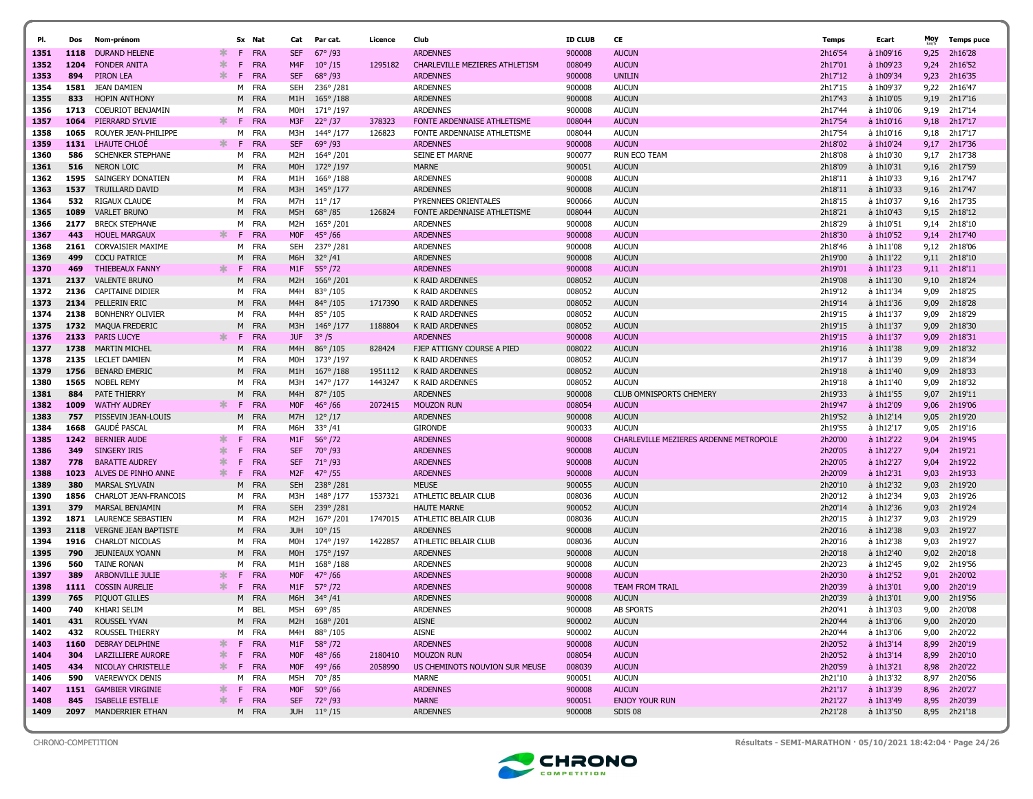| PI.          | Dos          | Nom-prénom                                         |         |    | Sx Nat              | Cat               | Par cat.                           | Licence | Club                               | <b>ID CLUB</b>   | CE                                     | Temps              | Ecart                  | Moy          | <b>Temps puce</b>            |
|--------------|--------------|----------------------------------------------------|---------|----|---------------------|-------------------|------------------------------------|---------|------------------------------------|------------------|----------------------------------------|--------------------|------------------------|--------------|------------------------------|
| 1351         | 1118         | <b>DURAND HELENE</b>                               | ж.      | F. | <b>FRA</b>          | <b>SEF</b>        | $67^{\circ}$ /93                   |         | <b>ARDENNES</b>                    | 900008           | <b>AUCUN</b>                           | 2h16'54            | à 1h09'16              | 9,25         | 2h16'28                      |
| 1352         | 1204         | <b>FONDER ANITA</b>                                | ∗       | F. | <b>FRA</b>          | M4F               | $10^{\circ}/15$                    | 1295182 | CHARLEVILLE MEZIERES ATHLETISM     | 008049           | <b>AUCUN</b>                           | 2h17'01            | à 1h09'23              | 9,24         | 2h16'52                      |
| 1353         | 894          | <b>PIRON LEA</b>                                   | $\ast$  | F. | <b>FRA</b>          | <b>SEF</b>        | $68^{\circ}/93$                    |         | <b>ARDENNES</b>                    | 900008           | <b>UNILIN</b>                          | 2h17'12            | à 1h09'34              | 9,23         | 2h16'35                      |
| 1354         | 1581         | JEAN DAMIEN                                        |         | м  | FRA                 | <b>SEH</b>        | 236°/281                           |         | <b>ARDENNES</b>                    | 900008           | <b>AUCUN</b>                           | 2h17'15            | à 1h09'37              | 9,22         | 2h16'47                      |
| 1355         | 833          | <b>HOPIN ANTHONY</b>                               |         |    | M FRA               | M1H               | $165^{\circ}/188$                  |         | <b>ARDENNES</b>                    | 900008           | <b>AUCUN</b>                           | 2h17'43            | à 1h10'05              | 9,19         | 2h17'16                      |
| 1356         | 1713         | <b>COEURIOT BENJAMIN</b>                           |         | м  | FRA                 | M0H               | 171°/197                           |         | <b>ARDENNES</b>                    | 900008           | <b>AUCUN</b>                           | 2h17'44            | à 1h10'06              | 9,19         | 2h17'14                      |
| 1357         | 1064         | PIERRARD SYLVIE                                    | ∗.      | -F | <b>FRA</b>          | M3F               | $22^{\circ}/37$                    | 378323  | FONTE ARDENNAISE ATHLETISME        | 008044           | <b>AUCUN</b>                           | 2h17'54            | à 1h10'16              | 9,18         | 2h17'17                      |
| 1358         | 1065         | ROUYER JEAN-PHILIPPE                               |         | м  | <b>FRA</b>          | M3H               | 144° /177                          | 126823  | FONTE ARDENNAISE ATHLETISME        | 008044           | <b>AUCUN</b>                           | 2h17'54            | à 1h10'16              | 9,18         | 2h17'17                      |
| 1359         | 1131         | LHAUTE CHLOE                                       | ж.      | F. | FRA                 | <b>SEF</b>        | $69^{\circ}$ /93                   |         | <b>ARDENNES</b>                    | 900008           | <b>AUCUN</b>                           | 2h18'02            | à 1h10'24              | 9,17         | 2h17'36                      |
| 1360         | 586          | <b>SCHENKER STEPHANE</b>                           |         |    | M FRA               | M <sub>2</sub> H  | 164°/201                           |         | SEINE ET MARNE                     | 900077           | <b>RUN ECO TEAM</b>                    | 2h18'08            | à 1h10'30              | 9,17         | 2h17'38                      |
| 1361         | 516          | <b>NERON LOIC</b>                                  |         |    | M FRA               | M <sub>0</sub> H  | 172°/197                           |         | <b>MARNE</b>                       | 900051           | <b>AUCUN</b>                           | 2h18'09            | à 1h10'31              | 9,16         | 2h17'59                      |
| 1362         | 1595         | SAINGERY DONATIEN                                  |         |    | M FRA               | M1H               | $166^{\circ}/188$                  |         | <b>ARDENNES</b>                    | 900008           | <b>AUCUN</b>                           | 2h18'11            | à 1h10'33              | 9,16         | 2h17'47                      |
| 1363         | 1537         | <b>TRUILLARD DAVID</b>                             |         | M  | <b>FRA</b>          | M3H               | 145° /177                          |         | <b>ARDENNES</b>                    | 900008           | <b>AUCUN</b>                           | 2h18'11            | à 1h10'33              | 9,16         | 2h17'47                      |
| 1364         | 532          | <b>RIGAUX CLAUDE</b>                               |         |    | M FRA               | M7H               | $11^{\circ}/17$                    |         | PYRENNEES ORIENTALES               | 900066           | <b>AUCUN</b>                           | 2h18'15            | à 1h10'37              | 9,16         | 2h17'35                      |
| 1365         | 1089         | <b>VARLET BRUNO</b>                                |         | м  | FRA                 | M5H               | $68^{\circ}/85$                    | 126824  | FONTE ARDENNAISE ATHLETISME        | 008044           | <b>AUCUN</b>                           | 2h18'21            | à 1h10'43              | 9,15         | 2h18'12                      |
| 1366         | 2177         | <b>BRECK STEPHANE</b>                              |         |    | M FRA               | M2H               | 165°/201                           |         | <b>ARDENNES</b>                    | 900008           | <b>AUCUN</b>                           | 2h18'29            | à 1h10'51              | 9,14         | 2h18'10                      |
| 1367         | 443          | <b>HOUEL MARGAUX</b>                               | $\ast$  | F  | <b>FRA</b>          | <b>MOF</b>        | $45^{\circ} / 66$                  |         | <b>ARDENNES</b>                    | 900008           | <b>AUCUN</b>                           | 2h18'30            | à 1h10'52              | 9,14         | 2h17'40                      |
| 1368         | 2161         | <b>CORVAISIER MAXIME</b>                           |         | м  | FRA                 | <b>SEH</b>        | 237° /281                          |         | ARDENNES                           | 900008           | <b>AUCUN</b>                           | 2h18'46            | à 1h11'08              | 9,12         | 2h18'06                      |
| 1369         | 499          | <b>COCU PATRICE</b>                                |         | M  | <b>FRA</b>          | M6H               | $32^{\circ}/41$                    |         | <b>ARDENNES</b>                    | 900008           | <b>AUCUN</b>                           | 2h19'00            | à 1h11'22              | 9,11         | 2h18'10                      |
| 1370         | 469          | <b>THIEBEAUX FANNY</b>                             | ∗.      | F. | <b>FRA</b>          | M1F               | $55^{\circ}/72$                    |         | <b>ARDENNES</b>                    | 900008           | <b>AUCUN</b>                           | 2h19'01            | à 1h11'23              |              | 9,11 2h18'11                 |
| 1371         | 2137         | <b>VALENTE BRUNO</b>                               |         |    | M FRA               | M <sub>2</sub> H  | $166^{\circ}/201$                  |         | K RAID ARDENNES                    | 008052           | <b>AUCUN</b>                           | 2h19'08            | à 1h11'30              | 9,10         | 2h18'24                      |
| 1372         | 2136         | <b>CAPITAINE DIDIER</b>                            |         |    | M FRA               | M4H               | 83°/105                            |         | K RAID ARDENNES                    | 008052           | <b>AUCUN</b>                           | 2h19'12            | à 1h11'34              | 9,09         | 2h18'25                      |
| 1373         | 2134         | PELLERIN ERIC                                      |         |    | M FRA               | M <sub>4</sub> H  | $84^{\circ}/105$                   | 1717390 | K RAID ARDENNES                    | 008052           | <b>AUCUN</b>                           | 2h19'14            | à 1h11'36              | 9,09         | 2h18'28                      |
| 1374         | 2138         | <b>BONHENRY OLIVIER</b>                            |         | м  | FRA<br>M FRA        | M4H               | 85°/105                            | 1188804 | K RAID ARDENNES                    | 008052<br>008052 | <b>AUCUN</b><br><b>AUCUN</b>           | 2h19'15            | à 1h11'37              | 9,09         | 2h18'29<br>2h18'30           |
| 1375<br>1376 | 1732<br>2133 | <b>MAQUA FREDERIC</b><br><b>PARIS LUCYE</b>        | ∗       | F. | FRA                 | M3H<br><b>JUF</b> | $146^{\circ}/177$<br>$3^{\circ}/5$ |         | K RAID ARDENNES<br><b>ARDENNES</b> |                  | <b>AUCUN</b>                           | 2h19'15<br>2h19'15 | à 1h11'37<br>à 1h11'37 | 9,09<br>9,09 | 2h18'31                      |
| 1377         | 1738         | MARTIN MICHEL                                      |         |    | M FRA               | M4H               |                                    | 828424  | FJEP ATTIGNY COURSE A PIED         | 900008<br>008022 | <b>AUCUN</b>                           | 2h19'16            | à 1h11'38              | 9,09         | 2h18'32                      |
| 1378         | 2135         | LECLET DAMIEN                                      |         |    | M FRA               | <b>MOH</b>        | $86^{\circ}/105$<br>173°/197       |         | <b>K RAID ARDENNES</b>             | 008052           | <b>AUCUN</b>                           | 2h19'17            | à 1h11'39              | 9,09         | 2h18'34                      |
| 1379         | 1756         | <b>BENARD EMERIC</b>                               |         |    | M FRA               | M1H               | 167°/188                           | 1951112 | K RAID ARDENNES                    | 008052           | <b>AUCUN</b>                           | 2h19'18            | à 1h11'40              | 9,09         | 2h18'33                      |
| 1380         | 1565         | <b>NOBEL REMY</b>                                  |         |    | M FRA               | M3H               | 147°/177                           | 1443247 | K RAID ARDENNES                    | 008052           | <b>AUCUN</b>                           | 2h19'18            | à 1h11'40              | 9,09         | 2h18'32                      |
| 1381         | 884          | PATE THIERRY                                       |         | м  | <b>FRA</b>          | M4H               | 87°/105                            |         | <b>ARDENNES</b>                    | 900008           | <b>CLUB OMNISPORTS CHEMERY</b>         | 2h19'33            | à 1h11'55              | 9,07         | 2h19'11                      |
| 1382         | 1009         | <b>WATHY AUDREY</b>                                | ∗.      | F. | FRA                 | <b>MOF</b>        | $46^{\circ}$ /66                   | 2072415 | <b>MOUZON RUN</b>                  | 008054           | <b>AUCUN</b>                           | 2h19'47            | à 1h12'09              | 9,06         | 2h19'06                      |
| 1383         | 757          | PISSEVIN JEAN-LOUIS                                |         | M  | FRA                 | M7H               | $12^{\circ}/17$                    |         | <b>ARDENNES</b>                    | 900008           | <b>AUCUN</b>                           | 2h19'52            | à 1h12'14              | 9,05         | 2h19'20                      |
| 1384         | 1668         | <b>GAUDE PASCAL</b>                                |         |    | M FRA               | M6H               | $33^{\circ}/41$                    |         | <b>GIRONDE</b>                     | 900033           | <b>AUCUN</b>                           | 2h19'55            | à 1h12'17              | 9,05         | 2h19'16                      |
| 1385         | 1242         | <b>BERNIER AUDE</b>                                | $\ast$  | F. | FRA                 | M1F               | $56^{\circ}/72$                    |         | <b>ARDENNES</b>                    | 900008           | CHARLEVILLE MEZIERES ARDENNE METROPOLE | 2h20'00            | à 1h12'22              | 9,04         | 2h19'45                      |
| 1386         | 349          | SINGERY IRIS                                       | $\ast$  | F  | <b>FRA</b>          | <b>SEF</b>        | 70°/93                             |         | <b>ARDENNES</b>                    | 900008           | <b>AUCUN</b>                           | 2h20'05            | à 1h12'27              | 9,04         | 2h19'21                      |
| 1387         | 778          | <b>BARATTE AUDREY</b>                              | 氺       | F  | <b>FRA</b>          | <b>SEF</b>        | $71^{\circ}$ /93                   |         | <b>ARDENNES</b>                    | 900008           | <b>AUCUN</b>                           | 2h20'05            | à 1h12'27              | 9,04         | 2h19'22                      |
| 1388         | 1023         | ALVES DE PINHO ANNE                                | $\ast$  | F. | <b>FRA</b>          | M <sub>2F</sub>   | $47^{\circ}$ /55                   |         | <b>ARDENNES</b>                    | 900008           | <b>AUCUN</b>                           | 2h20'09            | à 1h12'31              | 9,03         | 2h19'33                      |
| 1389         | 380          | <b>MARSAL SYLVAIN</b>                              |         | м  | FRA                 | <b>SEH</b>        | 238°/281                           |         | <b>MEUSE</b>                       | 900055           | <b>AUCUN</b>                           | 2h20'10            | à 1h12'32              | 9,03         | 2h19'20                      |
| 1390         | 1856         | CHARLOT JEAN-FRANCOIS                              |         | м  | FRA                 | M3H               | 148°/177                           | 1537321 | ATHLETIC BELAIR CLUB               | 008036           | <b>AUCUN</b>                           | 2h20'12            | à 1h12'34              | 9,03         | 2h19'26                      |
| 1391         | 379          | MARSAL BENJAMIN                                    |         |    | M FRA               | <b>SEH</b>        | 239°/281                           |         | <b>HAUTE MARNE</b>                 | 900052           | <b>AUCUN</b>                           | 2h20'14            | à 1h12'36              | 9,03         | 2h19'24                      |
| 1392         | 1871         | LAURENCE SEBASTIEN                                 |         |    | M FRA               | M2H               | 167°/201                           | 1747015 | ATHLETIC BELAIR CLUB               | 008036           | <b>AUCUN</b>                           | 2h20'15            | à 1h12'37              | 9,03         | 2h19'29                      |
| 1393         | 2118         | <b>VERGNE JEAN BAPTISTE</b>                        |         |    | M FRA               | <b>JUH</b>        | $10^{\circ}/15$                    |         | <b>ARDENNES</b>                    | 900008           | <b>AUCUN</b>                           | 2h20'16            | à 1h12'38              | 9,03         | 2h19'27                      |
| 1394         | 1916         | <b>CHARLOT NICOLAS</b>                             |         |    | M FRA               | M0H               | 174°/197                           | 1422857 | ATHLETIC BELAIR CLUB               | 008036           | <b>AUCUN</b>                           | 2h20'16            | à 1h12'38              | 9,03         | 2h19'27                      |
| 1395         | 790          | <b>JEUNIEAUX YOANN</b>                             |         |    | M FRA               | M <sub>0</sub> H  | 175°/197                           |         | <b>ARDENNES</b>                    | 900008           | <b>AUCUN</b>                           | 2h20'18            | à 1h12'40              | 9,02         | 2h20'18                      |
| 1396         | 560          | <b>TAINE RONAN</b>                                 |         | м  | FRA                 | M1H               | $168^{\circ}/188$                  |         | <b>ARDENNES</b>                    | 900008           | <b>AUCUN</b>                           | 2h20'23            | à 1h12'45              | 9,02         | 2h19'56                      |
| 1397         | 389          | <b>ARBONVILLE JULIE</b>                            | ж       | F  | <b>FRA</b>          | <b>MOF</b>        | $47^{\circ} / 66$                  |         | <b>ARDENNES</b>                    | 900008           | <b>AUCUN</b>                           | 2h20'30            | à 1h12'52              | 9,01         | 2h20'02                      |
| 1398         | 1111         | <b>COSSIN AURELIE</b>                              |         | F. | <b>FRA</b>          | M <sub>1</sub> F  | $57^{\circ}$ /72                   |         | <b>ARDENNES</b>                    | 900008           | <b>TEAM FROM TRAIL</b>                 | 2h20'39            | à 1h13'01              | 9.00         | 2h20'19                      |
| 1399         | 765          | PIQUOT GILLES                                      |         |    | M FRA               | M6H               | 34° /41                            |         | <b>ARDENNES</b>                    | 900008           | <b>AUCUN</b>                           | 2h20'39            | à 1h13'01              | 9,00         | 2h19'56                      |
| 1400         | 740          | <b>KHIARI SELIM</b>                                |         | м  | <b>BEL</b>          | M5H               | $69^{\circ}$ /85                   |         | <b>ARDENNES</b>                    | 900008           | <b>AB SPORTS</b>                       | 2h20'41            | à 1h13'03              | 9,00         | 2h20'08                      |
| 1401         | 431          | ROUSSEL YVAN                                       |         |    | M FRA               |                   | M2H 168° /201                      |         | <b>AISNE</b>                       | 900002           | <b>AUCUN</b>                           | 2h20'44            | à 1h13'06              |              | 9,00 2h20'20                 |
| 1402         | 432          | ROUSSEL THIERRY                                    |         |    | M FRA               | M4H               | 88°/105                            |         | AISNE                              | 900002           | <b>AUCUN</b>                           | 2h20'44            | à 1h13'06              | 9,00         | 2h20'22                      |
| 1403         | 1160         | DEBRAY DELPHINE                                    | ∗       |    | F FRA               | M1F               | $58^{\circ}/72$                    |         | <b>ARDENNES</b>                    | 900008           | <b>AUCUN</b>                           | 2h20'52            | à 1h13'14              | 8,99         | 2h20'19                      |
| 1404         | 304          | <b>LARZILLIERE AURORE</b>                          | ∗       |    | F FRA               |                   | M0F 48°/66                         | 2180410 | <b>MOUZON RUN</b>                  | 008054           | <b>AUCUN</b>                           | 2h20'52            | à 1h13'14              | 8,99         | 2h20'10                      |
| 1405         | 434          | NICOLAY CHRISTELLE                                 | ∗.      | F. | <b>FRA</b>          |                   | M0F 49°/66                         | 2058990 | US CHEMINOTS NOUVION SUR MEUSE     | 008039           | <b>AUCUN</b>                           | 2h20'59            | à 1h13'21              | 8,98         | 2h20'22                      |
| 1406         | 590          | <b>VAEREWYCK DENIS</b>                             |         |    | M FRA               | M5H               | 70° /85                            |         | MARNE                              | 900051           | <b>AUCUN</b>                           | 2h21'10            | à 1h13'32              | 8,97         | 2h20'56                      |
| 1407<br>1408 | 1151<br>845  | <b>GAMBIER VIRGINIE</b><br><b>ISABELLE ESTELLE</b> | ∗<br>ж. | F. | <b>FRA</b><br>F FRA | M0F               | $50^{\circ}/66$                    |         | <b>ARDENNES</b><br><b>MARNE</b>    | 900008<br>900051 | <b>AUCUN</b><br><b>ENJOY YOUR RUN</b>  | 2h21'17<br>2h21'27 | à 1h13'39<br>à 1h13'49 | 8,96         | 2h20'27                      |
| 1409         |              | 2097 MANDERRIER ETHAN                              |         |    | M FRA               |                   | SEF 72°/93<br>JUH 11°/15           |         | <b>ARDENNES</b>                    | 900008           | SDIS 08                                | 2h21'28            | à 1h13'50              |              | 8,95 2h20'39<br>8,95 2h21'18 |
|              |              |                                                    |         |    |                     |                   |                                    |         |                                    |                  |                                        |                    |                        |              |                              |



CHRONO-COMPETITION Résultats - SEMI-MARATHON · 05/10/2021 18:42:04 · Page 24/26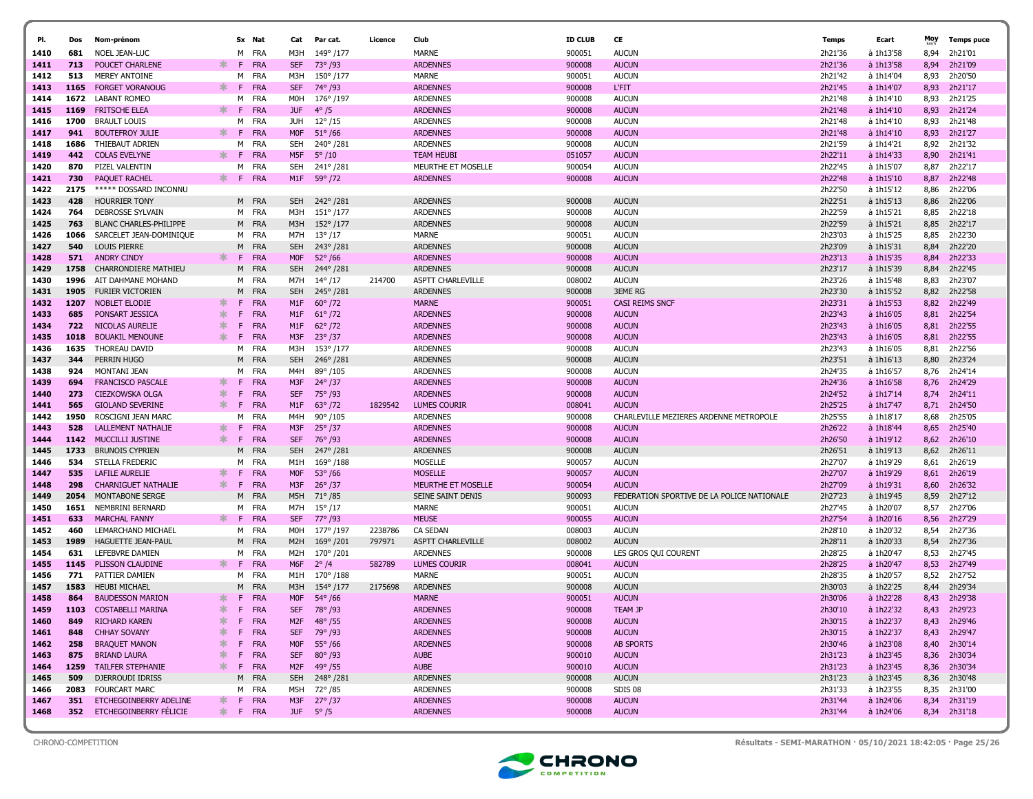|              |             |                                                      |              |         |                   |                   |                            |         | Club                               | <b>ID CLUB</b>   | CE                                         |                    |                        | Moy          |                    |
|--------------|-------------|------------------------------------------------------|--------------|---------|-------------------|-------------------|----------------------------|---------|------------------------------------|------------------|--------------------------------------------|--------------------|------------------------|--------------|--------------------|
| PI.          | Dos         | Nom-prénom                                           |              |         | Sx Nat            | Cat               | Par cat.                   | Licence |                                    |                  |                                            | Temps              | Ecart                  |              | <b>Temps puce</b>  |
| 1410         | 681<br>713  | NOEL JEAN-LUC<br>POUCET CHARLENE                     | ∗.           | M<br>F. | FRA<br><b>FRA</b> | M3H<br><b>SEF</b> | 149°/177                   |         | <b>MARNE</b><br><b>ARDENNES</b>    | 900051           | <b>AUCUN</b><br><b>AUCUN</b>               | 2h21'36<br>2h21'36 | à 1h13'58<br>à 1h13'58 | 8,94         | 2h21'01<br>2h21'09 |
| 1411         | 513         | <b>MEREY ANTOINE</b>                                 |              | м       | FRA               |                   | 73° /93                    |         | MARNE                              | 900008<br>900051 | <b>AUCUN</b>                               | 2h21'42            | à 1h14'04              | 8,94         | 2h20'50            |
| 1412<br>1413 | 1165        | <b>FORGET VORANOUG</b>                               | ж.           | -F      | FRA               | M3H<br><b>SEF</b> | 150°/177<br>74°/93         |         | <b>ARDENNES</b>                    | 900008           | <b>L'FIT</b>                               | 2h21'45            | à 1h14'07              | 8,93<br>8,93 | 2h21'17            |
| 1414         | 1672        | LABANT ROMEO                                         |              | м       | FRA               | M0H               | 176°/197                   |         | <b>ARDENNES</b>                    | 900008           | <b>AUCUN</b>                               | 2h21'48            | à 1h14'10              | 8,93         | 2h21'25            |
| 1415         | 1169        | <b>FRITSCHE ELEA</b>                                 | ж.           | F.      | <b>FRA</b>        | <b>JUF</b>        | $4^{\circ}/5$              |         | <b>ARDENNES</b>                    | 900008           | <b>AUCUN</b>                               | 2h21'48            | à 1h14'10              | 8,93         | 2h21'24            |
| 1416         | 1700        | <b>BRAULT LOUIS</b>                                  |              | м       | FRA               | JUH               | $12^{\circ}/15$            |         | <b>ARDENNES</b>                    | 900008           | <b>AUCUN</b>                               | 2h21'48            | à 1h14'10              | 8,93         | 2h21'48            |
| 1417         | 941         | <b>BOUTEFROY JULIE</b>                               | ж.           | -F      | <b>FRA</b>        | <b>MOF</b>        | $51^{\circ}$ /66           |         | <b>ARDENNES</b>                    | 900008           | <b>AUCUN</b>                               | 2h21'48            | à 1h14'10              | 8,93         | 2h21'27            |
| 1418         | 1686        | THIEBAUT ADRIEN                                      |              | м       | FRA               | SEH               | 240°/281                   |         | <b>ARDENNES</b>                    | 900008           | <b>AUCUN</b>                               | 2h21'59            | à 1h14'21              | 8,92         | 2h21'32            |
| 1419         | 442         | <b>COLAS EVELYNE</b>                                 | ∗.           | -F.     | <b>FRA</b>        | M5F               | $5^{\circ}/10$             |         | <b>TEAM HEUBI</b>                  | 051057           | <b>AUCUN</b>                               | 2h22'11            | à 1h14'33              | 8,90         | 2h21'41            |
| 1420         | 870         | PIZEL VALENTIN                                       |              | м       | FRA               | SEH               | 241°/281                   |         | MEURTHE ET MOSELLE                 | 900054           | <b>AUCUN</b>                               | 2h22'45            | à 1h15'07              | 8,87         | 2h22'17            |
| 1421         | 730         | <b>PAOUET RACHEL</b>                                 | ∗.           | F       | <b>FRA</b>        |                   | M1F 59° /72                |         | <b>ARDENNES</b>                    | 900008           | <b>AUCUN</b>                               | 2h22'48            | à 1h15'10              | 8,87         | 2h22'48            |
| 1422         | 2175        | ***** DOSSARD INCONNU                                |              |         |                   |                   |                            |         |                                    |                  |                                            | 2h22'50            | à 1h15'12              | 8,86         | 2h22'06            |
| 1423         | 428         | <b>HOURRIER TONY</b>                                 |              | M       | FRA               | <b>SEH</b>        | 242°/281                   |         | <b>ARDENNES</b>                    | 900008           | <b>AUCUN</b>                               | 2h22'51            | à 1h15'13              | 8,86         | 2h22'06            |
| 1424         | 764         | DEBROSSE SYLVAIN                                     |              | M       | FRA               | M3H               | $151^{\circ}/177$          |         | <b>ARDENNES</b>                    | 900008           | <b>AUCUN</b>                               | 2h22'59            | à 1h15'21              | 8,85         | 2h22'18            |
| 1425         | 763         | <b>BLANC CHARLES-PHILIPPE</b>                        |              |         | M FRA             | M3H               | 152°/177                   |         | <b>ARDENNES</b>                    | 900008           | <b>AUCUN</b>                               | 2h22'59            | à 1h15'21              | 8,85         | 2h22'17            |
| 1426         | 1066        | SARCELET JEAN-DOMINIQUE                              |              | M       | FRA               | M7H               | $13^{\circ}/17$            |         | MARNE                              | 900051           | <b>AUCUN</b>                               | 2h23'03            | à 1h15'25              | 8.85         | 2h22'30            |
| 1427         | 540         | <b>LOUIS PIERRE</b>                                  |              | M       | <b>FRA</b>        | <b>SEH</b>        | 243° /281                  |         | <b>ARDENNES</b>                    | 900008           | <b>AUCUN</b>                               | 2h23'09            | à 1h15'31              | 8,84         | 2h22'20            |
| 1428         | 571         | <b>ANDRY CINDY</b>                                   | ж.           | F.      | <b>FRA</b>        | <b>MOF</b>        | $52^{\circ}$ /66           |         | <b>ARDENNES</b>                    | 900008           | <b>AUCUN</b>                               | 2h23'13            | à 1h15'35              | 8.84         | 2h22'33            |
| 1429         | 1758        | <b>CHARRONDIERE MATHIEU</b>                          |              | M       | <b>FRA</b>        | <b>SEH</b>        | 244°/281                   |         | <b>ARDENNES</b>                    | 900008           | <b>AUCUN</b>                               | 2h23'17            | à 1h15'39              | 8,84         | 2h22'45            |
| 1430         | 1996        | AIT DAHMANE MOHAND                                   |              | м       | FRA               | M7H               | $14^{\circ}/17$            | 214700  | ASPTT CHARLEVILLE                  | 008002           | <b>AUCUN</b>                               | 2h23'26            | à 1h15'48              | 8,83         | 2h23'07            |
| 1431         | 1905        | <b>FURIER VICTORIEN</b>                              |              | M       | <b>FRA</b>        | <b>SEH</b>        | 245°/281                   |         | <b>ARDENNES</b>                    | 900008           | <b>3EME RG</b>                             | 2h23'30            | à 1h15'52              | 8,82         | 2h22'58            |
| 1432         | 1207        | NOBLET ELODIE                                        | ж.           | F.      | <b>FRA</b>        | M1F               | $60^{\circ}/72$            |         | <b>MARNE</b>                       | 900051           | <b>CASI REIMS SNCF</b>                     | 2h23'31            | à 1h15'53              | 8,82         | 2h22'49            |
| 1433         | 685         | PONSART JESSICA                                      | 米            | F       | <b>FRA</b>        | M <sub>1</sub> F  | $61^{\circ}/72$            |         | <b>ARDENNES</b>                    | 900008           | <b>AUCUN</b>                               | 2h23'43            | à 1h16'05              | 8,81         | 2h22'54            |
| 1434         | 722         | NICOLAS AURELIE                                      | ж            | F       | FRA               | M1F               | $62^{\circ}/72$            |         | <b>ARDENNES</b>                    | 900008           | <b>AUCUN</b>                               | 2h23'43            | à 1h16'05              | 8,81         | 2h22'55            |
| 1435         | 1018        | <b>BOUAKIL MENOUNE</b>                               | ж            | E       | <b>FRA</b>        | M3F               | $23^{\circ}/37$            |         | <b>ARDENNES</b>                    | 900008           | <b>AUCUN</b>                               | 2h23'43            | à 1h16'05              | 8,81         | 2h22'55            |
| 1436         | 1635        | THOREAU DAVID                                        |              | M       | FRA               | M3H               | 153°/177                   |         | <b>ARDENNES</b>                    | 900008           | <b>AUCUN</b>                               | 2h23'43            | à 1h16'05              | 8,81         | 2h22'56            |
| 1437         | 344         | PERRIN HUGO                                          |              | м       | <b>FRA</b>        | <b>SEH</b>        | 246°/281                   |         | <b>ARDENNES</b>                    | 900008           | <b>AUCUN</b>                               | 2h23'51            | à 1h16'13              | 8,80         | 2h23'24            |
| 1438         | 924         | MONTANI JEAN                                         |              | M       | <b>FRA</b>        | M4H               | 89°/105                    |         | <b>ARDENNES</b>                    | 900008           | <b>AUCUN</b>                               | 2h24'35            | à 1h16'57              | 8,76         | 2h24'14            |
| 1439         | 694         | <b>FRANCISCO PASCALE</b>                             | ж.           | F.      | <b>FRA</b>        | M3F               | $24^{\circ}/37$            |         | <b>ARDENNES</b>                    | 900008           | <b>AUCUN</b>                               | 2h24'36            | à 1h16'58              | 8,76         | 2h24'29            |
| 1440         | 273         | CIEZKOWSKA OLGA                                      | ∗            | F       | <b>FRA</b>        | <b>SEF</b>        | 75° /93                    |         | <b>ARDENNES</b>                    | 900008           | <b>AUCUN</b>                               | 2h24'52            | à 1h17'14              | 8,74         | 2h24'11            |
| 1441         | 565         | <b>GIOLAND SEVERINE</b>                              | ж.           | F.      | FRA               | M1F               | $63^{\circ}/72$            | 1829542 | <b>LUMES COURIR</b>                | 008041           | <b>AUCUN</b>                               | 2h25'25            | à 1h17'47              | 8,71         | 2h24'50            |
| 1442         | 1950        | ROSCIGNI JEAN MARC                                   |              | м       | FRA               | M4H               | $90^{\circ}$ /105          |         | <b>ARDENNES</b>                    | 900008           | CHARLEVILLE MEZIERES ARDENNE METROPOLE     | 2h25'55            | à 1h18'17              | 8,68         | 2h25'05            |
| 1443         | 528<br>1142 | <b>LALLEMENT NATHALIE</b><br><b>MUCCILLI JUSTINE</b> | ж.<br>$\ast$ | F<br>F. | FRA<br>FRA        | M3F<br><b>SEF</b> | $25^{\circ}$ /37<br>76°/93 |         | <b>ARDENNES</b><br><b>ARDENNES</b> | 900008<br>900008 | <b>AUCUN</b><br><b>AUCUN</b>               | 2h26'22<br>2h26'50 | à 1h18'44<br>à 1h19'12 | 8,65<br>8,62 | 2h25'40<br>2h26'10 |
| 1444<br>1445 | 1733        | <b>BRUNOIS CYPRIEN</b>                               |              | M       | FRA               | <b>SEH</b>        | 247° / 281                 |         | <b>ARDENNES</b>                    | 900008           | <b>AUCUN</b>                               | 2h26'51            | à 1h19'13              | 8,62         | 2h26'11            |
| 1446         | 534         | STELLA FREDERIC                                      |              | M       | <b>FRA</b>        | M1H               | 169°/188                   |         | <b>MOSELLE</b>                     | 900057           | <b>AUCUN</b>                               | 2h27'07            | à 1h19'29              | 8.61         | 2h26'19            |
| 1447         | 535         | LAFILE AURELIE                                       | ж            | F       | FRA               | <b>MOF</b>        | $53^{\circ}$ /66           |         | <b>MOSELLE</b>                     | 900057           | <b>AUCUN</b>                               | 2h27'07            | à 1h19'29              | 8,61         | 2h26'19            |
| 1448         | 298         | <b>CHARNIGUET NATHALIE</b>                           | ж.           | F.      | FRA               | M3F               | $26^{\circ}/37$            |         | MEURTHE ET MOSELLE                 | 900054           | <b>AUCUN</b>                               | 2h27'09            | à 1h19'31              | 8,60         | 2h26'32            |
| 1449         | 2054        | <b>MONTABONE SERGE</b>                               |              | M       | <b>FRA</b>        | M5H               | $71^{\circ}$ /85           |         | SEINE SAINT DENIS                  | 900093           | FEDERATION SPORTIVE DE LA POLICE NATIONALE | 2h27'23            | à 1h19'45              | 8,59         | 2h27'12            |
| 1450         | 1651        | NEMBRINI BERNARD                                     |              | м       | <b>FRA</b>        | M7H               | $15^{\circ}/17$            |         | <b>MARNE</b>                       | 900051           | <b>AUCUN</b>                               | 2h27'45            | à 1h20'07              | 8,57         | 2h27'06            |
| 1451         | 633         | <b>MARCHAL FANNY</b>                                 | ж.           | F.      | <b>FRA</b>        | <b>SEF</b>        | 77° /93                    |         | <b>MEUSE</b>                       | 900055           | <b>AUCUN</b>                               | 2h27'54            | à 1h20'16              | 8,56         | 2h27'29            |
| 1452         | 460         | LEMARCHAND MICHAEL                                   |              | м       | FRA               | M0H               | 177° /197                  | 2238786 | <b>CA SEDAN</b>                    | 008003           | <b>AUCUN</b>                               | 2h28'10            | à 1h20'32              | 8,54         | 2h27'36            |
| 1453         | 1989        | HAGUETTE JEAN-PAUL                                   |              | м       | FRA               | M <sub>2</sub> H  | 169°/201                   | 797971  | ASPTT CHARLEVILLE                  | 008002           | <b>AUCUN</b>                               | 2h28'11            | à 1h20'33              | 8,54         | 2h27'36            |
| 1454         | 631         | LEFEBVRE DAMIEN                                      |              | м       | FRA               | M2H               | 170°/201                   |         | <b>ARDENNES</b>                    | 900008           | LES GROS QUI COURENT                       | 2h28'25            | à 1h20'47              | 8,53         | 2h27'45            |
| 1455         | 1145        | PLISSON CLAUDINE                                     | $\ast$       | F.      | <b>FRA</b>        | M6F               | $2^{\circ}/4$              | 582789  | <b>LUMES COURIR</b>                | 008041           | <b>AUCUN</b>                               | 2h28'25            | à 1h20'47              | 8,53         | 2h27'49            |
| 1456         | 771         | PATTIER DAMIEN                                       |              | м       | FRA               | M1H               | 170°/188                   |         | <b>MARNE</b>                       | 900051           | <b>AUCUN</b>                               | 2h28'35            | à 1h20'57              | 8,52         | 2h27'52            |
| 1457         | 1583        | <b>HEUBI MICHAEL</b>                                 |              | м       | FRA               | M3H               | 154°/177                   | 2175698 | <b>ARDENNES</b>                    | 900008           | <b>AUCUN</b>                               | 2h30'03            | à 1h22'25              | 8.44         | 2h29'34            |
| 1458         | 864         | <b>BAUDESSON MARION</b>                              | ж            | -F.     | <b>FRA</b>        | <b>MOF</b>        | $54^{\circ}$ /66           |         | <b>MARNE</b>                       | 900051           | <b>AUCUN</b>                               | 2h30'06            | à 1h22'28              | 8,43         | 2h29'38            |
| 1459         | 1103        | <b>COSTABELLI MARINA</b>                             | ∗            | F.      | <b>FRA</b>        | <b>SEF</b>        | 78° /93                    |         | <b>ARDENNES</b>                    | 900008           | <b>TEAM JP</b>                             | 2h30'10            | à 1h22'32              | 8,43         | 2h29'23            |
| 1460         | 849         | <b>RICHARD KAREN</b>                                 | ∗            | F.      | <b>FRA</b>        | M <sub>2</sub> F  | $48^{\circ}$ /55           |         | <b>ARDENNES</b>                    | 900008           | <b>AUCUN</b>                               | 2h30'15            | à 1h22'37              | 8,43         | 2h29'46            |
| 1461         | 848         | <b>CHHAY SOVANY</b>                                  | ∗            | F.      | <b>FRA</b>        | <b>SEF</b>        | 79°/93                     |         | <b>ARDENNES</b>                    | 900008           | <b>AUCUN</b>                               | 2h30'15            | à 1h22'37              | 8,43         | 2h29'47            |
| 1462         | 258         | <b>BRAQUET MANON</b>                                 | ∗            | F       | <b>FRA</b>        | <b>MOF</b>        | $55^{\circ}$ /66           |         | <b>ARDENNES</b>                    | 900008           | <b>AB SPORTS</b>                           | 2h30'46            | à 1h23'08              | 8,40         | 2h30'14            |
| 1463         | 875         | <b>BRIAND LAURA</b>                                  | ∗            | F.      | <b>FRA</b>        | <b>SEF</b>        | $80^{\circ}/93$            |         | <b>AUBE</b>                        | 900010           | <b>AUCUN</b>                               | 2h31'23            | à 1h23'45              | 8,36         | 2h30'34            |
| 1464         | 1259        | <b>TAILFER STEPHANIE</b>                             | ∗            | F.      | <b>FRA</b>        | M <sub>2</sub> F  | $49^{\circ}/55$            |         | <b>AUBE</b>                        | 900010           | <b>AUCUN</b>                               | 2h31'23            | à 1h23'45              | 8,36         | 2h30'34            |
| 1465         | 509         | DJERROUDI IDRISS                                     |              |         | M FRA             | <b>SEH</b>        | 248°/281                   |         | <b>ARDENNES</b>                    | 900008           | <b>AUCUN</b>                               | 2h31'23            | à 1h23'45              | 8,36         | 2h30'48            |
| 1466         | 2083        | <b>FOURCART MARC</b>                                 |              | M       | <b>FRA</b>        | M5H               | 72° / 85                   |         | <b>ARDENNES</b>                    | 900008           | SDIS 08                                    | 2h31'33            | à 1h23'55              | 8,35         | 2h31'00            |
| 1467         | 351         | ETCHEGOINBERRY ADELINE                               | ∗.           |         | F FRA             |                   | M3F 27° /37                |         | <b>ARDENNES</b>                    | 900008           | <b>AUCUN</b>                               | 2h31'44            | à 1h24'06              | 8,34         | 2h31'19            |
| 1468         | 352         | ETCHEGOINBERRY FÉLICIE                               |              |         | * F FRA           |                   | JUF $5^{\circ}/5$          |         | <b>ARDENNES</b>                    | 900008           | <b>AUCUN</b>                               | 2h31'44            | à 1h24'06              |              | 8,34 2h31'18       |



CHRONO-COMPETITION Résultats - SEMI-MARATHON · 05/10/2021 18:42:05 · Page 25/26